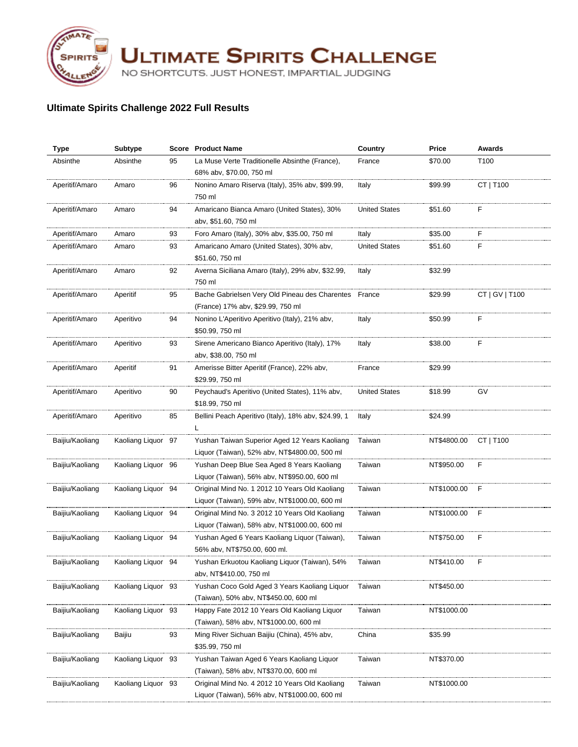

**ULTIMATE SPIRITS CHALLENGE** 

NO SHORTCUTS. JUST HONEST, IMPARTIAL JUDGING

## **Ultimate Spirits Challenge 2022 Full Results**

| <b>Type</b>     | <b>Subtype</b>     |    | <b>Score</b> Product Name                            | Country              | Price       | <b>Awards</b>  |
|-----------------|--------------------|----|------------------------------------------------------|----------------------|-------------|----------------|
| Absinthe        | Absinthe           | 95 | La Muse Verte Traditionelle Absinthe (France),       | France               | \$70.00     | T100           |
|                 |                    |    | 68% abv, \$70.00, 750 ml                             |                      |             |                |
| Aperitif/Amaro  | Amaro              | 96 | Nonino Amaro Riserva (Italy), 35% abv, \$99.99,      | Italy                | \$99.99     | CT   T100      |
|                 |                    |    | 750 ml                                               |                      |             |                |
| Aperitif/Amaro  | Amaro              | 94 | Amaricano Bianca Amaro (United States), 30%          | <b>United States</b> | \$51.60     | F              |
|                 |                    |    | abv, \$51.60, 750 ml                                 |                      |             |                |
| Aperitif/Amaro  | Amaro              | 93 | Foro Amaro (Italy), 30% abv, \$35.00, 750 ml         | Italy                | \$35.00     | F              |
| Aperitif/Amaro  | Amaro              | 93 | Amaricano Amaro (United States), 30% abv,            | <b>United States</b> | \$51.60     | F              |
|                 |                    |    | \$51.60, 750 ml                                      |                      |             |                |
| Aperitif/Amaro  | Amaro              | 92 | Averna Siciliana Amaro (Italy), 29% abv, \$32.99,    | Italy                | \$32.99     |                |
|                 |                    |    | 750 ml                                               |                      |             |                |
| Aperitif/Amaro  | Aperitif           | 95 | Bache Gabrielsen Very Old Pineau des Charentes       | France               | \$29.99     | CT   GV   T100 |
|                 |                    |    | (France) 17% abv, \$29.99, 750 ml                    |                      |             |                |
| Aperitif/Amaro  | Aperitivo          | 94 | Nonino L'Aperitivo Aperitivo (Italy), 21% abv,       | Italy                | \$50.99     | F              |
|                 |                    |    | \$50.99, 750 ml                                      |                      |             |                |
| Aperitif/Amaro  | Aperitivo          | 93 | Sirene Americano Bianco Aperitivo (Italy), 17%       | Italy                | \$38.00     | F              |
|                 |                    |    | aby, \$38.00, 750 ml                                 |                      |             |                |
| Aperitif/Amaro  | Aperitif           | 91 | Amerisse Bitter Aperitif (France), 22% abv,          | France               | \$29.99     |                |
|                 |                    |    | \$29.99, 750 ml                                      |                      |             |                |
| Aperitif/Amaro  | Aperitivo          | 90 | Peychaud's Aperitivo (United States), 11% abv,       | <b>United States</b> | \$18.99     | GV             |
|                 |                    |    | \$18.99, 750 ml                                      |                      |             |                |
| Aperitif/Amaro  | Aperitivo          | 85 | Bellini Peach Aperitivo (Italy), 18% abv, \$24.99, 1 | Italy                | \$24.99     |                |
|                 |                    |    | L                                                    |                      |             |                |
| Baijiu/Kaoliang | Kaoliang Liquor 97 |    | Yushan Taiwan Superior Aged 12 Years Kaoliang        | Taiwan               | NT\$4800.00 | CT   T100      |
|                 |                    |    | Liquor (Taiwan), 52% abv, NT\$4800.00, 500 ml        |                      |             |                |
| Baijiu/Kaoliang | Kaoliang Liquor 96 |    | Yushan Deep Blue Sea Aged 8 Years Kaoliang           | Taiwan               | NT\$950.00  | F              |
|                 |                    |    | Liquor (Taiwan), 56% abv, NT\$950.00, 600 ml         |                      |             |                |
| Baijiu/Kaoliang | Kaoliang Liquor 94 |    | Original Mind No. 1 2012 10 Years Old Kaoliang       | Taiwan               | NT\$1000.00 | F              |
|                 |                    |    | Liquor (Taiwan), 59% abv, NT\$1000.00, 600 ml        |                      |             |                |
| Baijiu/Kaoliang | Kaoliang Liquor 94 |    | Original Mind No. 3 2012 10 Years Old Kaoliang       | Taiwan               | NT\$1000.00 | F              |
|                 |                    |    | Liquor (Taiwan), 58% abv, NT\$1000.00, 600 ml        |                      |             |                |
| Baijiu/Kaoliang | Kaoliang Liquor 94 |    | Yushan Aged 6 Years Kaoliang Liquor (Taiwan),        | Taiwan               | NT\$750.00  | F              |
|                 |                    |    | 56% abv, NT\$750.00, 600 ml.                         |                      |             |                |
| Baijiu/Kaoliang | Kaoliang Liguor 94 |    | Yushan Erkuotou Kaoliang Liquor (Taiwan), 54%        | Taiwan               | NT\$410.00  | F              |
|                 |                    |    | abv, NT\$410.00, 750 ml                              |                      |             |                |
| Baijiu/Kaoliang | Kaoliang Liquor 93 |    | Yushan Coco Gold Aged 3 Years Kaoliang Liquor        | Taiwan               | NT\$450.00  |                |
|                 |                    |    | (Taiwan), 50% abv, NT\$450.00, 600 ml                |                      |             |                |
| Baijiu/Kaoliang | Kaoliang Liquor 93 |    | Happy Fate 2012 10 Years Old Kaoliang Liquor         | Taiwan               | NT\$1000.00 |                |
|                 |                    |    | (Taiwan), 58% abv, NT\$1000.00, 600 ml               |                      |             |                |
| Baijiu/Kaoliang | Baijiu             | 93 | Ming River Sichuan Baijiu (China), 45% abv,          | China                | \$35.99     |                |
|                 |                    |    | \$35.99, 750 ml                                      |                      |             |                |
| Baijiu/Kaoliang | Kaoliang Liquor 93 |    | Yushan Taiwan Aged 6 Years Kaoliang Liquor           | Taiwan               | NT\$370.00  |                |
|                 |                    |    | (Taiwan), 58% abv, NT\$370.00, 600 ml                |                      |             |                |
| Baijiu/Kaoliang | Kaoliang Liguor 93 |    | Original Mind No. 4 2012 10 Years Old Kaoliang       | Taiwan               | NT\$1000.00 |                |
|                 |                    |    | Liquor (Taiwan), 56% abv, NT\$1000.00, 600 ml        |                      |             |                |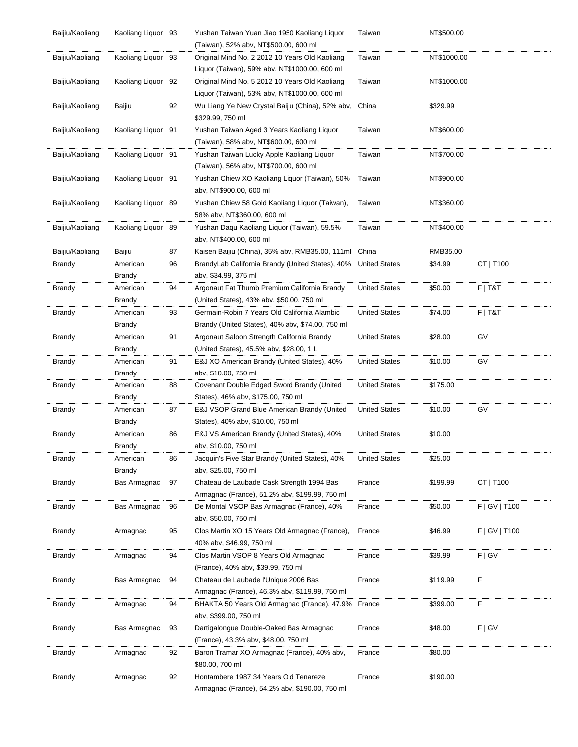| Baijiu/Kaoliang | Kaoliang Liquor 93  |    | Yushan Taiwan Yuan Jiao 1950 Kaoliang Liquor          | Taiwan               | NT\$500.00  |               |
|-----------------|---------------------|----|-------------------------------------------------------|----------------------|-------------|---------------|
|                 |                     |    | (Taiwan), 52% abv, NT\$500.00, 600 ml                 |                      |             |               |
| Baijiu/Kaoliang | Kaoliang Liguor 93  |    | Original Mind No. 2 2012 10 Years Old Kaoliang        | Taiwan               | NT\$1000.00 |               |
|                 |                     |    | Liquor (Taiwan), 59% abv, NT\$1000.00, 600 ml         |                      |             |               |
| Baijiu/Kaoliang | Kaoliang Liquor 92  |    | Original Mind No. 5 2012 10 Years Old Kaoliang        | Taiwan               | NT\$1000.00 |               |
|                 |                     |    | Liquor (Taiwan), 53% abv, NT\$1000.00, 600 ml         |                      |             |               |
| Baijiu/Kaoliang | Baijiu              | 92 | Wu Liang Ye New Crystal Baijiu (China), 52% abv,      | China                | \$329.99    |               |
|                 |                     |    | \$329.99, 750 ml                                      |                      |             |               |
| Baijiu/Kaoliang | Kaoliang Liguor 91  |    | Yushan Taiwan Aged 3 Years Kaoliang Liquor            | Taiwan               | NT\$600.00  |               |
|                 |                     |    | (Taiwan), 58% abv, NT\$600.00, 600 ml                 |                      |             |               |
| Baijiu/Kaoliang | Kaoliang Liquor 91  |    | Yushan Taiwan Lucky Apple Kaoliang Liquor             | Taiwan               | NT\$700.00  |               |
|                 |                     |    |                                                       |                      |             |               |
|                 |                     |    | (Taiwan), 56% abv, NT\$700.00, 600 ml                 |                      |             |               |
| Baijiu/Kaoliang | Kaoliang Liquor 91  |    | Yushan Chiew XO Kaoliang Liquor (Taiwan), 50%         | Taiwan               | NT\$900.00  |               |
|                 |                     |    | abv, NT\$900.00, 600 ml                               |                      |             |               |
| Baijiu/Kaoliang | Kaoliang Liquor 89  |    | Yushan Chiew 58 Gold Kaoliang Liquor (Taiwan),        | Taiwan               | NT\$360.00  |               |
|                 |                     |    | 58% abv, NT\$360.00, 600 ml                           |                      |             |               |
| Baijiu/Kaoliang | Kaoliang Liquor 89  |    | Yushan Dagu Kaoliang Liguor (Taiwan), 59.5%           | Taiwan               | NT\$400.00  |               |
|                 |                     |    | abv, NT\$400.00, 600 ml                               |                      |             |               |
| Baijiu/Kaoliang | Baijiu              | 87 | Kaisen Baijiu (China), 35% abv, RMB35.00, 111ml China |                      | RMB35.00    |               |
| Brandy          | American            | 96 | BrandyLab California Brandy (United States), 40%      | <b>United States</b> | \$34.99     | CT   T100     |
|                 | <b>Brandy</b>       |    | abv, \$34.99, 375 ml                                  |                      |             |               |
| <b>Brandy</b>   | American            | 94 | Argonaut Fat Thumb Premium California Brandy          | <b>United States</b> | \$50.00     | $F$   T&T     |
|                 | Brandy              |    | (United States), 43% abv, \$50.00, 750 ml             |                      |             |               |
| Brandy          | American            | 93 | Germain-Robin 7 Years Old California Alambic          | <b>United States</b> | \$74.00     | F T&T         |
|                 | Brandy              |    | Brandy (United States), 40% abv, \$74.00, 750 ml      |                      |             |               |
| Brandy          | American            | 91 | Argonaut Saloon Strength California Brandy            | <b>United States</b> | \$28.00     | GV            |
|                 | <b>Brandy</b>       |    | (United States), 45.5% abv, \$28.00, 1 L              |                      |             |               |
| <b>Brandy</b>   | American            | 91 | E&J XO American Brandy (United States), 40%           | <b>United States</b> | \$10.00     | GV            |
|                 | Brandy              |    | abv, \$10.00, 750 ml                                  |                      |             |               |
| <b>Brandy</b>   | American            | 88 | Covenant Double Edged Sword Brandy (United            | <b>United States</b> | \$175.00    |               |
|                 | Brandy              |    | States), 46% abv, \$175.00, 750 ml                    |                      |             |               |
| Brandy          | American            | 87 | E&J VSOP Grand Blue American Brandy (United           | <b>United States</b> | \$10.00     | GV            |
|                 | <b>Brandy</b>       |    | States), 40% abv, \$10.00, 750 ml                     |                      |             |               |
|                 |                     |    |                                                       |                      |             |               |
| <b>Brandy</b>   | American            | 86 | E&J VS American Brandy (United States), 40%           | <b>United States</b> | \$10.00     |               |
|                 | <b>Brandy</b>       |    | abv, \$10.00, 750 ml                                  |                      |             |               |
| <b>Brandy</b>   | American            | 86 | Jacquin's Five Star Brandy (United States), 40%       | <b>United States</b> | \$25.00     |               |
|                 | Brandy              |    | abv, \$25.00, 750 ml                                  |                      |             |               |
| Brandy          | Bas Armagnac        | 97 | Chateau de Laubade Cask Strength 1994 Bas             | France               | \$199.99    | CT   T100     |
|                 |                     |    | Armagnac (France), 51.2% abv, \$199.99, 750 ml        |                      |             |               |
| <b>Brandy</b>   | <b>Bas Armagnac</b> | 96 | De Montal VSOP Bas Armagnac (France), 40%             | France               | \$50.00     | F   GV   T100 |
|                 |                     |    | abv, \$50.00, 750 ml                                  |                      |             |               |
| Brandy          | Armagnac            | 95 | Clos Martin XO 15 Years Old Armagnac (France),        | France               | \$46.99     | F   GV   T100 |
|                 |                     |    | 40% abv, \$46.99, 750 ml                              |                      |             |               |
| Brandy          | Armagnac            | 94 | Clos Martin VSOP 8 Years Old Armagnac                 | France               | \$39.99     | F   G V       |
|                 |                     |    | (France), 40% abv, \$39.99, 750 ml                    |                      |             |               |
| Brandy          | <b>Bas Armagnac</b> | 94 | Chateau de Laubade l'Unique 2006 Bas                  | France               | \$119.99    | F             |
|                 |                     |    | Armagnac (France), 46.3% abv, \$119.99, 750 ml        |                      |             |               |
| Brandy          | Armagnac            | 94 | BHAKTA 50 Years Old Armagnac (France), 47.9%          | France               | \$399.00    | F             |
|                 |                     |    | abv, \$399.00, 750 ml                                 |                      |             |               |
| <b>Brandy</b>   | Bas Armagnac        | 93 | Dartigalongue Double-Oaked Bas Armagnac               | France               | \$48.00     | F   G V       |
|                 |                     |    | (France), 43.3% abv, \$48.00, 750 ml                  |                      |             |               |
| Brandy          | Armagnac            | 92 | Baron Tramar XO Armagnac (France), 40% abv,           | France               | \$80.00     |               |
|                 |                     |    | \$80.00, 700 ml                                       |                      |             |               |
|                 |                     |    |                                                       |                      |             |               |
| Brandy          | Armagnac            | 92 | Hontambere 1987 34 Years Old Tenareze                 | France               | \$190.00    |               |
|                 |                     |    | Armagnac (France), 54.2% abv, \$190.00, 750 ml        |                      |             |               |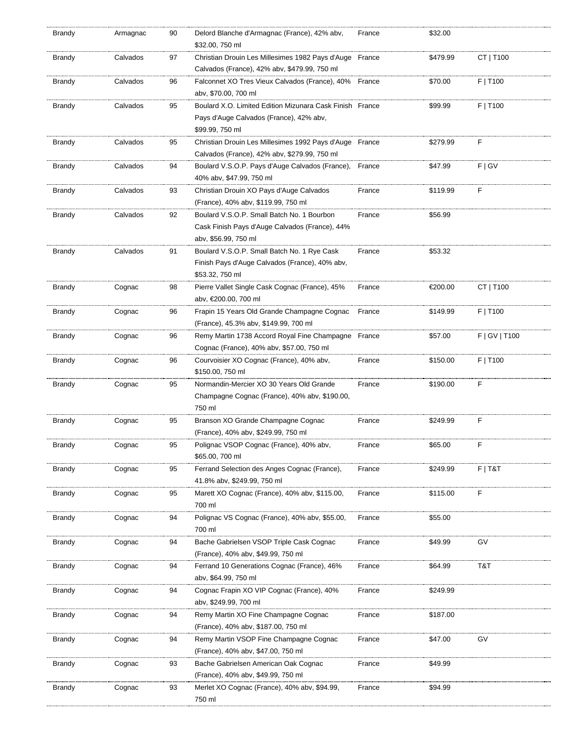| Brandy        | Armagnac | 90 | Delord Blanche d'Armagnac (France), 42% abv,<br>\$32.00, 750 ml                                         | France | \$32.00  |               |
|---------------|----------|----|---------------------------------------------------------------------------------------------------------|--------|----------|---------------|
| Brandy        | Calvados | 97 | Christian Drouin Les Millesimes 1982 Pays d'Auge France<br>Calvados (France), 42% abv, \$479.99, 750 ml |        | \$479.99 | CT   T100     |
| Brandy        | Calvados | 96 | Falconnet XO Tres Vieux Calvados (France), 40%<br>abv, \$70.00, 700 ml                                  | France | \$70.00  | F   T100      |
| <b>Brandy</b> | Calvados | 95 | Boulard X.O. Limited Edition Mizunara Cask Finish France                                                |        | \$99.99  | F   T100      |
|               |          |    | Pays d'Auge Calvados (France), 42% abv,                                                                 |        |          |               |
|               |          |    | \$99.99, 750 ml                                                                                         |        |          |               |
| Brandy        | Calvados | 95 | Christian Drouin Les Millesimes 1992 Pays d'Auge France                                                 |        | \$279.99 | F             |
|               |          |    | Calvados (France), 42% aby, \$279.99, 750 ml                                                            |        |          |               |
| <b>Brandy</b> | Calvados | 94 | Boulard V.S.O.P. Pays d'Auge Calvados (France),                                                         | France | \$47.99  | F   G V       |
|               |          |    | 40% abv, \$47.99, 750 ml                                                                                |        |          |               |
| Brandy        | Calvados | 93 | Christian Drouin XO Pays d'Auge Calvados                                                                | France | \$119.99 | F             |
|               |          |    | (France), 40% abv, \$119.99, 750 ml                                                                     |        |          |               |
| Brandy        | Calvados | 92 | Boulard V.S.O.P. Small Batch No. 1 Bourbon                                                              | France | \$56.99  |               |
|               |          |    | Cask Finish Pays d'Auge Calvados (France), 44%                                                          |        |          |               |
|               |          |    | aby, \$56.99, 750 ml                                                                                    |        |          |               |
| <b>Brandy</b> | Calvados | 91 | Boulard V.S.O.P. Small Batch No. 1 Rye Cask                                                             | France | \$53.32  |               |
|               |          |    | Finish Pays d'Auge Calvados (France), 40% abv,                                                          |        |          |               |
|               |          |    | \$53.32, 750 ml                                                                                         |        |          |               |
| Brandy        | Cognac   | 98 | Pierre Vallet Single Cask Cognac (France), 45%                                                          | France | €200.00  | CT   T100     |
|               |          | 96 | abv, €200.00, 700 ml<br>Frapin 15 Years Old Grande Champagne Cognac                                     | France | \$149.99 | F   T100      |
| Brandy        | Cognac   |    | (France), 45.3% abv, \$149.99, 700 ml                                                                   |        |          |               |
| Brandy        | Cognac   | 96 | Remy Martin 1738 Accord Royal Fine Champagne France                                                     |        | \$57.00  | F   GV   T100 |
|               |          |    | Cognac (France), 40% abv, \$57.00, 750 ml                                                               |        |          |               |
| <b>Brandy</b> | Cognac   | 96 | Courvoisier XO Cognac (France), 40% abv,                                                                | France | \$150.00 | F   T100      |
|               |          |    | \$150.00, 750 ml                                                                                        |        |          |               |
| Brandy        | Cognac   | 95 | Normandin-Mercier XO 30 Years Old Grande                                                                | France | \$190.00 | F             |
|               |          |    | Champagne Cognac (France), 40% abv, \$190.00,                                                           |        |          |               |
|               |          |    | 750 ml                                                                                                  |        |          |               |
| Brandy        | Cognac   | 95 | Branson XO Grande Champagne Cognac                                                                      | France | \$249.99 | F             |
|               |          |    | (France), 40% abv, \$249.99, 750 ml                                                                     |        |          |               |
| Brandy        | Cognac   | 95 | Polignac VSOP Cognac (France), 40% abv,                                                                 | France | \$65.00  | F             |
|               |          |    | \$65.00, 700 ml                                                                                         |        |          |               |
| Brandy        | Cognac   | 95 | Ferrand Selection des Anges Cognac (France),                                                            | France | \$249.99 | $F$   T&T     |
|               |          |    | 41.8% abv, \$249.99, 750 ml                                                                             |        |          |               |
| Brandy        | Cognac   | 95 | Marett XO Cognac (France), 40% abv, \$115.00,                                                           | France | \$115.00 | F             |
|               |          |    | 700 ml                                                                                                  |        |          |               |
| Brandy        | Cognac   | 94 | Polignac VS Cognac (France), 40% abv, \$55.00,                                                          | France | \$55.00  |               |
|               |          |    | 700 ml                                                                                                  |        |          |               |
| Brandy        | Cognac   | 94 | Bache Gabrielsen VSOP Triple Cask Cognac                                                                | France | \$49.99  | GV            |
| Brandy        | Cognac   | 94 | (France), 40% abv, \$49.99, 750 ml<br>Ferrand 10 Generations Cognac (France), 46%                       | France | \$64.99  | T&T           |
|               |          |    | aby, \$64.99, 750 ml                                                                                    |        |          |               |
| <b>Brandy</b> | Cognac   | 94 | Cognac Frapin XO VIP Cognac (France), 40%                                                               | France | \$249.99 |               |
|               |          |    | aby, \$249.99, 700 ml                                                                                   |        |          |               |
| Brandy        | Cognac   | 94 | Remy Martin XO Fine Champagne Cognac                                                                    | France | \$187.00 |               |
|               |          |    | (France), 40% abv, \$187.00, 750 ml                                                                     |        |          |               |
| Brandy        | Cognac   | 94 | Remy Martin VSOP Fine Champagne Cognac                                                                  | France | \$47.00  | G٧            |
|               |          |    | (France), 40% abv, \$47.00, 750 ml                                                                      |        |          |               |
| Brandy        | Cognac   | 93 | Bache Gabrielsen American Oak Cognac                                                                    | France | \$49.99  |               |
|               |          |    | (France), 40% abv, \$49.99, 750 ml                                                                      |        |          |               |
| Brandy        | Cognac   | 93 | Merlet XO Cognac (France), 40% abv, \$94.99,                                                            | France | \$94.99  |               |
|               |          |    | 750 ml                                                                                                  |        |          |               |
|               |          |    |                                                                                                         |        |          |               |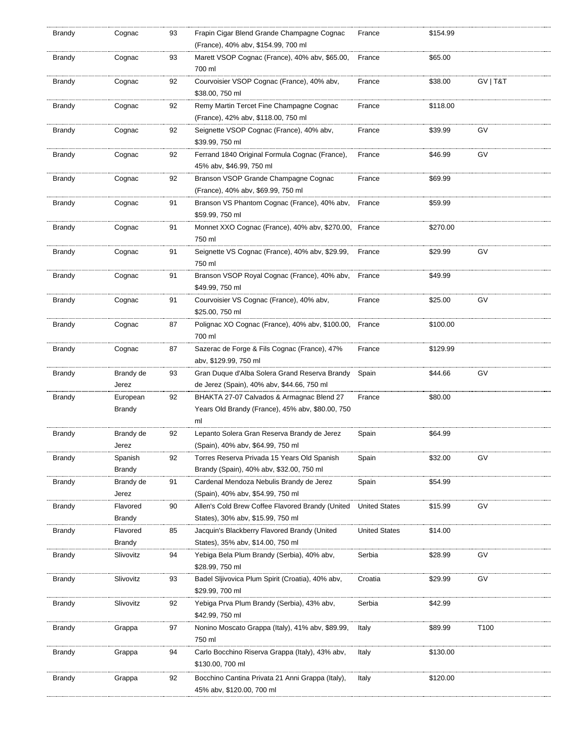| Brandy | Cognac              | 93 | Frapin Cigar Blend Grande Champagne Cognac<br>(France), 40% abv, \$154.99, 700 ml                   | France               | \$154.99 |          |
|--------|---------------------|----|-----------------------------------------------------------------------------------------------------|----------------------|----------|----------|
| Brandy | Cognac              | 93 | Marett VSOP Cognac (France), 40% abv, \$65.00,<br>700 ml                                            | France               | \$65.00  |          |
| Brandy | Cognac              | 92 | Courvoisier VSOP Cognac (France), 40% abv,<br>\$38.00, 750 ml                                       | France               | \$38.00  | GV   T&T |
| Brandy | Cognac              | 92 | Remy Martin Tercet Fine Champagne Cognac                                                            | France               | \$118.00 |          |
| Brandy | Cognac              | 92 | (France), 42% abv, \$118.00, 750 ml<br>Seignette VSOP Cognac (France), 40% abv,                     | France               | \$39.99  | GV       |
| Brandy | Cognac              | 92 | \$39.99, 750 ml<br>Ferrand 1840 Original Formula Cognac (France),                                   | France               | \$46.99  | GV       |
|        |                     |    | 45% abv, \$46.99, 750 ml                                                                            |                      |          |          |
| Brandy | Cognac              | 92 | Branson VSOP Grande Champagne Cognac<br>(France), 40% abv, \$69.99, 750 ml                          | France               | \$69.99  |          |
| Brandy | Cognac              | 91 | Branson VS Phantom Cognac (France), 40% abv,<br>\$59.99, 750 ml                                     | France               | \$59.99  |          |
| Brandy | Cognac              | 91 | Monnet XXO Cognac (France), 40% abv, \$270.00, France<br>750 ml                                     |                      | \$270.00 |          |
| Brandy | Cognac              | 91 | Seignette VS Cognac (France), 40% abv, \$29.99,<br>750 ml                                           | France               | \$29.99  | GV       |
| Brandy | Cognac              | 91 | Branson VSOP Royal Cognac (France), 40% abv,<br>\$49.99, 750 ml                                     | France               | \$49.99  |          |
| Brandy | Cognac              | 91 | Courvoisier VS Cognac (France), 40% abv,<br>\$25.00, 750 ml                                         | France               | \$25.00  | GV       |
| Brandy | Cognac              | 87 | Polignac XO Cognac (France), 40% abv, \$100.00, France<br>700 ml                                    |                      | \$100.00 |          |
| Brandy | Cognac              | 87 | Sazerac de Forge & Fils Cognac (France), 47%<br>abv, \$129.99, 750 ml                               | France               | \$129.99 |          |
| Brandy | Brandy de<br>Jerez  | 93 | Gran Duque d'Alba Solera Grand Reserva Brandy<br>de Jerez (Spain), 40% abv, \$44.66, 750 ml         | Spain                | \$44.66  | GV       |
| Brandy | European<br>Brandy  | 92 | BHAKTA 27-07 Calvados & Armagnac Blend 27<br>Years Old Brandy (France), 45% abv, \$80.00, 750<br>ml | France               | \$80.00  |          |
| Brandy | Brandy de<br>Jerez  | 92 | Lepanto Solera Gran Reserva Brandy de Jerez<br>(Spain), 40% abv, \$64.99, 750 ml                    | Spain                | \$64.99  |          |
| Brandy | Spanish<br>Brandy   | 92 | Torres Reserva Privada 15 Years Old Spanish<br>Brandy (Spain), 40% abv, \$32.00, 750 ml             | Spain                | \$32.00  | GV       |
| Brandy | Brandy de<br>Jerez  | 91 | Cardenal Mendoza Nebulis Brandy de Jerez<br>(Spain), 40% abv, \$54.99, 750 ml                       | Spain                | \$54.99  |          |
| Brandy | Flavored<br>Brandy  | 90 | Allen's Cold Brew Coffee Flavored Brandy (United<br>States), 30% abv, \$15.99, 750 ml               | <b>United States</b> | \$15.99  | GV       |
| Brandy | Flavored            | 85 | Jacquin's Blackberry Flavored Brandy (United                                                        | <b>United States</b> | \$14.00  |          |
| Brandy | Brandy<br>Slivovitz | 94 | States), 35% abv, \$14.00, 750 ml<br>Yebiga Bela Plum Brandy (Serbia), 40% abv,                     | Serbia               | \$28.99  | GV       |
| Brandy | Slivovitz           | 93 | \$28.99, 750 ml<br>Badel Sljivovica Plum Spirit (Croatia), 40% abv,                                 | Croatia              | \$29.99  | GV       |
| Brandy | Slivovitz           | 92 | \$29.99, 700 ml<br>Yebiga Prva Plum Brandy (Serbia), 43% abv,                                       | Serbia               | \$42.99  |          |
| Brandy | Grappa              | 97 | \$42.99, 750 ml<br>Nonino Moscato Grappa (Italy), 41% abv, \$89.99,                                 | Italy                | \$89.99  | T100     |
| Brandy | Grappa              | 94 | 750 ml<br>Carlo Bocchino Riserva Grappa (Italy), 43% abv,<br>\$130.00, 700 ml                       | Italy                | \$130.00 |          |
| Brandy | Grappa              | 92 | Bocchino Cantina Privata 21 Anni Grappa (Italy),<br>45% abv, \$120.00, 700 ml                       | Italy                | \$120.00 |          |
|        |                     |    |                                                                                                     |                      |          |          |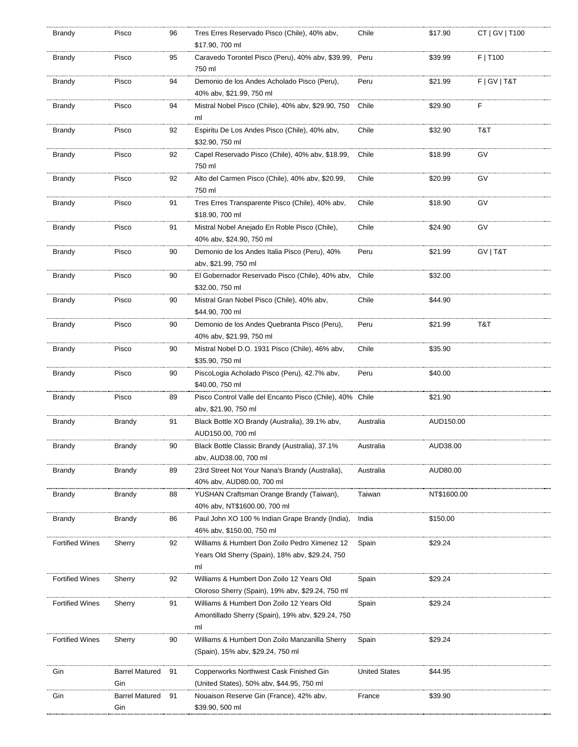| Brandy                 | Pisco                        | 96 | Tres Erres Reservado Pisco (Chile), 40% abv,<br>\$17.90, 700 ml                                        | Chile                | \$17.90     | CT   GV   T100  |
|------------------------|------------------------------|----|--------------------------------------------------------------------------------------------------------|----------------------|-------------|-----------------|
| Brandy                 | Pisco                        | 95 | Caravedo Torontel Pisco (Peru), 40% abv, \$39.99, Peru<br>750 ml                                       |                      | \$39.99     | $F$   T100      |
| Brandy                 | Pisco                        | 94 | Demonio de los Andes Acholado Pisco (Peru),<br>40% abv, \$21.99, 750 ml                                | Peru                 | \$21.99     | F   G V   T & T |
| Brandy                 | Pisco                        | 94 | Mistral Nobel Pisco (Chile), 40% abv, \$29.90, 750<br>ml                                               | Chile                | \$29.90     | F               |
| Brandy                 | Pisco                        | 92 | Espiritu De Los Andes Pisco (Chile), 40% abv,<br>\$32.90, 750 ml                                       | Chile                | \$32.90     | T&T             |
| Brandy                 | Pisco                        | 92 | Capel Reservado Pisco (Chile), 40% abv, \$18.99,<br>750 ml                                             | Chile                | \$18.99     | GV              |
| Brandy                 | Pisco                        | 92 | Alto del Carmen Pisco (Chile), 40% abv, \$20.99,<br>750 ml                                             | Chile                | \$20.99     | GV              |
| Brandy                 | Pisco                        | 91 | Tres Erres Transparente Pisco (Chile), 40% abv,<br>\$18.90, 700 ml                                     | Chile                | \$18.90     | GV              |
| Brandy                 | Pisco                        | 91 | Mistral Nobel Anejado En Roble Pisco (Chile),<br>40% abv, \$24.90, 750 ml                              | Chile                | \$24.90     | GV              |
| Brandy                 | Pisco                        | 90 | Demonio de los Andes Italia Pisco (Peru), 40%<br>abv, \$21.99, 750 ml                                  | Peru                 | \$21.99     | GV   T&T        |
| Brandy                 | Pisco                        | 90 | El Gobernador Reservado Pisco (Chile), 40% abv,<br>\$32.00, 750 ml                                     | Chile                | \$32.00     |                 |
| Brandy                 | Pisco                        | 90 | Mistral Gran Nobel Pisco (Chile), 40% abv,<br>\$44.90, 700 ml                                          | Chile                | \$44.90     |                 |
| Brandy                 | Pisco                        | 90 | Demonio de los Andes Quebranta Pisco (Peru),<br>40% abv, \$21.99, 750 ml                               | Peru                 | \$21.99     | T&T             |
| Brandy                 | Pisco                        | 90 | Mistral Nobel D.O. 1931 Pisco (Chile), 46% abv,<br>\$35.90, 750 ml                                     | Chile                | \$35.90     |                 |
| Brandy                 | Pisco                        | 90 | PiscoLogia Acholado Pisco (Peru), 42.7% abv,<br>\$40.00, 750 ml                                        | Peru                 | \$40.00     |                 |
| Brandy                 | Pisco                        | 89 | Pisco Control Valle del Encanto Pisco (Chile), 40% Chile<br>abv, \$21.90, 750 ml                       |                      | \$21.90     |                 |
| Brandy                 | Brandy                       | 91 | Black Bottle XO Brandy (Australia), 39.1% abv,<br>AUD150.00, 700 ml                                    | Australia            | AUD150.00   |                 |
| Brandy                 | Brandy                       | 90 | Black Bottle Classic Brandy (Australia), 37.1%<br>abv, AUD38.00, 700 ml                                | Australia            | AUD38.00    |                 |
| Brandy                 | Brandy                       | 89 | 23rd Street Not Your Nana's Brandy (Australia),<br>40% abv, AUD80.00, 700 ml                           | Australia            | AUD80.00    |                 |
| <b>Brandy</b>          | Brandy                       | 88 | YUSHAN Craftsman Orange Brandy (Taiwan),<br>40% abv. NT\$1600.00. 700 ml                               | Taiwan               | NT\$1600.00 |                 |
| Brandy                 | Brandy                       | 86 | Paul John XO 100 % Indian Grape Brandy (India),<br>46% abv, \$150.00, 750 ml                           | India                | \$150.00    |                 |
| <b>Fortified Wines</b> | Sherry                       | 92 | Williams & Humbert Don Zoilo Pedro Ximenez 12<br>Years Old Sherry (Spain), 18% abv, \$29.24, 750<br>ml | Spain                | \$29.24     |                 |
| <b>Fortified Wines</b> | Sherry                       | 92 | Williams & Humbert Don Zoilo 12 Years Old<br>Oloroso Sherry (Spain), 19% abv, \$29.24, 750 ml          | Spain                | \$29.24     |                 |
| <b>Fortified Wines</b> | Sherry                       | 91 | Williams & Humbert Don Zoilo 12 Years Old<br>Amontillado Sherry (Spain), 19% abv, \$29.24, 750<br>ml   | Spain                | \$29.24     |                 |
| <b>Fortified Wines</b> | Sherry                       | 90 | Williams & Humbert Don Zoilo Manzanilla Sherry<br>(Spain), 15% abv, \$29.24, 750 ml                    | Spain                | \$29.24     |                 |
| Gin                    | <b>Barrel Matured</b><br>Gin | 91 | Copperworks Northwest Cask Finished Gin<br>(United States), 50% abv, \$44.95, 750 ml                   | <b>United States</b> | \$44.95     |                 |
| Gin                    | <b>Barrel Matured</b><br>Gin | 91 | Nouaison Reserve Gin (France), 42% abv,<br>\$39.90, 500 ml                                             | France               | \$39.90     |                 |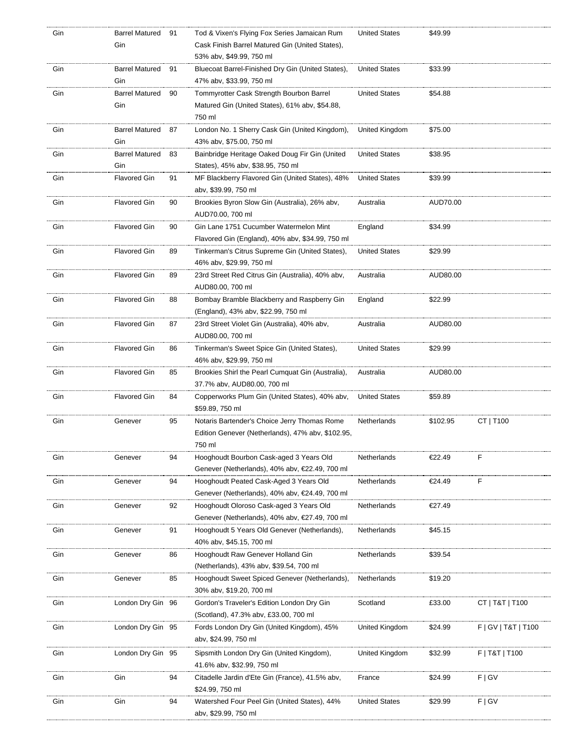| Gin | <b>Barrel Matured</b> | 91 | Tod & Vixen's Flying Fox Series Jamaican Rum      | <b>United States</b> | \$49.99  |                     |
|-----|-----------------------|----|---------------------------------------------------|----------------------|----------|---------------------|
|     | Gin                   |    | Cask Finish Barrel Matured Gin (United States),   |                      |          |                     |
|     |                       |    | 53% abv, \$49.99, 750 ml                          |                      |          |                     |
| Gin | Barrel Matured        | 91 | Bluecoat Barrel-Finished Dry Gin (United States), | <b>United States</b> | \$33.99  |                     |
|     | Gin                   |    | 47% abv, \$33.99, 750 ml                          |                      |          |                     |
|     |                       |    |                                                   |                      |          |                     |
| Gin | <b>Barrel Matured</b> | 90 | Tommyrotter Cask Strength Bourbon Barrel          | <b>United States</b> | \$54.88  |                     |
|     | Gin                   |    | Matured Gin (United States), 61% abv, \$54.88,    |                      |          |                     |
|     |                       |    | 750 ml                                            |                      |          |                     |
| Gin | <b>Barrel Matured</b> | 87 | London No. 1 Sherry Cask Gin (United Kingdom),    | United Kingdom       | \$75.00  |                     |
|     | Gin                   |    | 43% abv, \$75.00, 750 ml                          |                      |          |                     |
| Gin | <b>Barrel Matured</b> | 83 | Bainbridge Heritage Oaked Doug Fir Gin (United    | <b>United States</b> | \$38.95  |                     |
|     | Gin                   |    | States), 45% abv, \$38.95, 750 ml                 |                      |          |                     |
| Gin | <b>Flavored Gin</b>   | 91 | MF Blackberry Flavored Gin (United States), 48%   | <b>United States</b> | \$39.99  |                     |
|     |                       |    | aby, \$39.99, 750 ml                              |                      |          |                     |
|     |                       |    |                                                   |                      |          |                     |
| Gin | <b>Flavored Gin</b>   | 90 | Brookies Byron Slow Gin (Australia), 26% abv,     | Australia            | AUD70.00 |                     |
|     |                       |    | AUD70.00, 700 ml                                  |                      |          |                     |
| Gin | <b>Flavored Gin</b>   | 90 | Gin Lane 1751 Cucumber Watermelon Mint            | England              | \$34.99  |                     |
|     |                       |    | Flavored Gin (England), 40% abv, \$34.99, 750 ml  |                      |          |                     |
| Gin | <b>Flavored Gin</b>   | 89 | Tinkerman's Citrus Supreme Gin (United States),   | <b>United States</b> | \$29.99  |                     |
|     |                       |    | 46% abv, \$29.99, 750 ml                          |                      |          |                     |
| Gin | <b>Flavored Gin</b>   | 89 | 23rd Street Red Citrus Gin (Australia), 40% abv,  | Australia            | AUD80.00 |                     |
|     |                       |    | AUD80.00, 700 ml                                  |                      |          |                     |
|     | <b>Flavored Gin</b>   |    |                                                   |                      |          |                     |
| Gin |                       | 88 | Bombay Bramble Blackberry and Raspberry Gin       | England              | \$22.99  |                     |
|     |                       |    | (England), 43% abv, \$22.99, 750 ml               |                      |          |                     |
| Gin | <b>Flavored Gin</b>   | 87 | 23rd Street Violet Gin (Australia), 40% abv,      | Australia            | AUD80.00 |                     |
|     |                       |    | AUD80.00, 700 ml                                  |                      |          |                     |
| Gin | <b>Flavored Gin</b>   | 86 | Tinkerman's Sweet Spice Gin (United States),      | <b>United States</b> | \$29.99  |                     |
|     |                       |    | 46% abv, \$29.99, 750 ml                          |                      |          |                     |
| Gin | <b>Flavored Gin</b>   | 85 | Brookies Shirl the Pearl Cumquat Gin (Australia), | Australia            | AUD80.00 |                     |
|     |                       |    | 37.7% abv, AUD80.00, 700 ml                       |                      |          |                     |
| Gin | <b>Flavored Gin</b>   | 84 | Copperworks Plum Gin (United States), 40% abv,    | <b>United States</b> | \$59.89  |                     |
|     |                       |    | \$59.89, 750 ml                                   |                      |          |                     |
|     |                       |    |                                                   |                      |          |                     |
| Gin | Genever               | 95 | Notaris Bartender's Choice Jerry Thomas Rome      | Netherlands          | \$102.95 | CT   T100           |
|     |                       |    | Edition Genever (Netherlands), 47% abv, \$102.95, |                      |          |                     |
|     |                       |    | 750 ml                                            |                      |          |                     |
| Gin | Genever               | 94 | Hooghoudt Bourbon Cask-aged 3 Years Old           | Netherlands          | €22.49   | F                   |
|     |                       |    | Genever (Netherlands), 40% abv, €22.49, 700 ml    |                      |          |                     |
| Gin | Genever               | 94 | Hooghoudt Peated Cask-Aged 3 Years Old            | Netherlands          | €24.49   | F                   |
|     |                       |    | Genever (Netherlands), 40% abv, €24.49, 700 ml    |                      |          |                     |
| Gin | Genever               | 92 | Hooghoudt Oloroso Cask-aged 3 Years Old           | Netherlands          | €27.49   |                     |
|     |                       |    | Genever (Netherlands), 40% abv, €27.49, 700 ml    |                      |          |                     |
|     |                       |    |                                                   |                      |          |                     |
| Gin | Genever               | 91 | Hooghoudt 5 Years Old Genever (Netherlands),      | Netherlands          | \$45.15  |                     |
|     |                       |    | 40% abv, \$45.15, 700 ml                          |                      |          |                     |
| Gin | Genever               | 86 | Hooghoudt Raw Genever Holland Gin                 | Netherlands          | \$39.54  |                     |
|     |                       |    | (Netherlands), 43% abv, \$39.54, 700 ml           |                      |          |                     |
| Gin | Genever               | 85 | Hooghoudt Sweet Spiced Genever (Netherlands),     | Netherlands          | \$19.20  |                     |
|     |                       |    | 30% abv, \$19.20, 700 ml                          |                      |          |                     |
| Gin | London Dry Gin 96     |    | Gordon's Traveler's Edition London Dry Gin        | Scotland             | £33.00   | CT   T&T   T100     |
|     |                       |    | (Scotland), 47.3% abv, £33.00, 700 ml             |                      |          |                     |
|     |                       |    |                                                   |                      |          |                     |
| Gin | London Dry Gin 95     |    | Fords London Dry Gin (United Kingdom), 45%        | United Kingdom       | \$24.99  | F   GV   T&T   T100 |
|     |                       |    | aby, \$24.99, 750 ml                              |                      |          |                     |
| Gin | London Dry Gin 95     |    | Sipsmith London Dry Gin (United Kingdom),         | United Kingdom       | \$32.99  | $F$   T&T   T100    |
|     |                       |    | 41.6% abv, \$32.99, 750 ml                        |                      |          |                     |
| Gin | Gin                   | 94 | Citadelle Jardin d'Ete Gin (France), 41.5% abv,   | France               | \$24.99  | F   G V             |
|     |                       |    | \$24.99, 750 ml                                   |                      |          |                     |
| Gin | Gin                   | 94 | Watershed Four Peel Gin (United States), 44%      | <b>United States</b> | \$29.99  | F   G V             |
|     |                       |    |                                                   |                      |          |                     |
|     |                       |    | aby, \$29.99, 750 ml                              |                      |          |                     |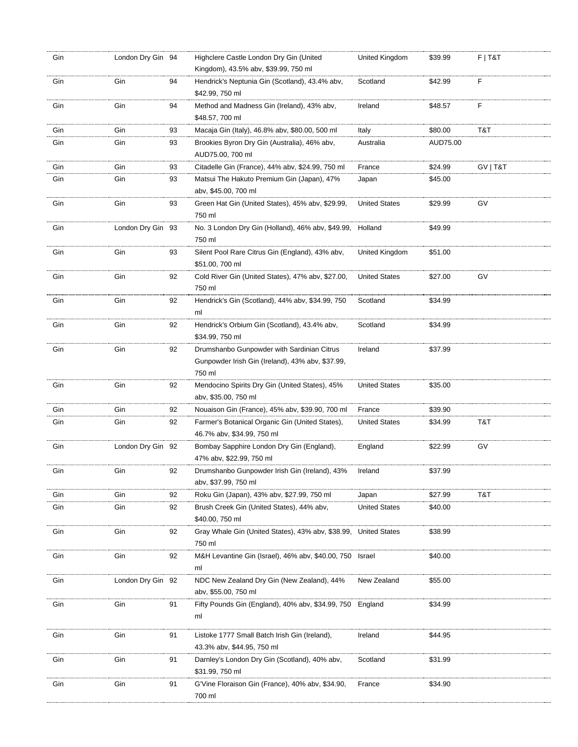| Gin | London Dry Gin 94 |    | Highclere Castle London Dry Gin (United<br>Kingdom), 43.5% abv, \$39.99, 750 ml | United Kingdom       | \$39.99  | $F$   T&T |
|-----|-------------------|----|---------------------------------------------------------------------------------|----------------------|----------|-----------|
|     |                   |    |                                                                                 |                      |          |           |
| Gin | Gin               | 94 | Hendrick's Neptunia Gin (Scotland), 43.4% abv,<br>\$42.99, 750 ml               | Scotland             | \$42.99  | F         |
| Gin | Gin               | 94 | Method and Madness Gin (Ireland), 43% abv,                                      | Ireland              | \$48.57  | F         |
|     |                   |    | \$48.57, 700 ml                                                                 |                      |          |           |
|     |                   |    |                                                                                 |                      |          |           |
| Gin | Gin               | 93 | Macaja Gin (Italy), 46.8% abv, \$80.00, 500 ml                                  | Italy                | \$80.00  | T&T       |
| Gin | Gin               | 93 | Brookies Byron Dry Gin (Australia), 46% abv,                                    | Australia            | AUD75.00 |           |
|     |                   |    | AUD75.00, 700 ml                                                                |                      |          |           |
| Gin | Gin               | 93 | Citadelle Gin (France), 44% abv, \$24.99, 750 ml                                | France               | \$24.99  | GV   T&T  |
| Gin | Gin               | 93 | Matsui The Hakuto Premium Gin (Japan), 47%                                      | Japan                | \$45.00  |           |
|     |                   |    | abv, \$45.00, 700 ml                                                            |                      |          |           |
| Gin | Gin               | 93 | Green Hat Gin (United States), 45% abv, \$29.99,                                | <b>United States</b> | \$29.99  | GV        |
|     |                   |    | 750 ml                                                                          |                      |          |           |
|     |                   |    |                                                                                 |                      |          |           |
| Gin | London Dry Gin 93 |    | No. 3 London Dry Gin (Holland), 46% abv, \$49.99,                               | Holland              | \$49.99  |           |
|     |                   |    | 750 ml                                                                          |                      |          |           |
| Gin | Gin               | 93 | Silent Pool Rare Citrus Gin (England), 43% abv,                                 | United Kingdom       | \$51.00  |           |
|     |                   |    | \$51.00, 700 ml                                                                 |                      |          |           |
| Gin | Gin               | 92 | Cold River Gin (United States), 47% abv, \$27.00,                               | <b>United States</b> | \$27.00  | GV        |
|     |                   |    | 750 ml                                                                          |                      |          |           |
| Gin | Gin               | 92 | Hendrick's Gin (Scotland), 44% abv, \$34.99, 750                                | Scotland             | \$34.99  |           |
|     |                   |    | ml                                                                              |                      |          |           |
| Gin | Gin               | 92 | Hendrick's Orbium Gin (Scotland), 43.4% abv,                                    | Scotland             | \$34.99  |           |
|     |                   |    |                                                                                 |                      |          |           |
|     |                   |    | \$34.99, 750 ml                                                                 |                      |          |           |
| Gin | Gin               | 92 | Drumshanbo Gunpowder with Sardinian Citrus                                      | Ireland              | \$37.99  |           |
|     |                   |    | Gunpowder Irish Gin (Ireland), 43% abv, \$37.99,                                |                      |          |           |
|     |                   |    | 750 ml                                                                          |                      |          |           |
| Gin | Gin               | 92 | Mendocino Spirits Dry Gin (United States), 45%                                  | <b>United States</b> | \$35.00  |           |
|     |                   |    | abv, \$35.00, 750 ml                                                            |                      |          |           |
| Gin | Gin               | 92 | Nouaison Gin (France), 45% abv, \$39.90, 700 ml                                 | France               | \$39.90  |           |
| Gin | Gin               | 92 | Farmer's Botanical Organic Gin (United States),                                 | <b>United States</b> | \$34.99  | T&T       |
|     |                   |    | 46.7% abv, \$34.99, 750 ml                                                      |                      |          |           |
| Gin | London Dry Gin 92 |    | Bombay Sapphire London Dry Gin (England),                                       | England              | \$22.99  | GV        |
|     |                   |    | 47% abv, \$22.99, 750 ml                                                        |                      |          |           |
|     | Gin               |    |                                                                                 |                      | \$37.99  |           |
| Gin |                   | 92 | Drumshanbo Gunpowder Irish Gin (Ireland), 43%                                   | Ireland              |          |           |
|     |                   |    | abv, \$37.99, 750 ml                                                            |                      |          |           |
| Gin | Gin               | 92 | Roku Gin (Japan), 43% abv, \$27.99, 750 ml                                      | Japan                | \$27.99  | T&T       |
| Gin | Gin               | 92 | Brush Creek Gin (United States), 44% abv,                                       | <b>United States</b> | \$40.00  |           |
|     |                   |    | \$40.00, 750 ml                                                                 |                      |          |           |
| Gin | Gin               | 92 | Gray Whale Gin (United States), 43% abv, \$38.99, United States                 |                      | \$38.99  |           |
|     |                   |    | 750 ml                                                                          |                      |          |           |
| Gin | Gin               | 92 | M&H Levantine Gin (Israel), 46% abv, \$40.00, 750 Israel                        |                      | \$40.00  |           |
|     |                   |    | ml                                                                              |                      |          |           |
| Gin | London Dry Gin 92 |    | NDC New Zealand Dry Gin (New Zealand), 44%                                      | New Zealand          | \$55.00  |           |
|     |                   |    | abv, \$55.00, 750 ml                                                            |                      |          |           |
|     |                   |    | Fifty Pounds Gin (England), 40% abv, \$34.99, 750 England                       |                      |          |           |
| Gin | Gin               | 91 |                                                                                 |                      | \$34.99  |           |
|     |                   |    | ml                                                                              |                      |          |           |
| Gin | Gin               | 91 | Listoke 1777 Small Batch Irish Gin (Ireland),                                   | Ireland              | \$44.95  |           |
|     |                   |    | 43.3% abv, \$44.95, 750 ml                                                      |                      |          |           |
| Gin | Gin               | 91 | Darnley's London Dry Gin (Scotland), 40% abv,                                   | Scotland             | \$31.99  |           |
|     |                   |    |                                                                                 |                      |          |           |
|     |                   |    | \$31.99, 750 ml                                                                 |                      |          |           |
| Gin | Gin               | 91 | G'Vine Floraison Gin (France), 40% abv, \$34.90,                                | France               | \$34.90  |           |
|     |                   |    | 700 ml                                                                          |                      |          |           |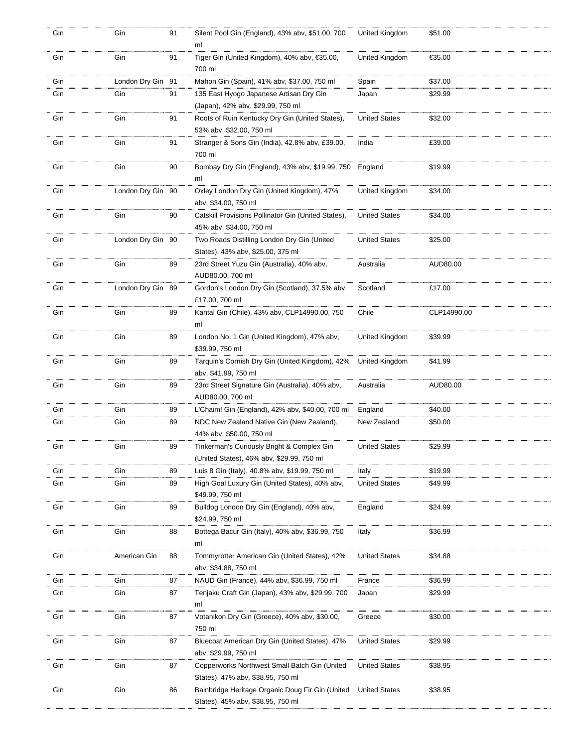| Gin | Gin               | 91 | Silent Pool Gin (England), 43% abv, \$51.00, 700<br>ml                                  | United Kingdom       | \$51.00     |
|-----|-------------------|----|-----------------------------------------------------------------------------------------|----------------------|-------------|
| Gin | Gin               | 91 | Tiger Gin (United Kingdom), 40% abv, €35.00,<br>700 ml                                  | United Kingdom       | €35.00      |
| Gin | London Dry Gin 91 |    | Mahon Gin (Spain), 41% abv, \$37.00, 750 ml                                             | Spain                | \$37.00     |
| Gin | Gin               | 91 | 135 East Hyogo Japanese Artisan Dry Gin<br>(Japan), 42% abv, \$29.99, 750 ml            | Japan                | \$29.99     |
| Gin | Gin               | 91 | Roots of Ruin Kentucky Dry Gin (United States),<br>53% abv, \$32.00, 750 ml             | <b>United States</b> | \$32.00     |
| Gin | Gin               | 91 | Stranger & Sons Gin (India), 42.8% abv, £39.00,<br>700 ml                               | India                | £39.00      |
| Gin | Gin               | 90 | Bombay Dry Gin (England), 43% abv, \$19.99, 750<br>ml                                   | England              | \$19.99     |
| Gin | London Dry Gin 90 |    | Oxley London Dry Gin (United Kingdom), 47%<br>abv, \$34.00, 750 ml                      | United Kingdom       | \$34.00     |
| Gin | Gin               | 90 | Catskill Provisions Pollinator Gin (United States),<br>45% abv, \$34.00, 750 ml         | <b>United States</b> | \$34.00     |
| Gin | London Dry Gin 90 |    | Two Roads Distilling London Dry Gin (United<br>States), 43% abv, \$25.00, 375 ml        | <b>United States</b> | \$25.00     |
| Gin | Gin               | 89 | 23rd Street Yuzu Gin (Australia), 40% abv,<br>AUD80.00, 700 ml                          | Australia            | AUD80.00    |
| Gin | London Dry Gin 89 |    | Gordon's London Dry Gin (Scotland), 37.5% abv,<br>£17.00, 700 ml                        | Scotland             | £17.00      |
| Gin | Gin               | 89 | Kantal Gin (Chile), 43% abv, CLP14990.00, 750<br>ml                                     | Chile                | CLP14990.00 |
| Gin | Gin               | 89 | London No. 1 Gin (United Kingdom), 47% abv,<br>\$39.99, 750 ml                          | United Kingdom       | \$39.99     |
| Gin | Gin               | 89 | Tarquin's Cornish Dry Gin (United Kingdom), 42%<br>abv, \$41.99, 750 ml                 | United Kingdom       | \$41.99     |
| Gin | Gin               | 89 | 23rd Street Signature Gin (Australia), 40% abv,<br>AUD80.00, 700 ml                     | Australia            | AUD80.00    |
| Gin | Gin               | 89 | L'Chaim! Gin (England), 42% abv, \$40.00, 700 ml                                        | England              | \$40.00     |
| Gin | Gin               | 89 | NDC New Zealand Native Gin (New Zealand),<br>44% abv, \$50.00, 750 ml                   | New Zealand          | \$50.00     |
| Gin | Gin               | 89 | Tinkerman's Curiously Bright & Complex Gin<br>(United States), 46% abv, \$29.99, 750 ml | <b>United States</b> | \$29.99     |
| Gin | Gin               | 89 | Luis 8 Gin (Italy), 40.8% abv, \$19.99, 750 ml                                          | Italy                | \$19.99     |
| Gin | Gin               | 89 | High Goal Luxury Gin (United States), 40% abv,<br>\$49.99, 750 ml                       | <b>United States</b> | \$49.99     |
| Gin | Gin               | 89 | Bulldog London Dry Gin (England), 40% abv,<br>\$24.99, 750 ml                           | England              | \$24.99     |
| Gin | Gin               | 88 | Bottega Bacur Gin (Italy), 40% abv, \$36.99, 750<br>ml                                  | Italy                | \$36.99     |
| Gin | American Gin      | 88 | Tommyrotter American Gin (United States), 42%<br>abv, \$34.88, 750 ml                   | <b>United States</b> | \$34.88     |
| Gin | Gin               | 87 | NAUD Gin (France), 44% abv, \$36.99, 750 ml                                             | France               | \$36.99     |
| Gin | Gin               | 87 | Tenjaku Craft Gin (Japan), 43% abv, \$29.99, 700<br>ml                                  | Japan                | \$29.99     |
| Gin | Gin               | 87 | Votanikon Dry Gin (Greece), 40% abv, \$30.00,<br>750 ml                                 | Greece               | \$30.00     |
| Gin | Gin               | 87 | Bluecoat American Dry Gin (United States), 47%<br>abv, \$29.99, 750 ml                  | <b>United States</b> | \$29.99     |
| Gin | Gin               | 87 | Copperworks Northwest Small Batch Gin (United<br>States), 47% abv, \$38.95, 750 ml      | <b>United States</b> | \$38.95     |
| Gin | Gin               | 86 | Bainbridge Heritage Organic Doug Fir Gin (United<br>States), 45% abv, \$38.95, 750 ml   | <b>United States</b> | \$38.95     |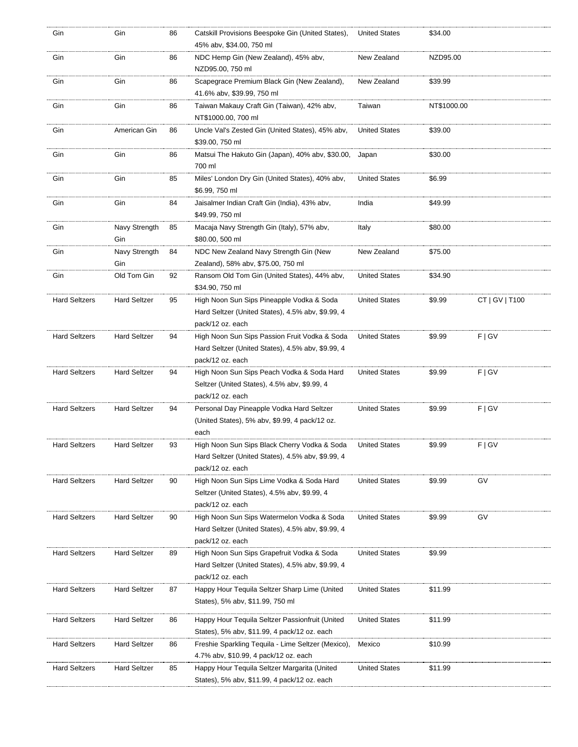| Gin                  | Gin                  | 86 | Catskill Provisions Beespoke Gin (United States),<br>45% abv, \$34.00, 750 ml                                          | <b>United States</b> | \$34.00     |                |
|----------------------|----------------------|----|------------------------------------------------------------------------------------------------------------------------|----------------------|-------------|----------------|
| Gin                  | Gin                  | 86 | NDC Hemp Gin (New Zealand), 45% abv,<br>NZD95.00, 750 ml                                                               | New Zealand          | NZD95.00    |                |
| Gin                  | Gin                  | 86 | Scapegrace Premium Black Gin (New Zealand),<br>41.6% abv, \$39.99, 750 ml                                              | New Zealand          | \$39.99     |                |
| Gin                  | Gin                  | 86 | Taiwan Makauy Craft Gin (Taiwan), 42% abv,<br>NT\$1000.00, 700 ml                                                      | Taiwan               | NT\$1000.00 |                |
| Gin                  | American Gin         | 86 | Uncle Val's Zested Gin (United States), 45% abv,<br>\$39.00, 750 ml                                                    | <b>United States</b> | \$39.00     |                |
| Gin                  | Gin                  | 86 | Matsui The Hakuto Gin (Japan), 40% abv, \$30.00,<br>700 ml                                                             | Japan                | \$30.00     |                |
| Gin                  | Gin                  | 85 | Miles' London Dry Gin (United States), 40% abv,<br>\$6.99, 750 ml                                                      | <b>United States</b> | \$6.99      |                |
| Gin                  | Gin                  | 84 | Jaisalmer Indian Craft Gin (India), 43% abv,<br>\$49.99, 750 ml                                                        | India                | \$49.99     |                |
| Gin                  | Navy Strength<br>Gin | 85 | Macaja Navy Strength Gin (Italy), 57% abv,<br>\$80.00, 500 ml                                                          | Italy                | \$80.00     |                |
| Gin                  | Navy Strength<br>Gin | 84 | NDC New Zealand Navy Strength Gin (New<br>Zealand), 58% abv, \$75.00, 750 ml                                           | New Zealand          | \$75.00     |                |
| Gin                  | Old Tom Gin          | 92 | Ransom Old Tom Gin (United States), 44% abv,<br>\$34.90, 750 ml                                                        | <b>United States</b> | \$34.90     |                |
| <b>Hard Seltzers</b> | <b>Hard Seltzer</b>  | 95 | High Noon Sun Sips Pineapple Vodka & Soda<br>Hard Seltzer (United States), 4.5% abv, \$9.99, 4<br>pack/12 oz. each     | <b>United States</b> | \$9.99      | CT   GV   T100 |
| <b>Hard Seltzers</b> | <b>Hard Seltzer</b>  | 94 | High Noon Sun Sips Passion Fruit Vodka & Soda<br>Hard Seltzer (United States), 4.5% abv, \$9.99, 4<br>pack/12 oz. each | <b>United States</b> | \$9.99      | F   G V        |
| <b>Hard Seltzers</b> | <b>Hard Seltzer</b>  | 94 | High Noon Sun Sips Peach Vodka & Soda Hard<br>Seltzer (United States), 4.5% abv, \$9.99, 4<br>pack/12 oz. each         | <b>United States</b> | \$9.99      | F   G V        |
| <b>Hard Seltzers</b> | <b>Hard Seltzer</b>  | 94 | Personal Day Pineapple Vodka Hard Seltzer<br>(United States), 5% abv, \$9.99, 4 pack/12 oz.<br>each                    | <b>United States</b> | \$9.99      | F   G V        |
| <b>Hard Seltzers</b> | <b>Hard Seltzer</b>  | 93 | High Noon Sun Sips Black Cherry Vodka & Soda<br>Hard Seltzer (United States), 4.5% abv, \$9.99, 4<br>pack/12 oz. each  | <b>United States</b> | \$9.99      | F   G V        |
| <b>Hard Seltzers</b> | <b>Hard Seltzer</b>  | 90 | High Noon Sun Sips Lime Vodka & Soda Hard<br>Seltzer (United States), 4.5% abv, \$9.99, 4<br>pack/12 oz. each          | <b>United States</b> | \$9.99      | GV             |
| <b>Hard Seltzers</b> | <b>Hard Seltzer</b>  | 90 | High Noon Sun Sips Watermelon Vodka & Soda<br>Hard Seltzer (United States), 4.5% abv, \$9.99, 4<br>pack/12 oz. each    | <b>United States</b> | \$9.99      | GV             |
| <b>Hard Seltzers</b> | <b>Hard Seltzer</b>  | 89 | High Noon Sun Sips Grapefruit Vodka & Soda<br>Hard Seltzer (United States), 4.5% abv, \$9.99, 4<br>pack/12 oz. each    | <b>United States</b> | \$9.99      |                |
| <b>Hard Seltzers</b> | <b>Hard Seltzer</b>  | 87 | Happy Hour Tequila Seltzer Sharp Lime (United<br>States), 5% abv, \$11.99, 750 ml                                      | <b>United States</b> | \$11.99     |                |
| <b>Hard Seltzers</b> | <b>Hard Seltzer</b>  | 86 | Happy Hour Tequila Seltzer Passionfruit (United<br>States), 5% abv, \$11.99, 4 pack/12 oz. each                        | <b>United States</b> | \$11.99     |                |
| <b>Hard Seltzers</b> | <b>Hard Seltzer</b>  | 86 | Freshie Sparkling Tequila - Lime Seltzer (Mexico),<br>4.7% abv, \$10.99, 4 pack/12 oz. each                            | Mexico               | \$10.99     |                |
| <b>Hard Seltzers</b> | <b>Hard Seltzer</b>  | 85 | Happy Hour Tequila Seltzer Margarita (United<br>States), 5% abv, \$11.99, 4 pack/12 oz. each                           | <b>United States</b> | \$11.99     |                |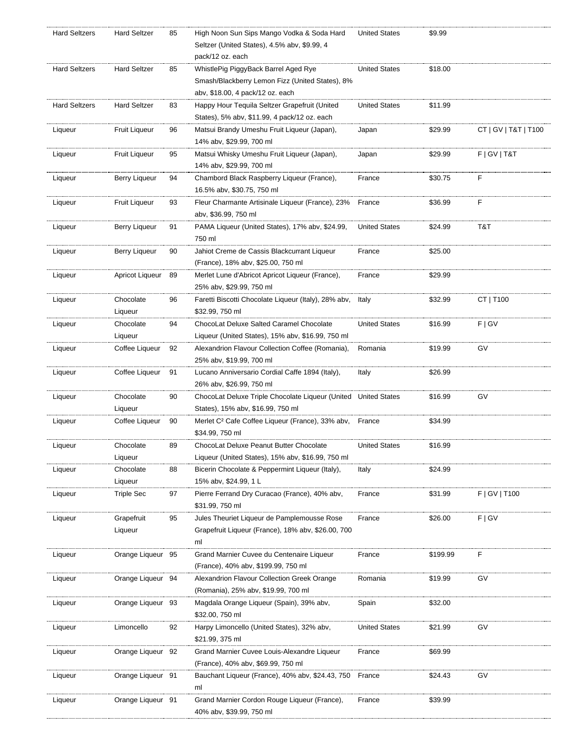| <b>Hard Seltzers</b> | <b>Hard Seltzer</b>  | 85 | High Noon Sun Sips Mango Vodka & Soda Hard<br>Seltzer (United States), 4.5% abv, \$9.99, 4<br>pack/12 oz. each | <b>United States</b> | \$9.99   |                      |
|----------------------|----------------------|----|----------------------------------------------------------------------------------------------------------------|----------------------|----------|----------------------|
| <b>Hard Seltzers</b> | <b>Hard Seltzer</b>  | 85 | WhistlePig PiggyBack Barrel Aged Rye                                                                           | <b>United States</b> | \$18.00  |                      |
|                      |                      |    | Smash/Blackberry Lemon Fizz (United States), 8%                                                                |                      |          |                      |
|                      |                      |    | aby, \$18.00, 4 pack/12 oz. each                                                                               |                      |          |                      |
| <b>Hard Seltzers</b> | <b>Hard Seltzer</b>  | 83 | Happy Hour Tequila Seltzer Grapefruit (United<br>States), 5% abv, \$11.99, 4 pack/12 oz. each                  | <b>United States</b> | \$11.99  |                      |
| Liqueur              | <b>Fruit Liqueur</b> | 96 | Matsui Brandy Umeshu Fruit Liqueur (Japan),<br>14% abv, \$29.99, 700 ml                                        | Japan                | \$29.99  | CT   GV   T&T   T100 |
| Liqueur              | <b>Fruit Liqueur</b> | 95 | Matsui Whisky Umeshu Fruit Liqueur (Japan),<br>14% abv, \$29.99, 700 ml                                        | Japan                | \$29.99  | F   GV   T&T         |
| Liqueur              | Berry Liqueur        | 94 | Chambord Black Raspberry Liqueur (France),<br>16.5% abv, \$30.75, 750 ml                                       | France               | \$30.75  | F                    |
| Liqueur              | Fruit Liqueur        | 93 | Fleur Charmante Artisinale Liqueur (France), 23%<br>abv, \$36.99, 750 ml                                       | France               | \$36.99  | F                    |
| Liqueur              | <b>Berry Liqueur</b> | 91 | PAMA Liqueur (United States), 17% abv, \$24.99,<br>750 ml                                                      | <b>United States</b> | \$24.99  | T&T                  |
| Liqueur              | <b>Berry Liqueur</b> | 90 | Jahiot Creme de Cassis Blackcurrant Liqueur<br>(France), 18% abv, \$25.00, 750 ml                              | France               | \$25.00  |                      |
| Liqueur              | Apricot Liqueur      | 89 | Merlet Lune d'Abricot Apricot Liqueur (France),<br>25% abv, \$29.99, 750 ml                                    | France               | \$29.99  |                      |
| Liqueur              | Chocolate            | 96 | Faretti Biscotti Chocolate Liqueur (Italy), 28% abv,                                                           | Italy                | \$32.99  | CT   T100            |
|                      | Liqueur              |    | \$32.99, 750 ml                                                                                                |                      |          |                      |
| Liqueur              | Chocolate            | 94 | ChocoLat Deluxe Salted Caramel Chocolate                                                                       | <b>United States</b> | \$16.99  | F   G V              |
|                      | Liqueur              |    | Liqueur (United States), 15% abv, \$16.99, 750 ml                                                              |                      |          |                      |
| Liqueur              | Coffee Liqueur       | 92 | Alexandrion Flavour Collection Coffee (Romania),                                                               | Romania              | \$19.99  | GV                   |
|                      |                      |    | 25% abv, \$19.99, 700 ml                                                                                       |                      |          |                      |
| Liqueur              | Coffee Liqueur       | 91 | Lucano Anniversario Cordial Caffe 1894 (Italy),                                                                | Italy                | \$26.99  |                      |
|                      |                      |    | 26% abv, \$26.99, 750 ml                                                                                       |                      |          |                      |
| Liqueur              | Chocolate<br>Liqueur | 90 | ChocoLat Deluxe Triple Chocolate Liqueur (United United States<br>States), 15% abv, \$16.99, 750 ml            |                      | \$16.99  | GV                   |
| Liqueur              | Coffee Liqueur       | 90 | Merlet C <sup>2</sup> Cafe Coffee Liqueur (France), 33% abv, France                                            |                      | \$34.99  |                      |
|                      |                      |    | \$34.99, 750 ml                                                                                                |                      |          |                      |
| Liqueur              | Chocolate            | 89 | ChocoLat Deluxe Peanut Butter Chocolate                                                                        | <b>United States</b> | \$16.99  |                      |
|                      | Liqueur              |    | Liqueur (United States), 15% abv, \$16.99, 750 ml                                                              |                      |          |                      |
| Liqueur              | Chocolate            | 88 | Bicerin Chocolate & Peppermint Liqueur (Italy),                                                                | Italy                | \$24.99  |                      |
|                      | Liqueur              |    | 15% abv, \$24.99, 1 L                                                                                          |                      |          |                      |
| Liqueur              | <b>Triple Sec</b>    | 97 | Pierre Ferrand Dry Curacao (France), 40% abv,<br>\$31.99, 750 ml                                               | France               | \$31.99  | F   GV   T100        |
| Liqueur              | Grapefruit           | 95 | Jules Theuriet Liqueur de Pamplemousse Rose                                                                    | France               | \$26.00  | F   G V              |
|                      | Liqueur              |    | Grapefruit Liqueur (France), 18% abv, \$26.00, 700                                                             |                      |          |                      |
|                      |                      |    | ml                                                                                                             |                      |          |                      |
| Liqueur              | Orange Liqueur 95    |    | Grand Marnier Cuvee du Centenaire Liqueur<br>(France), 40% abv, \$199.99, 750 ml                               | France               | \$199.99 | F                    |
| Liqueur              | Orange Liqueur 94    |    | Alexandrion Flavour Collection Greek Orange                                                                    | Romania              | \$19.99  | GV                   |
| Liqueur              | Orange Liqueur 93    |    | (Romania), 25% abv, \$19.99, 700 ml<br>Magdala Orange Liqueur (Spain), 39% abv,                                | Spain                | \$32.00  |                      |
|                      |                      |    | \$32.00, 750 ml                                                                                                |                      |          |                      |
| Liqueur              | Limoncello           | 92 | Harpy Limoncello (United States), 32% abv,<br>\$21.99, 375 ml                                                  | <b>United States</b> | \$21.99  | GV                   |
| Liqueur              | Orange Liqueur 92    |    | Grand Marnier Cuvee Louis-Alexandre Liqueur                                                                    | France               | \$69.99  |                      |
|                      |                      |    | (France), 40% abv, \$69.99, 750 ml                                                                             |                      |          |                      |
| Liqueur              | Orange Liqueur 91    |    | Bauchant Liqueur (France), 40% abv, \$24.43, 750<br>ml                                                         | France               | \$24.43  | GV                   |
| Liqueur              | Orange Liqueur 91    |    | Grand Marnier Cordon Rouge Liqueur (France),<br>40% abv, \$39.99, 750 ml                                       | France               | \$39.99  |                      |
|                      |                      |    |                                                                                                                |                      |          |                      |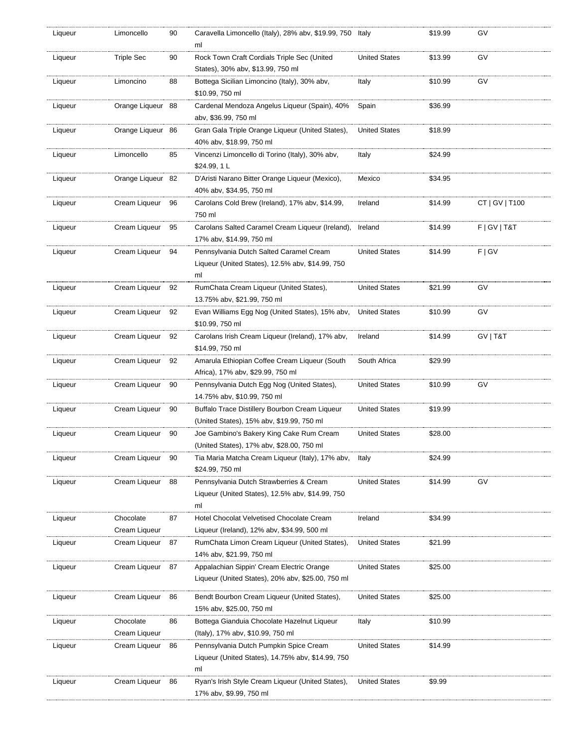| Liqueur | Limoncello                 | 90 | Caravella Limoncello (Italy), 28% abv, \$19.99, 750 Italy<br>ml                                   |                      | \$19.99 | GV              |
|---------|----------------------------|----|---------------------------------------------------------------------------------------------------|----------------------|---------|-----------------|
| Liqueur | <b>Triple Sec</b>          | 90 | Rock Town Craft Cordials Triple Sec (United<br>States), 30% abv, \$13.99, 750 ml                  | <b>United States</b> | \$13.99 | GV              |
| Liqueur | Limoncino                  | 88 | Bottega Sicilian Limoncino (Italy), 30% abv,<br>\$10.99, 750 ml                                   | Italy                | \$10.99 | GV              |
| Liqueur | Orange Liqueur 88          |    | Cardenal Mendoza Angelus Liqueur (Spain), 40%<br>abv, \$36.99, 750 ml                             | Spain                | \$36.99 |                 |
| Liqueur | Orange Ligueur 86          |    | Gran Gala Triple Orange Liqueur (United States),<br>40% abv, \$18.99, 750 ml                      | <b>United States</b> | \$18.99 |                 |
| Liqueur | Limoncello                 | 85 | Vincenzi Limoncello di Torino (Italy), 30% abv,<br>\$24.99, 1 L                                   | Italy                | \$24.99 |                 |
| Liqueur | Orange Liqueur 82          |    | D'Aristi Narano Bitter Orange Liqueur (Mexico),<br>40% abv, \$34.95, 750 ml                       | Mexico               | \$34.95 |                 |
| Liqueur | Cream Liqueur              | 96 | Carolans Cold Brew (Ireland), 17% abv, \$14.99,<br>750 ml                                         | Ireland              | \$14.99 | CT   GV   T100  |
| Liqueur | Cream Liqueur 95           |    | Carolans Salted Caramel Cream Liqueur (Ireland), Ireland<br>17% abv, \$14.99, 750 ml              |                      | \$14.99 | F   G V   T & T |
| Liqueur | Cream Liqueur              | 94 | Pennsylvania Dutch Salted Caramel Cream<br>Liqueur (United States), 12.5% abv, \$14.99, 750<br>ml | <b>United States</b> | \$14.99 | F   G V         |
| Liqueur | Cream Liqueur 92           |    | RumChata Cream Liqueur (United States),<br>13.75% abv, \$21.99, 750 ml                            | <b>United States</b> | \$21.99 | G٧              |
| Liqueur | Cream Liqueur 92           |    | Evan Williams Egg Nog (United States), 15% abv,<br>\$10.99, 750 ml                                | <b>United States</b> | \$10.99 | GV              |
| Liqueur | Cream Liqueur              | 92 | Carolans Irish Cream Liqueur (Ireland), 17% abv,<br>\$14.99, 750 ml                               | Ireland              | \$14.99 | GV   T&T        |
| Liqueur | Cream Liqueur              | 92 | Amarula Ethiopian Coffee Cream Liqueur (South<br>Africa), 17% abv, \$29.99, 750 ml                | South Africa         | \$29.99 |                 |
| Liqueur | Cream Liqueur              | 90 | Pennsylvania Dutch Egg Nog (United States),<br>14.75% abv, \$10.99, 750 ml                        | <b>United States</b> | \$10.99 | GV              |
| Liqueur | Cream Liqueur              | 90 | Buffalo Trace Distillery Bourbon Cream Liqueur<br>(United States), 15% abv, \$19.99, 750 ml       | <b>United States</b> | \$19.99 |                 |
| Liqueur | Cream Liqueur              | 90 | Joe Gambino's Bakery King Cake Rum Cream<br>(United States), 17% abv, \$28.00, 750 ml             | <b>United States</b> | \$28.00 |                 |
| Liqueur | Cream Liqueur              | 90 | Tia Maria Matcha Cream Liqueur (Italy), 17% abv,<br>\$24.99, 750 ml                               | Italy                | \$24.99 |                 |
| Liqueur | Cream Liqueur              | 88 | Pennsylvania Dutch Strawberries & Cream<br>Liqueur (United States), 12.5% abv, \$14.99, 750<br>ml | <b>United States</b> | \$14.99 | GV              |
| Liqueur | Chocolate<br>Cream Liqueur | 87 | Hotel Chocolat Velvetised Chocolate Cream<br>Liqueur (Ireland), 12% abv, \$34.99, 500 ml          | Ireland              | \$34.99 |                 |
| Liqueur | Cream Liqueur              | 87 | RumChata Limon Cream Liqueur (United States),<br>14% abv, \$21.99, 750 ml                         | United States        | \$21.99 |                 |
| Liqueur | Cream Liqueur 87           |    | Appalachian Sippin' Cream Electric Orange<br>Liqueur (United States), 20% abv, \$25.00, 750 ml    | <b>United States</b> | \$25.00 |                 |
| Liqueur | Cream Liqueur              | 86 | Bendt Bourbon Cream Liqueur (United States),<br>15% abv, \$25.00, 750 ml                          | United States        | \$25.00 |                 |
| Liqueur | Chocolate<br>Cream Liqueur | 86 | Bottega Gianduia Chocolate Hazelnut Liqueur<br>(Italy), 17% abv, \$10.99, 750 ml                  | Italy                | \$10.99 |                 |
| Liqueur | Cream Liqueur              | 86 | Pennsylvania Dutch Pumpkin Spice Cream<br>Liqueur (United States), 14.75% abv, \$14.99, 750<br>ml | United States        | \$14.99 |                 |
| Liqueur | Cream Liqueur              | 86 | Ryan's Irish Style Cream Liqueur (United States),<br>17% abv, \$9.99, 750 ml                      | <b>United States</b> | \$9.99  |                 |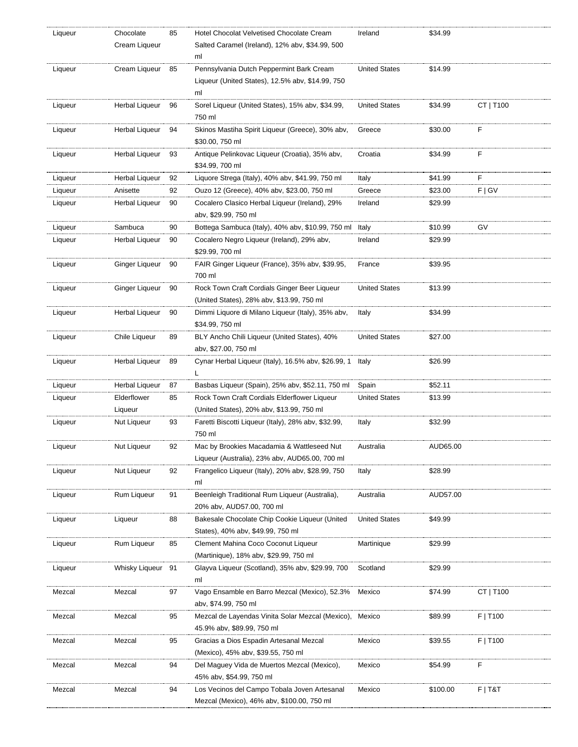| Liqueur | Chocolate         | 85 | Hotel Chocolat Velvetised Chocolate Cream                 | Ireland              | \$34.99  |           |
|---------|-------------------|----|-----------------------------------------------------------|----------------------|----------|-----------|
|         | Cream Liqueur     |    | Salted Caramel (Ireland), 12% abv, \$34.99, 500           |                      |          |           |
|         |                   |    | ml                                                        |                      |          |           |
| Liqueur | Cream Liqueur 85  |    | Pennsylvania Dutch Peppermint Bark Cream                  | <b>United States</b> | \$14.99  |           |
|         |                   |    | Liqueur (United States), 12.5% abv, \$14.99, 750          |                      |          |           |
|         |                   |    | ml                                                        |                      |          |           |
| Liqueur | Herbal Liqueur    | 96 | Sorel Liqueur (United States), 15% abv, \$34.99,          | <b>United States</b> | \$34.99  | CT   T100 |
|         |                   |    | 750 ml                                                    |                      |          |           |
|         |                   |    |                                                           |                      |          |           |
| Liqueur | Herbal Liqueur    | 94 | Skinos Mastiha Spirit Liqueur (Greece), 30% abv,          | Greece               | \$30.00  | F         |
|         |                   |    | \$30.00, 750 ml                                           |                      |          |           |
| Liqueur | Herbal Liqueur    | 93 | Antique Pelinkovac Liqueur (Croatia), 35% abv,            | Croatia              | \$34.99  | F         |
|         |                   |    | \$34.99, 700 ml                                           |                      |          |           |
| Liqueur | Herbal Liqueur    | 92 | Liquore Strega (Italy), 40% abv, \$41.99, 750 ml          | Italy                | \$41.99  | F         |
| Liqueur | Anisette          | 92 | Ouzo 12 (Greece), 40% abv, \$23.00, 750 ml                | Greece               | \$23.00  | F   G V   |
| Liqueur | Herbal Liqueur    | 90 | Cocalero Clasico Herbal Liqueur (Ireland), 29%            | Ireland              | \$29.99  |           |
|         |                   |    | abv, \$29.99, 750 ml                                      |                      |          |           |
|         |                   |    |                                                           |                      |          |           |
| Liqueur | Sambuca           | 90 | Bottega Sambuca (Italy), 40% abv, \$10.99, 750 ml Italy   |                      | \$10.99  | GV        |
| Liqueur | Herbal Liqueur    | 90 | Cocalero Negro Liqueur (Ireland), 29% abv,                | Ireland              | \$29.99  |           |
|         |                   |    | \$29.99, 700 ml                                           |                      |          |           |
| Liqueur | Ginger Liqueur    | 90 | FAIR Ginger Liqueur (France), 35% abv, \$39.95,           | France               | \$39.95  |           |
|         |                   |    | 700 ml                                                    |                      |          |           |
| Liqueur | Ginger Liqueur    | 90 | Rock Town Craft Cordials Ginger Beer Liqueur              | <b>United States</b> | \$13.99  |           |
|         |                   |    | (United States), 28% abv, \$13.99, 750 ml                 |                      |          |           |
| Liqueur | Herbal Liqueur    | 90 | Dimmi Liquore di Milano Liqueur (Italy), 35% abv,         | Italy                | \$34.99  |           |
|         |                   |    | \$34.99, 750 ml                                           |                      |          |           |
|         |                   | 89 | BLY Ancho Chili Liqueur (United States), 40%              | <b>United States</b> |          |           |
| Liqueur | Chile Liqueur     |    |                                                           |                      | \$27.00  |           |
|         |                   |    | abv, \$27.00, 750 ml                                      |                      |          |           |
| Liqueur | Herbal Liqueur    | 89 | Cynar Herbal Liqueur (Italy), 16.5% abv, \$26.99, 1 Italy |                      | \$26.99  |           |
|         |                   |    | L                                                         |                      |          |           |
| Liqueur | Herbal Liqueur    | 87 | Basbas Liqueur (Spain), 25% abv, \$52.11, 750 ml          | Spain                | \$52.11  |           |
| Liqueur | Elderflower       | 85 | Rock Town Craft Cordials Elderflower Liqueur              | <b>United States</b> | \$13.99  |           |
|         | Liqueur           |    | (United States), 20% abv, \$13.99, 750 ml                 |                      |          |           |
| Liqueur | Nut Liqueur       | 93 | Faretti Biscotti Liqueur (Italy), 28% abv, \$32.99,       | Italy                | \$32.99  |           |
|         |                   |    | 750 ml                                                    |                      |          |           |
| Liqueur | Nut Liqueur       | 92 | Mac by Brookies Macadamia & Wattleseed Nut                | Australia            | AUD65.00 |           |
|         |                   |    | Liqueur (Australia), 23% abv, AUD65.00, 700 ml            |                      |          |           |
|         |                   | 92 |                                                           |                      | \$28.99  |           |
| Liqueur | Nut Liqueur       |    | Frangelico Liqueur (Italy), 20% abv, \$28.99, 750         | Italy                |          |           |
|         |                   |    | ml                                                        |                      |          |           |
| Liqueur | Rum Liqueur       | 91 | Beenleigh Traditional Rum Liqueur (Australia),            | Australia            | AUD57.00 |           |
|         |                   |    | 20% abv, AUD57.00, 700 ml                                 |                      |          |           |
| Liqueur | Liqueur           | 88 | Bakesale Chocolate Chip Cookie Liqueur (United            | <b>United States</b> | \$49.99  |           |
|         |                   |    | States), 40% abv, \$49.99, 750 ml                         |                      |          |           |
| Liqueur | Rum Liqueur       | 85 | Clement Mahina Coco Coconut Liqueur                       | Martinique           | \$29.99  |           |
|         |                   |    | (Martinique), 18% abv, \$29.99, 750 ml                    |                      |          |           |
| Liqueur | Whisky Liqueur 91 |    | Glayva Liqueur (Scotland), 35% aby, \$29.99, 700          | Scotland             | \$29.99  |           |
|         |                   |    | ml                                                        |                      |          |           |
|         |                   |    |                                                           |                      |          |           |
| Mezcal  | Mezcal            | 97 | Vago Ensamble en Barro Mezcal (Mexico), 52.3%             | Mexico               | \$74.99  | CT   T100 |
|         |                   |    | abv, \$74.99, 750 ml                                      |                      |          |           |
| Mezcal  | Mezcal            | 95 | Mezcal de Layendas Vinita Solar Mezcal (Mexico),          | Mexico               | \$89.99  | F   T100  |
|         |                   |    | 45.9% abv, \$89.99, 750 ml                                |                      |          |           |
| Mezcal  | Mezcal            | 95 | Gracias a Dios Espadin Artesanal Mezcal                   | Mexico               | \$39.55  | F   T100  |
|         |                   |    | (Mexico), 45% abv, \$39.55, 750 ml                        |                      |          |           |
| Mezcal  | Mezcal            | 94 | Del Maguey Vida de Muertos Mezcal (Mexico),               | Mexico               | \$54.99  | F         |
|         |                   |    | 45% abv, \$54.99, 750 ml                                  |                      |          |           |
| Mezcal  | Mezcal            | 94 | Los Vecinos del Campo Tobala Joven Artesanal              | Mexico               | \$100.00 | $F$   T&T |
|         |                   |    | Mezcal (Mexico), 46% abv, \$100.00, 750 ml                |                      |          |           |
|         |                   |    |                                                           |                      |          |           |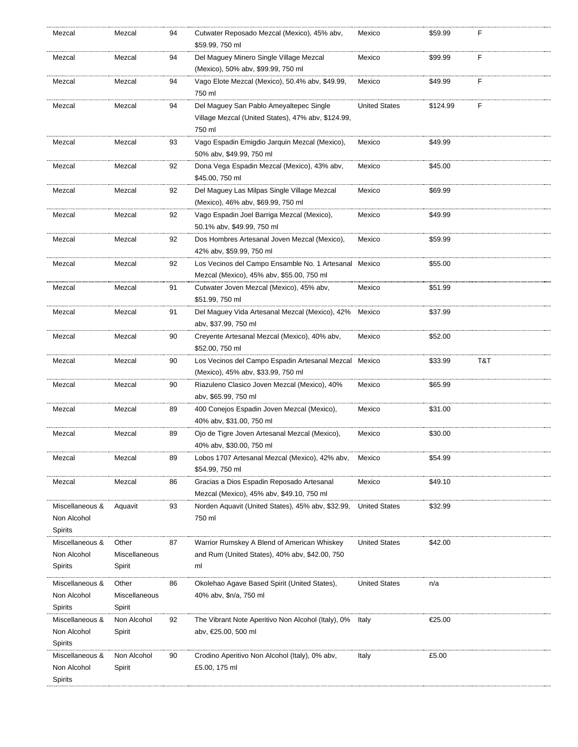| Mezcal                 | Mezcal        | 94 | Cutwater Reposado Mezcal (Mexico), 45% abv,                                   | Mexico               | \$59.99  | F   |
|------------------------|---------------|----|-------------------------------------------------------------------------------|----------------------|----------|-----|
|                        |               |    | \$59.99, 750 ml                                                               |                      |          |     |
| Mezcal                 | Mezcal        | 94 | Del Maguey Minero Single Village Mezcal<br>(Mexico), 50% abv, \$99.99, 750 ml | Mexico               | \$99.99  | F   |
|                        |               |    |                                                                               |                      |          |     |
| Mezcal                 | Mezcal        | 94 | Vago Elote Mezcal (Mexico), 50.4% abv, \$49.99,<br>750 ml                     | Mexico               | \$49.99  | F   |
| Mezcal                 | Mezcal        | 94 | Del Maguey San Pablo Ameyaltepec Single                                       | <b>United States</b> | \$124.99 | F   |
|                        |               |    | Village Mezcal (United States), 47% abv, \$124.99,                            |                      |          |     |
|                        |               |    | 750 ml                                                                        |                      |          |     |
| Mezcal                 | Mezcal        | 93 | Vago Espadin Emigdio Jarquin Mezcal (Mexico),                                 | Mexico               | \$49.99  |     |
|                        |               |    | 50% abv, \$49.99, 750 ml                                                      |                      |          |     |
| Mezcal                 | Mezcal        | 92 | Dona Vega Espadin Mezcal (Mexico), 43% abv,                                   | Mexico               | \$45.00  |     |
|                        |               |    | \$45.00, 750 ml                                                               |                      |          |     |
| Mezcal                 | Mezcal        | 92 | Del Maguey Las Milpas Single Village Mezcal                                   | Mexico               | \$69.99  |     |
|                        |               |    | (Mexico), 46% abv, \$69.99, 750 ml                                            |                      |          |     |
| Mezcal                 | Mezcal        | 92 | Vago Espadin Joel Barriga Mezcal (Mexico),                                    | Mexico               | \$49.99  |     |
|                        |               |    | 50.1% abv, \$49.99, 750 ml                                                    |                      |          |     |
|                        |               |    |                                                                               |                      | \$59.99  |     |
| Mezcal                 | Mezcal        | 92 | Dos Hombres Artesanal Joven Mezcal (Mexico),                                  | Mexico               |          |     |
|                        |               |    | 42% abv, \$59.99, 750 ml                                                      |                      |          |     |
| Mezcal                 | Mezcal        | 92 | Los Vecinos del Campo Ensamble No. 1 Artesanal Mexico                         |                      | \$55.00  |     |
|                        |               |    | Mezcal (Mexico), 45% abv, \$55.00, 750 ml                                     |                      |          |     |
| Mezcal                 | Mezcal        | 91 | Cutwater Joven Mezcal (Mexico), 45% abv,                                      | Mexico               | \$51.99  |     |
|                        |               |    | \$51.99, 750 ml                                                               |                      |          |     |
| Mezcal                 | Mezcal        | 91 | Del Maguey Vida Artesanal Mezcal (Mexico), 42% Mexico                         |                      | \$37.99  |     |
|                        |               |    | abv, \$37.99, 750 ml                                                          |                      |          |     |
| Mezcal                 | Mezcal        | 90 | Creyente Artesanal Mezcal (Mexico), 40% abv,                                  | Mexico               | \$52.00  |     |
|                        |               |    | \$52.00, 750 ml                                                               |                      |          |     |
|                        |               |    |                                                                               |                      |          |     |
|                        |               |    |                                                                               |                      |          |     |
| Mezcal                 | Mezcal        | 90 | Los Vecinos del Campo Espadin Artesanal Mezcal Mexico                         |                      | \$33.99  | T&T |
|                        |               |    | (Mexico), 45% abv, \$33.99, 750 ml                                            |                      |          |     |
| Mezcal                 | Mezcal        | 90 | Riazuleno Clasico Joven Mezcal (Mexico), 40%                                  | Mexico               | \$65.99  |     |
|                        |               |    | abv, \$65.99, 750 ml                                                          |                      |          |     |
| Mezcal                 | Mezcal        | 89 | 400 Conejos Espadin Joven Mezcal (Mexico),                                    | Mexico               | \$31.00  |     |
|                        |               |    | 40% abv, \$31.00, 750 ml                                                      |                      |          |     |
| Mezcal                 | Mezcal        | 89 | Ojo de Tigre Joven Artesanal Mezcal (Mexico),                                 | Mexico               | \$30.00  |     |
|                        |               |    | 40% abv, \$30.00, 750 ml                                                      |                      |          |     |
| Mezcal                 | Mezcal        | 89 | Lobos 1707 Artesanal Mezcal (Mexico), 42% abv,                                | Mexico               | \$54.99  |     |
|                        |               |    | \$54.99, 750 ml                                                               |                      |          |     |
| Mezcal                 | Mezcal        | 86 | Gracias a Dios Espadin Reposado Artesanal                                     | Mexico               | \$49.10  |     |
|                        |               |    | Mezcal (Mexico), 45% abv, \$49.10, 750 ml                                     |                      |          |     |
| Miscellaneous &        | Aquavit       | 93 | Norden Aquavit (United States), 45% abv, \$32.99,                             | <b>United States</b> | \$32.99  |     |
| Non Alcohol            |               |    | 750 ml                                                                        |                      |          |     |
|                        |               |    |                                                                               |                      |          |     |
| Spirits                |               |    |                                                                               |                      |          |     |
| Miscellaneous &        | Other         | 87 | Warrior Rumskey A Blend of American Whiskey                                   | <b>United States</b> | \$42.00  |     |
| Non Alcohol            | Miscellaneous |    | and Rum (United States), 40% abv, \$42.00, 750                                |                      |          |     |
| Spirits                | Spirit        |    | ml                                                                            |                      |          |     |
| Miscellaneous &        | Other         | 86 | Okolehao Agave Based Spirit (United States),                                  | <b>United States</b> | n/a      |     |
| Non Alcohol            | Miscellaneous |    | 40% abv, \$n/a, 750 ml                                                        |                      |          |     |
| Spirits                | Spirit        |    |                                                                               |                      |          |     |
| Miscellaneous &        | Non Alcohol   | 92 | The Vibrant Note Aperitivo Non Alcohol (Italy), 0%                            | Italy                | €25.00   |     |
| Non Alcohol            | Spirit        |    | abv, €25.00, 500 ml                                                           |                      |          |     |
| Spirits                |               |    |                                                                               |                      |          |     |
| Miscellaneous &        | Non Alcohol   | 90 | Crodino Aperitivo Non Alcohol (Italy), 0% abv,                                | Italy                | £5.00    |     |
|                        |               |    |                                                                               |                      |          |     |
| Non Alcohol<br>Spirits | Spirit        |    | £5.00, 175 ml                                                                 |                      |          |     |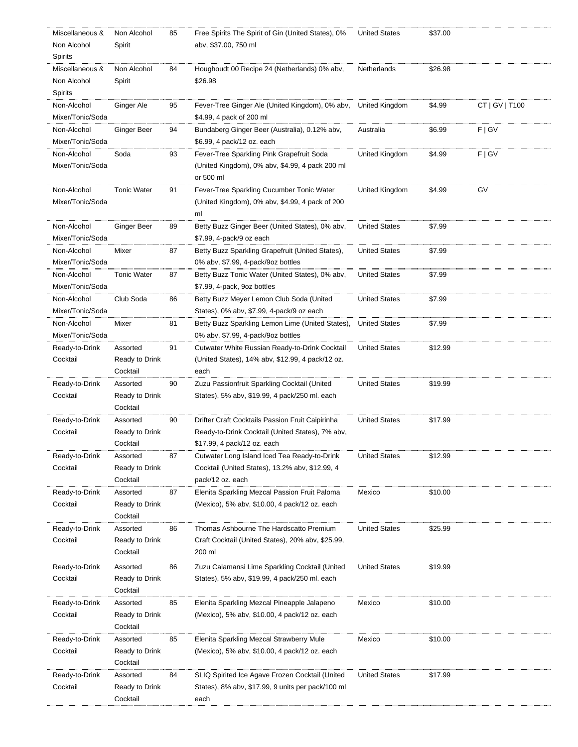| Miscellaneous &  | Non Alcohol        | 85 | Free Spirits The Spirit of Gin (United States), 0% | <b>United States</b> | \$37.00 |                |
|------------------|--------------------|----|----------------------------------------------------|----------------------|---------|----------------|
| Non Alcohol      | Spirit             |    | abv, \$37.00, 750 ml                               |                      |         |                |
| Spirits          |                    |    |                                                    |                      |         |                |
| Miscellaneous &  | Non Alcohol        | 84 | Houghoudt 00 Recipe 24 (Netherlands) 0% abv,       | Netherlands          | \$26.98 |                |
| Non Alcohol      | Spirit             |    | \$26.98                                            |                      |         |                |
| Spirits          |                    |    |                                                    |                      |         |                |
| Non-Alcohol      | Ginger Ale         | 95 | Fever-Tree Ginger Ale (United Kingdom), 0% abv,    | United Kingdom       | \$4.99  | CT   GV   T100 |
| Mixer/Tonic/Soda |                    |    | \$4.99, 4 pack of 200 ml                           |                      |         |                |
| Non-Alcohol      | Ginger Beer        | 94 | Bundaberg Ginger Beer (Australia), 0.12% abv,      | Australia            | \$6.99  | F   G V        |
| Mixer/Tonic/Soda |                    |    | \$6.99, 4 pack/12 oz. each                         |                      |         |                |
|                  |                    |    |                                                    |                      |         |                |
| Non-Alcohol      | Soda               | 93 | Fever-Tree Sparkling Pink Grapefruit Soda          | United Kingdom       | \$4.99  | F   G V        |
| Mixer/Tonic/Soda |                    |    | (United Kingdom), 0% abv, \$4.99, 4 pack 200 ml    |                      |         |                |
|                  |                    |    | or 500 ml                                          |                      |         |                |
| Non-Alcohol      | <b>Tonic Water</b> | 91 | Fever-Tree Sparkling Cucumber Tonic Water          | United Kingdom       | \$4.99  | GV             |
| Mixer/Tonic/Soda |                    |    | (United Kingdom), 0% abv, \$4.99, 4 pack of 200    |                      |         |                |
|                  |                    |    | ml                                                 |                      |         |                |
| Non-Alcohol      | Ginger Beer        | 89 | Betty Buzz Ginger Beer (United States), 0% abv,    | <b>United States</b> | \$7.99  |                |
| Mixer/Tonic/Soda |                    |    | \$7.99, 4-pack/9 oz each                           |                      |         |                |
| Non-Alcohol      | Mixer              | 87 | Betty Buzz Sparkling Grapefruit (United States),   | <b>United States</b> | \$7.99  |                |
| Mixer/Tonic/Soda |                    |    | 0% abv, \$7.99, 4-pack/9oz bottles                 |                      |         |                |
| Non-Alcohol      | <b>Tonic Water</b> | 87 | Betty Buzz Tonic Water (United States), 0% abv,    | <b>United States</b> | \$7.99  |                |
| Mixer/Tonic/Soda |                    |    | \$7.99, 4-pack, 9oz bottles                        |                      |         |                |
| Non-Alcohol      | Club Soda          | 86 | Betty Buzz Meyer Lemon Club Soda (United           | <b>United States</b> | \$7.99  |                |
| Mixer/Tonic/Soda |                    |    | States), 0% abv, \$7.99, 4-pack/9 oz each          |                      |         |                |
| Non-Alcohol      | Mixer              | 81 | Betty Buzz Sparkling Lemon Lime (United States),   | <b>United States</b> | \$7.99  |                |
| Mixer/Tonic/Soda |                    |    | 0% abv, \$7.99, 4-pack/9oz bottles                 |                      |         |                |
| Ready-to-Drink   | Assorted           | 91 | Cutwater White Russian Ready-to-Drink Cocktail     | <b>United States</b> | \$12.99 |                |
|                  |                    |    |                                                    |                      |         |                |
| Cocktail         | Ready to Drink     |    | (United States), 14% abv, \$12.99, 4 pack/12 oz.   |                      |         |                |
|                  | Cocktail           |    | each                                               |                      |         |                |
| Ready-to-Drink   | Assorted           | 90 | Zuzu Passionfruit Sparkling Cocktail (United       | <b>United States</b> | \$19.99 |                |
| Cocktail         | Ready to Drink     |    | States), 5% abv, \$19.99, 4 pack/250 ml. each      |                      |         |                |
|                  | Cocktail           |    |                                                    |                      |         |                |
| Ready-to-Drink   | Assorted           | 90 | Drifter Craft Cocktails Passion Fruit Caipirinha   | <b>United States</b> | \$17.99 |                |
| Cocktail         | Ready to Drink     |    | Ready-to-Drink Cocktail (United States), 7% abv,   |                      |         |                |
|                  | Cocktail           |    | \$17.99, 4 pack/12 oz. each                        |                      |         |                |
| Ready-to-Drink   | Assorted           | 87 | Cutwater Long Island Iced Tea Ready-to-Drink       | <b>United States</b> | \$12.99 |                |
| Cocktail         | Ready to Drink     |    | Cocktail (United States), 13.2% abv, \$12.99, 4    |                      |         |                |
|                  | Cocktail           |    | pack/12 oz. each                                   |                      |         |                |
| Ready-to-Drink   | Assorted           | 87 | Elenita Sparkling Mezcal Passion Fruit Paloma      | Mexico               | \$10.00 |                |
| Cocktail         | Ready to Drink     |    | (Mexico), 5% abv, \$10.00, 4 pack/12 oz. each      |                      |         |                |
|                  | Cocktail           |    |                                                    |                      |         |                |
| Ready-to-Drink   | Assorted           | 86 | Thomas Ashbourne The Hardscatto Premium            | <b>United States</b> | \$25.99 |                |
| Cocktail         | Ready to Drink     |    | Craft Cocktail (United States), 20% abv, \$25.99,  |                      |         |                |
|                  | Cocktail           |    | 200 ml                                             |                      |         |                |
|                  | Assorted           | 86 | Zuzu Calamansi Lime Sparkling Cocktail (United     | <b>United States</b> | \$19.99 |                |
| Ready-to-Drink   |                    |    |                                                    |                      |         |                |
| Cocktail         | Ready to Drink     |    | States), 5% abv, \$19.99, 4 pack/250 ml. each      |                      |         |                |
|                  | Cocktail           |    |                                                    |                      |         |                |
| Ready-to-Drink   | Assorted           | 85 | Elenita Sparkling Mezcal Pineapple Jalapeno        | Mexico               | \$10.00 |                |
| Cocktail         | Ready to Drink     |    | (Mexico), 5% abv, \$10.00, 4 pack/12 oz. each      |                      |         |                |
|                  | Cocktail           |    |                                                    |                      |         |                |
| Ready-to-Drink   | Assorted           | 85 | Elenita Sparkling Mezcal Strawberry Mule           | Mexico               | \$10.00 |                |
| Cocktail         | Ready to Drink     |    | (Mexico), 5% abv, \$10.00, 4 pack/12 oz. each      |                      |         |                |
|                  | Cocktail           |    |                                                    |                      |         |                |
| Ready-to-Drink   | Assorted           | 84 | SLIQ Spirited Ice Agave Frozen Cocktail (United    | <b>United States</b> | \$17.99 |                |
| Cocktail         | Ready to Drink     |    | States), 8% abv, \$17.99, 9 units per pack/100 ml  |                      |         |                |
|                  | Cocktail           |    | each                                               |                      |         |                |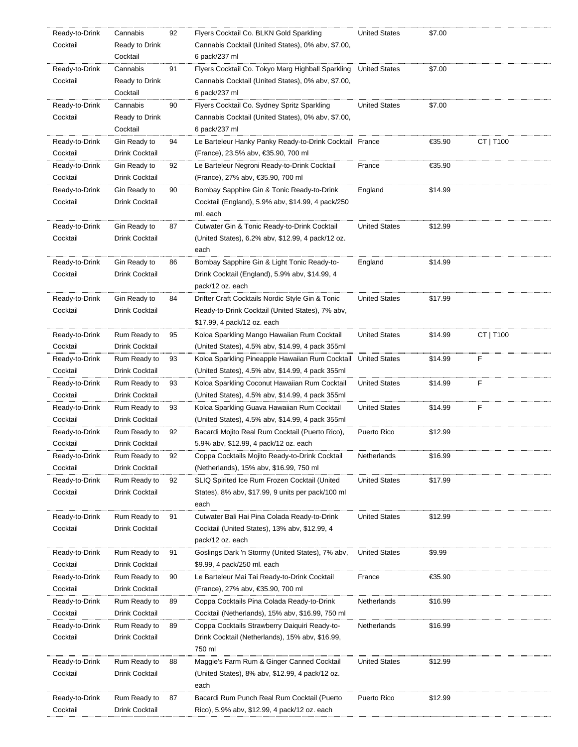| Ready-to-Drink             | Cannabis                       | 92 | Flyers Cocktail Co. BLKN Gold Sparkling                                                           | <b>United States</b> | \$7.00  |           |
|----------------------------|--------------------------------|----|---------------------------------------------------------------------------------------------------|----------------------|---------|-----------|
| Cocktail                   | Ready to Drink                 |    | Cannabis Cocktail (United States), 0% abv, \$7.00,                                                |                      |         |           |
|                            | Cocktail                       |    | 6 pack/237 ml                                                                                     |                      |         |           |
| Ready-to-Drink             | Cannabis                       | 91 | Flyers Cocktail Co. Tokyo Marg Highball Sparkling                                                 | <b>United States</b> | \$7.00  |           |
| Cocktail                   | Ready to Drink                 |    | Cannabis Cocktail (United States), 0% abv, \$7.00,                                                |                      |         |           |
|                            | Cocktail                       |    | 6 pack/237 ml                                                                                     |                      |         |           |
| Ready-to-Drink             | Cannabis                       | 90 | Flyers Cocktail Co. Sydney Spritz Sparkling                                                       | <b>United States</b> | \$7.00  |           |
| Cocktail                   | Ready to Drink                 |    | Cannabis Cocktail (United States), 0% abv, \$7.00,                                                |                      |         |           |
|                            | Cocktail                       |    | 6 pack/237 ml                                                                                     |                      |         |           |
| Ready-to-Drink             | Gin Ready to                   | 94 | Le Barteleur Hanky Panky Ready-to-Drink Cocktail France                                           |                      | €35.90  | CT   T100 |
| Cocktail                   | Drink Cocktail                 |    | (France), 23.5% abv, €35.90, 700 ml                                                               |                      |         |           |
| Ready-to-Drink             | Gin Ready to                   | 92 | Le Barteleur Negroni Ready-to-Drink Cocktail                                                      | France               | €35.90  |           |
| Cocktail                   | Drink Cocktail                 |    | (France), 27% abv, €35.90, 700 ml                                                                 |                      |         |           |
| Ready-to-Drink             | Gin Ready to                   | 90 | Bombay Sapphire Gin & Tonic Ready-to-Drink                                                        | England              | \$14.99 |           |
| Cocktail                   | Drink Cocktail                 |    | Cocktail (England), 5.9% abv, \$14.99, 4 pack/250                                                 |                      |         |           |
|                            |                                |    | ml. each                                                                                          |                      |         |           |
| Ready-to-Drink             | Gin Ready to                   | 87 | Cutwater Gin & Tonic Ready-to-Drink Cocktail                                                      | <b>United States</b> | \$12.99 |           |
| Cocktail                   | Drink Cocktail                 |    | (United States), 6.2% abv, \$12.99, 4 pack/12 oz.                                                 |                      |         |           |
|                            |                                |    | each                                                                                              |                      |         |           |
| Ready-to-Drink             | Gin Ready to                   | 86 | Bombay Sapphire Gin & Light Tonic Ready-to-                                                       | England              | \$14.99 |           |
| Cocktail                   | Drink Cocktail                 |    | Drink Cocktail (England), 5.9% abv, \$14.99, 4                                                    |                      |         |           |
|                            |                                |    | pack/12 oz. each                                                                                  |                      |         |           |
| Ready-to-Drink             | Gin Ready to                   | 84 | Drifter Craft Cocktails Nordic Style Gin & Tonic                                                  | <b>United States</b> | \$17.99 |           |
| Cocktail                   | Drink Cocktail                 |    | Ready-to-Drink Cocktail (United States), 7% abv,                                                  |                      |         |           |
|                            |                                |    | \$17.99, 4 pack/12 oz. each                                                                       |                      |         |           |
| Ready-to-Drink             | Rum Ready to                   | 95 | Koloa Sparkling Mango Hawaiian Rum Cocktail                                                       | <b>United States</b> | \$14.99 | CT   T100 |
| Cocktail                   | Drink Cocktail                 |    | (United States), 4.5% abv, \$14.99, 4 pack 355ml                                                  |                      |         |           |
| Ready-to-Drink             | Rum Ready to                   | 93 | Koloa Sparkling Pineapple Hawaiian Rum Cocktail                                                   | <b>United States</b> | \$14.99 | F         |
| Cocktail                   | Drink Cocktail                 |    | (United States), 4.5% abv, \$14.99, 4 pack 355ml                                                  |                      |         |           |
| Ready-to-Drink             | Rum Ready to                   | 93 | Koloa Sparkling Coconut Hawaiian Rum Cocktail                                                     | <b>United States</b> | \$14.99 | F         |
| Cocktail                   | Drink Cocktail                 |    | (United States), 4.5% abv, \$14.99, 4 pack 355ml                                                  |                      |         |           |
| Ready-to-Drink             | Rum Ready to                   | 93 | Koloa Sparkling Guava Hawaiian Rum Cocktail                                                       | <b>United States</b> | \$14.99 | F         |
| Cocktail                   | Drink Cocktail                 |    | (United States), 4.5% abv, \$14.99, 4 pack 355ml                                                  |                      |         |           |
| Ready-to-Drink             | Rum Ready to                   | 92 | Bacardi Mojito Real Rum Cocktail (Puerto Rico),                                                   | Puerto Rico          | \$12.99 |           |
| Cocktail                   | Drink Cocktail                 |    | 5.9% abv, \$12.99, 4 pack/12 oz. each                                                             |                      |         |           |
| Ready-to-Drink             | Rum Ready to                   | 92 | Coppa Cocktails Mojito Ready-to-Drink Cocktail                                                    | Netherlands          | \$16.99 |           |
| Cocktail                   | Drink Cocktail                 |    | (Netherlands), 15% abv, \$16.99, 750 ml                                                           |                      |         |           |
| Ready-to-Drink             | Rum Ready to                   | 92 | SLIQ Spirited Ice Rum Frozen Cocktail (United                                                     | <b>United States</b> | \$17.99 |           |
| Cocktail                   | Drink Cocktail                 |    | States), 8% abv, \$17.99, 9 units per pack/100 ml                                                 |                      |         |           |
|                            |                                |    | each                                                                                              |                      |         |           |
| Ready-to-Drink             | Rum Ready to                   | 91 | Cutwater Bali Hai Pina Colada Ready-to-Drink                                                      | <b>United States</b> | \$12.99 |           |
| Cocktail                   | Drink Cocktail                 |    | Cocktail (United States), 13% abv, \$12.99, 4                                                     |                      |         |           |
|                            |                                |    | pack/12 oz. each                                                                                  |                      |         |           |
| Ready-to-Drink<br>Cocktail | Rum Ready to                   | 91 | Goslings Dark 'n Stormy (United States), 7% abv,                                                  | <b>United States</b> | \$9.99  |           |
|                            | Drink Cocktail                 |    | \$9.99, 4 pack/250 ml. each                                                                       |                      |         |           |
| Ready-to-Drink<br>Cocktail | Rum Ready to<br>Drink Cocktail | 90 | Le Barteleur Mai Tai Ready-to-Drink Cocktail                                                      | France               | €35.90  |           |
|                            |                                | 89 | (France), 27% abv, €35.90, 700 ml<br>Coppa Cocktails Pina Colada Ready-to-Drink                   | Netherlands          | \$16.99 |           |
| Ready-to-Drink             | Rum Ready to                   |    |                                                                                                   |                      |         |           |
| Cocktail<br>Ready-to-Drink | Drink Cocktail<br>Rum Ready to | 89 | Cocktail (Netherlands), 15% abv, \$16.99, 750 ml<br>Coppa Cocktails Strawberry Daiquiri Ready-to- | Netherlands          | \$16.99 |           |
|                            |                                |    |                                                                                                   |                      |         |           |
| Cocktail                   | Drink Cocktail                 |    | Drink Cocktail (Netherlands), 15% abv, \$16.99,                                                   |                      |         |           |
|                            |                                |    |                                                                                                   |                      |         |           |
|                            |                                |    | 750 ml                                                                                            |                      |         |           |
| Ready-to-Drink             | Rum Ready to                   | 88 | Maggie's Farm Rum & Ginger Canned Cocktail                                                        | <b>United States</b> | \$12.99 |           |
| Cocktail                   | Drink Cocktail                 |    | (United States), 8% abv, \$12.99, 4 pack/12 oz.                                                   |                      |         |           |
|                            |                                |    | each                                                                                              |                      |         |           |
| Ready-to-Drink<br>Cocktail | Rum Ready to<br>Drink Cocktail | 87 | Bacardi Rum Punch Real Rum Cocktail (Puerto<br>Rico), 5.9% abv, \$12.99, 4 pack/12 oz. each       | Puerto Rico          | \$12.99 |           |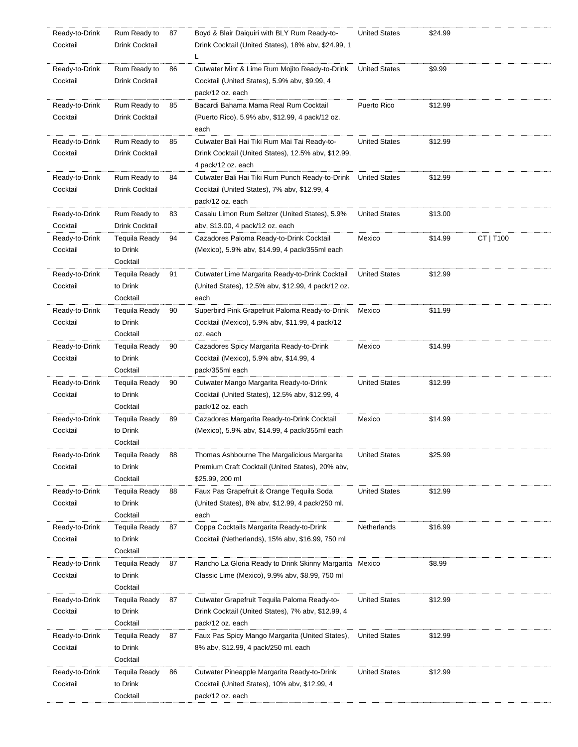| Ready-to-Drink | Rum Ready to         | 87 | Boyd & Blair Daiquiri with BLY Rum Ready-to-            | <b>United States</b> | \$24.99 |           |
|----------------|----------------------|----|---------------------------------------------------------|----------------------|---------|-----------|
| Cocktail       | Drink Cocktail       |    | Drink Cocktail (United States), 18% abv, \$24.99, 1     |                      |         |           |
|                |                      |    | L                                                       |                      |         |           |
| Ready-to-Drink | Rum Ready to         | 86 | Cutwater Mint & Lime Rum Mojito Ready-to-Drink          | <b>United States</b> | \$9.99  |           |
| Cocktail       | Drink Cocktail       |    | Cocktail (United States), 5.9% abv, \$9.99, 4           |                      |         |           |
|                |                      |    | pack/12 oz. each                                        |                      |         |           |
| Ready-to-Drink | Rum Ready to         | 85 | Bacardi Bahama Mama Real Rum Cocktail                   | Puerto Rico          | \$12.99 |           |
| Cocktail       | Drink Cocktail       |    | (Puerto Rico), 5.9% abv, \$12.99, 4 pack/12 oz.         |                      |         |           |
|                |                      |    | each                                                    |                      |         |           |
|                |                      |    |                                                         |                      | \$12.99 |           |
| Ready-to-Drink | Rum Ready to         | 85 | Cutwater Bali Hai Tiki Rum Mai Tai Ready-to-            | <b>United States</b> |         |           |
| Cocktail       | Drink Cocktail       |    | Drink Cocktail (United States), 12.5% abv, \$12.99,     |                      |         |           |
|                |                      |    | 4 pack/12 oz. each                                      |                      |         |           |
| Ready-to-Drink | Rum Ready to         | 84 | Cutwater Bali Hai Tiki Rum Punch Ready-to-Drink         | <b>United States</b> | \$12.99 |           |
| Cocktail       | Drink Cocktail       |    | Cocktail (United States), 7% abv, \$12.99, 4            |                      |         |           |
|                |                      |    | pack/12 oz. each                                        |                      |         |           |
| Ready-to-Drink | Rum Ready to         | 83 | Casalu Limon Rum Seltzer (United States), 5.9%          | <b>United States</b> | \$13.00 |           |
| Cocktail       | Drink Cocktail       |    | abv, \$13.00, 4 pack/12 oz. each                        |                      |         |           |
| Ready-to-Drink | <b>Tequila Ready</b> | 94 | Cazadores Paloma Ready-to-Drink Cocktail                | Mexico               | \$14.99 | CT   T100 |
| Cocktail       | to Drink             |    | (Mexico), 5.9% abv, \$14.99, 4 pack/355ml each          |                      |         |           |
|                | Cocktail             |    |                                                         |                      |         |           |
| Ready-to-Drink | <b>Tequila Ready</b> | 91 | Cutwater Lime Margarita Ready-to-Drink Cocktail         | <b>United States</b> | \$12.99 |           |
| Cocktail       | to Drink             |    | (United States), 12.5% abv, \$12.99, 4 pack/12 oz.      |                      |         |           |
|                | Cocktail             |    | each                                                    |                      |         |           |
| Ready-to-Drink | Tequila Ready        | 90 | Superbird Pink Grapefruit Paloma Ready-to-Drink         | Mexico               | \$11.99 |           |
| Cocktail       | to Drink             |    | Cocktail (Mexico), 5.9% abv, \$11.99, 4 pack/12         |                      |         |           |
|                | Cocktail             |    | oz. each                                                |                      |         |           |
| Ready-to-Drink | <b>Tequila Ready</b> | 90 | Cazadores Spicy Margarita Ready-to-Drink                | Mexico               | \$14.99 |           |
| Cocktail       | to Drink             |    | Cocktail (Mexico), 5.9% abv, \$14.99, 4                 |                      |         |           |
|                | Cocktail             |    | pack/355ml each                                         |                      |         |           |
|                |                      |    |                                                         |                      |         |           |
| Ready-to-Drink | <b>Tequila Ready</b> | 90 | Cutwater Mango Margarita Ready-to-Drink                 | <b>United States</b> | \$12.99 |           |
| Cocktail       | to Drink             |    | Cocktail (United States), 12.5% abv, \$12.99, 4         |                      |         |           |
|                | Cocktail             |    | pack/12 oz. each                                        |                      |         |           |
| Ready-to-Drink | Tequila Ready        | 89 | Cazadores Margarita Ready-to-Drink Cocktail             | Mexico               | \$14.99 |           |
| Cocktail       | to Drink             |    | (Mexico), 5.9% abv, \$14.99, 4 pack/355ml each          |                      |         |           |
|                | Cocktail             |    |                                                         |                      |         |           |
| Ready-to-Drink | <b>Tequila Ready</b> | 88 | Thomas Ashbourne The Margalicious Margarita             | <b>United States</b> | \$25.99 |           |
| Cocktail       | to Drink             |    | Premium Craft Cocktail (United States), 20% abv,        |                      |         |           |
|                | Cocktail             |    | \$25.99, 200 ml                                         |                      |         |           |
| Ready-to-Drink | Tequila Ready        | 88 | Faux Pas Grapefruit & Orange Tequila Soda               | <b>United States</b> | \$12.99 |           |
| Cocktail       | to Drink             |    | (United States), 8% abv, \$12.99, 4 pack/250 ml.        |                      |         |           |
|                | Cocktail             |    | each                                                    |                      |         |           |
| Ready-to-Drink | <b>Tequila Ready</b> | 87 | Coppa Cocktails Margarita Ready-to-Drink                | Netherlands          | \$16.99 |           |
| Cocktail       | to Drink             |    | Cocktail (Netherlands), 15% abv, \$16.99, 750 ml        |                      |         |           |
|                | Cocktail             |    |                                                         |                      |         |           |
| Ready-to-Drink | Tequila Ready        | 87 | Rancho La Gloria Ready to Drink Skinny Margarita Mexico |                      | \$8.99  |           |
| Cocktail       | to Drink             |    | Classic Lime (Mexico), 9.9% abv, \$8.99, 750 ml         |                      |         |           |
|                | Cocktail             |    |                                                         |                      |         |           |
| Ready-to-Drink | Tequila Ready        | 87 | Cutwater Grapefruit Tequila Paloma Ready-to-            | <b>United States</b> | \$12.99 |           |
| Cocktail       | to Drink             |    | Drink Cocktail (United States), 7% abv, \$12.99, 4      |                      |         |           |
|                | Cocktail             |    | pack/12 oz. each                                        |                      |         |           |
|                |                      |    |                                                         |                      |         |           |
| Ready-to-Drink | Tequila Ready        | 87 | Faux Pas Spicy Mango Margarita (United States),         | <b>United States</b> | \$12.99 |           |
| Cocktail       | to Drink             |    | 8% abv, \$12.99, 4 pack/250 ml. each                    |                      |         |           |
|                | Cocktail             |    |                                                         |                      |         |           |
| Ready-to-Drink | Tequila Ready        | 86 | Cutwater Pineapple Margarita Ready-to-Drink             | <b>United States</b> | \$12.99 |           |
| Cocktail       | to Drink             |    | Cocktail (United States), 10% abv, \$12.99, 4           |                      |         |           |
|                | Cocktail             |    | pack/12 oz. each                                        |                      |         |           |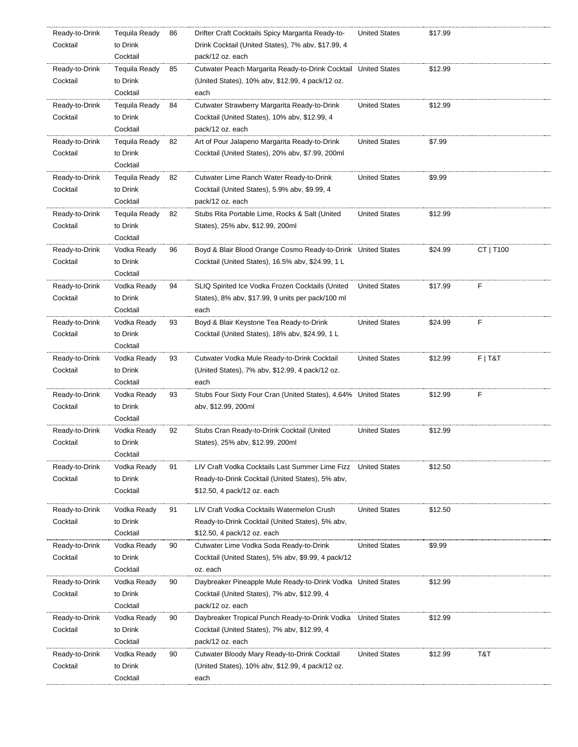| Ready-to-Drink             | <b>Tequila Ready</b> | 86 | Drifter Craft Cocktails Spicy Margarita Ready-to-               | <b>United States</b> | \$17.99 |           |
|----------------------------|----------------------|----|-----------------------------------------------------------------|----------------------|---------|-----------|
| Cocktail                   | to Drink             |    | Drink Cocktail (United States), 7% abv, \$17.99, 4              |                      |         |           |
|                            | Cocktail             |    | pack/12 oz. each                                                |                      |         |           |
| Ready-to-Drink             | Tequila Ready        | 85 | Cutwater Peach Margarita Ready-to-Drink Cocktail United States  |                      | \$12.99 |           |
| Cocktail                   | to Drink             |    | (United States), 10% abv, \$12.99, 4 pack/12 oz.                |                      |         |           |
|                            | Cocktail             |    | each                                                            |                      |         |           |
| Ready-to-Drink             | Tequila Ready        | 84 | Cutwater Strawberry Margarita Ready-to-Drink                    | <b>United States</b> | \$12.99 |           |
| Cocktail                   | to Drink             |    | Cocktail (United States), 10% abv, \$12.99, 4                   |                      |         |           |
|                            | Cocktail             |    | pack/12 oz. each                                                |                      |         |           |
| Ready-to-Drink             | Tequila Ready        | 82 | Art of Pour Jalapeno Margarita Ready-to-Drink                   | <b>United States</b> | \$7.99  |           |
| Cocktail                   | to Drink             |    | Cocktail (United States), 20% abv, \$7.99, 200ml                |                      |         |           |
|                            | Cocktail             |    |                                                                 |                      |         |           |
| Ready-to-Drink             | Tequila Ready        | 82 | Cutwater Lime Ranch Water Ready-to-Drink                        | <b>United States</b> | \$9.99  |           |
| Cocktail                   | to Drink             |    | Cocktail (United States), 5.9% abv, \$9.99, 4                   |                      |         |           |
|                            | Cocktail             |    | pack/12 oz. each                                                |                      |         |           |
| Ready-to-Drink             | Tequila Ready        | 82 | Stubs Rita Portable Lime, Rocks & Salt (United                  | <b>United States</b> | \$12.99 |           |
| Cocktail                   | to Drink             |    | States), 25% abv, \$12.99, 200ml                                |                      |         |           |
|                            | Cocktail             |    |                                                                 |                      |         |           |
| Ready-to-Drink             | Vodka Ready          | 96 | Boyd & Blair Blood Orange Cosmo Ready-to-Drink United States    |                      | \$24.99 | CT   T100 |
| Cocktail                   | to Drink             |    | Cocktail (United States), 16.5% abv, \$24.99, 1 L               |                      |         |           |
|                            | Cocktail             |    |                                                                 |                      |         |           |
|                            |                      | 94 |                                                                 | <b>United States</b> | \$17.99 | F         |
| Ready-to-Drink<br>Cocktail | Vodka Ready          |    | SLIQ Spirited Ice Vodka Frozen Cocktails (United                |                      |         |           |
|                            | to Drink<br>Cocktail |    | States), 8% aby, \$17.99, 9 units per pack/100 ml               |                      |         |           |
|                            |                      |    | each                                                            |                      |         |           |
| Ready-to-Drink             | Vodka Ready          | 93 | Boyd & Blair Keystone Tea Ready-to-Drink                        | <b>United States</b> | \$24.99 | F         |
| Cocktail                   | to Drink             |    | Cocktail (United States), 18% abv, \$24.99, 1 L                 |                      |         |           |
|                            | Cocktail             |    |                                                                 |                      |         |           |
| Ready-to-Drink             | Vodka Ready          | 93 | Cutwater Vodka Mule Ready-to-Drink Cocktail                     | <b>United States</b> | \$12.99 | $F$   T&T |
| Cocktail                   | to Drink             |    | (United States), 7% abv, \$12.99, 4 pack/12 oz.                 |                      |         |           |
|                            | Cocktail             |    | each                                                            |                      |         |           |
| Ready-to-Drink             | Vodka Ready          | 93 | Stubs Four Sixty Four Cran (United States), 4.64% United States |                      | \$12.99 | F         |
| Cocktail                   | to Drink             |    | abv, \$12.99, 200ml                                             |                      |         |           |
|                            | Cocktail             |    |                                                                 |                      |         |           |
| Ready-to-Drink             | Vodka Ready          | 92 | Stubs Cran Ready-to-Drink Cocktail (United                      | <b>United States</b> | \$12.99 |           |
| Cocktail                   | to Drink             |    | States), 25% abv, \$12.99, 200ml                                |                      |         |           |
|                            | Cocktail             |    |                                                                 |                      |         |           |
| Ready-to-Drink             | Vodka Ready          | 91 | LIV Craft Vodka Cocktails Last Summer Lime Fizz                 | <b>United States</b> | \$12.50 |           |
| Cocktail                   | to Drink             |    | Ready-to-Drink Cocktail (United States), 5% aby,                |                      |         |           |
|                            | Cocktail             |    | \$12.50, 4 pack/12 oz. each                                     |                      |         |           |
| Ready-to-Drink             | Vodka Ready          | 91 | LIV Craft Vodka Cocktails Watermelon Crush                      | <b>United States</b> | \$12.50 |           |
| Cocktail                   | to Drink             |    | Ready-to-Drink Cocktail (United States), 5% abv,                |                      |         |           |
|                            | Cocktail             |    | \$12.50, 4 pack/12 oz. each                                     |                      |         |           |
| Ready-to-Drink             | Vodka Ready          | 90 | Cutwater Lime Vodka Soda Ready-to-Drink                         | <b>United States</b> | \$9.99  |           |
| Cocktail                   | to Drink             |    | Cocktail (United States), 5% abv, \$9.99, 4 pack/12             |                      |         |           |
|                            | Cocktail             |    | oz. each                                                        |                      |         |           |
| Ready-to-Drink             | Vodka Ready          | 90 | Daybreaker Pineapple Mule Ready-to-Drink Vodka United States    |                      | \$12.99 |           |
| Cocktail                   | to Drink             |    | Cocktail (United States), 7% abv, \$12.99, 4                    |                      |         |           |
|                            | Cocktail             |    | pack/12 oz. each                                                |                      |         |           |
| Ready-to-Drink             | Vodka Ready          | 90 | Daybreaker Tropical Punch Ready-to-Drink Vodka                  | <b>United States</b> | \$12.99 |           |
| Cocktail                   | to Drink             |    | Cocktail (United States), 7% abv, \$12.99, 4                    |                      |         |           |
|                            | Cocktail             |    | pack/12 oz. each                                                |                      |         |           |
| Ready-to-Drink             | Vodka Ready          | 90 | Cutwater Bloody Mary Ready-to-Drink Cocktail                    | <b>United States</b> | \$12.99 | T&T       |
| Cocktail                   | to Drink             |    | (United States), 10% abv, \$12.99, 4 pack/12 oz.                |                      |         |           |
|                            | Cocktail             |    | each                                                            |                      |         |           |
|                            |                      |    |                                                                 |                      |         |           |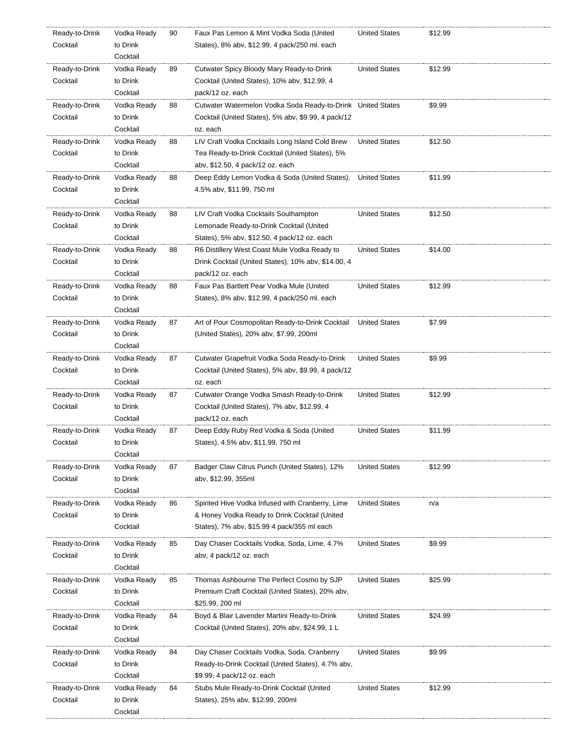| Ready-to-Drink | Vodka Ready          | 90 | Faux Pas Lemon & Mint Vodka Soda (United                    | <b>United States</b> | \$12.99 |
|----------------|----------------------|----|-------------------------------------------------------------|----------------------|---------|
| Cocktail       | to Drink             |    | States), 8% aby, \$12.99, 4 pack/250 ml. each               |                      |         |
|                | Cocktail             |    |                                                             |                      |         |
| Ready-to-Drink | Vodka Ready          | 89 | Cutwater Spicy Bloody Mary Ready-to-Drink                   | <b>United States</b> | \$12.99 |
| Cocktail       | to Drink             |    | Cocktail (United States), 10% abv, \$12.99, 4               |                      |         |
|                | Cocktail             |    | pack/12 oz. each                                            |                      |         |
| Ready-to-Drink | Vodka Ready          | 88 | Cutwater Watermelon Vodka Soda Ready-to-Drink United States |                      | \$9.99  |
| Cocktail       | to Drink             |    | Cocktail (United States), 5% abv, \$9.99, 4 pack/12         |                      |         |
|                | Cocktail             |    | oz. each                                                    |                      |         |
| Ready-to-Drink | Vodka Ready          | 88 | LIV Craft Vodka Cocktails Long Island Cold Brew             | <b>United States</b> | \$12.50 |
| Cocktail       | to Drink             |    | Tea Ready-to-Drink Cocktail (United States), 5%             |                      |         |
|                | Cocktail             |    | abv, \$12.50, 4 pack/12 oz. each                            |                      |         |
| Ready-to-Drink | Vodka Ready          | 88 | Deep Eddy Lemon Vodka & Soda (United States),               | <b>United States</b> | \$11.99 |
| Cocktail       | to Drink             |    | 4.5% abv, \$11.99, 750 ml                                   |                      |         |
|                | Cocktail             |    |                                                             |                      |         |
| Ready-to-Drink | Vodka Ready          | 88 | LIV Craft Vodka Cocktails Southampton                       | <b>United States</b> | \$12.50 |
| Cocktail       | to Drink             |    | Lemonade Ready-to-Drink Cocktail (United                    |                      |         |
|                | Cocktail             |    | States), 5% abv, \$12.50, 4 pack/12 oz. each                |                      |         |
| Ready-to-Drink | Vodka Ready          | 88 | R6 Distillery West Coast Mule Vodka Ready to                | <b>United States</b> | \$14.00 |
| Cocktail       | to Drink             |    | Drink Cocktail (United States), 10% abv, \$14.00, 4         |                      |         |
|                | Cocktail             |    | pack/12 oz. each                                            |                      |         |
| Ready-to-Drink | Vodka Ready          | 88 | Faux Pas Bartlett Pear Vodka Mule (United                   | <b>United States</b> | \$12.99 |
| Cocktail       | to Drink             |    |                                                             |                      |         |
|                | Cocktail             |    | States), 8% abv, \$12.99, 4 pack/250 ml. each               |                      |         |
|                |                      |    | Art of Pour Cosmopolitan Ready-to-Drink Cocktail            |                      | \$7.99  |
| Ready-to-Drink | Vodka Ready          | 87 |                                                             | <b>United States</b> |         |
| Cocktail       | to Drink<br>Cocktail |    | (United States), 20% abv, \$7.99, 200ml                     |                      |         |
|                |                      |    |                                                             |                      |         |
| Ready-to-Drink | Vodka Ready          | 87 | Cutwater Grapefruit Vodka Soda Ready-to-Drink               | <b>United States</b> | \$9.99  |
| Cocktail       | to Drink             |    | Cocktail (United States), 5% abv, \$9.99, 4 pack/12         |                      |         |
|                | Cocktail             |    | oz. each                                                    |                      |         |
| Ready-to-Drink | Vodka Ready          | 87 | Cutwater Orange Vodka Smash Ready-to-Drink                  | <b>United States</b> | \$12.99 |
| Cocktail       | to Drink             |    | Cocktail (United States), 7% abv, \$12.99, 4                |                      |         |
|                | Cocktail             |    | pack/12 oz. each                                            |                      |         |
| Ready-to-Drink | Vodka Ready          | 87 | Deep Eddy Ruby Red Vodka & Soda (United                     | <b>United States</b> | \$11.99 |
| Cocktail       | to Drink             |    | States), 4.5% abv, \$11.99, 750 ml                          |                      |         |
|                | Cocktail             |    |                                                             |                      |         |
| Ready-to-Drink | Vodka Ready          | 87 | Badger Claw Citrus Punch (United States), 12%               | <b>United States</b> | \$12.99 |
| Cocktail       | to Drink             |    | abv, \$12.99, 355ml                                         |                      |         |
|                | Cocktail             |    |                                                             |                      |         |
| Ready-to-Drink | Vodka Ready          | 86 | Spirited Hive Vodka Infused with Cranberry, Lime            | <b>United States</b> | n/a     |
| Cocktail       | to Drink             |    | & Honey Vodka Ready to Drink Cocktail (United               |                      |         |
|                | Cocktail             |    | States), 7% abv, \$15.99 4 pack/355 ml each                 |                      |         |
| Ready-to-Drink | Vodka Ready          | 85 | Day Chaser Cocktails Vodka, Soda, Lime, 4.7%                | <b>United States</b> | \$9.99  |
| Cocktail       | to Drink             |    | aby, 4 pack/12 oz. each                                     |                      |         |
|                | Cocktail             |    |                                                             |                      |         |
| Ready-to-Drink | Vodka Ready          | 85 | Thomas Ashbourne The Perfect Cosmo by SJP                   | <b>United States</b> | \$25.99 |
| Cocktail       | to Drink             |    | Premium Craft Cocktail (United States), 20% abv,            |                      |         |
|                | Cocktail             |    | \$25.99, 200 ml                                             |                      |         |
| Ready-to-Drink | Vodka Ready          | 84 | Boyd & Blair Lavender Martini Ready-to-Drink                | <b>United States</b> | \$24.99 |
| Cocktail       | to Drink             |    | Cocktail (United States), 20% abv, \$24.99, 1 L             |                      |         |
|                | Cocktail             |    |                                                             |                      |         |
| Ready-to-Drink | Vodka Ready          | 84 | Day Chaser Cocktails Vodka, Soda, Cranberry                 | <b>United States</b> | \$9.99  |
| Cocktail       | to Drink             |    | Ready-to-Drink Cocktail (United States), 4.7% abv,          |                      |         |
|                | Cocktail             |    | \$9.99, 4 pack/12 oz. each                                  |                      |         |
| Ready-to-Drink | Vodka Ready          | 84 | Stubs Mule Ready-to-Drink Cocktail (United                  | <b>United States</b> | \$12.99 |
| Cocktail       | to Drink             |    | States), 25% abv, \$12.99, 200ml                            |                      |         |
|                | Cocktail             |    |                                                             |                      |         |
|                |                      |    |                                                             |                      |         |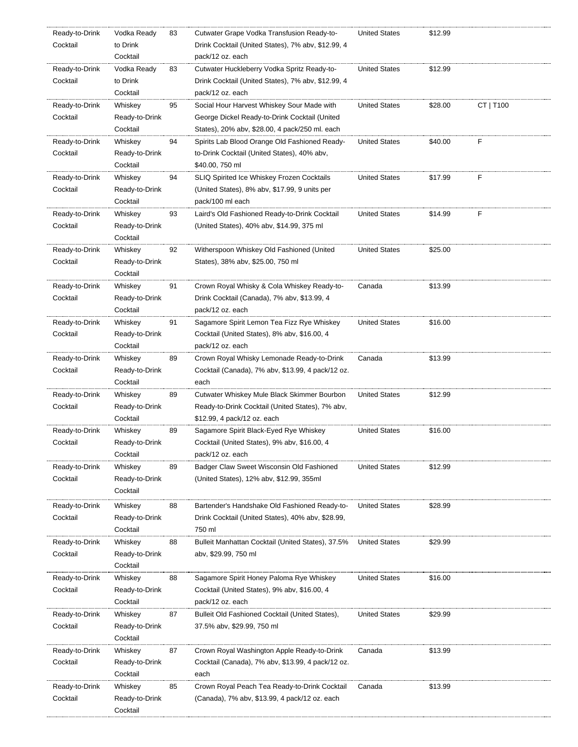| Ready-to-Drink | Vodka Ready    | 83 | Cutwater Grape Vodka Transfusion Ready-to-         | <b>United States</b> | \$12.99 |           |
|----------------|----------------|----|----------------------------------------------------|----------------------|---------|-----------|
| Cocktail       | to Drink       |    | Drink Cocktail (United States), 7% abv, \$12.99, 4 |                      |         |           |
|                | Cocktail       |    | pack/12 oz. each                                   |                      |         |           |
| Ready-to-Drink | Vodka Ready    | 83 | Cutwater Huckleberry Vodka Spritz Ready-to-        | <b>United States</b> | \$12.99 |           |
| Cocktail       | to Drink       |    | Drink Cocktail (United States), 7% abv, \$12.99, 4 |                      |         |           |
|                | Cocktail       |    | pack/12 oz. each                                   |                      |         |           |
| Ready-to-Drink | Whiskey        | 95 | Social Hour Harvest Whiskey Sour Made with         | <b>United States</b> | \$28.00 | CT   T100 |
| Cocktail       | Ready-to-Drink |    | George Dickel Ready-to-Drink Cocktail (United      |                      |         |           |
|                | Cocktail       |    | States), 20% abv, \$28.00, 4 pack/250 ml. each     |                      |         |           |
| Ready-to-Drink | Whiskey        | 94 | Spirits Lab Blood Orange Old Fashioned Ready-      | <b>United States</b> | \$40.00 | F         |
| Cocktail       | Ready-to-Drink |    | to-Drink Cocktail (United States), 40% abv,        |                      |         |           |
|                | Cocktail       |    | \$40.00, 750 ml                                    |                      |         |           |
| Ready-to-Drink | Whiskey        | 94 | SLIQ Spirited Ice Whiskey Frozen Cocktails         | <b>United States</b> | \$17.99 | F         |
| Cocktail       | Ready-to-Drink |    | (United States), 8% abv, \$17.99, 9 units per      |                      |         |           |
|                | Cocktail       |    | pack/100 ml each                                   |                      |         |           |
|                |                |    |                                                    |                      |         |           |
| Ready-to-Drink | Whiskey        | 93 | Laird's Old Fashioned Ready-to-Drink Cocktail      | <b>United States</b> | \$14.99 | F         |
| Cocktail       | Ready-to-Drink |    | (United States), 40% abv, \$14.99, 375 ml          |                      |         |           |
|                | Cocktail       |    |                                                    |                      |         |           |
| Ready-to-Drink | Whiskey        | 92 | Witherspoon Whiskey Old Fashioned (United          | <b>United States</b> | \$25.00 |           |
| Cocktail       | Ready-to-Drink |    | States), 38% abv, \$25.00, 750 ml                  |                      |         |           |
|                | Cocktail       |    |                                                    |                      |         |           |
| Ready-to-Drink | Whiskey        | 91 | Crown Royal Whisky & Cola Whiskey Ready-to-        | Canada               | \$13.99 |           |
| Cocktail       | Ready-to-Drink |    | Drink Cocktail (Canada), 7% abv, \$13.99, 4        |                      |         |           |
|                | Cocktail       |    | pack/12 oz. each                                   |                      |         |           |
| Ready-to-Drink | Whiskey        | 91 | Sagamore Spirit Lemon Tea Fizz Rye Whiskey         | <b>United States</b> | \$16.00 |           |
| Cocktail       | Ready-to-Drink |    | Cocktail (United States), 8% abv, \$16.00, 4       |                      |         |           |
|                | Cocktail       |    | pack/12 oz. each                                   |                      |         |           |
| Ready-to-Drink | Whiskey        | 89 | Crown Royal Whisky Lemonade Ready-to-Drink         | Canada               | \$13.99 |           |
| Cocktail       | Ready-to-Drink |    | Cocktail (Canada), 7% abv, \$13.99, 4 pack/12 oz.  |                      |         |           |
|                | Cocktail       |    | each                                               |                      |         |           |
| Ready-to-Drink | Whiskey        | 89 | Cutwater Whiskey Mule Black Skimmer Bourbon        | <b>United States</b> | \$12.99 |           |
| Cocktail       | Ready-to-Drink |    | Ready-to-Drink Cocktail (United States), 7% abv,   |                      |         |           |
|                | Cocktail       |    | \$12.99, 4 pack/12 oz. each                        |                      |         |           |
| Ready-to-Drink | Whiskey        | 89 | Sagamore Spirit Black-Eyed Rye Whiskey             | <b>United States</b> | \$16.00 |           |
| Cocktail       | Ready-to-Drink |    | Cocktail (United States), 9% abv, \$16.00, 4       |                      |         |           |
|                | Cocktail       |    |                                                    |                      |         |           |
|                |                |    | pack/12 oz. each                                   |                      |         |           |
| Ready-to-Drink | Whiskey        | 89 | Badger Claw Sweet Wisconsin Old Fashioned          | <b>United States</b> | \$12.99 |           |
| Cocktail       | Ready-to-Drink |    | (United States), 12% abv, \$12.99, 355ml           |                      |         |           |
|                | Cocktail       |    |                                                    |                      |         |           |
| Ready-to-Drink | Whiskey        | 88 | Bartender's Handshake Old Fashioned Ready-to-      | <b>United States</b> | \$28.99 |           |
| Cocktail       | Ready-to-Drink |    | Drink Cocktail (United States), 40% abv, \$28.99,  |                      |         |           |
|                | Cocktail       |    | 750 ml                                             |                      |         |           |
| Ready-to-Drink | Whiskey        | 88 | Bulleit Manhattan Cocktail (United States), 37.5%  | <b>United States</b> | \$29.99 |           |
| Cocktail       | Ready-to-Drink |    | abv, \$29.99, 750 ml                               |                      |         |           |
|                | Cocktail       |    |                                                    |                      |         |           |
| Ready-to-Drink | Whiskey        | 88 | Sagamore Spirit Honey Paloma Rye Whiskey           | <b>United States</b> | \$16.00 |           |
| Cocktail       | Ready-to-Drink |    | Cocktail (United States), 9% abv, \$16.00, 4       |                      |         |           |
|                | Cocktail       |    | pack/12 oz. each                                   |                      |         |           |
| Ready-to-Drink | Whiskey        | 87 | Bulleit Old Fashioned Cocktail (United States),    | <b>United States</b> | \$29.99 |           |
| Cocktail       | Ready-to-Drink |    | 37.5% abv, \$29.99, 750 ml                         |                      |         |           |
|                | Cocktail       |    |                                                    |                      |         |           |
|                |                |    |                                                    |                      |         |           |
| Ready-to-Drink | Whiskey        | 87 | Crown Royal Washington Apple Ready-to-Drink        | Canada               | \$13.99 |           |
| Cocktail       | Ready-to-Drink |    | Cocktail (Canada), 7% abv, \$13.99, 4 pack/12 oz.  |                      |         |           |
|                | Cocktail       |    | each                                               |                      |         |           |
| Ready-to-Drink | Whiskey        | 85 | Crown Royal Peach Tea Ready-to-Drink Cocktail      | Canada               | \$13.99 |           |
| Cocktail       | Ready-to-Drink |    | (Canada), 7% abv, \$13.99, 4 pack/12 oz. each      |                      |         |           |
|                | Cocktail       |    |                                                    |                      |         |           |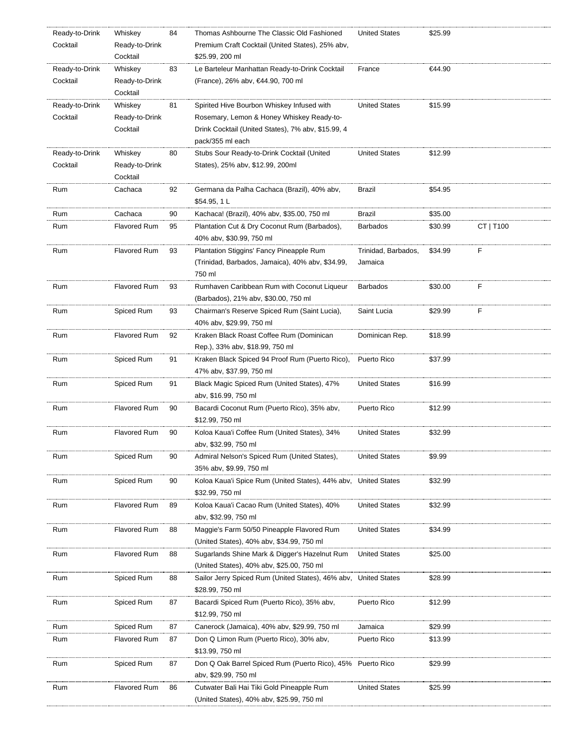| Ready-to-Drink | Whiskey             | 84 | Thomas Ashbourne The Classic Old Fashioned                      | <b>United States</b> | \$25.99 |           |
|----------------|---------------------|----|-----------------------------------------------------------------|----------------------|---------|-----------|
| Cocktail       | Ready-to-Drink      |    | Premium Craft Cocktail (United States), 25% abv,                |                      |         |           |
|                | Cocktail            |    | \$25.99, 200 ml                                                 |                      |         |           |
| Ready-to-Drink | Whiskey             | 83 | Le Barteleur Manhattan Ready-to-Drink Cocktail                  | France               | €44.90  |           |
| Cocktail       | Ready-to-Drink      |    | (France), 26% abv, €44.90, 700 ml                               |                      |         |           |
|                | Cocktail            |    |                                                                 |                      |         |           |
| Ready-to-Drink | Whiskey             | 81 | Spirited Hive Bourbon Whiskey Infused with                      | <b>United States</b> | \$15.99 |           |
| Cocktail       | Ready-to-Drink      |    | Rosemary, Lemon & Honey Whiskey Ready-to-                       |                      |         |           |
|                | Cocktail            |    | Drink Cocktail (United States), 7% abv, \$15.99, 4              |                      |         |           |
|                |                     |    | pack/355 ml each                                                |                      |         |           |
| Ready-to-Drink | Whiskey             | 80 | Stubs Sour Ready-to-Drink Cocktail (United                      | <b>United States</b> | \$12.99 |           |
| Cocktail       | Ready-to-Drink      |    | States), 25% abv, \$12.99, 200ml                                |                      |         |           |
|                | Cocktail            |    |                                                                 |                      |         |           |
| Rum            | Cachaca             | 92 | Germana da Palha Cachaca (Brazil), 40% abv,                     | Brazil               | \$54.95 |           |
|                |                     |    | \$54.95, 1 L                                                    |                      |         |           |
| Rum            | Cachaca             | 90 | Kachaca! (Brazil), 40% abv, \$35.00, 750 ml                     | Brazil               | \$35.00 |           |
|                |                     |    |                                                                 |                      |         |           |
| Rum            | <b>Flavored Rum</b> | 95 | Plantation Cut & Dry Coconut Rum (Barbados),                    | <b>Barbados</b>      | \$30.99 | CT   T100 |
|                |                     |    | 40% abv, \$30.99, 750 ml                                        |                      |         |           |
| Rum            | <b>Flavored Rum</b> | 93 | Plantation Stiggins' Fancy Pineapple Rum                        | Trinidad, Barbados,  | \$34.99 | F         |
|                |                     |    | (Trinidad, Barbados, Jamaica), 40% abv, \$34.99,                | Jamaica              |         |           |
|                |                     |    | 750 ml                                                          |                      |         |           |
| Rum            | <b>Flavored Rum</b> | 93 | Rumhaven Caribbean Rum with Coconut Liqueur                     | <b>Barbados</b>      | \$30.00 | F         |
|                |                     |    | (Barbados), 21% abv, \$30.00, 750 ml                            |                      |         |           |
| Rum            | Spiced Rum          | 93 | Chairman's Reserve Spiced Rum (Saint Lucia),                    | Saint Lucia          | \$29.99 | F         |
|                |                     |    | 40% abv, \$29.99, 750 ml                                        |                      |         |           |
| Rum            | <b>Flavored Rum</b> | 92 | Kraken Black Roast Coffee Rum (Dominican                        | Dominican Rep.       | \$18.99 |           |
|                |                     |    | Rep.), 33% abv, \$18.99, 750 ml                                 |                      |         |           |
| Rum            | Spiced Rum          | 91 | Kraken Black Spiced 94 Proof Rum (Puerto Rico),                 | Puerto Rico          | \$37.99 |           |
|                |                     |    | 47% abv, \$37.99, 750 ml                                        |                      |         |           |
| Rum            | Spiced Rum          | 91 | Black Magic Spiced Rum (United States), 47%                     | <b>United States</b> | \$16.99 |           |
|                |                     |    | aby, \$16.99, 750 ml                                            |                      |         |           |
| Rum            | <b>Flavored Rum</b> | 90 | Bacardi Coconut Rum (Puerto Rico), 35% abv,                     | Puerto Rico          | \$12.99 |           |
|                |                     |    | \$12.99, 750 ml                                                 |                      |         |           |
| Rum            | <b>Flavored Rum</b> | 90 | Koloa Kaua'i Coffee Rum (United States), 34%                    | <b>United States</b> | \$32.99 |           |
|                |                     |    | aby, \$32.99, 750 ml                                            |                      |         |           |
| Rum            | Spiced Rum          | 90 | Admiral Nelson's Spiced Rum (United States),                    | <b>United States</b> | \$9.99  |           |
|                |                     |    | 35% abv, \$9.99, 750 ml                                         |                      |         |           |
| Rum            | Spiced Rum          | 90 | Koloa Kaua'i Spice Rum (United States), 44% abv,                | <b>United States</b> | \$32.99 |           |
|                |                     |    | \$32.99, 750 ml                                                 |                      |         |           |
| Rum            | <b>Flavored Rum</b> | 89 | Koloa Kaua'i Cacao Rum (United States), 40%                     | <b>United States</b> | \$32.99 |           |
|                |                     |    | aby, \$32.99, 750 ml                                            |                      |         |           |
| Rum            | <b>Flavored Rum</b> | 88 | Maggie's Farm 50/50 Pineapple Flavored Rum                      | <b>United States</b> | \$34.99 |           |
|                |                     |    | (United States), 40% abv, \$34.99, 750 ml                       |                      |         |           |
| Rum            | <b>Flavored Rum</b> | 88 | Sugarlands Shine Mark & Digger's Hazelnut Rum                   | <b>United States</b> | \$25.00 |           |
|                |                     |    | (United States), 40% abv, \$25.00, 750 ml                       |                      |         |           |
| Rum            | Spiced Rum          | 88 | Sailor Jerry Spiced Rum (United States), 46% aby, United States |                      | \$28.99 |           |
|                |                     |    | \$28.99, 750 ml                                                 |                      |         |           |
| Rum            | Spiced Rum          | 87 | Bacardi Spiced Rum (Puerto Rico), 35% abv,                      | Puerto Rico          | \$12.99 |           |
|                |                     |    | \$12.99, 750 ml                                                 |                      |         |           |
| Rum            | Spiced Rum          | 87 | Canerock (Jamaica), 40% abv, \$29.99, 750 ml                    | Jamaica              | \$29.99 |           |
| Rum            | <b>Flavored Rum</b> | 87 | Don Q Limon Rum (Puerto Rico), 30% abv,                         | Puerto Rico          | \$13.99 |           |
|                |                     |    | \$13.99, 750 ml                                                 |                      |         |           |
|                |                     |    |                                                                 |                      | \$29.99 |           |
| Rum            | Spiced Rum          | 87 | Don Q Oak Barrel Spiced Rum (Puerto Rico), 45% Puerto Rico      |                      |         |           |
|                |                     |    | aby, \$29.99, 750 ml                                            |                      |         |           |
| Rum            | <b>Flavored Rum</b> | 86 | Cutwater Bali Hai Tiki Gold Pineapple Rum                       | <b>United States</b> | \$25.99 |           |
|                |                     |    | (United States), 40% abv, \$25.99, 750 ml                       |                      |         |           |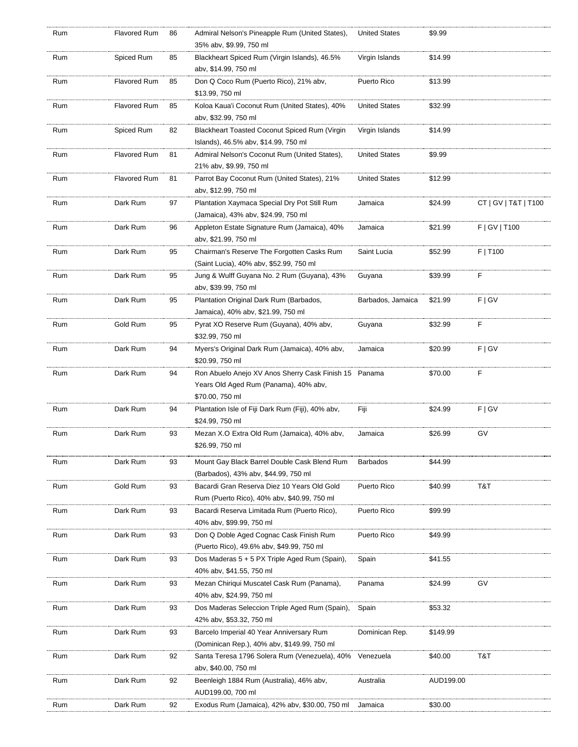| Rum | Flavored Rum        | 86 | Admiral Nelson's Pineapple Rum (United States),<br>35% abv, \$9.99, 750 ml                                        | <b>United States</b> | \$9.99    |                      |
|-----|---------------------|----|-------------------------------------------------------------------------------------------------------------------|----------------------|-----------|----------------------|
| Rum | Spiced Rum          | 85 | Blackheart Spiced Rum (Virgin Islands), 46.5%<br>abv, \$14.99, 750 ml                                             | Virgin Islands       | \$14.99   |                      |
| Rum | <b>Flavored Rum</b> | 85 | Don Q Coco Rum (Puerto Rico), 21% abv,<br>\$13.99, 750 ml                                                         | Puerto Rico          | \$13.99   |                      |
| Rum | <b>Flavored Rum</b> | 85 | Koloa Kaua'i Coconut Rum (United States), 40%<br>abv, \$32.99, 750 ml                                             | <b>United States</b> | \$32.99   |                      |
| Rum | Spiced Rum          | 82 | Blackheart Toasted Coconut Spiced Rum (Virgin<br>Islands), 46.5% abv, \$14.99, 750 ml                             | Virgin Islands       | \$14.99   |                      |
| Rum | Flavored Rum        | 81 | Admiral Nelson's Coconut Rum (United States),<br>21% abv, \$9.99, 750 ml                                          | <b>United States</b> | \$9.99    |                      |
| Rum | Flavored Rum        | 81 | Parrot Bay Coconut Rum (United States), 21%<br>abv, \$12.99, 750 ml                                               | <b>United States</b> | \$12.99   |                      |
| Rum | Dark Rum            | 97 | Plantation Xaymaca Special Dry Pot Still Rum<br>(Jamaica), 43% abv, \$24.99, 750 ml                               | Jamaica              | \$24.99   | CT   GV   T&T   T100 |
| Rum | Dark Rum            | 96 | Appleton Estate Signature Rum (Jamaica), 40%<br>abv, \$21.99, 750 ml                                              | Jamaica              | \$21.99   | F   G V   T100       |
| Rum | Dark Rum            | 95 | Chairman's Reserve The Forgotten Casks Rum<br>(Saint Lucia), 40% abv, \$52.99, 750 ml                             | Saint Lucia          | \$52.99   | F   T100             |
| Rum | Dark Rum            | 95 | Jung & Wulff Guyana No. 2 Rum (Guyana), 43%<br>abv, \$39.99, 750 ml                                               | Guyana               | \$39.99   | F                    |
| Rum | Dark Rum            | 95 | Plantation Original Dark Rum (Barbados,<br>Jamaica), 40% abv, \$21.99, 750 ml                                     | Barbados, Jamaica    | \$21.99   | F   G V              |
| Rum | Gold Rum            | 95 | Pyrat XO Reserve Rum (Guyana), 40% abv,<br>\$32.99, 750 ml                                                        | Guyana               | \$32.99   | F                    |
| Rum | Dark Rum            | 94 | Myers's Original Dark Rum (Jamaica), 40% abv,<br>\$20.99, 750 ml                                                  | Jamaica              | \$20.99   | F   G V              |
| Rum | Dark Rum            | 94 | Ron Abuelo Anejo XV Anos Sherry Cask Finish 15 Panama<br>Years Old Aged Rum (Panama), 40% abv,<br>\$70.00, 750 ml |                      | \$70.00   | F                    |
| Rum | Dark Rum            | 94 | Plantation Isle of Fiji Dark Rum (Fiji), 40% abv,<br>\$24.99, 750 ml                                              | Fiji                 | \$24.99   | F   G V              |
| Rum | Dark Rum            | 93 | Mezan X.O Extra Old Rum (Jamaica), 40% abv,<br>\$26.99, 750 ml                                                    | Jamaica              | \$26.99   | GV                   |
| Rum | Dark Rum            | 93 | Mount Gay Black Barrel Double Cask Blend Rum<br>(Barbados), 43% abv, \$44.99, 750 ml                              | Barbados             | \$44.99   |                      |
| Rum | Gold Rum            | 93 | Bacardi Gran Reserva Diez 10 Years Old Gold<br>Rum (Puerto Rico), 40% abv, \$40.99, 750 ml                        | Puerto Rico          | \$40.99   | T&T                  |
| Rum | Dark Rum            | 93 | Bacardi Reserva Limitada Rum (Puerto Rico),<br>40% abv. \$99.99. 750 ml                                           | Puerto Rico          | \$99.99   |                      |
| Rum | Dark Rum            | 93 | Don Q Doble Aged Cognac Cask Finish Rum<br>(Puerto Rico), 49.6% abv, \$49.99, 750 ml                              | Puerto Rico          | \$49.99   |                      |
| Rum | Dark Rum            | 93 | Dos Maderas 5 + 5 PX Triple Aged Rum (Spain),<br>40% abv, \$41.55, 750 ml                                         | Spain                | \$41.55   |                      |
| Rum | Dark Rum            | 93 | Mezan Chiriqui Muscatel Cask Rum (Panama),<br>40% abv, \$24.99, 750 ml                                            | Panama               | \$24.99   | GV                   |
| Rum | Dark Rum            | 93 | Dos Maderas Seleccion Triple Aged Rum (Spain),<br>42% abv, \$53.32, 750 ml                                        | Spain                | \$53.32   |                      |
| Rum | Dark Rum            | 93 | Barcelo Imperial 40 Year Anniversary Rum<br>(Dominican Rep.), 40% abv, \$149.99, 750 ml                           | Dominican Rep.       | \$149.99  |                      |
| Rum | Dark Rum            | 92 | Santa Teresa 1796 Solera Rum (Venezuela), 40%<br>abv, \$40.00, 750 ml                                             | Venezuela            | \$40.00   | T&T                  |
| Rum | Dark Rum            | 92 | Beenleigh 1884 Rum (Australia), 46% abv,<br>AUD199.00, 700 ml                                                     | Australia            | AUD199.00 |                      |
| Rum | Dark Rum            | 92 | Exodus Rum (Jamaica), 42% abv, \$30.00, 750 ml                                                                    | Jamaica              | \$30.00   |                      |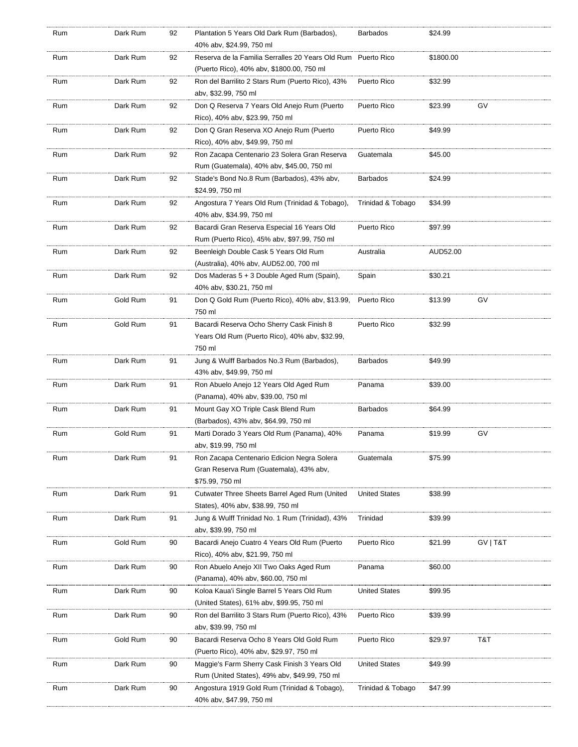| Rum | Dark Rum | 92 | Plantation 5 Years Old Dark Rum (Barbados),<br>40% abv, \$24.99, 750 ml                                   | <b>Barbados</b>      | \$24.99   |          |
|-----|----------|----|-----------------------------------------------------------------------------------------------------------|----------------------|-----------|----------|
| Rum | Dark Rum | 92 | Reserva de la Familia Serralles 20 Years Old Rum Puerto Rico<br>(Puerto Rico), 40% aby, \$1800.00, 750 ml |                      | \$1800.00 |          |
| Rum | Dark Rum | 92 | Ron del Barrilito 2 Stars Rum (Puerto Rico), 43%<br>abv, \$32.99, 750 ml                                  | Puerto Rico          | \$32.99   |          |
| Rum | Dark Rum | 92 | Don Q Reserva 7 Years Old Anejo Rum (Puerto<br>Rico), 40% abv, \$23.99, 750 ml                            | Puerto Rico          | \$23.99   | GV       |
| Rum | Dark Rum | 92 | Don Q Gran Reserva XO Anejo Rum (Puerto<br>Rico), 40% abv, \$49.99, 750 ml                                | Puerto Rico          | \$49.99   |          |
| Rum | Dark Rum | 92 | Ron Zacapa Centenario 23 Solera Gran Reserva<br>Rum (Guatemala), 40% abv, \$45.00, 750 ml                 | Guatemala            | \$45.00   |          |
| Rum | Dark Rum | 92 | Stade's Bond No.8 Rum (Barbados), 43% abv,<br>\$24.99, 750 ml                                             | <b>Barbados</b>      | \$24.99   |          |
| Rum | Dark Rum | 92 | Angostura 7 Years Old Rum (Trinidad & Tobago),<br>40% abv, \$34.99, 750 ml                                | Trinidad & Tobago    | \$34.99   |          |
| Rum | Dark Rum | 92 | Bacardi Gran Reserva Especial 16 Years Old<br>Rum (Puerto Rico), 45% abv, \$97.99, 750 ml                 | Puerto Rico          | \$97.99   |          |
| Rum | Dark Rum | 92 | Beenleigh Double Cask 5 Years Old Rum<br>(Australia), 40% abv, AUD52.00, 700 ml                           | Australia            | AUD52.00  |          |
| Rum | Dark Rum | 92 | Dos Maderas 5 + 3 Double Aged Rum (Spain),<br>40% abv, \$30.21, 750 ml                                    | Spain                | \$30.21   |          |
| Rum | Gold Rum | 91 | Don Q Gold Rum (Puerto Rico), 40% aby, \$13.99,<br>750 ml                                                 | Puerto Rico          | \$13.99   | GV       |
| Rum | Gold Rum | 91 | Bacardi Reserva Ocho Sherry Cask Finish 8<br>Years Old Rum (Puerto Rico), 40% abv, \$32.99,<br>750 ml     | Puerto Rico          | \$32.99   |          |
| Rum | Dark Rum | 91 | Jung & Wulff Barbados No.3 Rum (Barbados),<br>43% abv, \$49.99, 750 ml                                    | <b>Barbados</b>      | \$49.99   |          |
| Rum | Dark Rum | 91 | Ron Abuelo Anejo 12 Years Old Aged Rum<br>(Panama), 40% abv, \$39.00, 750 ml                              | Panama               | \$39.00   |          |
| Rum | Dark Rum | 91 | Mount Gay XO Triple Cask Blend Rum<br>(Barbados), 43% abv, \$64.99, 750 ml                                | <b>Barbados</b>      | \$64.99   |          |
| Rum | Gold Rum | 91 | Marti Dorado 3 Years Old Rum (Panama), 40%<br>abv, \$19.99, 750 ml                                        | Panama               | \$19.99   | GV       |
| Rum | Dark Rum | 91 | Ron Zacapa Centenario Edicion Negra Solera<br>Gran Reserva Rum (Guatemala), 43% abv,<br>\$75.99, 750 ml   | Guatemala            | \$75.99   |          |
| Rum | Dark Rum | 91 | Cutwater Three Sheets Barrel Aged Rum (United<br>States), 40% abv, \$38.99, 750 ml                        | <b>United States</b> | \$38.99   |          |
| Rum | Dark Rum | 91 | Jung & Wulff Trinidad No. 1 Rum (Trinidad), 43%<br>abv, \$39.99, 750 ml                                   | Trinidad             | \$39.99   |          |
| Rum | Gold Rum | 90 | Bacardi Anejo Cuatro 4 Years Old Rum (Puerto<br>Rico), 40% abv, \$21.99, 750 ml                           | Puerto Rico          | \$21.99   | GV   T&T |
| Rum | Dark Rum | 90 | Ron Abuelo Anejo XII Two Oaks Aged Rum<br>(Panama), 40% abv, \$60.00, 750 ml                              | Panama               | \$60.00   |          |
| Rum | Dark Rum | 90 | Koloa Kaua'i Single Barrel 5 Years Old Rum<br>(United States), 61% abv, \$99.95, 750 ml                   | <b>United States</b> | \$99.95   |          |
| Rum | Dark Rum | 90 | Ron del Barrilito 3 Stars Rum (Puerto Rico), 43%<br>abv, \$39.99, 750 ml                                  | Puerto Rico          | \$39.99   |          |
| Rum | Gold Rum | 90 | Bacardi Reserva Ocho 8 Years Old Gold Rum<br>(Puerto Rico), 40% abv, \$29.97, 750 ml                      | Puerto Rico          | \$29.97   | T&T      |
| Rum | Dark Rum | 90 | Maggie's Farm Sherry Cask Finish 3 Years Old<br>Rum (United States), 49% abv, \$49.99, 750 ml             | <b>United States</b> | \$49.99   |          |
| Rum | Dark Rum | 90 | Angostura 1919 Gold Rum (Trinidad & Tobago),<br>40% abv, \$47.99, 750 ml                                  | Trinidad & Tobago    | \$47.99   |          |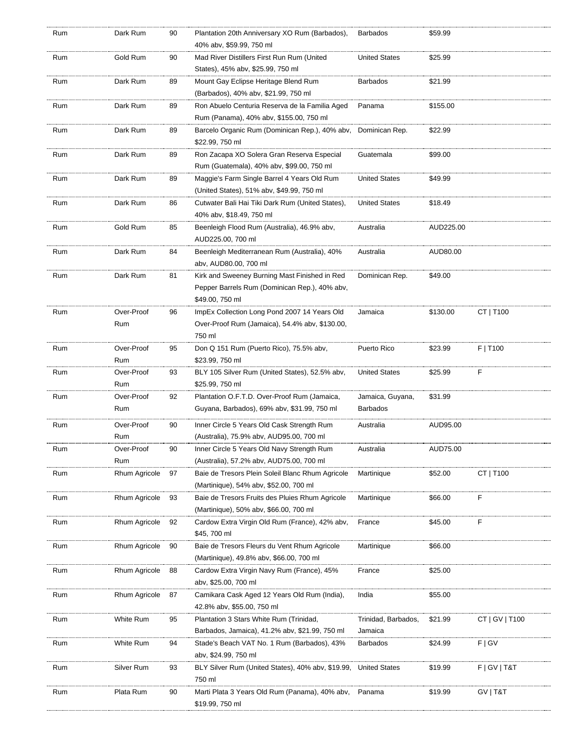| Rum | Dark Rum      | 90 | Plantation 20th Anniversary XO Rum (Barbados),<br>40% abv, \$59.99, 750 ml | <b>Barbados</b>      | \$59.99   |                 |
|-----|---------------|----|----------------------------------------------------------------------------|----------------------|-----------|-----------------|
| Rum | Gold Rum      | 90 | Mad River Distillers First Run Rum (United                                 | <b>United States</b> | \$25.99   |                 |
|     |               |    | States), 45% abv, \$25.99, 750 ml                                          |                      |           |                 |
| Rum | Dark Rum      | 89 | Mount Gay Eclipse Heritage Blend Rum                                       | <b>Barbados</b>      | \$21.99   |                 |
|     |               |    | (Barbados), 40% abv, \$21.99, 750 ml                                       |                      |           |                 |
| Rum | Dark Rum      | 89 | Ron Abuelo Centuria Reserva de la Familia Aged                             | Panama               | \$155.00  |                 |
|     |               |    | Rum (Panama), 40% abv, \$155.00, 750 ml                                    |                      |           |                 |
| Rum | Dark Rum      | 89 | Barcelo Organic Rum (Dominican Rep.), 40% abv,                             | Dominican Rep.       | \$22.99   |                 |
|     |               |    | \$22.99, 750 ml                                                            |                      |           |                 |
| Rum | Dark Rum      | 89 | Ron Zacapa XO Solera Gran Reserva Especial                                 | Guatemala            | \$99.00   |                 |
|     |               |    | Rum (Guatemala), 40% abv, \$99.00, 750 ml                                  |                      |           |                 |
| Rum | Dark Rum      | 89 | Maggie's Farm Single Barrel 4 Years Old Rum                                | <b>United States</b> | \$49.99   |                 |
|     |               |    | (United States), 51% abv, \$49.99, 750 ml                                  |                      |           |                 |
| Rum | Dark Rum      | 86 | Cutwater Bali Hai Tiki Dark Rum (United States),                           | <b>United States</b> | \$18.49   |                 |
|     |               |    | 40% abv, \$18.49, 750 ml                                                   |                      |           |                 |
| Rum | Gold Rum      | 85 | Beenleigh Flood Rum (Australia), 46.9% abv,                                | Australia            | AUD225.00 |                 |
|     |               |    | AUD225.00, 700 ml                                                          |                      |           |                 |
| Rum | Dark Rum      | 84 | Beenleigh Mediterranean Rum (Australia), 40%                               | Australia            | AUD80.00  |                 |
|     |               |    | abv, AUD80.00, 700 ml                                                      |                      |           |                 |
| Rum | Dark Rum      | 81 | Kirk and Sweeney Burning Mast Finished in Red                              | Dominican Rep.       | \$49.00   |                 |
|     |               |    | Pepper Barrels Rum (Dominican Rep.), 40% abv,                              |                      |           |                 |
|     |               |    | \$49.00, 750 ml                                                            |                      |           |                 |
| Rum | Over-Proof    | 96 | ImpEx Collection Long Pond 2007 14 Years Old                               | Jamaica              | \$130.00  | CT   T100       |
|     | Rum           |    | Over-Proof Rum (Jamaica), 54.4% abv, \$130.00,                             |                      |           |                 |
|     |               |    | 750 ml                                                                     |                      |           |                 |
| Rum | Over-Proof    | 95 | Don Q 151 Rum (Puerto Rico), 75.5% abv,                                    | Puerto Rico          | \$23.99   | F   T100        |
|     | Rum           |    | \$23.99, 750 ml                                                            |                      |           |                 |
| Rum | Over-Proof    | 93 | BLY 105 Silver Rum (United States), 52.5% abv,                             | <b>United States</b> | \$25.99   | F               |
|     | Rum           |    | \$25.99, 750 ml                                                            |                      |           |                 |
| Rum | Over-Proof    | 92 | Plantation O.F.T.D. Over-Proof Rum (Jamaica,                               | Jamaica, Guyana,     | \$31.99   |                 |
|     | Rum           |    | Guyana, Barbados), 69% abv, \$31.99, 750 ml                                | <b>Barbados</b>      |           |                 |
| Rum | Over-Proof    | 90 | Inner Circle 5 Years Old Cask Strength Rum                                 | Australia            | AUD95.00  |                 |
|     | Rum           |    | (Australia), 75.9% abv, AUD95.00, 700 ml                                   |                      |           |                 |
| Rum | Over-Proof    | 90 | Inner Circle 5 Years Old Navy Strength Rum                                 | Australia            | AUD75.00  |                 |
|     | Rum           |    | (Australia), 57.2% abv, AUD75.00, 700 ml                                   |                      |           |                 |
| Rum | Rhum Agricole | 97 | Baie de Tresors Plein Soleil Blanc Rhum Agricole                           | Martinique           | \$52.00   | CT   T100       |
|     |               |    | (Martinique), 54% aby, \$52.00, 700 ml                                     |                      |           |                 |
| Rum | Rhum Agricole | 93 | Baie de Tresors Fruits des Pluies Rhum Agricole                            | Martinique           | \$66.00   | F               |
|     |               |    | (Martinique), 50% abv, \$66.00, 700 ml                                     |                      |           |                 |
| Rum | Rhum Agricole | 92 | Cardow Extra Virgin Old Rum (France), 42% abv,                             | France               | \$45.00   | F               |
|     |               |    | \$45, 700 ml                                                               |                      |           |                 |
| Rum | Rhum Agricole | 90 | Baie de Tresors Fleurs du Vent Rhum Agricole                               | Martinique           | \$66.00   |                 |
|     |               |    | (Martinique), 49.8% abv, \$66.00, 700 ml                                   |                      |           |                 |
| Rum | Rhum Agricole | 88 | Cardow Extra Virgin Navy Rum (France), 45%                                 | France               | \$25.00   |                 |
|     |               |    | abv, \$25.00, 700 ml                                                       |                      |           |                 |
| Rum | Rhum Agricole | 87 | Camikara Cask Aged 12 Years Old Rum (India),                               | India                | \$55.00   |                 |
|     |               |    | 42.8% abv, \$55.00, 750 ml                                                 |                      |           |                 |
| Rum | White Rum     | 95 | Plantation 3 Stars White Rum (Trinidad,                                    | Trinidad, Barbados,  | \$21.99   | CT   GV   T100  |
|     |               |    | Barbados, Jamaica), 41.2% abv, \$21.99, 750 ml                             | Jamaica              |           |                 |
| Rum | White Rum     | 94 | Stade's Beach VAT No. 1 Rum (Barbados), 43%                                | Barbados             | \$24.99   | F   G V         |
|     |               |    | aby, \$24.99, 750 ml                                                       |                      |           |                 |
| Rum | Silver Rum    | 93 | BLY Silver Rum (United States), 40% abv, \$19.99, United States            |                      | \$19.99   | F   G V   T & T |
|     |               |    | 750 ml                                                                     |                      |           |                 |
| Rum | Plata Rum     | 90 | Marti Plata 3 Years Old Rum (Panama), 40% abv,                             | Panama               | \$19.99   | GV   T&T        |
|     |               |    | \$19.99, 750 ml                                                            |                      |           |                 |
|     |               |    |                                                                            |                      |           |                 |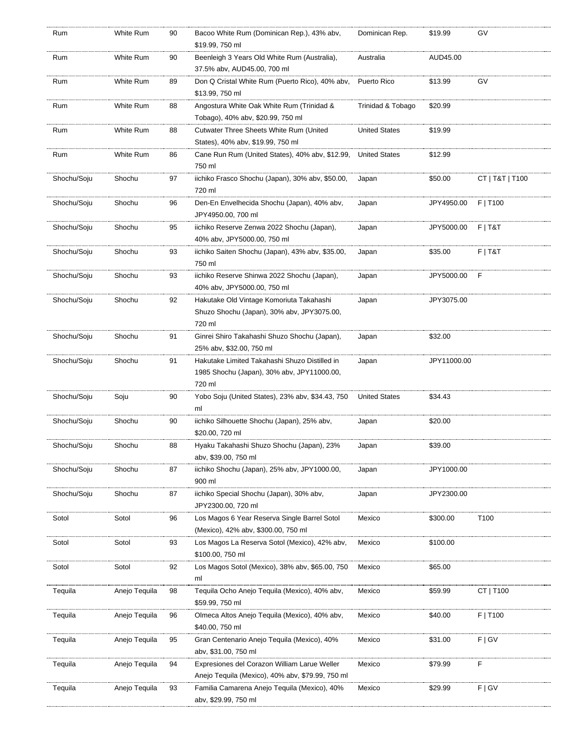| Rum         | White Rum     | 90 | Bacoo White Rum (Dominican Rep.), 43% abv,<br>\$19.99, 750 ml                                         | Dominican Rep.       | \$19.99     | GV              |
|-------------|---------------|----|-------------------------------------------------------------------------------------------------------|----------------------|-------------|-----------------|
| Rum         | White Rum     | 90 | Beenleigh 3 Years Old White Rum (Australia),<br>37.5% abv, AUD45.00, 700 ml                           | Australia            | AUD45.00    |                 |
| Rum         | White Rum     | 89 | Don Q Cristal White Rum (Puerto Rico), 40% abv,<br>\$13.99, 750 ml                                    | Puerto Rico          | \$13.99     | GV              |
| Rum         | White Rum     | 88 | Angostura White Oak White Rum (Trinidad &<br>Tobago), 40% abv, \$20.99, 750 ml                        | Trinidad & Tobago    | \$20.99     |                 |
| Rum         | White Rum     | 88 | Cutwater Three Sheets White Rum (United<br>States), 40% abv, \$19.99, 750 ml                          | <b>United States</b> | \$19.99     |                 |
| Rum         | White Rum     | 86 | Cane Run Rum (United States), 40% abv, \$12.99,<br>750 ml                                             | <b>United States</b> | \$12.99     |                 |
| Shochu/Soju | Shochu        | 97 | iichiko Frasco Shochu (Japan), 30% abv, \$50.00,<br>720 ml                                            | Japan                | \$50.00     | CT   T&T   T100 |
| Shochu/Soju | Shochu        | 96 | Den-En Envelhecida Shochu (Japan), 40% abv,<br>JPY4950.00, 700 ml                                     | Japan                | JPY4950.00  | $F$   T100      |
| Shochu/Soju | Shochu        | 95 | iichiko Reserve Zenwa 2022 Shochu (Japan),<br>40% abv, JPY5000.00, 750 ml                             | Japan                | JPY5000.00  | $F$   T&T       |
| Shochu/Soju | Shochu        | 93 | iichiko Saiten Shochu (Japan), 43% abv, \$35.00,<br>750 ml                                            | Japan                | \$35.00     | $F$   T&T       |
| Shochu/Soju | Shochu        | 93 | iichiko Reserve Shinwa 2022 Shochu (Japan),<br>40% abv, JPY5000.00, 750 ml                            | Japan                | JPY5000.00  | F               |
| Shochu/Soju | Shochu        | 92 | Hakutake Old Vintage Komoriuta Takahashi<br>Shuzo Shochu (Japan), 30% abv, JPY3075.00,<br>720 ml      | Japan                | JPY3075.00  |                 |
| Shochu/Soju | Shochu        | 91 | Ginrei Shiro Takahashi Shuzo Shochu (Japan),<br>25% abv, \$32.00, 750 ml                              | Japan                | \$32.00     |                 |
| Shochu/Soju | Shochu        | 91 | Hakutake Limited Takahashi Shuzo Distilled in<br>1985 Shochu (Japan), 30% abv, JPY11000.00,<br>720 ml | Japan                | JPY11000.00 |                 |
| Shochu/Soju | Soju          | 90 | Yobo Soju (United States), 23% abv, \$34.43, 750<br>ml                                                | <b>United States</b> | \$34.43     |                 |
| Shochu/Soju | Shochu        | 90 | iichiko Silhouette Shochu (Japan), 25% abv,<br>\$20.00, 720 ml                                        | Japan                | \$20.00     |                 |
| Shochu/Soju | Shochu        | 88 | Hyaku Takahashi Shuzo Shochu (Japan), 23%<br>abv, \$39.00, 750 ml                                     | Japan                | \$39.00     |                 |
| Shochu/Soju | Shochu        | 87 | iichiko Shochu (Japan), 25% abv, JPY1000.00,<br>900 ml                                                | Japan                | JPY1000.00  |                 |
| Shochu/Soju | Shochu        | 87 | iichiko Special Shochu (Japan), 30% abv,<br>JPY2300.00, 720 ml                                        | Japan                | JPY2300.00  |                 |
| Sotol       | Sotol         | 96 | Los Magos 6 Year Reserva Single Barrel Sotol<br>(Mexico), 42% abv, \$300.00, 750 ml                   | Mexico               | \$300.00    | T100            |
| Sotol       | Sotol         | 93 | Los Magos La Reserva Sotol (Mexico), 42% abv,<br>\$100.00, 750 ml                                     | Mexico               | \$100.00    |                 |
| Sotol       | Sotol         | 92 | Los Magos Sotol (Mexico), 38% aby, \$65.00, 750<br>ml                                                 | Mexico               | \$65.00     |                 |
| Tequila     | Anejo Tequila | 98 | Tequila Ocho Anejo Tequila (Mexico), 40% abv,<br>\$59.99, 750 ml                                      | Mexico               | \$59.99     | CT   T100       |
| Tequila     | Anejo Tequila | 96 | Olmeca Altos Anejo Tequila (Mexico), 40% abv,<br>\$40.00, 750 ml                                      | Mexico               | \$40.00     | F   T100        |
| Tequila     | Anejo Tequila | 95 | Gran Centenario Anejo Tequila (Mexico), 40%<br>abv, \$31.00, 750 ml                                   | Mexico               | \$31.00     | F   G V         |
| Tequila     | Anejo Tequila | 94 | Expresiones del Corazon William Larue Weller<br>Anejo Tequila (Mexico), 40% abv, \$79.99, 750 ml      | Mexico               | \$79.99     | F               |
| Tequila     | Anejo Tequila | 93 | Familia Camarena Anejo Tequila (Mexico), 40%<br>abv, \$29.99, 750 ml                                  | Mexico               | \$29.99     | F   G V         |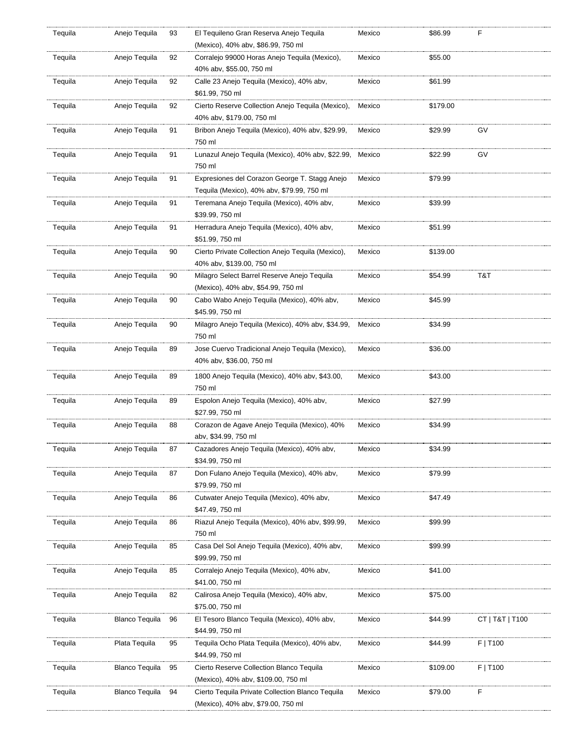| Tequila | Anejo Tequila         | 93 | El Tequileno Gran Reserva Anejo Tequila<br>(Mexico), 40% abv, \$86.99, 750 ml | Mexico | \$86.99  | F               |
|---------|-----------------------|----|-------------------------------------------------------------------------------|--------|----------|-----------------|
| Tequila | Anejo Tequila         | 92 | Corralejo 99000 Horas Anejo Tequila (Mexico),                                 | Mexico | \$55.00  |                 |
|         |                       |    | 40% abv, \$55.00, 750 ml                                                      |        |          |                 |
|         |                       |    |                                                                               |        |          |                 |
| Tequila | Anejo Tequila         | 92 | Calle 23 Anejo Tequila (Mexico), 40% abv,                                     | Mexico | \$61.99  |                 |
|         |                       |    | \$61.99, 750 ml                                                               |        |          |                 |
| Tequila | Anejo Tequila         | 92 | Cierto Reserve Collection Anejo Tequila (Mexico),                             | Mexico | \$179.00 |                 |
|         |                       |    | 40% abv, \$179.00, 750 ml                                                     |        |          |                 |
| Tequila | Anejo Tequila         | 91 | Bribon Anejo Tequila (Mexico), 40% abv, \$29.99,                              | Mexico | \$29.99  | GV              |
|         |                       |    | 750 ml                                                                        |        |          |                 |
| Tequila | Anejo Tequila         | 91 | Lunazul Anejo Teguila (Mexico), 40% abv, \$22.99,                             | Mexico | \$22.99  | GV              |
|         |                       |    | 750 ml                                                                        |        |          |                 |
| Tequila | Anejo Tequila         | 91 | Expresiones del Corazon George T. Stagg Anejo                                 | Mexico | \$79.99  |                 |
|         |                       |    | Tequila (Mexico), 40% abv, \$79.99, 750 ml                                    |        |          |                 |
| Tequila | Anejo Tequila         | 91 | Teremana Anejo Tequila (Mexico), 40% abv,                                     | Mexico | \$39.99  |                 |
|         |                       |    | \$39.99, 750 ml                                                               |        |          |                 |
| Tequila | Anejo Tequila         | 91 | Herradura Anejo Tequila (Mexico), 40% abv,                                    | Mexico | \$51.99  |                 |
|         |                       |    | \$51.99, 750 ml                                                               |        |          |                 |
|         |                       |    |                                                                               |        |          |                 |
| Tequila | Anejo Tequila         | 90 | Cierto Private Collection Anejo Tequila (Mexico),                             | Mexico | \$139.00 |                 |
|         |                       |    | 40% abv, \$139.00, 750 ml                                                     |        |          |                 |
| Tequila | Anejo Tequila         | 90 | Milagro Select Barrel Reserve Anejo Tequila                                   | Mexico | \$54.99  | T&T             |
|         |                       |    | (Mexico), 40% abv, \$54.99, 750 ml                                            |        |          |                 |
| Tequila | Anejo Tequila         | 90 | Cabo Wabo Anejo Teguila (Mexico), 40% abv,                                    | Mexico | \$45.99  |                 |
|         |                       |    | \$45.99, 750 ml                                                               |        |          |                 |
| Tequila | Anejo Tequila         | 90 | Milagro Anejo Tequila (Mexico), 40% abv, \$34.99,                             | Mexico | \$34.99  |                 |
|         |                       |    | 750 ml                                                                        |        |          |                 |
| Tequila | Anejo Tequila         | 89 | Jose Cuervo Tradicional Anejo Tequila (Mexico),                               | Mexico | \$36.00  |                 |
|         |                       |    | 40% abv, \$36.00, 750 ml                                                      |        |          |                 |
| Tequila | Anejo Tequila         | 89 | 1800 Anejo Tequila (Mexico), 40% abv, \$43.00,                                | Mexico | \$43.00  |                 |
|         |                       |    | 750 ml                                                                        |        |          |                 |
| Tequila | Anejo Tequila         | 89 | Espolon Anejo Tequila (Mexico), 40% abv,                                      | Mexico | \$27.99  |                 |
|         |                       |    | \$27.99, 750 ml                                                               |        |          |                 |
|         |                       |    |                                                                               |        |          |                 |
| Tequila | Anejo Tequila         | 88 | Corazon de Agave Anejo Tequila (Mexico), 40%                                  | Mexico | \$34.99  |                 |
|         |                       |    | abv, \$34.99, 750 ml                                                          |        |          |                 |
| Tequila | Anejo Tequila         | 87 | Cazadores Anejo Tequila (Mexico), 40% abv,                                    | Mexico | \$34.99  |                 |
|         |                       |    | \$34.99, 750 ml                                                               |        |          |                 |
| Tequila | Anejo Teguila         | 87 | Don Fulano Anejo Tequila (Mexico), 40% abv,                                   | Mexico | \$79.99  |                 |
|         |                       |    | \$79.99, 750 ml                                                               |        |          |                 |
| Tequila | Anejo Tequila         | 86 | Cutwater Anejo Tequila (Mexico), 40% abv,                                     | Mexico | \$47.49  |                 |
|         |                       |    | \$47.49, 750 ml                                                               |        |          |                 |
| Tequila | Anejo Tequila         | 86 | Riazul Anejo Teguila (Mexico), 40% abv, \$99.99,                              | Mexico | \$99.99  |                 |
|         |                       |    | 750 ml                                                                        |        |          |                 |
| Tequila | Anejo Tequila         | 85 | Casa Del Sol Anejo Tequila (Mexico), 40% abv,                                 | Mexico | \$99.99  |                 |
|         |                       |    | \$99.99, 750 ml                                                               |        |          |                 |
| Tequila | Anejo Tequila         | 85 | Corralejo Anejo Tequila (Mexico), 40% abv,                                    | Mexico | \$41.00  |                 |
|         |                       |    | \$41.00, 750 ml                                                               |        |          |                 |
| Tequila | Anejo Tequila         | 82 | Calirosa Anejo Tequila (Mexico), 40% abv,                                     | Mexico | \$75.00  |                 |
|         |                       |    | \$75.00, 750 ml                                                               |        |          |                 |
| Tequila | <b>Blanco Tequila</b> | 96 | El Tesoro Blanco Tequila (Mexico), 40% abv,                                   | Mexico | \$44.99  | CT   T&T   T100 |
|         |                       |    | \$44.99, 750 ml                                                               |        |          |                 |
| Tequila | Plata Tequila         | 95 | Tequila Ocho Plata Tequila (Mexico), 40% abv,                                 | Mexico | \$44.99  | F   T100        |
|         |                       |    | \$44.99, 750 ml                                                               |        |          |                 |
| Tequila | <b>Blanco Tequila</b> | 95 | Cierto Reserve Collection Blanco Tequila                                      | Mexico | \$109.00 | $F$   T100      |
|         |                       |    | (Mexico), 40% abv, \$109.00, 750 ml                                           |        |          |                 |
|         | <b>Blanco Tequila</b> | 94 | Cierto Tequila Private Collection Blanco Tequila                              | Mexico | \$79.00  | F               |
| Tequila |                       |    |                                                                               |        |          |                 |
|         |                       |    | (Mexico), 40% abv, \$79.00, 750 ml                                            |        |          |                 |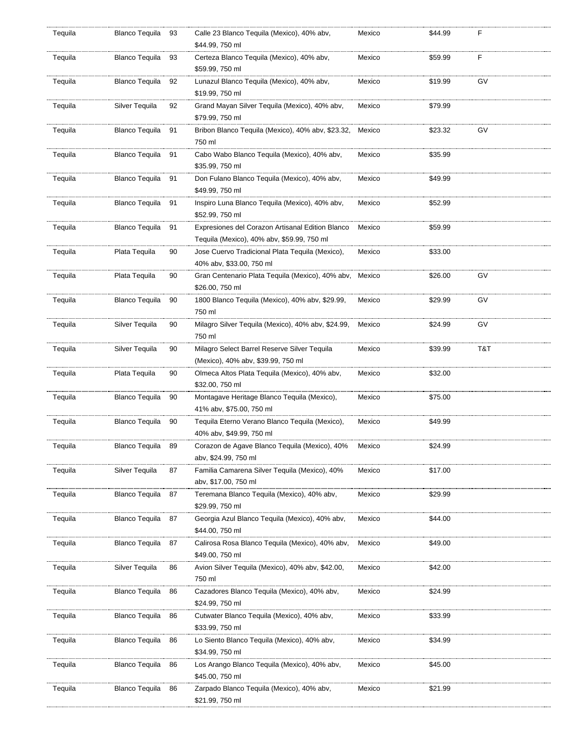| Tequila | Blanco Tequila        | - 93 | Calle 23 Blanco Tequila (Mexico), 40% abv,<br>\$44.99, 750 ml                                  | Mexico | \$44.99 | F   |
|---------|-----------------------|------|------------------------------------------------------------------------------------------------|--------|---------|-----|
| Tequila | <b>Blanco Tequila</b> | 93   | Certeza Blanco Tequila (Mexico), 40% abv,<br>\$59.99, 750 ml                                   | Mexico | \$59.99 | F   |
| Tequila | <b>Blanco Tequila</b> | 92   | Lunazul Blanco Tequila (Mexico), 40% abv,<br>\$19.99, 750 ml                                   | Mexico | \$19.99 | GV  |
| Tequila | Silver Tequila        | 92   | Grand Mayan Silver Tequila (Mexico), 40% abv,<br>\$79.99, 750 ml                               | Mexico | \$79.99 |     |
| Tequila | Blanco Tequila        | 91   | Bribon Blanco Tequila (Mexico), 40% abv, \$23.32,<br>750 ml                                    | Mexico | \$23.32 | GV  |
| Tequila | Blanco Tequila 91     |      | Cabo Wabo Blanco Tequila (Mexico), 40% abv,<br>\$35.99, 750 ml                                 | Mexico | \$35.99 |     |
| Tequila | Blanco Tequila 91     |      | Don Fulano Blanco Tequila (Mexico), 40% abv,<br>\$49.99, 750 ml                                | Mexico | \$49.99 |     |
| Tequila | Blanco Tequila 91     |      | Inspiro Luna Blanco Tequila (Mexico), 40% abv,<br>\$52.99, 750 ml                              | Mexico | \$52.99 |     |
| Tequila | Blanco Tequila 91     |      | Expresiones del Corazon Artisanal Edition Blanco<br>Tequila (Mexico), 40% abv, \$59.99, 750 ml | Mexico | \$59.99 |     |
| Tequila | Plata Tequila         | 90   | Jose Cuervo Tradicional Plata Tequila (Mexico),<br>40% abv, \$33.00, 750 ml                    | Mexico | \$33.00 |     |
| Tequila | Plata Tequila         | 90   | Gran Centenario Plata Tequila (Mexico), 40% abv, Mexico<br>\$26.00, 750 ml                     |        | \$26.00 | GV  |
| Tequila | <b>Blanco Tequila</b> | 90   | 1800 Blanco Tequila (Mexico), 40% abv, \$29.99,<br>750 ml                                      | Mexico | \$29.99 | GV  |
| Tequila | Silver Tequila        | 90   | Milagro Silver Tequila (Mexico), 40% abv, \$24.99,<br>750 ml                                   | Mexico | \$24.99 | GV  |
| Tequila | Silver Tequila        | 90   | Milagro Select Barrel Reserve Silver Tequila<br>(Mexico), 40% abv, \$39.99, 750 ml             | Mexico | \$39.99 | T&T |
| Tequila | Plata Tequila         | 90   | Olmeca Altos Plata Tequila (Mexico), 40% abv,<br>\$32.00, 750 ml                               | Mexico | \$32.00 |     |
| Tequila | <b>Blanco Tequila</b> | 90   | Montagave Heritage Blanco Tequila (Mexico),<br>41% abv, \$75.00, 750 ml                        | Mexico | \$75.00 |     |
| Tequila | <b>Blanco Tequila</b> | 90   | Tequila Eterno Verano Blanco Tequila (Mexico),<br>40% abv, \$49.99, 750 ml                     | Mexico | \$49.99 |     |
| Tequila | <b>Blanco Tequila</b> | 89   | Corazon de Agave Blanco Teguila (Mexico), 40%<br>abv, \$24.99, 750 ml                          | Mexico | \$24.99 |     |
| Tequila | Silver Tequila        | 87   | Familia Camarena Silver Tequila (Mexico), 40%<br>abv, \$17.00, 750 ml                          | Mexico | \$17.00 |     |
| Tequila | <b>Blanco Tequila</b> | 87   | Teremana Blanco Tequila (Mexico), 40% abv,<br>\$29.99, 750 ml                                  | Mexico | \$29.99 |     |
| Tequila | <b>Blanco Tequila</b> | 87   | Georgia Azul Blanco Teguila (Mexico), 40% abv,<br>\$44.00, 750 ml                              | Mexico | \$44.00 |     |
| Tequila | <b>Blanco Tequila</b> | 87   | Calirosa Rosa Blanco Tequila (Mexico), 40% abv,<br>\$49.00, 750 ml                             | Mexico | \$49.00 |     |
| Tequila | Silver Tequila        | 86   | Avion Silver Tequila (Mexico), 40% abv, \$42.00,<br>750 ml                                     | Mexico | \$42.00 |     |
| Tequila | Blanco Tequila        | 86   | Cazadores Blanco Tequila (Mexico), 40% abv,<br>\$24.99, 750 ml                                 | Mexico | \$24.99 |     |
| Tequila | <b>Blanco Tequila</b> | 86   | Cutwater Blanco Tequila (Mexico), 40% abv,<br>\$33.99, 750 ml                                  | Mexico | \$33.99 |     |
| Tequila | <b>Blanco Tequila</b> | 86   | Lo Siento Blanco Tequila (Mexico), 40% abv,<br>\$34.99, 750 ml                                 | Mexico | \$34.99 |     |
| Tequila | <b>Blanco Tequila</b> | 86   | Los Arango Blanco Tequila (Mexico), 40% abv,<br>\$45.00, 750 ml                                | Mexico | \$45.00 |     |
| Tequila | Blanco Tequila        | 86   | Zarpado Blanco Tequila (Mexico), 40% abv,<br>\$21.99, 750 ml                                   | Mexico | \$21.99 |     |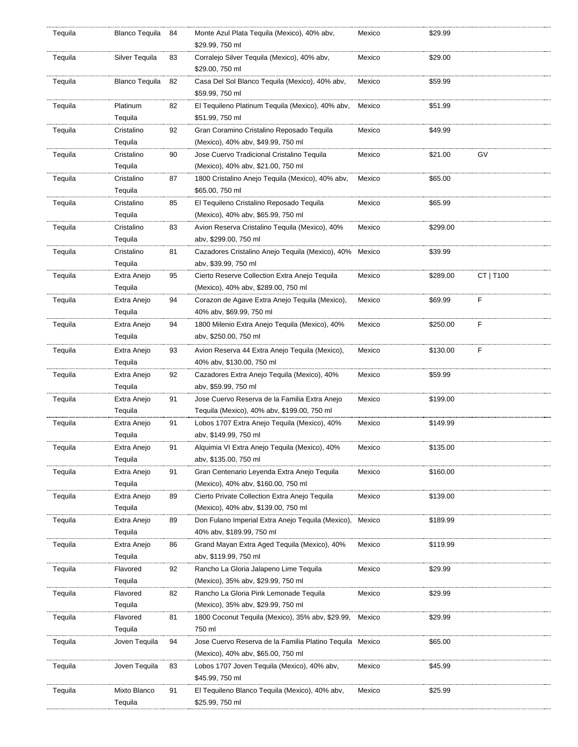| Tequila | <b>Blanco Tequila</b>   | 84 | Monte Azul Plata Tequila (Mexico), 40% abv,<br>\$29.99, 750 ml                                 | Mexico | \$29.99  |           |
|---------|-------------------------|----|------------------------------------------------------------------------------------------------|--------|----------|-----------|
| Tequila | Silver Tequila          | 83 | Corralejo Silver Tequila (Mexico), 40% abv,<br>\$29.00, 750 ml                                 | Mexico | \$29.00  |           |
| Tequila | <b>Blanco Tequila</b>   | 82 | Casa Del Sol Blanco Tequila (Mexico), 40% abv,<br>\$59.99, 750 ml                              | Mexico | \$59.99  |           |
| Tequila | Platinum<br>Tequila     | 82 | El Tequileno Platinum Tequila (Mexico), 40% abv,<br>\$51.99, 750 ml                            | Mexico | \$51.99  |           |
| Tequila | Cristalino<br>Tequila   | 92 | Gran Coramino Cristalino Reposado Tequila<br>(Mexico), 40% abv, \$49.99, 750 ml                | Mexico | \$49.99  |           |
| Tequila | Cristalino<br>Tequila   | 90 | Jose Cuervo Tradicional Cristalino Tequila<br>(Mexico), 40% abv, \$21.00, 750 ml               | Mexico | \$21.00  | GV        |
| Tequila | Cristalino<br>Tequila   | 87 | 1800 Cristalino Anejo Tequila (Mexico), 40% abv,<br>\$65.00, 750 ml                            | Mexico | \$65.00  |           |
| Tequila | Cristalino<br>Tequila   | 85 | El Tequileno Cristalino Reposado Tequila<br>(Mexico), 40% abv, \$65.99, 750 ml                 | Mexico | \$65.99  |           |
| Tequila | Cristalino<br>Tequila   | 83 | Avion Reserva Cristalino Tequila (Mexico), 40%<br>abv, \$299.00, 750 ml                        | Mexico | \$299.00 |           |
| Tequila | Cristalino<br>Tequila   | 81 | Cazadores Cristalino Anejo Tequila (Mexico), 40% Mexico<br>abv, \$39.99, 750 ml                |        | \$39.99  |           |
| Tequila | Extra Anejo<br>Tequila  | 95 | Cierto Reserve Collection Extra Anejo Tequila<br>(Mexico), 40% abv, \$289.00, 750 ml           | Mexico | \$289.00 | CT   T100 |
| Tequila | Extra Anejo<br>Tequila  | 94 | Corazon de Agave Extra Anejo Tequila (Mexico),<br>40% abv, \$69.99, 750 ml                     | Mexico | \$69.99  | F         |
| Tequila | Extra Anejo<br>Tequila  | 94 | 1800 Milenio Extra Anejo Tequila (Mexico), 40%<br>abv, \$250.00, 750 ml                        | Mexico | \$250.00 | F         |
| Tequila | Extra Anejo<br>Tequila  | 93 | Avion Reserva 44 Extra Anejo Tequila (Mexico),<br>40% abv, \$130.00, 750 ml                    | Mexico | \$130.00 | F         |
| Tequila | Extra Anejo<br>Tequila  | 92 | Cazadores Extra Anejo Tequila (Mexico), 40%<br>abv, \$59.99, 750 ml                            | Mexico | \$59.99  |           |
| Tequila | Extra Anejo<br>Tequila  | 91 | Jose Cuervo Reserva de la Familia Extra Anejo<br>Tequila (Mexico), 40% abv, \$199.00, 750 ml   | Mexico | \$199.00 |           |
| Tequila | Extra Anejo<br>Tequila  | 91 | Lobos 1707 Extra Anejo Teguila (Mexico), 40%<br>abv, \$149.99, 750 ml                          | Mexico | \$149.99 |           |
| Tequila | Extra Anejo<br>Tequila  | 91 | Alguimia VI Extra Anejo Teguila (Mexico), 40%<br>abv, \$135.00, 750 ml                         | Mexico | \$135.00 |           |
| Tequila | Extra Anejo<br>Tequila  | 91 | Gran Centenario Leyenda Extra Anejo Tequila<br>(Mexico), 40% abv, \$160.00, 750 ml             | Mexico | \$160.00 |           |
| Tequila | Extra Anejo<br>Tequila  | 89 | Cierto Private Collection Extra Anejo Tequila<br>(Mexico), 40% abv, \$139.00, 750 ml           | Mexico | \$139.00 |           |
| Tequila | Extra Anejo<br>Tequila  | 89 | Don Fulano Imperial Extra Anejo Tequila (Mexico),<br>40% abv, \$189.99, 750 ml                 | Mexico | \$189.99 |           |
| Tequila | Extra Anejo<br>Tequila  | 86 | Grand Mayan Extra Aged Tequila (Mexico), 40%<br>abv, \$119.99, 750 ml                          | Mexico | \$119.99 |           |
| Tequila | Flavored<br>Tequila     | 92 | Rancho La Gloria Jalapeno Lime Tequila<br>(Mexico), 35% abv, \$29.99, 750 ml                   | Mexico | \$29.99  |           |
| Tequila | Flavored<br>Tequila     | 82 | Rancho La Gloria Pink Lemonade Tequila<br>(Mexico), 35% abv, \$29.99, 750 ml                   | Mexico | \$29.99  |           |
| Tequila | Flavored<br>Tequila     | 81 | 1800 Coconut Tequila (Mexico), 35% abv, \$29.99,<br>750 ml                                     | Mexico | \$29.99  |           |
| Tequila | Joven Tequila           | 94 | Jose Cuervo Reserva de la Familia Platino Tequila Mexico<br>(Mexico), 40% abv, \$65.00, 750 ml |        | \$65.00  |           |
| Tequila | Joven Tequila           | 83 | Lobos 1707 Joven Tequila (Mexico), 40% abv,<br>\$45.99, 750 ml                                 | Mexico | \$45.99  |           |
| Tequila | Mixto Blanco<br>Tequila | 91 | El Tequileno Blanco Tequila (Mexico), 40% abv,<br>\$25.99, 750 ml                              | Mexico | \$25.99  |           |
|         |                         |    |                                                                                                |        |          |           |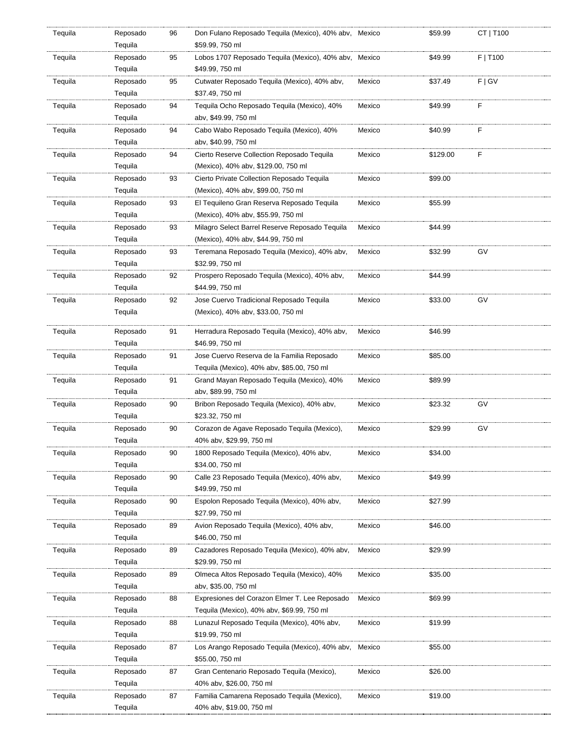| Tequila | Reposado            | 96 | Don Fulano Reposado Tequila (Mexico), 40% abv, Mexico             |        | \$59.99  | CT   T100 |
|---------|---------------------|----|-------------------------------------------------------------------|--------|----------|-----------|
|         | Tequila             |    | \$59.99, 750 ml                                                   |        |          |           |
| Tequila | Reposado            | 95 | Lobos 1707 Reposado Tequila (Mexico), 40% abv, Mexico             |        | \$49.99  | F   T100  |
|         | Tequila             |    | \$49.99, 750 ml                                                   |        |          |           |
| Tequila | Reposado            | 95 | Cutwater Reposado Tequila (Mexico), 40% abv,                      | Mexico | \$37.49  | F   G V   |
|         | Tequila             |    | \$37.49, 750 ml                                                   |        |          |           |
| Tequila | Reposado            | 94 | Tequila Ocho Reposado Tequila (Mexico), 40%                       | Mexico | \$49.99  | F         |
|         | Tequila             |    | abv, \$49.99, 750 ml                                              |        |          |           |
| Tequila | Reposado            | 94 | Cabo Wabo Reposado Tequila (Mexico), 40%                          | Mexico | \$40.99  | F         |
|         | Tequila             |    | aby, \$40.99, 750 ml                                              |        |          |           |
| Tequila | Reposado            | 94 | Cierto Reserve Collection Reposado Tequila                        | Mexico | \$129.00 | F         |
|         | Tequila             |    | (Mexico), 40% abv, \$129.00, 750 ml                               |        |          |           |
| Tequila | Reposado            | 93 | Cierto Private Collection Reposado Tequila                        | Mexico | \$99.00  |           |
|         | Tequila             |    | (Mexico), 40% abv, \$99.00, 750 ml                                |        |          |           |
| Tequila | Reposado            | 93 | El Tequileno Gran Reserva Reposado Tequila                        | Mexico | \$55.99  |           |
|         | Tequila             |    | (Mexico), 40% abv, \$55.99, 750 ml                                |        |          |           |
| Tequila | Reposado            | 93 | Milagro Select Barrel Reserve Reposado Tequila                    | Mexico | \$44.99  |           |
|         | Tequila             |    | (Mexico), 40% abv, \$44.99, 750 ml                                |        |          |           |
| Tequila | Reposado            | 93 | Teremana Reposado Tequila (Mexico), 40% abv,                      | Mexico | \$32.99  | GV        |
|         | Tequila             |    | \$32.99, 750 ml                                                   |        |          |           |
| Tequila | Reposado            | 92 | Prospero Reposado Tequila (Mexico), 40% abv,                      | Mexico | \$44.99  |           |
|         | Tequila             |    | \$44.99, 750 ml                                                   |        |          |           |
| Tequila | Reposado            | 92 | Jose Cuervo Tradicional Reposado Tequila                          | Mexico | \$33.00  | GV        |
|         | Tequila             |    | (Mexico), 40% abv, \$33.00, 750 ml                                |        |          |           |
|         |                     |    |                                                                   |        |          |           |
| Tequila | Reposado            | 91 | Herradura Reposado Tequila (Mexico), 40% abv,                     | Mexico | \$46.99  |           |
|         | Tequila             |    | \$46.99, 750 ml                                                   |        |          |           |
| Tequila | Reposado            | 91 | Jose Cuervo Reserva de la Familia Reposado                        | Mexico | \$85.00  |           |
|         | Tequila             |    | Tequila (Mexico), 40% abv, \$85.00, 750 ml                        |        |          |           |
| Tequila | Reposado            | 91 | Grand Mayan Reposado Tequila (Mexico), 40%                        | Mexico | \$89.99  |           |
|         | Tequila             |    | abv, \$89.99, 750 ml                                              |        |          |           |
| Tequila | Reposado            | 90 | Bribon Reposado Tequila (Mexico), 40% abv,                        | Mexico | \$23.32  | GV        |
|         | Tequila             |    | \$23.32, 750 ml                                                   |        |          |           |
| Tequila | Reposado            | 90 | Corazon de Agave Reposado Tequila (Mexico),                       | Mexico | \$29.99  | GV        |
|         | Tequila             |    | 40% abv, \$29.99, 750 ml                                          |        |          |           |
| Tequila | Reposado            | 90 | 1800 Reposado Tequila (Mexico), 40% abv,                          | Mexico | \$34.00  |           |
|         | Tequila             |    | \$34.00, 750 ml                                                   |        |          |           |
| Tequila | Reposado            | 90 | Calle 23 Reposado Tequila (Mexico), 40% abv,                      | Mexico | \$49.99  |           |
|         | Tequila             |    | \$49.99, 750 ml                                                   |        |          |           |
| Tequila | Reposado            | 90 | Espolon Reposado Tequila (Mexico), 40% abv.                       | Mexico | \$27.99  |           |
|         | Tequila             |    | \$27.99, 750 ml                                                   |        |          |           |
| Tequila | Reposado            | 89 | Avion Reposado Tequila (Mexico), 40% abv,                         | Mexico | \$46.00  |           |
|         | Tequila             |    | \$46.00, 750 ml                                                   |        |          |           |
| Tequila | Reposado            | 89 | Cazadores Reposado Tequila (Mexico), 40% abv,                     | Mexico | \$29.99  |           |
|         | Tequila             |    | \$29.99, 750 ml                                                   |        |          |           |
| Tequila | Reposado            | 89 | Olmeca Altos Reposado Tequila (Mexico), 40%                       | Mexico | \$35.00  |           |
|         | Tequila             |    | abv, \$35.00, 750 ml                                              |        |          |           |
| Tequila | Reposado            | 88 | Expresiones del Corazon Elmer T. Lee Reposado                     | Mexico | \$69.99  |           |
|         | Tequila             |    | Tequila (Mexico), 40% abv, \$69.99, 750 ml                        |        |          |           |
| Tequila | Reposado            | 88 | Lunazul Reposado Tequila (Mexico), 40% abv,                       | Mexico | \$19.99  |           |
|         | Tequila             |    | \$19.99, 750 ml                                                   |        |          |           |
| Tequila |                     | 87 |                                                                   | Mexico |          |           |
|         | Reposado<br>Tequila |    | Los Arango Reposado Tequila (Mexico), 40% abv,<br>\$55.00, 750 ml |        | \$55.00  |           |
| Tequila | Reposado            | 87 | Gran Centenario Reposado Tequila (Mexico),                        | Mexico | \$26.00  |           |
|         |                     |    |                                                                   |        |          |           |
|         | Tequila             |    | 40% abv, \$26.00, 750 ml                                          |        |          |           |
| Tequila | Reposado            | 87 | Familia Camarena Reposado Tequila (Mexico),                       | Mexico | \$19.00  |           |
|         | Tequila             |    | 40% abv, \$19.00, 750 ml                                          |        |          |           |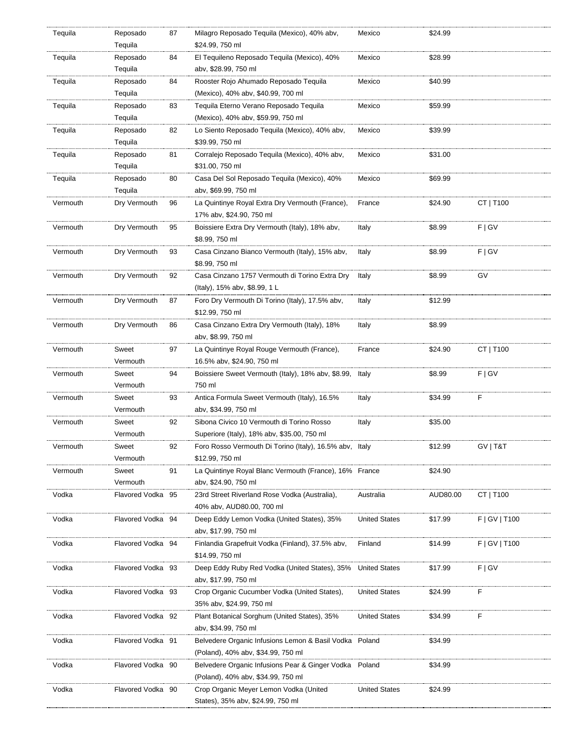| Tequila  | Reposado          | 87 | Milagro Reposado Tequila (Mexico), 40% abv,                 | Mexico               | \$24.99  |                 |
|----------|-------------------|----|-------------------------------------------------------------|----------------------|----------|-----------------|
|          | Tequila           |    | \$24.99, 750 ml                                             |                      |          |                 |
| Tequila  | Reposado          | 84 | El Tequileno Reposado Tequila (Mexico), 40%                 | Mexico               | \$28.99  |                 |
|          | Tequila           |    | aby, \$28.99, 750 ml                                        |                      |          |                 |
| Tequila  | Reposado          | 84 | Rooster Rojo Ahumado Reposado Tequila                       | Mexico               | \$40.99  |                 |
|          | Tequila           |    | (Mexico), 40% abv, \$40.99, 700 ml                          |                      |          |                 |
| Tequila  | Reposado          | 83 | Tequila Eterno Verano Reposado Tequila                      | Mexico               | \$59.99  |                 |
|          | Tequila           |    | (Mexico), 40% abv, \$59.99, 750 ml                          |                      |          |                 |
| Tequila  | Reposado          | 82 | Lo Siento Reposado Tequila (Mexico), 40% abv,               | Mexico               | \$39.99  |                 |
|          | Tequila           |    | \$39.99, 750 ml                                             |                      |          |                 |
| Tequila  | Reposado          | 81 | Corralejo Reposado Tequila (Mexico), 40% abv,               | Mexico               | \$31.00  |                 |
|          | Tequila           |    | \$31.00, 750 ml                                             |                      |          |                 |
| Tequila  | Reposado          | 80 | Casa Del Sol Reposado Tequila (Mexico), 40%                 | Mexico               | \$69.99  |                 |
|          | Tequila           |    | abv, \$69.99, 750 ml                                        |                      |          |                 |
| Vermouth | Dry Vermouth      | 96 | La Quintinye Royal Extra Dry Vermouth (France),             | France               | \$24.90  | CT   T100       |
|          |                   |    | 17% abv, \$24.90, 750 ml                                    |                      |          |                 |
| Vermouth | Dry Vermouth      | 95 | Boissiere Extra Dry Vermouth (Italy), 18% abv,              | Italy                | \$8.99   | F   G V         |
|          |                   |    | \$8.99, 750 ml                                              |                      |          |                 |
| Vermouth | Dry Vermouth      | 93 | Casa Cinzano Bianco Vermouth (Italy), 15% abv,              | Italy                | \$8.99   | F   G V         |
|          |                   |    | \$8.99, 750 ml                                              |                      |          |                 |
|          |                   |    |                                                             |                      |          |                 |
| Vermouth | Dry Vermouth      | 92 | Casa Cinzano 1757 Vermouth di Torino Extra Dry              | Italy                | \$8.99   | GV              |
|          |                   |    | (Italy), 15% abv, \$8.99, 1 L                               |                      |          |                 |
| Vermouth | Dry Vermouth      | 87 | Foro Dry Vermouth Di Torino (Italy), 17.5% abv,             | Italy                | \$12.99  |                 |
|          |                   |    | \$12.99, 750 ml                                             |                      |          |                 |
| Vermouth | Dry Vermouth      | 86 | Casa Cinzano Extra Dry Vermouth (Italy), 18%                | Italy                | \$8.99   |                 |
|          |                   |    | aby, \$8.99, 750 ml                                         |                      |          |                 |
| Vermouth | Sweet             | 97 | La Quintinye Royal Rouge Vermouth (France),                 | France               | \$24.90  | CT   T100       |
|          | Vermouth          |    | 16.5% abv, \$24.90, 750 ml                                  |                      |          |                 |
| Vermouth | Sweet             | 94 | Boissiere Sweet Vermouth (Italy), 18% abv, \$8.99,          | Italy                | \$8.99   | F   G V         |
|          | Vermouth          |    | 750 ml                                                      |                      |          |                 |
| Vermouth | Sweet             | 93 | Antica Formula Sweet Vermouth (Italy), 16.5%                | Italy                | \$34.99  | F               |
|          | Vermouth          |    | aby, \$34.99, 750 ml                                        |                      |          |                 |
| Vermouth | Sweet             | 92 | Sibona Civico 10 Vermouth di Torino Rosso                   | Italy                | \$35.00  |                 |
|          | Vermouth          |    | Superiore (Italy), 18% abv, \$35.00, 750 ml                 |                      |          |                 |
|          |                   | 92 |                                                             |                      | \$12.99  | GV   T&T        |
| Vermouth | Sweet             |    | Foro Rosso Vermouth Di Torino (Italy), 16.5% aby, Italy     |                      |          |                 |
|          | Vermouth          |    | \$12.99, 750 ml                                             |                      |          |                 |
| Vermouth | Sweet             | 91 | La Quintinye Royal Blanc Vermouth (France), 16% France      |                      | \$24.90  |                 |
|          | Vermouth          |    | aby, \$24.90, 750 ml                                        |                      |          |                 |
| Vodka    | Flavored Vodka 95 |    | 23rd Street Riverland Rose Vodka (Australia),               | Australia            | AUD80.00 | CT   T100       |
|          |                   |    | 40% abv, AUD80.00, 700 ml                                   |                      |          |                 |
| Vodka    | Flavored Vodka 94 |    | Deep Eddy Lemon Vodka (United States), 35%                  | <b>United States</b> | \$17.99  | F   GV   T100   |
|          |                   |    | aby, \$17.99, 750 ml                                        |                      |          |                 |
| Vodka    | Flavored Vodka 94 |    | Finlandia Grapefruit Vodka (Finland), 37.5% abv,            | Finland              | \$14.99  | $F$   GV   T100 |
|          |                   |    | \$14.99, 750 ml                                             |                      |          |                 |
| Vodka    | Flavored Vodka 93 |    | Deep Eddy Ruby Red Vodka (United States), 35% United States |                      | \$17.99  | F   G V         |
|          |                   |    | aby, \$17.99, 750 ml                                        |                      |          |                 |
| Vodka    | Flavored Vodka 93 |    | Crop Organic Cucumber Vodka (United States),                | <b>United States</b> | \$24.99  | F               |
|          |                   |    | 35% abv, \$24.99, 750 ml                                    |                      |          |                 |
| Vodka    | Flavored Vodka 92 |    | Plant Botanical Sorghum (United States), 35%                | <b>United States</b> | \$34.99  | F               |
|          |                   |    |                                                             |                      |          |                 |
|          |                   |    | abv, \$34.99, 750 ml                                        |                      |          |                 |
| Vodka    | Flavored Vodka 91 |    | Belvedere Organic Infusions Lemon & Basil Vodka Poland      |                      | \$34.99  |                 |
|          |                   |    | (Poland), 40% abv, \$34.99, 750 ml                          |                      |          |                 |
| Vodka    | Flavored Vodka 90 |    | Belvedere Organic Infusions Pear & Ginger Vodka             | Poland               | \$34.99  |                 |
|          |                   |    |                                                             |                      |          |                 |
|          |                   |    | (Poland), 40% abv, \$34.99, 750 ml                          |                      |          |                 |
| Vodka    | Flavored Vodka 90 |    | Crop Organic Meyer Lemon Vodka (United                      | <b>United States</b> | \$24.99  |                 |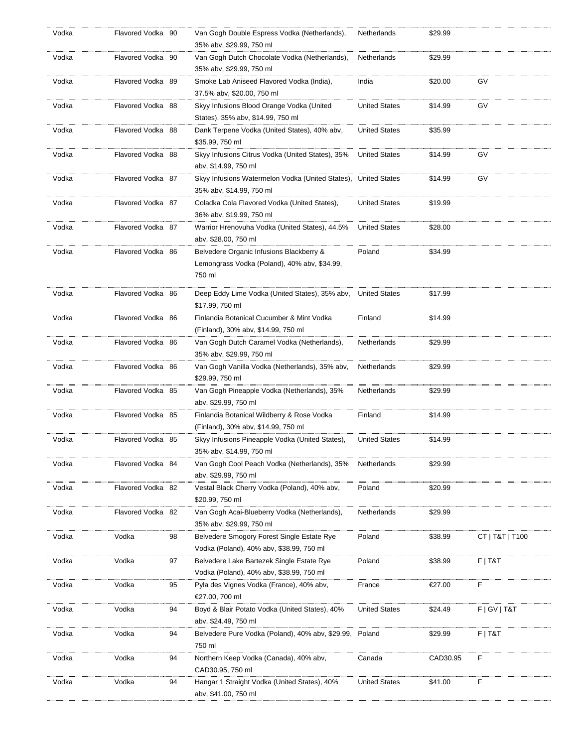| Vodka | Flavored Vodka 90 |    | Van Gogh Double Espress Vodka (Netherlands),<br>35% abv, \$29.99, 750 ml                           | Netherlands          | \$29.99  |                 |
|-------|-------------------|----|----------------------------------------------------------------------------------------------------|----------------------|----------|-----------------|
| Vodka | Flavored Vodka 90 |    | Van Gogh Dutch Chocolate Vodka (Netherlands),<br>35% abv, \$29.99, 750 ml                          | Netherlands          | \$29.99  |                 |
| Vodka | Flavored Vodka 89 |    | Smoke Lab Aniseed Flavored Vodka (India),<br>37.5% abv, \$20.00, 750 ml                            | India                | \$20.00  | GV              |
| Vodka | Flavored Vodka 88 |    | Skyy Infusions Blood Orange Vodka (United<br>States), 35% abv, \$14.99, 750 ml                     | <b>United States</b> | \$14.99  | GV              |
| Vodka | Flavored Vodka 88 |    | Dank Terpene Vodka (United States), 40% abv,<br>\$35.99, 750 ml                                    | <b>United States</b> | \$35.99  |                 |
| Vodka | Flavored Vodka 88 |    | Skyy Infusions Citrus Vodka (United States), 35%<br>abv, \$14.99, 750 ml                           | <b>United States</b> | \$14.99  | GV              |
| Vodka | Flavored Vodka 87 |    | Skyy Infusions Watermelon Vodka (United States),<br>35% abv, \$14.99, 750 ml                       | <b>United States</b> | \$14.99  | GV              |
| Vodka | Flavored Vodka 87 |    | Coladka Cola Flavored Vodka (United States),<br>36% abv, \$19.99, 750 ml                           | <b>United States</b> | \$19.99  |                 |
| Vodka | Flavored Vodka 87 |    | Warrior Hrenovuha Vodka (United States), 44.5%<br>abv, \$28.00, 750 ml                             | <b>United States</b> | \$28.00  |                 |
| Vodka | Flavored Vodka 86 |    | Belvedere Organic Infusions Blackberry &<br>Lemongrass Vodka (Poland), 40% abv, \$34.99,<br>750 ml | Poland               | \$34.99  |                 |
| Vodka | Flavored Vodka 86 |    | Deep Eddy Lime Vodka (United States), 35% abv,<br>\$17.99, 750 ml                                  | <b>United States</b> | \$17.99  |                 |
| Vodka | Flavored Vodka 86 |    | Finlandia Botanical Cucumber & Mint Vodka<br>(Finland), 30% abv, \$14.99, 750 ml                   | Finland              | \$14.99  |                 |
| Vodka | Flavored Vodka 86 |    | Van Gogh Dutch Caramel Vodka (Netherlands),<br>35% abv, \$29.99, 750 ml                            | Netherlands          | \$29.99  |                 |
| Vodka | Flavored Vodka 86 |    | Van Gogh Vanilla Vodka (Netherlands), 35% abv,<br>\$29.99, 750 ml                                  | Netherlands          | \$29.99  |                 |
| Vodka | Flavored Vodka 85 |    | Van Gogh Pineapple Vodka (Netherlands), 35%<br>abv, \$29.99, 750 ml                                | Netherlands          | \$29.99  |                 |
| Vodka | Flavored Vodka 85 |    | Finlandia Botanical Wildberry & Rose Vodka<br>(Finland), 30% abv, \$14.99, 750 ml                  | Finland              | \$14.99  |                 |
| Vodka | Flavored Vodka 85 |    | Skyy Infusions Pineapple Vodka (United States),<br>35% abv, \$14.99, 750 ml                        | <b>United States</b> | \$14.99  |                 |
| Vodka | Flavored Vodka 84 |    | Van Gogh Cool Peach Vodka (Netherlands), 35%<br>abv, \$29.99, 750 ml                               | Netherlands          | \$29.99  |                 |
| Vodka | Flavored Vodka 82 |    | Vestal Black Cherry Vodka (Poland), 40% abv,<br>\$20.99, 750 ml                                    | Poland               | \$20.99  |                 |
| Vodka | Flavored Vodka 82 |    | Van Gogh Acai-Blueberry Vodka (Netherlands),<br>35% abv, \$29.99, 750 ml                           | Netherlands          | \$29.99  |                 |
| Vodka | Vodka             | 98 | Belvedere Smogory Forest Single Estate Rye<br>Vodka (Poland), 40% abv, \$38.99, 750 ml             | Poland               | \$38.99  | CT   T&T   T100 |
| Vodka | Vodka             | 97 | Belvedere Lake Bartezek Single Estate Rye<br>Vodka (Poland), 40% abv, \$38.99, 750 ml              | Poland               | \$38.99  | $F$   T&T       |
| Vodka | Vodka             | 95 | Pyla des Vignes Vodka (France), 40% abv,<br>€27.00, 700 ml                                         | France               | €27.00   | F               |
| Vodka | Vodka             | 94 | Boyd & Blair Potato Vodka (United States), 40%<br>abv, \$24.49, 750 ml                             | <b>United States</b> | \$24.49  | F   G V   T & T |
| Vodka | Vodka             | 94 | Belvedere Pure Vodka (Poland), 40% abv, \$29.99,<br>750 ml                                         | Poland               | \$29.99  | $F$   T&T       |
| Vodka | Vodka             | 94 | Northern Keep Vodka (Canada), 40% abv,<br>CAD30.95, 750 ml                                         | Canada               | CAD30.95 | F               |
| Vodka | Vodka             | 94 | Hangar 1 Straight Vodka (United States), 40%<br>abv, \$41.00, 750 ml                               | <b>United States</b> | \$41.00  | F               |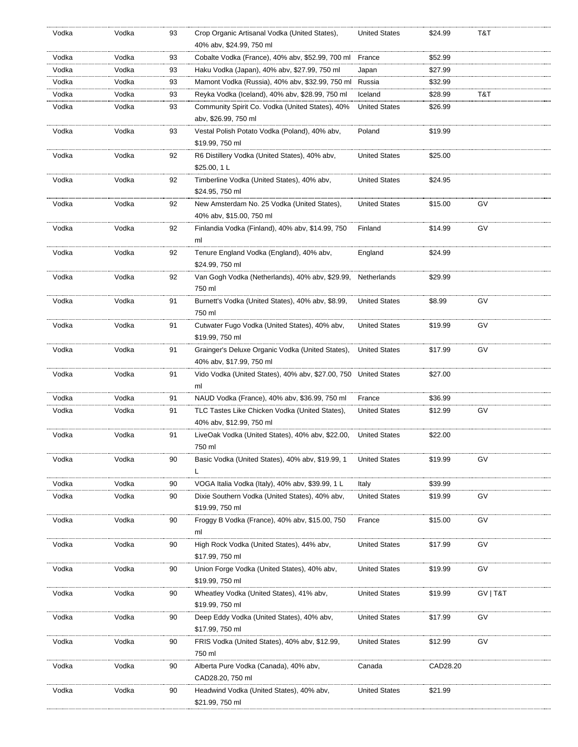| Vodka | Vodka | 93 | Crop Organic Artisanal Vodka (United States),<br>40% abv, \$24.99, 750 ml | <b>United States</b> | \$24.99  | T&T      |
|-------|-------|----|---------------------------------------------------------------------------|----------------------|----------|----------|
| Vodka | Vodka | 93 | Cobalte Vodka (France), 40% abv, \$52.99, 700 ml                          | France               | \$52.99  |          |
| Vodka | Vodka | 93 | Haku Vodka (Japan), 40% abv, \$27.99, 750 ml                              | Japan                | \$27.99  |          |
| Vodka | Vodka | 93 | Mamont Vodka (Russia), 40% abv, \$32.99, 750 ml                           | Russia               | \$32.99  |          |
| Vodka | Vodka | 93 | Reyka Vodka (Iceland), 40% abv, \$28.99, 750 ml                           | Iceland              | \$28.99  | T&T      |
| Vodka | Vodka | 93 | Community Spirit Co. Vodka (United States), 40%                           | <b>United States</b> | \$26.99  |          |
|       |       |    | abv, \$26.99, 750 ml                                                      |                      |          |          |
|       |       |    |                                                                           |                      |          |          |
| Vodka | Vodka | 93 | Vestal Polish Potato Vodka (Poland), 40% abv,                             | Poland               | \$19.99  |          |
|       |       |    | \$19.99, 750 ml                                                           |                      |          |          |
| Vodka | Vodka | 92 | R6 Distillery Vodka (United States), 40% abv,                             | <b>United States</b> | \$25.00  |          |
|       |       |    | \$25.00, 1 L                                                              |                      |          |          |
| Vodka | Vodka | 92 | Timberline Vodka (United States), 40% abv,                                | <b>United States</b> | \$24.95  |          |
|       |       |    | \$24.95, 750 ml                                                           |                      |          |          |
| Vodka | Vodka | 92 | New Amsterdam No. 25 Vodka (United States),                               | <b>United States</b> | \$15.00  | GV       |
|       |       |    | 40% abv, \$15.00, 750 ml                                                  |                      |          |          |
| Vodka | Vodka | 92 | Finlandia Vodka (Finland), 40% abv, \$14.99, 750                          | Finland              | \$14.99  | GV       |
|       |       |    | ml                                                                        |                      |          |          |
| Vodka | Vodka | 92 | Tenure England Vodka (England), 40% abv,                                  | England              | \$24.99  |          |
|       |       |    | \$24.99, 750 ml                                                           |                      |          |          |
| Vodka | Vodka | 92 | Van Gogh Vodka (Netherlands), 40% abv, \$29.99,                           | Netherlands          | \$29.99  |          |
|       |       |    | 750 ml                                                                    |                      |          |          |
| Vodka | Vodka | 91 | Burnett's Vodka (United States), 40% abv, \$8.99,                         | <b>United States</b> | \$8.99   | GV       |
|       |       |    | 750 ml                                                                    |                      |          |          |
| Vodka | Vodka | 91 | Cutwater Fugo Vodka (United States), 40% abv,                             | <b>United States</b> | \$19.99  | GV       |
|       |       |    | \$19.99, 750 ml                                                           |                      |          |          |
|       |       |    |                                                                           |                      |          |          |
| Vodka | Vodka | 91 | Grainger's Deluxe Organic Vodka (United States),                          | <b>United States</b> | \$17.99  | GV       |
|       |       |    | 40% abv, \$17.99, 750 ml                                                  |                      |          |          |
| Vodka | Vodka | 91 | Vido Vodka (United States), 40% abv, \$27.00, 750 United States           |                      | \$27.00  |          |
|       |       |    | ml                                                                        |                      |          |          |
| Vodka | Vodka | 91 | NAUD Vodka (France), 40% abv, \$36.99, 750 ml                             | France               | \$36.99  |          |
| Vodka | Vodka | 91 | TLC Tastes Like Chicken Vodka (United States),                            | <b>United States</b> | \$12.99  | G٧       |
|       |       |    | 40% abv, \$12.99, 750 ml                                                  |                      |          |          |
| Vodka | Vodka | 91 | LiveOak Vodka (United States), 40% abv, \$22.00,                          | <b>United States</b> | \$22.00  |          |
|       |       |    | 750 ml                                                                    |                      |          |          |
| Vodka | Vodka | 90 | Basic Vodka (United States), 40% abv, \$19.99, 1                          | <b>United States</b> | \$19.99  | GV       |
|       |       |    | L                                                                         |                      |          |          |
| Vodka | Vodka | 90 | VOGA Italia Vodka (Italy), 40% abv, \$39.99, 1 L                          | Italy                | \$39.99  |          |
| Vodka | Vodka | 90 | Dixie Southern Vodka (United States), 40% abv,                            | <b>United States</b> | \$19.99  | G٧       |
|       |       |    | \$19.99, 750 ml                                                           |                      |          |          |
| Vodka | Vodka | 90 | Froggy B Vodka (France), 40% abv, \$15.00, 750                            | France               | \$15.00  | G٧       |
|       |       |    | ml                                                                        |                      |          |          |
| Vodka | Vodka | 90 | High Rock Vodka (United States), 44% abv,                                 | <b>United States</b> | \$17.99  | GV       |
|       |       |    | \$17.99, 750 ml                                                           |                      |          |          |
| Vodka | Vodka | 90 | Union Forge Vodka (United States), 40% abv,                               | <b>United States</b> | \$19.99  | GV       |
|       |       |    | \$19.99, 750 ml                                                           |                      |          |          |
| Vodka | Vodka | 90 | Wheatley Vodka (United States), 41% abv,                                  | <b>United States</b> | \$19.99  | GV   T&T |
|       |       |    |                                                                           |                      |          |          |
|       |       |    | \$19.99, 750 ml                                                           |                      |          |          |
| Vodka | Vodka | 90 | Deep Eddy Vodka (United States), 40% abv,                                 | <b>United States</b> | \$17.99  | GV       |
|       |       |    | \$17.99, 750 ml                                                           |                      |          |          |
| Vodka | Vodka | 90 | FRIS Vodka (United States), 40% abv, \$12.99,                             | <b>United States</b> | \$12.99  | GV       |
|       |       |    | 750 ml                                                                    |                      |          |          |
| Vodka | Vodka | 90 | Alberta Pure Vodka (Canada), 40% abv,                                     | Canada               | CAD28.20 |          |
|       |       |    | CAD28.20, 750 ml                                                          |                      |          |          |
| Vodka | Vodka | 90 | Headwind Vodka (United States), 40% abv,                                  | <b>United States</b> | \$21.99  |          |
|       |       |    | \$21.99, 750 ml                                                           |                      |          |          |
|       |       |    |                                                                           |                      |          |          |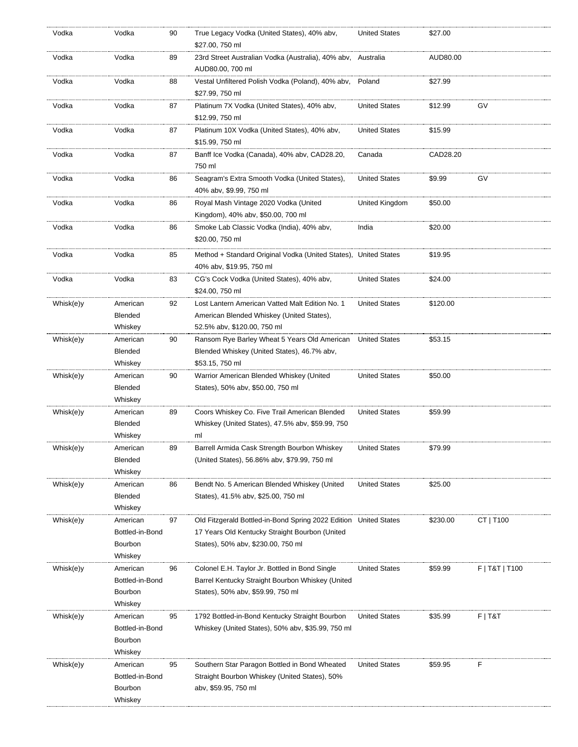| Vodka     | Vodka                                             | 90 | True Legacy Vodka (United States), 40% abv,<br>\$27.00, 750 ml                                                                                           | <b>United States</b> | \$27.00  |                |
|-----------|---------------------------------------------------|----|----------------------------------------------------------------------------------------------------------------------------------------------------------|----------------------|----------|----------------|
| Vodka     | Vodka                                             | 89 | 23rd Street Australian Vodka (Australia), 40% abv,<br>AUD80.00, 700 ml                                                                                   | Australia            | AUD80.00 |                |
| Vodka     | Vodka                                             | 88 | Vestal Unfiltered Polish Vodka (Poland), 40% abv,<br>\$27.99, 750 ml                                                                                     | Poland               | \$27.99  |                |
| Vodka     | Vodka                                             | 87 | Platinum 7X Vodka (United States), 40% abv,<br>\$12.99, 750 ml                                                                                           | <b>United States</b> | \$12.99  | GV             |
| Vodka     | Vodka                                             | 87 | Platinum 10X Vodka (United States), 40% abv,<br>\$15.99, 750 ml                                                                                          | <b>United States</b> | \$15.99  |                |
| Vodka     | Vodka                                             | 87 | Banff Ice Vodka (Canada), 40% abv, CAD28.20,<br>750 ml                                                                                                   | Canada               | CAD28.20 |                |
| Vodka     | Vodka                                             | 86 | Seagram's Extra Smooth Vodka (United States),<br>40% abv, \$9.99, 750 ml                                                                                 | <b>United States</b> | \$9.99   | GV             |
| Vodka     | Vodka                                             | 86 | Royal Mash Vintage 2020 Vodka (United<br>Kingdom), 40% abv, \$50.00, 700 ml                                                                              | United Kingdom       | \$50.00  |                |
| Vodka     | Vodka                                             | 86 | Smoke Lab Classic Vodka (India), 40% abv,<br>\$20.00, 750 ml                                                                                             | India                | \$20.00  |                |
| Vodka     | Vodka                                             | 85 | Method + Standard Original Vodka (United States), United States<br>40% abv, \$19.95, 750 ml                                                              |                      | \$19.95  |                |
| Vodka     | Vodka                                             | 83 | CG's Cock Vodka (United States), 40% abv,<br>\$24.00, 750 ml                                                                                             | <b>United States</b> | \$24.00  |                |
| Whisk(e)y | American<br><b>Blended</b><br>Whiskey             | 92 | Lost Lantern American Vatted Malt Edition No. 1<br>American Blended Whiskey (United States),<br>52.5% abv, \$120.00, 750 ml                              | <b>United States</b> | \$120.00 |                |
| Whisk(e)y | American<br><b>Blended</b><br>Whiskey             | 90 | Ransom Rye Barley Wheat 5 Years Old American<br>Blended Whiskey (United States), 46.7% abv,<br>\$53.15, 750 ml                                           | <b>United States</b> | \$53.15  |                |
| Whisk(e)y | American<br>Blended<br>Whiskey                    | 90 | Warrior American Blended Whiskey (United<br>States), 50% abv, \$50.00, 750 ml                                                                            | <b>United States</b> | \$50.00  |                |
| Whisk(e)y | American<br>Blended<br>Whiskey                    | 89 | Coors Whiskey Co. Five Trail American Blended<br>Whiskey (United States), 47.5% abv, \$59.99, 750<br>ml                                                  | <b>United States</b> | \$59.99  |                |
| Whisk(e)y | American<br>Blended<br>Whiskey                    | 89 | Barrell Armida Cask Strength Bourbon Whiskey<br>(United States), 56.86% abv, \$79.99, 750 ml                                                             | <b>United States</b> | \$79.99  |                |
| Whisk(e)y | American<br><b>Blended</b><br>Whiskey             | 86 | Bendt No. 5 American Blended Whiskey (United<br>States), 41.5% abv, \$25.00, 750 ml                                                                      | <b>United States</b> | \$25.00  |                |
| Whisk(e)y | American<br>Bottled-in-Bond<br>Bourbon<br>Whiskey | 97 | Old Fitzgerald Bottled-in-Bond Spring 2022 Edition United States<br>17 Years Old Kentucky Straight Bourbon (United<br>States), 50% abv, \$230.00, 750 ml |                      | \$230.00 | CT   T100      |
| Whisk(e)y | American<br>Bottled-in-Bond<br>Bourbon<br>Whiskey | 96 | Colonel E.H. Taylor Jr. Bottled in Bond Single<br>Barrel Kentucky Straight Bourbon Whiskey (United<br>States), 50% abv, \$59.99, 750 ml                  | <b>United States</b> | \$59.99  | F   T&T   T100 |
| Whisk(e)y | American<br>Bottled-in-Bond<br>Bourbon<br>Whiskey | 95 | 1792 Bottled-in-Bond Kentucky Straight Bourbon<br>Whiskey (United States), 50% abv, \$35.99, 750 ml                                                      | <b>United States</b> | \$35.99  | $F$   T&T      |
| Whisk(e)y | American<br>Bottled-in-Bond<br>Bourbon<br>Whiskey | 95 | Southern Star Paragon Bottled in Bond Wheated<br>Straight Bourbon Whiskey (United States), 50%<br>aby, \$59.95, 750 ml                                   | <b>United States</b> | \$59.95  | F              |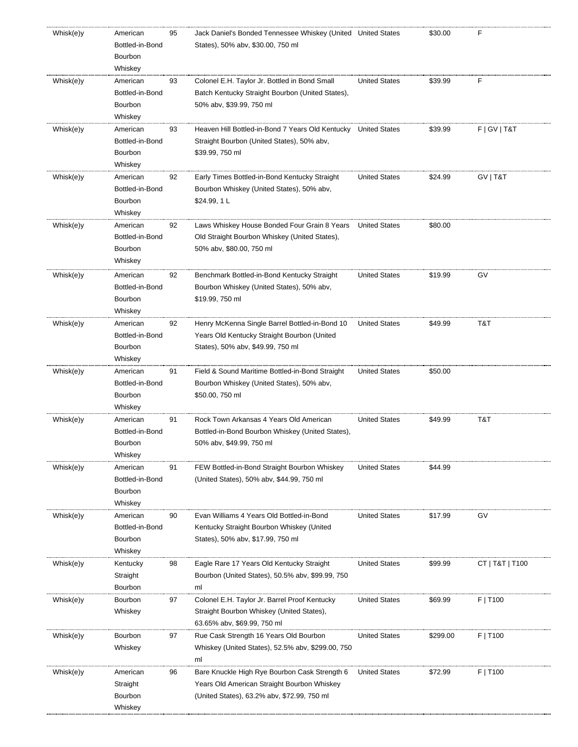| Whisk(e)y | American<br>Bottled-in-Bond<br>Bourbon<br>Whiskey | 95 | Jack Daniel's Bonded Tennessee Whiskey (United United States<br>States), 50% abv, \$30.00, 750 ml |                      | \$30.00  | F               |
|-----------|---------------------------------------------------|----|---------------------------------------------------------------------------------------------------|----------------------|----------|-----------------|
| Whisk(e)y | American                                          | 93 | Colonel E.H. Taylor Jr. Bottled in Bond Small                                                     | <b>United States</b> | \$39.99  | F               |
|           | Bottled-in-Bond                                   |    | Batch Kentucky Straight Bourbon (United States),                                                  |                      |          |                 |
|           | Bourbon<br>Whiskey                                |    | 50% abv, \$39.99, 750 ml                                                                          |                      |          |                 |
| Whisk(e)y | American                                          | 93 | Heaven Hill Bottled-in-Bond 7 Years Old Kentucky United States                                    |                      | \$39.99  | F   G V   T & T |
|           | Bottled-in-Bond                                   |    | Straight Bourbon (United States), 50% abv,                                                        |                      |          |                 |
|           | Bourbon                                           |    | \$39.99, 750 ml                                                                                   |                      |          |                 |
|           | Whiskey                                           |    |                                                                                                   |                      |          |                 |
| Whisk(e)y | American                                          | 92 | Early Times Bottled-in-Bond Kentucky Straight                                                     | <b>United States</b> | \$24.99  | GV   T&T        |
|           | Bottled-in-Bond                                   |    | Bourbon Whiskey (United States), 50% abv,                                                         |                      |          |                 |
|           | Bourbon                                           |    | \$24.99, 1 L                                                                                      |                      |          |                 |
|           | Whiskey                                           |    |                                                                                                   |                      |          |                 |
| Whisk(e)y | American                                          | 92 | Laws Whiskey House Bonded Four Grain 8 Years                                                      | <b>United States</b> | \$80.00  |                 |
|           | Bottled-in-Bond                                   |    | Old Straight Bourbon Whiskey (United States),                                                     |                      |          |                 |
|           | Bourbon<br>Whiskey                                |    | 50% abv, \$80.00, 750 ml                                                                          |                      |          |                 |
|           |                                                   |    |                                                                                                   |                      |          |                 |
| Whisk(e)y | American<br>Bottled-in-Bond                       | 92 | Benchmark Bottled-in-Bond Kentucky Straight<br>Bourbon Whiskey (United States), 50% abv,          | <b>United States</b> | \$19.99  | GV              |
|           | Bourbon                                           |    | \$19.99, 750 ml                                                                                   |                      |          |                 |
|           | Whiskey                                           |    |                                                                                                   |                      |          |                 |
| Whisk(e)y | American                                          | 92 | Henry McKenna Single Barrel Bottled-in-Bond 10                                                    | <b>United States</b> | \$49.99  | T&T             |
|           | Bottled-in-Bond                                   |    | Years Old Kentucky Straight Bourbon (United                                                       |                      |          |                 |
|           | Bourbon                                           |    | States), 50% abv, \$49.99, 750 ml                                                                 |                      |          |                 |
|           | Whiskey                                           |    |                                                                                                   |                      |          |                 |
| Whisk(e)y | American                                          | 91 | Field & Sound Maritime Bottled-in-Bond Straight                                                   | <b>United States</b> | \$50.00  |                 |
|           | Bottled-in-Bond                                   |    | Bourbon Whiskey (United States), 50% abv,                                                         |                      |          |                 |
|           | Bourbon                                           |    | \$50.00, 750 ml                                                                                   |                      |          |                 |
| Whisk(e)y | Whiskey<br>American                               | 91 | Rock Town Arkansas 4 Years Old American                                                           | <b>United States</b> | \$49.99  | T&T             |
|           | Bottled-in-Bond                                   |    | Bottled-in-Bond Bourbon Whiskey (United States),                                                  |                      |          |                 |
|           | Bourbon                                           |    | 50% abv, \$49.99, 750 ml                                                                          |                      |          |                 |
|           | Whiskey                                           |    |                                                                                                   |                      |          |                 |
| Whisk(e)y | American                                          | 91 | FEW Bottled-in-Bond Straight Bourbon Whiskey                                                      | <b>United States</b> | \$44.99  |                 |
|           | Bottled-in-Bond                                   |    | (United States), 50% abv, \$44.99, 750 ml                                                         |                      |          |                 |
|           | Bourbon                                           |    |                                                                                                   |                      |          |                 |
|           | Whiskey                                           |    |                                                                                                   |                      |          |                 |
| Whisk(e)y | American<br>Bottled-in-Bond                       | 90 | Evan Williams 4 Years Old Bottled-in-Bond                                                         | <b>United States</b> | \$17.99  | GV              |
|           | Bourbon                                           |    | Kentucky Straight Bourbon Whiskey (United<br>States), 50% abv, \$17.99, 750 ml                    |                      |          |                 |
|           | Whiskey                                           |    |                                                                                                   |                      |          |                 |
| Whisk(e)y | Kentucky                                          | 98 | Eagle Rare 17 Years Old Kentucky Straight                                                         | <b>United States</b> | \$99.99  | CT   T&T   T100 |
|           | Straight                                          |    | Bourbon (United States), 50.5% aby, \$99.99, 750                                                  |                      |          |                 |
|           | Bourbon                                           |    | ml                                                                                                |                      |          |                 |
| Whisk(e)y | Bourbon                                           | 97 | Colonel E.H. Taylor Jr. Barrel Proof Kentucky                                                     | <b>United States</b> | \$69.99  | F   T100        |
|           | Whiskey                                           |    | Straight Bourbon Whiskey (United States),                                                         |                      |          |                 |
|           |                                                   |    | 63.65% abv, \$69.99, 750 ml                                                                       |                      |          |                 |
| Whisk(e)y | Bourbon                                           | 97 | Rue Cask Strength 16 Years Old Bourbon                                                            | <b>United States</b> | \$299.00 | F   T100        |
|           | Whiskey                                           |    | Whiskey (United States), 52.5% abv, \$299.00, 750                                                 |                      |          |                 |
| Whisk(e)y | American                                          | 96 | ml<br>Bare Knuckle High Rye Bourbon Cask Strength 6                                               | <b>United States</b> | \$72.99  | F   T100        |
|           | Straight                                          |    | Years Old American Straight Bourbon Whiskey                                                       |                      |          |                 |
|           | Bourbon                                           |    | (United States), 63.2% abv, \$72.99, 750 ml                                                       |                      |          |                 |
|           | Whiskey                                           |    |                                                                                                   |                      |          |                 |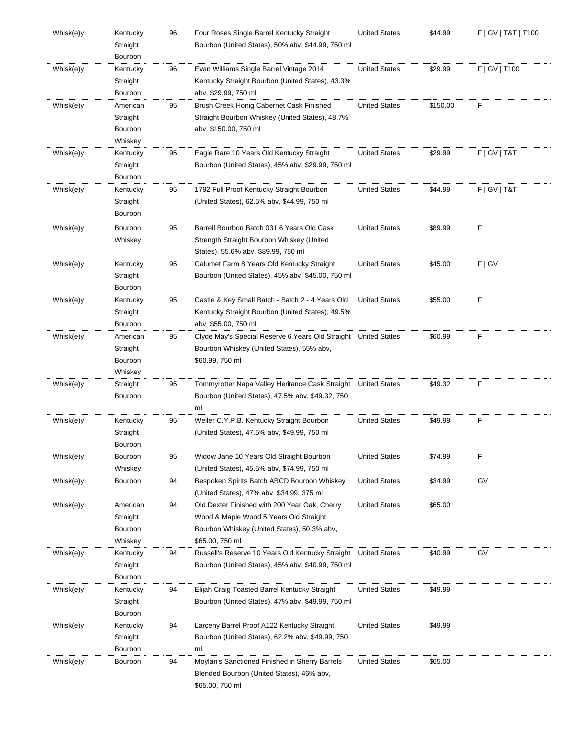| Whisk(e)y | Kentucky<br>Straight<br>Bourbon | 96 | Four Roses Single Barrel Kentucky Straight<br>Bourbon (United States), 50% abv, \$44.99, 750 ml | <b>United States</b> | \$44.99  | F   GV   T&T   T100 |
|-----------|---------------------------------|----|-------------------------------------------------------------------------------------------------|----------------------|----------|---------------------|
|           |                                 | 96 | Evan Williams Single Barrel Vintage 2014                                                        | <b>United States</b> | \$29.99  | F   GV   T100       |
| Whisk(e)y | Kentucky<br>Straight            |    | Kentucky Straight Bourbon (United States), 43.3%                                                |                      |          |                     |
|           | Bourbon                         |    | aby, \$29.99, 750 ml                                                                            |                      |          |                     |
| Whisk(e)y | American                        | 95 | Brush Creek Honig Cabernet Cask Finished                                                        | <b>United States</b> | \$150.00 | F                   |
|           | Straight                        |    | Straight Bourbon Whiskey (United States), 48.7%                                                 |                      |          |                     |
|           | Bourbon                         |    | abv, \$150.00, 750 ml                                                                           |                      |          |                     |
|           | Whiskey                         |    |                                                                                                 |                      |          |                     |
| Whisk(e)y | Kentucky                        | 95 | Eagle Rare 10 Years Old Kentucky Straight                                                       | <b>United States</b> | \$29.99  | F   G V   T & T     |
|           | Straight                        |    | Bourbon (United States), 45% abv, \$29.99, 750 ml                                               |                      |          |                     |
|           | Bourbon                         |    |                                                                                                 |                      |          |                     |
| Whisk(e)y | Kentucky                        | 95 | 1792 Full Proof Kentucky Straight Bourbon                                                       | <b>United States</b> | \$44.99  | F   G V   T & T     |
|           | Straight                        |    | (United States), 62.5% abv, \$44.99, 750 ml                                                     |                      |          |                     |
|           | Bourbon                         |    |                                                                                                 |                      |          |                     |
|           | Bourbon                         |    |                                                                                                 | <b>United States</b> | \$89.99  | F                   |
| Whisk(e)y | Whiskey                         | 95 | Barrell Bourbon Batch 031 6 Years Old Cask                                                      |                      |          |                     |
|           |                                 |    | Strength Straight Bourbon Whiskey (United<br>States), 55.6% abv, \$89.99, 750 ml                |                      |          |                     |
| Whisk(e)y | Kentucky                        | 95 | Calumet Farm 8 Years Old Kentucky Straight                                                      | <b>United States</b> | \$45.00  | F   G V             |
|           | Straight                        |    | Bourbon (United States), 45% abv, \$45.00, 750 ml                                               |                      |          |                     |
|           | Bourbon                         |    |                                                                                                 |                      |          |                     |
|           |                                 | 95 | Castle & Key Small Batch - Batch 2 - 4 Years Old                                                | <b>United States</b> | \$55.00  | F                   |
| Whisk(e)y | Kentucky<br>Straight            |    | Kentucky Straight Bourbon (United States), 49.5%                                                |                      |          |                     |
|           | Bourbon                         |    | abv, \$55.00, 750 ml                                                                            |                      |          |                     |
| Whisk(e)y | American                        | 95 | Clyde May's Special Reserve 6 Years Old Straight United States                                  |                      | \$60.99  | F                   |
|           | Straight                        |    | Bourbon Whiskey (United States), 55% abv,                                                       |                      |          |                     |
|           | Bourbon                         |    | \$60.99, 750 ml                                                                                 |                      |          |                     |
|           | Whiskey                         |    |                                                                                                 |                      |          |                     |
| Whisk(e)y | Straight                        | 95 | Tommyrotter Napa Valley Heritance Cask Straight                                                 | <b>United States</b> | \$49.32  | F                   |
|           | Bourbon                         |    | Bourbon (United States), 47.5% abv, \$49.32, 750                                                |                      |          |                     |
|           |                                 |    | ml                                                                                              |                      |          |                     |
| Whisk(e)y | Kentucky                        | 95 | Weller C.Y.P.B. Kentucky Straight Bourbon                                                       | <b>United States</b> | \$49.99  | F                   |
|           | Straight                        |    | (United States), 47.5% aby, \$49.99, 750 ml                                                     |                      |          |                     |
|           | Bourbon                         |    |                                                                                                 |                      |          |                     |
| Whisk(e)y | Bourbon                         | 95 | Widow Jane 10 Years Old Straight Bourbon                                                        | <b>United States</b> | \$74.99  | F                   |
|           | Whiskey                         |    | (United States), 45.5% abv, \$74.99, 750 ml                                                     |                      |          |                     |
| Whisk(e)y | Bourbon                         | 94 | Bespoken Spirits Batch ABCD Bourbon Whiskey                                                     | <b>United States</b> | \$34.99  | GV                  |
|           |                                 |    | (United States), 47% abv, \$34.99, 375 ml                                                       |                      |          |                     |
| Whisk(e)y | American                        | 94 | Old Dexter Finished with 200 Year Oak, Cherry                                                   | <b>United States</b> | \$65.00  |                     |
|           | Straight                        |    | Wood & Maple Wood 5 Years Old Straight                                                          |                      |          |                     |
|           | Bourbon                         |    | Bourbon Whiskey (United States), 50.3% abv,                                                     |                      |          |                     |
|           | Whiskey                         |    | \$65.00, 750 ml                                                                                 |                      |          |                     |
| Whisk(e)y | Kentucky                        | 94 | Russell's Reserve 10 Years Old Kentucky Straight United States                                  |                      | \$40.99  | GV                  |
|           | Straight                        |    | Bourbon (United States), 45% abv, \$40.99, 750 ml                                               |                      |          |                     |
|           | Bourbon                         |    |                                                                                                 |                      |          |                     |
| Whisk(e)y | Kentucky                        | 94 | Elijah Craig Toasted Barrel Kentucky Straight                                                   | <b>United States</b> | \$49.99  |                     |
|           | Straight                        |    | Bourbon (United States), 47% abv, \$49.99, 750 ml                                               |                      |          |                     |
|           | Bourbon                         |    |                                                                                                 |                      |          |                     |
| Whisk(e)y | Kentucky                        | 94 | Larceny Barrel Proof A122 Kentucky Straight                                                     | <b>United States</b> | \$49.99  |                     |
|           | Straight                        |    | Bourbon (United States), 62.2% aby, \$49.99, 750                                                |                      |          |                     |
|           | Bourbon                         |    | ml                                                                                              |                      |          |                     |
| Whisk(e)y | Bourbon                         | 94 | Moylan's Sanctioned Finished in Sherry Barrels                                                  | <b>United States</b> | \$65.00  |                     |
|           |                                 |    | Blended Bourbon (United States), 46% abv,                                                       |                      |          |                     |
|           |                                 |    | \$65.00, 750 ml                                                                                 |                      |          |                     |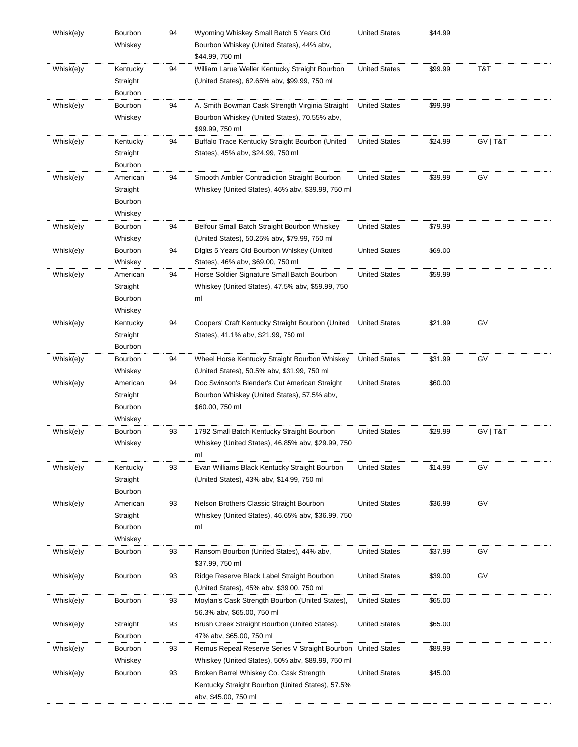| Whisk(e)y | Bourbon<br>Whiskey  | 94 | Wyoming Whiskey Small Batch 5 Years Old<br>Bourbon Whiskey (United States), 44% abv, | <b>United States</b> | \$44.99 |          |
|-----------|---------------------|----|--------------------------------------------------------------------------------------|----------------------|---------|----------|
|           |                     |    | \$44.99, 750 ml                                                                      |                      |         |          |
| Whisk(e)y | Kentucky            | 94 | William Larue Weller Kentucky Straight Bourbon                                       | <b>United States</b> | \$99.99 | T&T      |
|           | Straight            |    | (United States), 62.65% abv, \$99.99, 750 ml                                         |                      |         |          |
|           | Bourbon             |    |                                                                                      |                      |         |          |
| Whisk(e)y | Bourbon             | 94 | A. Smith Bowman Cask Strength Virginia Straight                                      | <b>United States</b> | \$99.99 |          |
|           | Whiskey             |    | Bourbon Whiskey (United States), 70.55% abv,                                         |                      |         |          |
|           |                     |    | \$99.99, 750 ml                                                                      |                      |         |          |
| Whisk(e)y | Kentucky            | 94 | Buffalo Trace Kentucky Straight Bourbon (United                                      | <b>United States</b> | \$24.99 | GV   T&T |
|           | Straight            |    | States), 45% abv, \$24.99, 750 ml                                                    |                      |         |          |
|           | Bourbon             |    |                                                                                      |                      |         |          |
| Whisk(e)y | American            | 94 | Smooth Ambler Contradiction Straight Bourbon                                         | <b>United States</b> | \$39.99 | GV       |
|           | Straight            |    | Whiskey (United States), 46% abv, \$39.99, 750 ml                                    |                      |         |          |
|           | Bourbon             |    |                                                                                      |                      |         |          |
|           | Whiskey             |    |                                                                                      |                      |         |          |
| Whisk(e)y | Bourbon             | 94 | Belfour Small Batch Straight Bourbon Whiskey                                         | <b>United States</b> | \$79.99 |          |
|           | Whiskey             |    | (United States), 50.25% abv, \$79.99, 750 ml                                         |                      |         |          |
| Whisk(e)y | Bourbon             | 94 | Digits 5 Years Old Bourbon Whiskey (United                                           | <b>United States</b> | \$69.00 |          |
|           | Whiskey             |    | States), 46% abv, \$69.00, 750 ml                                                    |                      |         |          |
| Whisk(e)y | American            | 94 | Horse Soldier Signature Small Batch Bourbon                                          | <b>United States</b> | \$59.99 |          |
|           | Straight            |    | Whiskey (United States), 47.5% abv, \$59.99, 750                                     |                      |         |          |
|           | Bourbon             |    | ml                                                                                   |                      |         |          |
|           | Whiskey             |    |                                                                                      |                      |         |          |
| Whisk(e)y | Kentucky            | 94 | Coopers' Craft Kentucky Straight Bourbon (United                                     | <b>United States</b> | \$21.99 | G٧       |
|           | Straight            |    | States), 41.1% abv, \$21.99, 750 ml                                                  |                      |         |          |
|           | Bourbon             |    |                                                                                      |                      |         |          |
| Whisk(e)y | Bourbon             | 94 | Wheel Horse Kentucky Straight Bourbon Whiskey                                        | <b>United States</b> | \$31.99 | GV       |
|           | Whiskey             |    | (United States), 50.5% abv, \$31.99, 750 ml                                          |                      |         |          |
| Whisk(e)y | American            | 94 | Doc Swinson's Blender's Cut American Straight                                        | <b>United States</b> | \$60.00 |          |
|           | Straight            |    | Bourbon Whiskey (United States), 57.5% abv,                                          |                      |         |          |
|           | Bourbon             |    | \$60.00, 750 ml                                                                      |                      |         |          |
|           | Whiskey             |    |                                                                                      |                      |         |          |
| Whisk(e)y | Bourbon             | 93 | 1792 Small Batch Kentucky Straight Bourbon                                           | <b>United States</b> | \$29.99 | GV   T&T |
|           | Whiskey             |    | Whiskey (United States), 46.85% abv, \$29.99, 750                                    |                      |         |          |
|           |                     |    | ml                                                                                   |                      |         |          |
| Whisk(e)y | Kentucky            | 93 | Evan Williams Black Kentucky Straight Bourbon                                        | <b>United States</b> | \$14.99 | GV       |
|           | Straight            |    | (United States), 43% abv, \$14.99, 750 ml                                            |                      |         |          |
|           | Bourbon             |    |                                                                                      |                      |         |          |
| Whisk(e)y | American            | 93 | Nelson Brothers Classic Straight Bourbon                                             | <b>United States</b> | \$36.99 | GV       |
|           | Straight<br>Bourbon |    | Whiskey (United States), 46.65% abv, \$36.99, 750<br>ml                              |                      |         |          |
|           | Whiskey             |    |                                                                                      |                      |         |          |
| Whisk(e)y | Bourbon             | 93 | Ransom Bourbon (United States), 44% abv,                                             | <b>United States</b> | \$37.99 | G٧       |
|           |                     |    | \$37.99, 750 ml                                                                      |                      |         |          |
| Whisk(e)y | Bourbon             | 93 | Ridge Reserve Black Label Straight Bourbon                                           | <b>United States</b> | \$39.00 | GV       |
|           |                     |    | (United States), 45% abv, \$39.00, 750 ml                                            |                      |         |          |
| Whisk(e)y | Bourbon             | 93 | Moylan's Cask Strength Bourbon (United States),                                      | <b>United States</b> | \$65.00 |          |
|           |                     |    | 56.3% abv, \$65.00, 750 ml                                                           |                      |         |          |
| Whisk(e)y | Straight            | 93 | Brush Creek Straight Bourbon (United States),                                        | <b>United States</b> | \$65.00 |          |
|           | Bourbon             |    | 47% abv, \$65.00, 750 ml                                                             |                      |         |          |
| Whisk(e)y | Bourbon             | 93 | Remus Repeal Reserve Series V Straight Bourbon United States                         |                      | \$89.99 |          |
|           | Whiskey             |    | Whiskey (United States), 50% abv, \$89.99, 750 ml                                    |                      |         |          |
| Whisk(e)y | Bourbon             | 93 | Broken Barrel Whiskey Co. Cask Strength                                              | <b>United States</b> | \$45.00 |          |
|           |                     |    | Kentucky Straight Bourbon (United States), 57.5%                                     |                      |         |          |
|           |                     |    | abv, \$45.00, 750 ml                                                                 |                      |         |          |
|           |                     |    |                                                                                      |                      |         |          |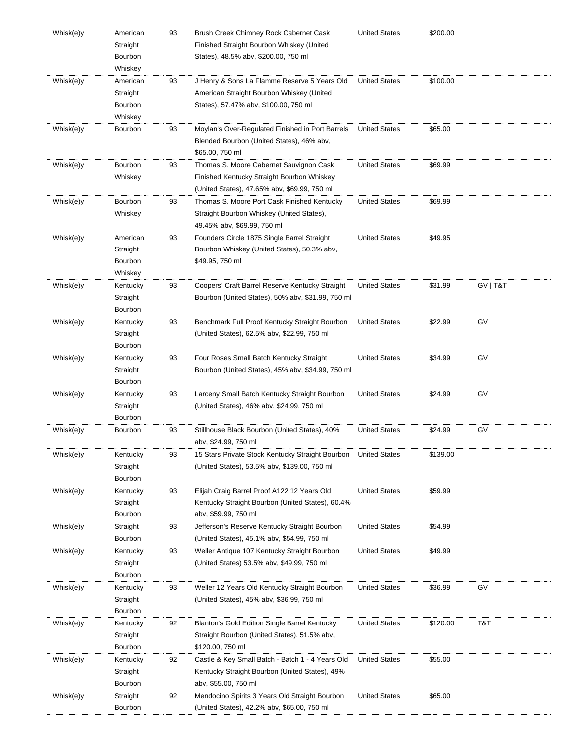| Whisk(e)y | American             | 93 | Brush Creek Chimney Rock Cabernet Cask                         | <b>United States</b> | \$200.00 |          |
|-----------|----------------------|----|----------------------------------------------------------------|----------------------|----------|----------|
|           | Straight             |    | Finished Straight Bourbon Whiskey (United                      |                      |          |          |
|           | Bourbon              |    | States), 48.5% abv, \$200.00, 750 ml                           |                      |          |          |
|           | Whiskey              |    |                                                                |                      |          |          |
| Whisk(e)y | American             | 93 | J Henry & Sons La Flamme Reserve 5 Years Old                   | <b>United States</b> | \$100.00 |          |
|           | Straight             |    | American Straight Bourbon Whiskey (United                      |                      |          |          |
|           | Bourbon              |    | States), 57.47% abv, \$100.00, 750 ml                          |                      |          |          |
|           | Whiskey              |    |                                                                |                      |          |          |
| Whisk(e)y | Bourbon              | 93 | Moylan's Over-Regulated Finished in Port Barrels               | <b>United States</b> | \$65.00  |          |
|           |                      |    | Blended Bourbon (United States), 46% abv,                      |                      |          |          |
|           |                      |    | \$65.00, 750 ml                                                |                      |          |          |
| Whisk(e)y | Bourbon              | 93 | Thomas S. Moore Cabernet Sauvignon Cask                        | <b>United States</b> | \$69.99  |          |
|           | Whiskey              |    | Finished Kentucky Straight Bourbon Whiskey                     |                      |          |          |
|           |                      |    | (United States), 47.65% abv, \$69.99, 750 ml                   |                      |          |          |
| Whisk(e)y | Bourbon              | 93 | Thomas S. Moore Port Cask Finished Kentucky                    | <b>United States</b> | \$69.99  |          |
|           | Whiskey              |    | Straight Bourbon Whiskey (United States),                      |                      |          |          |
|           |                      |    | 49.45% abv, \$69.99, 750 ml                                    |                      |          |          |
| Whisk(e)y | American             | 93 | Founders Circle 1875 Single Barrel Straight                    | <b>United States</b> | \$49.95  |          |
|           | Straight             |    | Bourbon Whiskey (United States), 50.3% abv,                    |                      |          |          |
|           | Bourbon              |    | \$49.95, 750 ml                                                |                      |          |          |
|           | Whiskey              |    |                                                                |                      |          |          |
| Whisk(e)y | Kentucky             | 93 | Coopers' Craft Barrel Reserve Kentucky Straight                | <b>United States</b> | \$31.99  | GV   T&T |
|           | Straight             |    | Bourbon (United States), 50% abv, \$31.99, 750 ml              |                      |          |          |
|           | Bourbon              |    |                                                                |                      |          |          |
| Whisk(e)y | Kentucky             | 93 | Benchmark Full Proof Kentucky Straight Bourbon                 | <b>United States</b> | \$22.99  | GV       |
|           | Straight             |    | (United States), 62.5% abv, \$22.99, 750 ml                    |                      |          |          |
|           | Bourbon              |    |                                                                |                      |          |          |
| Whisk(e)y | Kentucky             | 93 | Four Roses Small Batch Kentucky Straight                       | <b>United States</b> | \$34.99  | GV       |
|           | Straight             |    | Bourbon (United States), 45% abv, \$34.99, 750 ml              |                      |          |          |
|           | Bourbon              |    |                                                                |                      |          |          |
| Whisk(e)y | Kentucky             | 93 | Larceny Small Batch Kentucky Straight Bourbon                  | <b>United States</b> | \$24.99  | GV       |
|           | Straight             |    | (United States), 46% abv, \$24.99, 750 ml                      |                      |          |          |
|           | Bourbon              |    |                                                                |                      |          |          |
| Whisk(e)y | Bourbon              | 93 | Stillhouse Black Bourbon (United States), 40%                  | <b>United States</b> | \$24.99  | GV       |
|           |                      |    | abv, \$24.99, 750 ml                                           |                      |          |          |
|           |                      | 93 | 15 Stars Private Stock Kentucky Straight Bourbon United States |                      | \$139.00 |          |
| Whisk(e)y | Kentucky<br>Straight |    |                                                                |                      |          |          |
|           | Bourbon              |    | (United States), 53.5% aby, \$139.00, 750 ml                   |                      |          |          |
|           |                      |    |                                                                |                      |          |          |
| Whisk(e)y | Kentucky             | 93 | Elijah Craig Barrel Proof A122 12 Years Old                    | <b>United States</b> | \$59.99  |          |
|           | Straight             |    | Kentucky Straight Bourbon (United States), 60.4%               |                      |          |          |
|           | Bourbon              |    | aby, \$59.99, 750 ml                                           |                      |          |          |
| Whisk(e)y | Straight             | 93 | Jefferson's Reserve Kentucky Straight Bourbon                  | <b>United States</b> | \$54.99  |          |
|           | Bourbon              |    | (United States), 45.1% abv, \$54.99, 750 ml                    |                      |          |          |
| Whisk(e)y | Kentucky             | 93 | Weller Antique 107 Kentucky Straight Bourbon                   | <b>United States</b> | \$49.99  |          |
|           | Straight             |    | (United States) 53.5% abv, \$49.99, 750 ml                     |                      |          |          |
|           | Bourbon              |    |                                                                |                      |          |          |
| Whisk(e)y | Kentucky             | 93 | Weller 12 Years Old Kentucky Straight Bourbon                  | <b>United States</b> | \$36.99  | GV       |
|           | Straight             |    | (United States), 45% abv, \$36.99, 750 ml                      |                      |          |          |
|           | Bourbon              |    |                                                                |                      |          |          |
| Whisk(e)y | Kentucky             | 92 | Blanton's Gold Edition Single Barrel Kentucky                  | <b>United States</b> | \$120.00 | T&T      |
|           | Straight             |    | Straight Bourbon (United States), 51.5% abv,                   |                      |          |          |
|           | Bourbon              |    | \$120.00, 750 ml                                               |                      |          |          |
| Whisk(e)y | Kentucky             | 92 | Castle & Key Small Batch - Batch 1 - 4 Years Old               | <b>United States</b> | \$55.00  |          |
|           | Straight             |    | Kentucky Straight Bourbon (United States), 49%                 |                      |          |          |
|           | Bourbon              |    | aby, \$55.00, 750 ml                                           |                      |          |          |
| Whisk(e)y | Straight             | 92 | Mendocino Spirits 3 Years Old Straight Bourbon                 | <b>United States</b> | \$65.00  |          |
|           | Bourbon              |    | (United States), 42.2% abv, \$65.00, 750 ml                    |                      |          |          |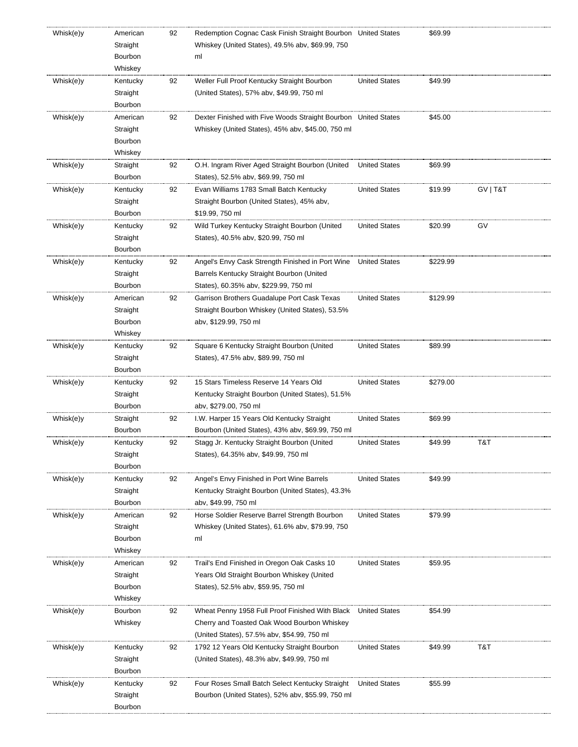| Whisk(e)y | American | 92 | Redemption Cognac Cask Finish Straight Bourbon United States   |                      | \$69.99  |          |
|-----------|----------|----|----------------------------------------------------------------|----------------------|----------|----------|
|           | Straight |    | Whiskey (United States), 49.5% abv, \$69.99, 750               |                      |          |          |
|           | Bourbon  |    | ml                                                             |                      |          |          |
|           | Whiskey  |    |                                                                |                      |          |          |
| Whisk(e)y | Kentucky | 92 | Weller Full Proof Kentucky Straight Bourbon                    | <b>United States</b> | \$49.99  |          |
|           | Straight |    | (United States), 57% abv, \$49.99, 750 ml                      |                      |          |          |
|           | Bourbon  |    |                                                                |                      |          |          |
| Whisk(e)y | American | 92 | Dexter Finished with Five Woods Straight Bourbon United States |                      | \$45.00  |          |
|           | Straight |    | Whiskey (United States), 45% abv, \$45.00, 750 ml              |                      |          |          |
|           | Bourbon  |    |                                                                |                      |          |          |
|           | Whiskey  |    |                                                                |                      |          |          |
| Whisk(e)y | Straight | 92 | O.H. Ingram River Aged Straight Bourbon (United                | <b>United States</b> | \$69.99  |          |
|           | Bourbon  |    | States), 52.5% abv, \$69.99, 750 ml                            |                      |          |          |
| Whisk(e)y | Kentucky | 92 | Evan Williams 1783 Small Batch Kentucky                        | <b>United States</b> | \$19.99  | GV   T&T |
|           | Straight |    | Straight Bourbon (United States), 45% abv,                     |                      |          |          |
|           | Bourbon  |    | \$19.99, 750 ml                                                |                      |          |          |
| Whisk(e)y | Kentucky | 92 | Wild Turkey Kentucky Straight Bourbon (United                  | <b>United States</b> | \$20.99  | GV       |
|           | Straight |    | States), 40.5% abv, \$20.99, 750 ml                            |                      |          |          |
|           | Bourbon  |    |                                                                |                      |          |          |
| Whisk(e)y | Kentucky | 92 | Angel's Envy Cask Strength Finished in Port Wine               | <b>United States</b> | \$229.99 |          |
|           | Straight |    | Barrels Kentucky Straight Bourbon (United                      |                      |          |          |
|           | Bourbon  |    | States), 60.35% abv, \$229.99, 750 ml                          |                      |          |          |
| Whisk(e)y | American | 92 | Garrison Brothers Guadalupe Port Cask Texas                    | <b>United States</b> | \$129.99 |          |
|           | Straight |    | Straight Bourbon Whiskey (United States), 53.5%                |                      |          |          |
|           | Bourbon  |    | abv, \$129.99, 750 ml                                          |                      |          |          |
|           | Whiskey  |    |                                                                |                      |          |          |
| Whisk(e)y | Kentucky | 92 | Square 6 Kentucky Straight Bourbon (United                     | <b>United States</b> | \$89.99  |          |
|           | Straight |    | States), 47.5% abv, \$89.99, 750 ml                            |                      |          |          |
|           | Bourbon  |    |                                                                |                      |          |          |
| Whisk(e)y | Kentucky | 92 | 15 Stars Timeless Reserve 14 Years Old                         | <b>United States</b> | \$279.00 |          |
|           | Straight |    | Kentucky Straight Bourbon (United States), 51.5%               |                      |          |          |
|           | Bourbon  |    | abv, \$279.00, 750 ml                                          |                      |          |          |
| Whisk(e)y | Straight | 92 | I.W. Harper 15 Years Old Kentucky Straight                     | <b>United States</b> | \$69.99  |          |
|           | Bourbon  |    | Bourbon (United States), 43% abv, \$69.99, 750 ml              |                      |          |          |
| Whisk(e)y | Kentucky | 92 | Stagg Jr. Kentucky Straight Bourbon (United                    | <b>United States</b> | \$49.99  | T&T      |
|           | Straight |    | States), 64.35% abv, \$49.99, 750 ml                           |                      |          |          |
|           | Bourbon  |    |                                                                |                      |          |          |
| Whisk(e)y | Kentucky | 92 | Angel's Envy Finished in Port Wine Barrels                     | <b>United States</b> | \$49.99  |          |
|           | Straight |    | Kentucky Straight Bourbon (United States), 43.3%               |                      |          |          |
|           | Bourbon  |    | abv, \$49.99, 750 ml                                           |                      |          |          |
| Whisk(e)y | American | 92 | Horse Soldier Reserve Barrel Strength Bourbon                  | <b>United States</b> | \$79.99  |          |
|           | Straight |    | Whiskey (United States), 61.6% abv, \$79.99, 750               |                      |          |          |
|           | Bourbon  |    | ml                                                             |                      |          |          |
|           | Whiskey  |    |                                                                |                      |          |          |
| Whisk(e)y | American | 92 | Trail's End Finished in Oregon Oak Casks 10                    | <b>United States</b> | \$59.95  |          |
|           | Straight |    | Years Old Straight Bourbon Whiskey (United                     |                      |          |          |
|           | Bourbon  |    | States), 52.5% abv, \$59.95, 750 ml                            |                      |          |          |
|           | Whiskey  |    |                                                                |                      |          |          |
| Whisk(e)y | Bourbon  | 92 | Wheat Penny 1958 Full Proof Finished With Black                | <b>United States</b> | \$54.99  |          |
|           | Whiskey  |    | Cherry and Toasted Oak Wood Bourbon Whiskey                    |                      |          |          |
|           |          |    | (United States), 57.5% abv, \$54.99, 750 ml                    |                      |          |          |
| Whisk(e)y | Kentucky | 92 | 1792 12 Years Old Kentucky Straight Bourbon                    | <b>United States</b> | \$49.99  | T&T      |
|           | Straight |    | (United States), 48.3% abv, \$49.99, 750 ml                    |                      |          |          |
|           | Bourbon  |    |                                                                |                      |          |          |
| Whisk(e)y | Kentucky | 92 | Four Roses Small Batch Select Kentucky Straight                | <b>United States</b> | \$55.99  |          |
|           | Straight |    | Bourbon (United States), 52% abv, \$55.99, 750 ml              |                      |          |          |
|           | Bourbon  |    |                                                                |                      |          |          |
|           |          |    |                                                                |                      |          |          |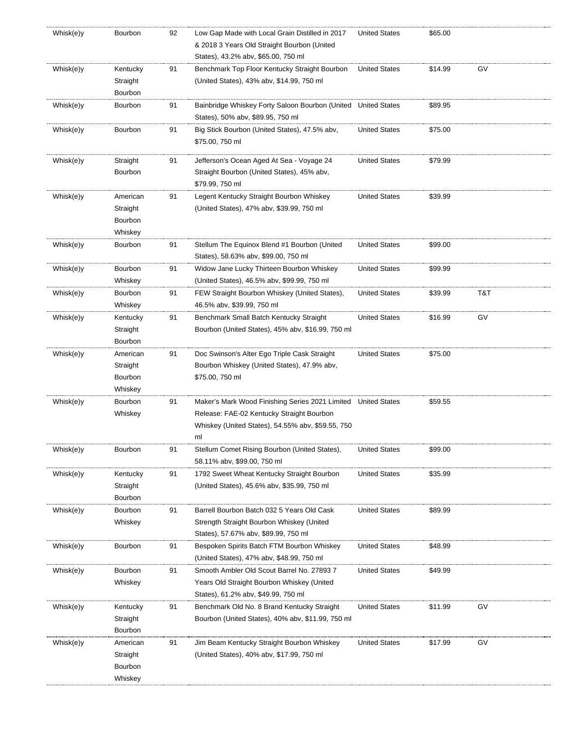| Whisk(e)y | Bourbon              | 92 | Low Gap Made with Local Grain Distilled in 2017<br>& 2018 3 Years Old Straight Bourbon (United | <b>United States</b> | \$65.00 |     |  |
|-----------|----------------------|----|------------------------------------------------------------------------------------------------|----------------------|---------|-----|--|
|           |                      |    | States), 43.2% abv, \$65.00, 750 ml                                                            |                      |         |     |  |
| Whisk(e)y | Kentucky<br>Straight | 91 | Benchmark Top Floor Kentucky Straight Bourbon<br>(United States), 43% abv, \$14.99, 750 ml     | <b>United States</b> | \$14.99 | GV  |  |
|           | Bourbon              |    |                                                                                                |                      |         |     |  |
| Whisk(e)y | Bourbon              | 91 | Bainbridge Whiskey Forty Saloon Bourbon (United<br>States), 50% abv, \$89.95, 750 ml           | <b>United States</b> | \$89.95 |     |  |
| Whisk(e)y | Bourbon              | 91 | Big Stick Bourbon (United States), 47.5% abv,<br>\$75.00, 750 ml                               | <b>United States</b> | \$75.00 |     |  |
| Whisk(e)y | Straight             | 91 | Jefferson's Ocean Aged At Sea - Voyage 24                                                      | <b>United States</b> | \$79.99 |     |  |
|           | Bourbon              |    | Straight Bourbon (United States), 45% abv,                                                     |                      |         |     |  |
|           |                      |    | \$79.99, 750 ml                                                                                |                      |         |     |  |
| Whisk(e)y | American             | 91 | Legent Kentucky Straight Bourbon Whiskey                                                       | <b>United States</b> | \$39.99 |     |  |
|           | Straight             |    | (United States), 47% abv, \$39.99, 750 ml                                                      |                      |         |     |  |
|           | Bourbon              |    |                                                                                                |                      |         |     |  |
|           | Whiskey              |    |                                                                                                |                      |         |     |  |
| Whisk(e)y | Bourbon              | 91 | Stellum The Equinox Blend #1 Bourbon (United                                                   | <b>United States</b> | \$99.00 |     |  |
|           |                      |    | States), 58.63% abv, \$99.00, 750 ml                                                           |                      |         |     |  |
| Whisk(e)y | Bourbon              | 91 | Widow Jane Lucky Thirteen Bourbon Whiskey                                                      | <b>United States</b> | \$99.99 |     |  |
|           | Whiskey              |    | (United States), 46.5% abv, \$99.99, 750 ml                                                    |                      |         |     |  |
| Whisk(e)y | Bourbon              | 91 | FEW Straight Bourbon Whiskey (United States),                                                  | <b>United States</b> | \$39.99 | T&T |  |
|           | Whiskey              |    | 46.5% abv, \$39.99, 750 ml                                                                     |                      |         |     |  |
| Whisk(e)y | Kentucky             | 91 | Benchmark Small Batch Kentucky Straight                                                        | <b>United States</b> | \$16.99 | GV  |  |
|           | Straight             |    | Bourbon (United States), 45% abv, \$16.99, 750 ml                                              |                      |         |     |  |
|           | Bourbon              |    |                                                                                                |                      |         |     |  |
| Whisk(e)y | American             | 91 | Doc Swinson's Alter Ego Triple Cask Straight                                                   | <b>United States</b> | \$75.00 |     |  |
|           | Straight             |    | Bourbon Whiskey (United States), 47.9% abv,                                                    |                      |         |     |  |
|           | Bourbon<br>Whiskey   |    | \$75.00, 750 ml                                                                                |                      |         |     |  |
| Whisk(e)y | Bourbon              | 91 | Maker's Mark Wood Finishing Series 2021 Limited United States                                  |                      | \$59.55 |     |  |
|           | Whiskey              |    | Release: FAE-02 Kentucky Straight Bourbon                                                      |                      |         |     |  |
|           |                      |    | Whiskey (United States), 54.55% abv, \$59.55, 750                                              |                      |         |     |  |
|           |                      |    | ml                                                                                             |                      |         |     |  |
| Whisk(e)y | Bourbon              | 91 | Stellum Comet Rising Bourbon (United States)                                                   | United States        | \$99.00 |     |  |
|           |                      |    | 58.11% abv, \$99.00, 750 ml                                                                    |                      |         |     |  |
| Whisk(e)y | Kentucky             | 91 | 1792 Sweet Wheat Kentucky Straight Bourbon                                                     | <b>United States</b> | \$35.99 |     |  |
|           | Straight             |    | (United States), 45.6% abv, \$35.99, 750 ml                                                    |                      |         |     |  |
|           | Bourbon              |    |                                                                                                |                      |         |     |  |
| Whisk(e)y | Bourbon              | 91 | Barrell Bourbon Batch 032 5 Years Old Cask                                                     | <b>United States</b> | \$89.99 |     |  |
|           | Whiskey              |    | Strength Straight Bourbon Whiskey (United                                                      |                      |         |     |  |
|           |                      |    | States), 57.67% abv, \$89.99, 750 ml                                                           |                      |         |     |  |
| Whisk(e)y | Bourbon              | 91 | Bespoken Spirits Batch FTM Bourbon Whiskey                                                     | <b>United States</b> | \$48.99 |     |  |
|           |                      |    | (United States), 47% abv, \$48.99, 750 ml                                                      |                      |         |     |  |
| Whisk(e)y | Bourbon              | 91 | Smooth Ambler Old Scout Barrel No. 27893 7                                                     | <b>United States</b> | \$49.99 |     |  |
|           | Whiskey              |    | Years Old Straight Bourbon Whiskey (United                                                     |                      |         |     |  |
|           |                      |    | States), 61.2% abv, \$49.99, 750 ml                                                            |                      |         |     |  |
| Whisk(e)y | Kentucky             | 91 | Benchmark Old No. 8 Brand Kentucky Straight                                                    | <b>United States</b> | \$11.99 | GV  |  |
|           | Straight             |    | Bourbon (United States), 40% abv, \$11.99, 750 ml                                              |                      |         |     |  |
|           | Bourbon              |    |                                                                                                |                      |         |     |  |
| Whisk(e)y | American             | 91 | Jim Beam Kentucky Straight Bourbon Whiskey                                                     | <b>United States</b> | \$17.99 | GV  |  |
|           | Straight             |    | (United States), 40% abv, \$17.99, 750 ml                                                      |                      |         |     |  |
|           | Bourbon              |    |                                                                                                |                      |         |     |  |
|           | Whiskey              |    |                                                                                                |                      |         |     |  |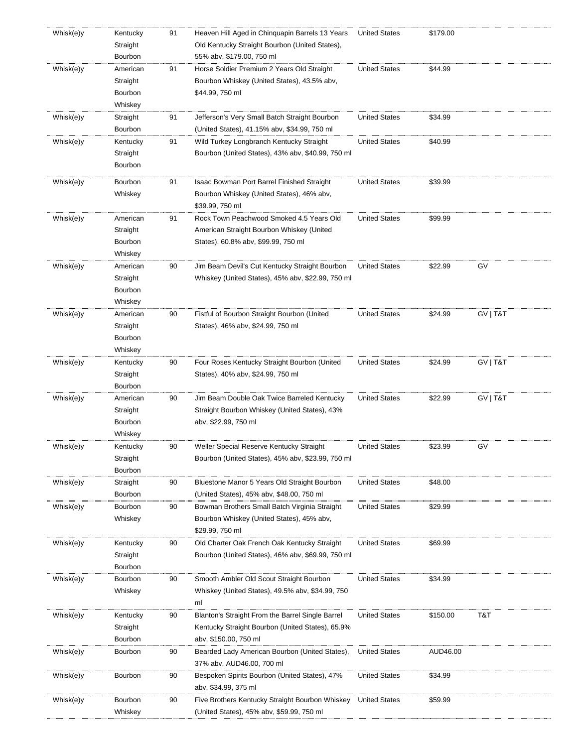| Whisk(e)y | Kentucky | 91 | Heaven Hill Aged in Chinquapin Barrels 13 Years   | <b>United States</b> | \$179.00 |          |
|-----------|----------|----|---------------------------------------------------|----------------------|----------|----------|
|           | Straight |    | Old Kentucky Straight Bourbon (United States),    |                      |          |          |
|           | Bourbon  |    | 55% abv, \$179.00, 750 ml                         |                      |          |          |
| Whisk(e)y | American | 91 | Horse Soldier Premium 2 Years Old Straight        | <b>United States</b> | \$44.99  |          |
|           | Straight |    | Bourbon Whiskey (United States), 43.5% abv,       |                      |          |          |
|           | Bourbon  |    | \$44.99, 750 ml                                   |                      |          |          |
|           | Whiskey  |    |                                                   |                      |          |          |
| Whisk(e)y | Straight | 91 | Jefferson's Very Small Batch Straight Bourbon     | <b>United States</b> | \$34.99  |          |
|           | Bourbon  |    | (United States), 41.15% abv, \$34.99, 750 ml      |                      |          |          |
| Whisk(e)y | Kentucky | 91 | Wild Turkey Longbranch Kentucky Straight          | <b>United States</b> | \$40.99  |          |
|           | Straight |    | Bourbon (United States), 43% abv, \$40.99, 750 ml |                      |          |          |
|           | Bourbon  |    |                                                   |                      |          |          |
|           |          |    |                                                   |                      |          |          |
| Whisk(e)y | Bourbon  | 91 | Isaac Bowman Port Barrel Finished Straight        | <b>United States</b> | \$39.99  |          |
|           | Whiskey  |    | Bourbon Whiskey (United States), 46% abv,         |                      |          |          |
|           |          |    | \$39.99, 750 ml                                   |                      |          |          |
| Whisk(e)y | American | 91 | Rock Town Peachwood Smoked 4.5 Years Old          | <b>United States</b> | \$99.99  |          |
|           | Straight |    | American Straight Bourbon Whiskey (United         |                      |          |          |
|           | Bourbon  |    | States), 60.8% abv, \$99.99, 750 ml               |                      |          |          |
|           | Whiskey  |    |                                                   |                      |          |          |
| Whisk(e)y | American | 90 | Jim Beam Devil's Cut Kentucky Straight Bourbon    | <b>United States</b> | \$22.99  | GV       |
|           | Straight |    | Whiskey (United States), 45% abv, \$22.99, 750 ml |                      |          |          |
|           | Bourbon  |    |                                                   |                      |          |          |
|           | Whiskey  |    |                                                   |                      |          |          |
| Whisk(e)y | American | 90 | Fistful of Bourbon Straight Bourbon (United       | <b>United States</b> | \$24.99  | GV   T&T |
|           | Straight |    | States), 46% abv, \$24.99, 750 ml                 |                      |          |          |
|           | Bourbon  |    |                                                   |                      |          |          |
|           | Whiskey  |    |                                                   |                      |          |          |
| Whisk(e)y | Kentucky | 90 | Four Roses Kentucky Straight Bourbon (United      | <b>United States</b> | \$24.99  | GV   T&T |
|           |          |    |                                                   |                      |          |          |
|           | Straight |    | States), 40% abv, \$24.99, 750 ml                 |                      |          |          |
|           | Bourbon  |    |                                                   |                      |          |          |
| Whisk(e)y | American | 90 | Jim Beam Double Oak Twice Barreled Kentucky       | <b>United States</b> | \$22.99  | GV   T&T |
|           | Straight |    | Straight Bourbon Whiskey (United States), 43%     |                      |          |          |
|           | Bourbon  |    | abv, \$22.99, 750 ml                              |                      |          |          |
|           | Whiskey  |    |                                                   |                      |          |          |
| Whisk(e)y | Kentucky | 90 | Weller Special Reserve Kentucky Straight          | <b>United States</b> | \$23.99  | GV       |
|           | Straight |    | Bourbon (United States), 45% abv, \$23.99, 750 ml |                      |          |          |
|           | Bourbon  |    |                                                   |                      |          |          |
| Whisk(e)y | Straight | 90 | Bluestone Manor 5 Years Old Straight Bourbon      | <b>United States</b> | \$48.00  |          |
|           | Bourbon  |    | (United States), 45% abv, \$48.00, 750 ml         |                      |          |          |
| Whisk(e)y | Bourbon  | 90 | Bowman Brothers Small Batch Virginia Straight     | <b>United States</b> | \$29.99  |          |
|           | Whiskey  |    | Bourbon Whiskey (United States), 45% abv,         |                      |          |          |
|           |          |    | \$29.99, 750 ml                                   |                      |          |          |
| Whisk(e)y | Kentucky | 90 | Old Charter Oak French Oak Kentucky Straight      | <b>United States</b> | \$69.99  |          |
|           | Straight |    | Bourbon (United States), 46% abv, \$69.99, 750 ml |                      |          |          |
|           | Bourbon  |    |                                                   |                      |          |          |
| Whisk(e)y | Bourbon  | 90 | Smooth Ambler Old Scout Straight Bourbon          | <b>United States</b> | \$34.99  |          |
|           | Whiskey  |    | Whiskey (United States), 49.5% abv, \$34.99, 750  |                      |          |          |
|           |          |    | ml                                                |                      |          |          |
| Whisk(e)y | Kentucky | 90 | Blanton's Straight From the Barrel Single Barrel  | <b>United States</b> | \$150.00 | T&T      |
|           | Straight |    | Kentucky Straight Bourbon (United States), 65.9%  |                      |          |          |
|           | Bourbon  |    | abv, \$150.00, 750 ml                             |                      |          |          |
| Whisk(e)y | Bourbon  | 90 | Bearded Lady American Bourbon (United States),    | <b>United States</b> | AUD46.00 |          |
|           |          |    | 37% abv, AUD46.00, 700 ml                         |                      |          |          |
|           |          |    |                                                   |                      |          |          |
| Whisk(e)y | Bourbon  | 90 | Bespoken Spirits Bourbon (United States), 47%     | <b>United States</b> | \$34.99  |          |
|           |          |    | abv, \$34.99, 375 ml                              |                      |          |          |
| Whisk(e)y | Bourbon  | 90 | Five Brothers Kentucky Straight Bourbon Whiskey   | <b>United States</b> | \$59.99  |          |
|           | Whiskey  |    | (United States), 45% abv, \$59.99, 750 ml         |                      |          |          |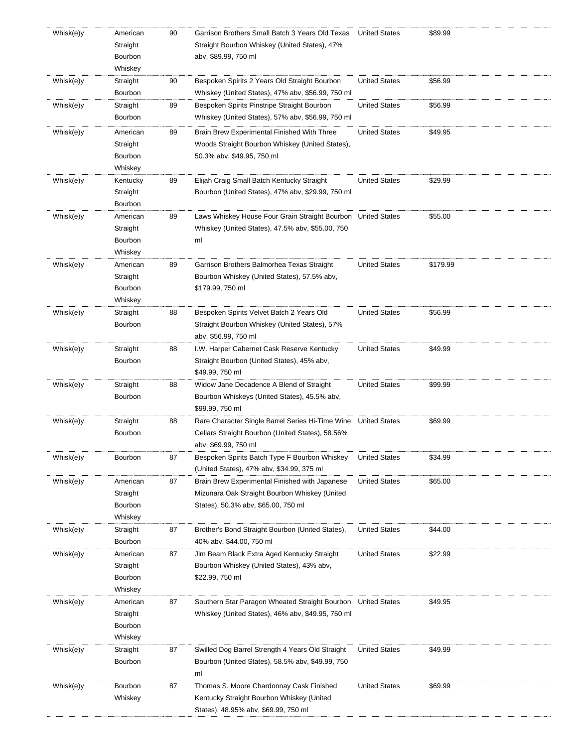| Whisk(e)y | American<br>Straight<br>Bourbon<br>Whiskey | 90 | Garrison Brothers Small Batch 3 Years Old Texas<br>Straight Bourbon Whiskey (United States), 47%<br>abv, \$89.99, 750 ml               | <b>United States</b> | \$89.99  |
|-----------|--------------------------------------------|----|----------------------------------------------------------------------------------------------------------------------------------------|----------------------|----------|
| Whisk(e)y | Straight<br>Bourbon                        | 90 | Bespoken Spirits 2 Years Old Straight Bourbon<br>Whiskey (United States), 47% abv, \$56.99, 750 ml                                     | <b>United States</b> | \$56.99  |
| Whisk(e)y | Straight<br>Bourbon                        | 89 | Bespoken Spirits Pinstripe Straight Bourbon<br>Whiskey (United States), 57% abv, \$56.99, 750 ml                                       | <b>United States</b> | \$56.99  |
| Whisk(e)y | American<br>Straight<br>Bourbon<br>Whiskey | 89 | Brain Brew Experimental Finished With Three<br>Woods Straight Bourbon Whiskey (United States),<br>50.3% abv, \$49.95, 750 ml           | <b>United States</b> | \$49.95  |
| Whisk(e)y | Kentucky<br>Straight<br>Bourbon            | 89 | Elijah Craig Small Batch Kentucky Straight<br>Bourbon (United States), 47% abv, \$29.99, 750 ml                                        | <b>United States</b> | \$29.99  |
| Whisk(e)y | American<br>Straight<br>Bourbon<br>Whiskey | 89 | Laws Whiskey House Four Grain Straight Bourbon United States<br>Whiskey (United States), 47.5% abv, \$55.00, 750<br>ml                 |                      | \$55.00  |
| Whisk(e)y | American<br>Straight<br>Bourbon<br>Whiskey | 89 | Garrison Brothers Balmorhea Texas Straight<br>Bourbon Whiskey (United States), 57.5% abv,<br>\$179.99, 750 ml                          | <b>United States</b> | \$179.99 |
| Whisk(e)y | Straight<br>Bourbon                        | 88 | Bespoken Spirits Velvet Batch 2 Years Old<br>Straight Bourbon Whiskey (United States), 57%<br>abv, \$56.99, 750 ml                     | <b>United States</b> | \$56.99  |
| Whisk(e)y | Straight<br>Bourbon                        | 88 | I.W. Harper Cabernet Cask Reserve Kentucky<br>Straight Bourbon (United States), 45% abv,<br>\$49.99, 750 ml                            | <b>United States</b> | \$49.99  |
| Whisk(e)y | Straight<br>Bourbon                        | 88 | Widow Jane Decadence A Blend of Straight<br>Bourbon Whiskeys (United States), 45.5% abv,<br>\$99.99, 750 ml                            | <b>United States</b> | \$99.99  |
| Whisk(e)y | Straight<br>Bourbon                        | 88 | Rare Character Single Barrel Series Hi-Time Wine<br>Cellars Straight Bourbon (United States), 58.56%<br>abv, \$69.99, 750 ml           | <b>United States</b> | \$69.99  |
| Whisk(e)y | Bourbon                                    | 87 | Bespoken Spirits Batch Type F Bourbon Whiskey<br>(United States), 47% abv, \$34.99, 375 ml                                             | <b>United States</b> | \$34.99  |
| Whisk(e)y | American<br>Straight<br>Bourbon<br>Whiskey | 87 | Brain Brew Experimental Finished with Japanese<br>Mizunara Oak Straight Bourbon Whiskey (United<br>States), 50.3% abv, \$65.00, 750 ml | <b>United States</b> | \$65.00  |
| Whisk(e)y | Straight<br>Bourbon                        | 87 | Brother's Bond Straight Bourbon (United States),<br>40% abv, \$44.00, 750 ml                                                           | <b>United States</b> | \$44.00  |
| Whisk(e)y | American<br>Straight<br>Bourbon<br>Whiskey | 87 | Jim Beam Black Extra Aged Kentucky Straight<br>Bourbon Whiskey (United States), 43% abv,<br>\$22.99, 750 ml                            | <b>United States</b> | \$22.99  |
| Whisk(e)y | American<br>Straight<br>Bourbon<br>Whiskey | 87 | Southern Star Paragon Wheated Straight Bourbon United States<br>Whiskey (United States), 46% abv, \$49.95, 750 ml                      |                      | \$49.95  |
| Whisk(e)y | Straight<br>Bourbon                        | 87 | Swilled Dog Barrel Strength 4 Years Old Straight<br>Bourbon (United States), 58.5% abv, \$49.99, 750<br>ml                             | <b>United States</b> | \$49.99  |
| Whisk(e)y | Bourbon<br>Whiskey                         | 87 | Thomas S. Moore Chardonnay Cask Finished<br>Kentucky Straight Bourbon Whiskey (United<br>States), 48.95% abv, \$69.99, 750 ml          | <b>United States</b> | \$69.99  |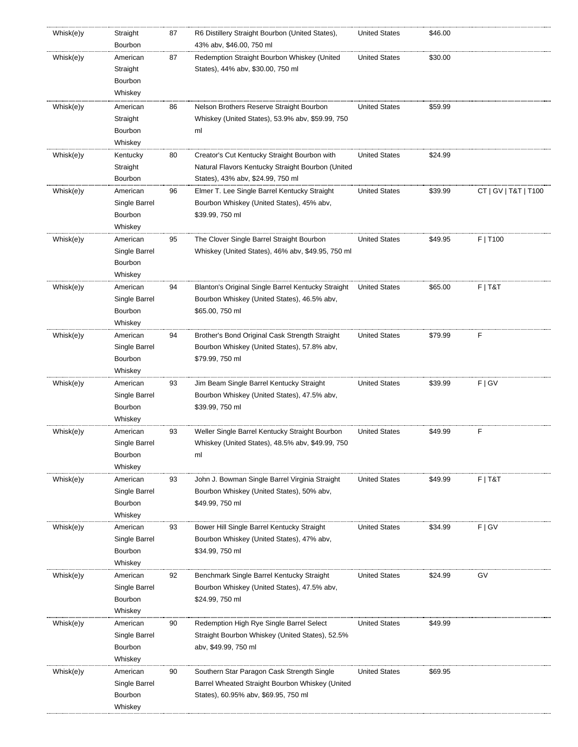| Whisk(e)y | Straight<br>Bourbon | 87 | R6 Distillery Straight Bourbon (United States),<br>43% abv, \$46.00, 750 ml | <b>United States</b> | \$46.00 |                      |
|-----------|---------------------|----|-----------------------------------------------------------------------------|----------------------|---------|----------------------|
| Whisk(e)y | American            | 87 | Redemption Straight Bourbon Whiskey (United                                 | <b>United States</b> | \$30.00 |                      |
|           | Straight            |    | States), 44% abv, \$30.00, 750 ml                                           |                      |         |                      |
|           | Bourbon             |    |                                                                             |                      |         |                      |
|           | Whiskey             |    |                                                                             |                      |         |                      |
| Whisk(e)y | American            | 86 | Nelson Brothers Reserve Straight Bourbon                                    | <b>United States</b> | \$59.99 |                      |
|           | Straight            |    | Whiskey (United States), 53.9% abv, \$59.99, 750                            |                      |         |                      |
|           | Bourbon             |    | ml                                                                          |                      |         |                      |
|           | Whiskey             |    |                                                                             |                      |         |                      |
| Whisk(e)y | Kentucky            | 80 | Creator's Cut Kentucky Straight Bourbon with                                | <b>United States</b> | \$24.99 |                      |
|           | Straight            |    | Natural Flavors Kentucky Straight Bourbon (United                           |                      |         |                      |
|           | Bourbon             |    | States), 43% abv, \$24.99, 750 ml                                           |                      |         |                      |
| Whisk(e)y | American            | 96 | Elmer T. Lee Single Barrel Kentucky Straight                                | <b>United States</b> | \$39.99 | CT   GV   T&T   T100 |
|           | Single Barrel       |    | Bourbon Whiskey (United States), 45% abv,                                   |                      |         |                      |
|           | Bourbon             |    | \$39.99, 750 ml                                                             |                      |         |                      |
|           | Whiskey             |    |                                                                             |                      |         |                      |
| Whisk(e)y | American            | 95 | The Clover Single Barrel Straight Bourbon                                   | <b>United States</b> | \$49.95 | F   T100             |
|           | Single Barrel       |    | Whiskey (United States), 46% abv, \$49.95, 750 ml                           |                      |         |                      |
|           | Bourbon             |    |                                                                             |                      |         |                      |
|           | Whiskey             |    |                                                                             |                      |         |                      |
| Whisk(e)y | American            | 94 | Blanton's Original Single Barrel Kentucky Straight                          | <b>United States</b> | \$65.00 | $F$   T&T            |
|           | Single Barrel       |    | Bourbon Whiskey (United States), 46.5% abv,                                 |                      |         |                      |
|           | Bourbon             |    | \$65.00, 750 ml                                                             |                      |         |                      |
|           | Whiskey             |    |                                                                             |                      |         |                      |
| Whisk(e)y | American            | 94 | Brother's Bond Original Cask Strength Straight                              | <b>United States</b> | \$79.99 | F                    |
|           | Single Barrel       |    | Bourbon Whiskey (United States), 57.8% abv,                                 |                      |         |                      |
|           | Bourbon             |    | \$79.99, 750 ml                                                             |                      |         |                      |
|           | Whiskey             |    |                                                                             |                      |         |                      |
| Whisk(e)y | American            | 93 | Jim Beam Single Barrel Kentucky Straight                                    | <b>United States</b> | \$39.99 | F   G V              |
|           | Single Barrel       |    | Bourbon Whiskey (United States), 47.5% abv,                                 |                      |         |                      |
|           | Bourbon             |    | \$39.99, 750 ml                                                             |                      |         |                      |
|           | Whiskey             |    |                                                                             |                      |         |                      |
| Whisk(e)y | American            | 93 | Weller Single Barrel Kentucky Straight Bourbon                              | <b>United States</b> | \$49.99 | F                    |
|           | Single Barrel       |    | Whiskey (United States), 48.5% abv, \$49.99, 750                            |                      |         |                      |
|           | Bourbon             |    | ml                                                                          |                      |         |                      |
|           | Whiskey             |    |                                                                             |                      |         |                      |
| Whisk(e)y | American            | 93 | John J. Bowman Single Barrel Virginia Straight                              | <b>United States</b> | \$49.99 | $F$   T&T            |
|           | Single Barrel       |    | Bourbon Whiskey (United States), 50% abv,                                   |                      |         |                      |
|           | Bourbon             |    | \$49.99, 750 ml                                                             |                      |         |                      |
|           | Whiskey             |    |                                                                             |                      |         |                      |
| Whisk(e)y | American            | 93 | Bower Hill Single Barrel Kentucky Straight                                  | <b>United States</b> | \$34.99 | F   G V              |
|           | Single Barrel       |    | Bourbon Whiskey (United States), 47% abv,                                   |                      |         |                      |
|           | Bourbon             |    | \$34.99, 750 ml                                                             |                      |         |                      |
|           | Whiskey             |    |                                                                             |                      |         |                      |
| Whisk(e)y | American            | 92 | Benchmark Single Barrel Kentucky Straight                                   | <b>United States</b> | \$24.99 | GV                   |
|           | Single Barrel       |    | Bourbon Whiskey (United States), 47.5% abv,                                 |                      |         |                      |
|           | Bourbon             |    | \$24.99, 750 ml                                                             |                      |         |                      |
|           | Whiskey             |    |                                                                             |                      |         |                      |
| Whisk(e)y | American            | 90 | Redemption High Rye Single Barrel Select                                    | <b>United States</b> | \$49.99 |                      |
|           | Single Barrel       |    | Straight Bourbon Whiskey (United States), 52.5%                             |                      |         |                      |
|           | Bourbon             |    | aby, \$49.99, 750 ml                                                        |                      |         |                      |
|           | Whiskey             |    |                                                                             |                      |         |                      |
| Whisk(e)y | American            | 90 | Southern Star Paragon Cask Strength Single                                  | <b>United States</b> | \$69.95 |                      |
|           | Single Barrel       |    | Barrel Wheated Straight Bourbon Whiskey (United                             |                      |         |                      |
|           | Bourbon             |    | States), 60.95% abv, \$69.95, 750 ml                                        |                      |         |                      |
|           | Whiskey             |    |                                                                             |                      |         |                      |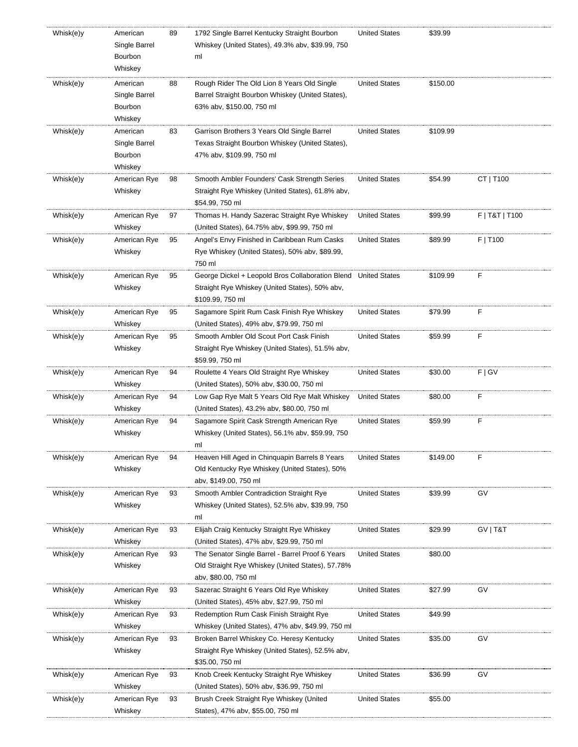| Whisk(e)y | American<br>Single Barrel<br>Bourbon<br>Whiskey | 89 | 1792 Single Barrel Kentucky Straight Bourbon<br>Whiskey (United States), 49.3% abv, \$39.99, 750<br>ml | <b>United States</b> | \$39.99  |                |
|-----------|-------------------------------------------------|----|--------------------------------------------------------------------------------------------------------|----------------------|----------|----------------|
| Whisk(e)y | American                                        | 88 | Rough Rider The Old Lion 8 Years Old Single                                                            | <b>United States</b> | \$150.00 |                |
|           | Single Barrel                                   |    | Barrel Straight Bourbon Whiskey (United States),                                                       |                      |          |                |
|           | Bourbon                                         |    | 63% abv, \$150.00, 750 ml                                                                              |                      |          |                |
|           | Whiskey                                         |    |                                                                                                        |                      |          |                |
| Whisk(e)y | American                                        | 83 | Garrison Brothers 3 Years Old Single Barrel                                                            | <b>United States</b> | \$109.99 |                |
|           | Single Barrel                                   |    | Texas Straight Bourbon Whiskey (United States),                                                        |                      |          |                |
|           | Bourbon                                         |    | 47% abv, \$109.99, 750 ml                                                                              |                      |          |                |
|           | Whiskey                                         |    |                                                                                                        |                      |          |                |
| Whisk(e)y | American Rye                                    | 98 | Smooth Ambler Founders' Cask Strength Series                                                           | <b>United States</b> | \$54.99  | CT   T100      |
|           | Whiskey                                         |    | Straight Rye Whiskey (United States), 61.8% abv,                                                       |                      |          |                |
|           |                                                 |    | \$54.99, 750 ml                                                                                        |                      |          |                |
| Whisk(e)y | American Rye                                    | 97 | Thomas H. Handy Sazerac Straight Rye Whiskey                                                           | <b>United States</b> | \$99.99  | F   T&T   T100 |
|           | Whiskey                                         |    | (United States), 64.75% abv, \$99.99, 750 ml                                                           |                      |          |                |
| Whisk(e)y | American Rye                                    | 95 | Angel's Envy Finished in Caribbean Rum Casks                                                           | <b>United States</b> | \$89.99  | F   T100       |
|           | Whiskey                                         |    | Rye Whiskey (United States), 50% abv, \$89.99,                                                         |                      |          |                |
|           |                                                 |    | 750 ml                                                                                                 |                      |          |                |
| Whisk(e)y | American Rye                                    | 95 | George Dickel + Leopold Bros Collaboration Blend United States                                         |                      | \$109.99 | F              |
|           | Whiskey                                         |    | Straight Rye Whiskey (United States), 50% abv,                                                         |                      |          |                |
|           |                                                 |    | \$109.99, 750 ml                                                                                       |                      |          |                |
| Whisk(e)y | American Rye                                    | 95 | Sagamore Spirit Rum Cask Finish Rye Whiskey                                                            | <b>United States</b> | \$79.99  | F              |
|           | Whiskey                                         |    | (United States), 49% abv, \$79.99, 750 ml                                                              |                      |          |                |
| Whisk(e)y | American Rye                                    | 95 | Smooth Ambler Old Scout Port Cask Finish                                                               | <b>United States</b> | \$59.99  | F              |
|           | Whiskey                                         |    | Straight Rye Whiskey (United States), 51.5% abv,                                                       |                      |          |                |
|           |                                                 |    | \$59.99, 750 ml                                                                                        |                      |          |                |
| Whisk(e)y | American Rye                                    | 94 | Roulette 4 Years Old Straight Rye Whiskey                                                              | <b>United States</b> | \$30.00  | F   G V        |
|           | Whiskey                                         |    | (United States), 50% abv, \$30.00, 750 ml                                                              |                      |          |                |
| Whisk(e)y | American Rye                                    | 94 | Low Gap Rye Malt 5 Years Old Rye Malt Whiskey                                                          | <b>United States</b> | \$80.00  | F              |
|           | Whiskey                                         |    | (United States), 43.2% abv, \$80.00, 750 ml                                                            |                      |          |                |
| Whisk(e)y | American Rye                                    | 94 | Sagamore Spirit Cask Strength American Rye                                                             | <b>United States</b> | \$59.99  | F              |
|           | Whiskey                                         |    | Whiskey (United States), 56.1% abv, \$59.99, 750                                                       |                      |          |                |
|           |                                                 |    | ml                                                                                                     |                      |          |                |
| Whisk(e)y | American Rye                                    | 94 | Heaven Hill Aged in Chinguapin Barrels 8 Years                                                         | <b>United States</b> | \$149.00 | F              |
|           | Whiskey                                         |    | Old Kentucky Rye Whiskey (United States), 50%                                                          |                      |          |                |
|           |                                                 |    | abv, \$149.00, 750 ml                                                                                  |                      |          |                |
| Whisk(e)y | American Rye                                    | 93 | Smooth Ambler Contradiction Straight Rye                                                               | <b>United States</b> | \$39.99  | GV             |
|           | Whiskey                                         |    | Whiskey (United States), 52.5% abv, \$39.99, 750                                                       |                      |          |                |
|           |                                                 |    | ml                                                                                                     |                      |          |                |
| Whisk(e)y | American Rye                                    | 93 | Elijah Craig Kentucky Straight Rye Whiskey                                                             | <b>United States</b> | \$29.99  | GV   T&T       |
|           | Whiskey                                         |    | (United States), 47% abv, \$29.99, 750 ml                                                              |                      |          |                |
| Whisk(e)y | American Rye                                    | 93 | The Senator Single Barrel - Barrel Proof 6 Years                                                       | <b>United States</b> | \$80.00  |                |
|           | Whiskey                                         |    | Old Straight Rye Whiskey (United States), 57.78%                                                       |                      |          |                |
|           |                                                 |    | abv, \$80.00, 750 ml                                                                                   |                      |          |                |
| Whisk(e)y | American Rye                                    | 93 | Sazerac Straight 6 Years Old Rye Whiskey                                                               | United States        | \$27.99  | GV             |
|           | Whiskey                                         |    | (United States), 45% abv, \$27.99, 750 ml                                                              |                      |          |                |
| Whisk(e)y | American Rye                                    | 93 | Redemption Rum Cask Finish Straight Rye                                                                | <b>United States</b> | \$49.99  |                |
|           | Whiskey                                         |    | Whiskey (United States), 47% abv, \$49.99, 750 ml                                                      |                      |          |                |
| Whisk(e)y | American Rye                                    | 93 | Broken Barrel Whiskey Co. Heresy Kentucky                                                              | <b>United States</b> | \$35.00  | GV             |
|           | Whiskey                                         |    | Straight Rye Whiskey (United States), 52.5% abv,<br>\$35.00, 750 ml                                    |                      |          |                |
|           |                                                 |    |                                                                                                        |                      |          | GV             |
| Whisk(e)y | American Rye<br>Whiskey                         | 93 | Knob Creek Kentucky Straight Rye Whiskey<br>(United States), 50% abv, \$36.99, 750 ml                  | <b>United States</b> | \$36.99  |                |
| Whisk(e)y | American Rye                                    | 93 | Brush Creek Straight Rye Whiskey (United                                                               | <b>United States</b> | \$55.00  |                |
|           | Whiskey                                         |    | States), 47% abv, \$55.00, 750 ml                                                                      |                      |          |                |
|           |                                                 |    |                                                                                                        |                      |          |                |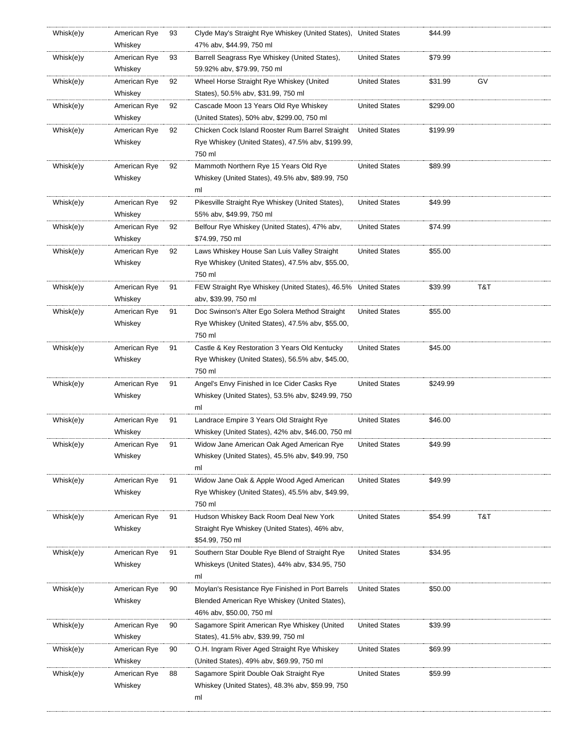| Whisk(e)y | American Rye<br>Whiskey | 93 | Clyde May's Straight Rye Whiskey (United States), United States<br>47% abv, \$44.99, 750 ml |                      | \$44.99  |     |
|-----------|-------------------------|----|---------------------------------------------------------------------------------------------|----------------------|----------|-----|
| Whisk(e)y | American Rye            | 93 | Barrell Seagrass Rye Whiskey (United States),                                               | United States        | \$79.99  |     |
|           | Whiskey                 |    | 59.92% abv, \$79.99, 750 ml                                                                 |                      |          |     |
| Whisk(e)y | American Rye            | 92 | Wheel Horse Straight Rye Whiskey (United                                                    | <b>United States</b> | \$31.99  | GV  |
|           | Whiskey                 |    | States), 50.5% abv, \$31.99, 750 ml                                                         |                      |          |     |
|           |                         |    |                                                                                             |                      |          |     |
| Whisk(e)y | American Rye            | 92 | Cascade Moon 13 Years Old Rye Whiskey                                                       | United States        | \$299.00 |     |
|           | Whiskey                 |    | (United States), 50% abv, \$299.00, 750 ml                                                  |                      |          |     |
| Whisk(e)y | American Rye            | 92 | Chicken Cock Island Rooster Rum Barrel Straight                                             | <b>United States</b> | \$199.99 |     |
|           | Whiskey                 |    | Rye Whiskey (United States), 47.5% abv, \$199.99,                                           |                      |          |     |
|           |                         |    | 750 ml                                                                                      |                      |          |     |
| Whisk(e)y | American Rye            | 92 | Mammoth Northern Rye 15 Years Old Rye                                                       | <b>United States</b> | \$89.99  |     |
|           | Whiskey                 |    | Whiskey (United States), 49.5% abv, \$89.99, 750                                            |                      |          |     |
|           |                         |    | ml                                                                                          |                      |          |     |
| Whisk(e)y | American Rye            | 92 | Pikesville Straight Rye Whiskey (United States),                                            | <b>United States</b> | \$49.99  |     |
|           | Whiskey                 |    | 55% abv, \$49.99, 750 ml                                                                    |                      |          |     |
| Whisk(e)y | American Rye            | 92 | Belfour Rye Whiskey (United States), 47% abv,                                               | United States        | \$74.99  |     |
|           | Whiskey                 |    | \$74.99, 750 ml                                                                             |                      |          |     |
| Whisk(e)y | American Rye            | 92 | Laws Whiskey House San Luis Valley Straight                                                 | <b>United States</b> | \$55.00  |     |
|           | Whiskey                 |    | Rye Whiskey (United States), 47.5% abv, \$55.00,                                            |                      |          |     |
|           |                         |    | 750 ml                                                                                      |                      |          |     |
| Whisk(e)y | American Rye            | 91 | FEW Straight Rye Whiskey (United States), 46.5%                                             | <b>United States</b> | \$39.99  | T&T |
|           | Whiskey                 |    | aby, \$39.99, 750 ml                                                                        |                      |          |     |
| Whisk(e)y | American Rye            | 91 | Doc Swinson's Alter Ego Solera Method Straight                                              | <b>United States</b> | \$55.00  |     |
|           | Whiskey                 |    | Rye Whiskey (United States), 47.5% abv, \$55.00,                                            |                      |          |     |
|           |                         |    | 750 ml                                                                                      |                      |          |     |
|           |                         |    |                                                                                             | <b>United States</b> | \$45.00  |     |
| Whisk(e)y | American Rye            | 91 | Castle & Key Restoration 3 Years Old Kentucky                                               |                      |          |     |
|           | Whiskey                 |    | Rye Whiskey (United States), 56.5% abv, \$45.00,                                            |                      |          |     |
|           |                         |    | 750 ml                                                                                      |                      |          |     |
| Whisk(e)y | American Rye            | 91 | Angel's Envy Finished in Ice Cider Casks Rye                                                | <b>United States</b> | \$249.99 |     |
|           | Whiskey                 |    | Whiskey (United States), 53.5% abv, \$249.99, 750                                           |                      |          |     |
|           |                         |    | ml                                                                                          |                      |          |     |
| Whisk(e)y | American Rye            | 91 | Landrace Empire 3 Years Old Straight Rye                                                    | <b>United States</b> | \$46.00  |     |
|           | Whiskey                 |    | Whiskey (United States), 42% abv, \$46.00, 750 ml                                           |                      |          |     |
| Whisk(e)y | American Rye            | 91 | Widow Jane American Oak Aged American Rye                                                   | <b>United States</b> | \$49.99  |     |
|           | Whiskey                 |    | Whiskey (United States), 45.5% abv, \$49.99, 750                                            |                      |          |     |
|           |                         |    | ml                                                                                          |                      |          |     |
| Whisk(e)y | American Rye            | 91 | Widow Jane Oak & Apple Wood Aged American                                                   | <b>United States</b> | \$49.99  |     |
|           | Whiskey                 |    | Rye Whiskey (United States), 45.5% abv, \$49.99,                                            |                      |          |     |
|           |                         |    | 750 ml                                                                                      |                      |          |     |
| Whisk(e)y | American Rye            | 91 | Hudson Whiskey Back Room Deal New York                                                      | <b>United States</b> | \$54.99  | T&T |
|           | Whiskey                 |    | Straight Rye Whiskey (United States), 46% abv,                                              |                      |          |     |
|           |                         |    | \$54.99, 750 ml                                                                             |                      |          |     |
| Whisk(e)y | American Rye            | 91 | Southern Star Double Rye Blend of Straight Rye                                              | <b>United States</b> | \$34.95  |     |
|           | Whiskey                 |    | Whiskeys (United States), 44% abv, \$34.95, 750                                             |                      |          |     |
|           |                         |    | ml                                                                                          |                      |          |     |
| Whisk(e)y | American Rye            | 90 | Moylan's Resistance Rye Finished in Port Barrels                                            | <b>United States</b> | \$50.00  |     |
|           | Whiskey                 |    | Blended American Rye Whiskey (United States),                                               |                      |          |     |
|           |                         |    | 46% abv, \$50.00, 750 ml                                                                    |                      |          |     |
| Whisk(e)y | American Rye            | 90 | Sagamore Spirit American Rye Whiskey (United                                                | <b>United States</b> | \$39.99  |     |
|           | Whiskey                 |    | States), 41.5% abv, \$39.99, 750 ml                                                         |                      |          |     |
| Whisk(e)y | American Rye            | 90 | O.H. Ingram River Aged Straight Rye Whiskey                                                 | <b>United States</b> | \$69.99  |     |
|           | Whiskey                 |    | (United States), 49% abv, \$69.99, 750 ml                                                   |                      |          |     |
| Whisk(e)y | American Rye            | 88 | Sagamore Spirit Double Oak Straight Rye                                                     | <b>United States</b> | \$59.99  |     |
|           | Whiskey                 |    | Whiskey (United States), 48.3% abv, \$59.99, 750                                            |                      |          |     |
|           |                         |    |                                                                                             |                      |          |     |
|           |                         |    | ml                                                                                          |                      |          |     |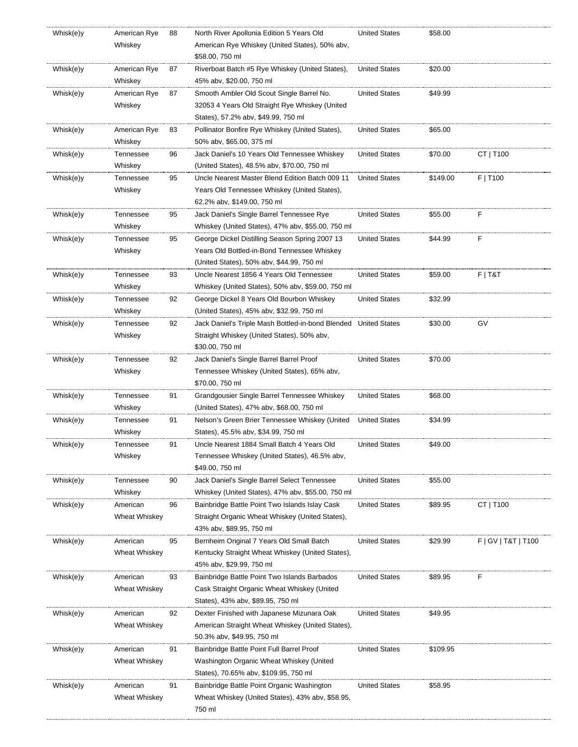| Whisk(e)y | American Rye  | 88 | North River Apollonia Edition 5 Years Old                       | <b>United States</b> | \$58.00  |                        |
|-----------|---------------|----|-----------------------------------------------------------------|----------------------|----------|------------------------|
|           | Whiskey       |    | American Rye Whiskey (United States), 50% abv,                  |                      |          |                        |
|           |               |    | \$58.00, 750 ml                                                 |                      |          |                        |
| Whisk(e)y | American Rye  | 87 | Riverboat Batch #5 Rye Whiskey (United States),                 | <b>United States</b> | \$20.00  |                        |
|           | Whiskey       |    | 45% abv, \$20.00, 750 ml                                        |                      |          |                        |
| Whisk(e)y | American Rye  | 87 | Smooth Ambler Old Scout Single Barrel No.                       | <b>United States</b> | \$49.99  |                        |
|           |               |    |                                                                 |                      |          |                        |
|           | Whiskey       |    | 32053 4 Years Old Straight Rye Whiskey (United                  |                      |          |                        |
|           |               |    | States), 57.2% abv, \$49.99, 750 ml                             |                      |          |                        |
| Whisk(e)y | American Rye  | 83 | Pollinator Bonfire Rye Whiskey (United States),                 | <b>United States</b> | \$65.00  |                        |
|           | Whiskey       |    | 50% abv, \$65.00, 375 ml                                        |                      |          |                        |
| Whisk(e)y | Tennessee     | 96 | Jack Daniel's 10 Years Old Tennessee Whiskey                    | <b>United States</b> | \$70.00  | CT   T100              |
|           | Whiskey       |    | (United States), 48.5% abv, \$70.00, 750 ml                     |                      |          |                        |
| Whisk(e)y | Tennessee     | 95 | Uncle Nearest Master Blend Edition Batch 009 11                 | <b>United States</b> | \$149.00 | F   T100               |
|           | Whiskey       |    | Years Old Tennessee Whiskey (United States),                    |                      |          |                        |
|           |               |    | 62.2% abv, \$149.00, 750 ml                                     |                      |          |                        |
| Whisk(e)y | Tennessee     | 95 | Jack Daniel's Single Barrel Tennessee Rye                       | <b>United States</b> | \$55.00  | F                      |
|           | Whiskey       |    | Whiskey (United States), 47% abv, \$55.00, 750 ml               |                      |          |                        |
| Whisk(e)y | Tennessee     | 95 | George Dickel Distilling Season Spring 2007 13                  | <b>United States</b> | \$44.99  | F                      |
|           | Whiskey       |    | Years Old Bottled-in-Bond Tennessee Whiskey                     |                      |          |                        |
|           |               |    | (United States), 50% abv, \$44.99, 750 ml                       |                      |          |                        |
| Whisk(e)y | Tennessee     | 93 | Uncle Nearest 1856 4 Years Old Tennessee                        | <b>United States</b> | \$59.00  | $F$   T&T              |
|           |               |    |                                                                 |                      |          |                        |
|           | Whiskey       |    | Whiskey (United States), 50% aby, \$59.00, 750 ml               |                      |          |                        |
| Whisk(e)y | Tennessee     | 92 | George Dickel 8 Years Old Bourbon Whiskey                       | <b>United States</b> | \$32.99  |                        |
|           | Whiskey       |    | (United States), 45% abv, \$32.99, 750 ml                       |                      |          |                        |
| Whisk(e)y | Tennessee     | 92 | Jack Daniel's Triple Mash Bottled-in-bond Blended United States |                      | \$30.00  | GV                     |
|           | Whiskey       |    | Straight Whiskey (United States), 50% abv,                      |                      |          |                        |
|           |               |    | \$30.00, 750 ml                                                 |                      |          |                        |
| Whisk(e)y | Tennessee     | 92 | Jack Daniel's Single Barrel Barrel Proof                        | <b>United States</b> | \$70.00  |                        |
|           | Whiskey       |    | Tennessee Whiskey (United States), 65% abv,                     |                      |          |                        |
|           |               |    | \$70.00, 750 ml                                                 |                      |          |                        |
| Whisk(e)y | Tennessee     | 91 | Grandgousier Single Barrel Tennessee Whiskey                    | <b>United States</b> | \$68.00  |                        |
|           | Whiskey       |    | (United States), 47% abv, \$68.00, 750 ml                       |                      |          |                        |
| Whisk(e)y | Tennessee     | 91 | Nelson's Green Brier Tennessee Whiskey (United                  | <b>United States</b> | \$34.99  |                        |
|           | Whiskey       |    | States), 45.5% abv, \$34.99, 750 ml                             |                      |          |                        |
| Whisk(e)y | Tennessee     | 91 | Uncle Nearest 1884 Small Batch 4 Years Old                      | <b>United States</b> | \$49.00  |                        |
|           | Whiskey       |    | Tennessee Whiskey (United States), 46.5% abv,                   |                      |          |                        |
|           |               |    | \$49.00, 750 ml                                                 |                      |          |                        |
| Whisk(e)y | Tennessee     | 90 | Jack Daniel's Single Barrel Select Tennessee                    | <b>United States</b> | \$55.00  |                        |
|           |               |    |                                                                 |                      |          |                        |
|           | Whiskey       |    | Whiskey (United States), 47% abv, \$55.00, 750 ml               |                      |          |                        |
| Whisk(e)y | American      | 96 | Bainbridge Battle Point Two Islands Islay Cask                  | <b>United States</b> | \$89.95  | CT   T100              |
|           | Wheat Whiskey |    | Straight Organic Wheat Whiskey (United States),                 |                      |          |                        |
|           |               |    | 43% abv, \$89.95, 750 ml                                        |                      |          |                        |
| Whisk(e)y | American      | 95 | Bernheim Original 7 Years Old Small Batch                       | <b>United States</b> | \$29.99  | F   G V   T & T   T100 |
|           | Wheat Whiskey |    | Kentucky Straight Wheat Whiskey (United States),                |                      |          |                        |
|           |               |    | 45% abv, \$29.99, 750 ml                                        |                      |          |                        |
| Whisk(e)y | American      | 93 | Bainbridge Battle Point Two Islands Barbados                    | <b>United States</b> | \$89.95  | F                      |
|           | Wheat Whiskey |    | Cask Straight Organic Wheat Whiskey (United                     |                      |          |                        |
|           |               |    | States), 43% abv, \$89.95, 750 ml                               |                      |          |                        |
| Whisk(e)y | American      | 92 | Dexter Finished with Japanese Mizunara Oak                      | <b>United States</b> | \$49.95  |                        |
|           | Wheat Whiskey |    | American Straight Wheat Whiskey (United States),                |                      |          |                        |
|           |               |    | 50.3% abv, \$49.95, 750 ml                                      |                      |          |                        |
| Whisk(e)y | American      | 91 | Bainbridge Battle Point Full Barrel Proof                       | <b>United States</b> | \$109.95 |                        |
|           | Wheat Whiskey |    | Washington Organic Wheat Whiskey (United                        |                      |          |                        |
|           |               |    | States), 70.65% abv, \$109.95, 750 ml                           |                      |          |                        |
|           |               |    |                                                                 |                      |          |                        |
| Whisk(e)y | American      | 91 | Bainbridge Battle Point Organic Washington                      | <b>United States</b> | \$58.95  |                        |
|           | Wheat Whiskey |    | Wheat Whiskey (United States), 43% aby, \$58.95,                |                      |          |                        |
|           |               |    | 750 ml                                                          |                      |          |                        |
|           |               |    |                                                                 |                      |          |                        |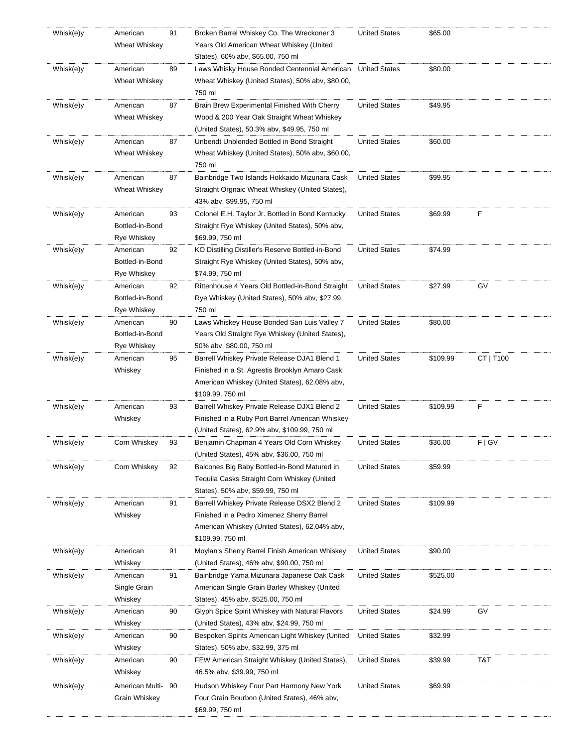| Whisk(e)y | American        | 91 | Broken Barrel Whiskey Co. The Wreckoner 3                       | <b>United States</b> | \$65.00  |           |
|-----------|-----------------|----|-----------------------------------------------------------------|----------------------|----------|-----------|
|           | Wheat Whiskey   |    | Years Old American Wheat Whiskey (United                        |                      |          |           |
|           |                 |    | States), 60% abv, \$65.00, 750 ml                               |                      |          |           |
| Whisk(e)y | American        | 89 | Laws Whisky House Bonded Centennial American                    | <b>United States</b> | \$80.00  |           |
|           | Wheat Whiskey   |    | Wheat Whiskey (United States), 50% abv, \$80.00,                |                      |          |           |
|           |                 |    | 750 ml                                                          |                      |          |           |
|           |                 |    |                                                                 |                      |          |           |
| Whisk(e)y | American        | 87 | Brain Brew Experimental Finished With Cherry                    | <b>United States</b> | \$49.95  |           |
|           | Wheat Whiskey   |    | Wood & 200 Year Oak Straight Wheat Whiskey                      |                      |          |           |
|           |                 |    | (United States), 50.3% aby, \$49.95, 750 ml                     |                      |          |           |
| Whisk(e)y | American        | 87 | Unbendt Unblended Bottled in Bond Straight                      | <b>United States</b> | \$60.00  |           |
|           | Wheat Whiskey   |    | Wheat Whiskey (United States), 50% abv, \$60.00,                |                      |          |           |
|           |                 |    | 750 ml                                                          |                      |          |           |
| Whisk(e)y | American        | 87 | Bainbridge Two Islands Hokkaido Mizunara Cask                   | <b>United States</b> | \$99.95  |           |
|           | Wheat Whiskey   |    | Straight Orgnaic Wheat Whiskey (United States),                 |                      |          |           |
|           |                 |    | 43% abv, \$99.95, 750 ml                                        |                      |          |           |
| Whisk(e)y | American        | 93 | Colonel E.H. Taylor Jr. Bottled in Bond Kentucky                | <b>United States</b> | \$69.99  | F         |
|           | Bottled-in-Bond |    | Straight Rye Whiskey (United States), 50% abv,                  |                      |          |           |
|           | Rye Whiskey     |    | \$69.99, 750 ml                                                 |                      |          |           |
|           |                 |    |                                                                 |                      |          |           |
| Whisk(e)y | American        | 92 | KO Distilling Distiller's Reserve Bottled-in-Bond               | <b>United States</b> | \$74.99  |           |
|           | Bottled-in-Bond |    | Straight Rye Whiskey (United States), 50% abv,                  |                      |          |           |
|           | Rye Whiskey     |    | \$74.99, 750 ml                                                 |                      |          |           |
| Whisk(e)y | American        | 92 | Rittenhouse 4 Years Old Bottled-in-Bond Straight                | <b>United States</b> | \$27.99  | GV        |
|           | Bottled-in-Bond |    | Rye Whiskey (United States), 50% abv, \$27.99,                  |                      |          |           |
|           | Rye Whiskey     |    | 750 ml                                                          |                      |          |           |
| Whisk(e)y | American        | 90 | Laws Whiskey House Bonded San Luis Valley 7                     | <b>United States</b> | \$80.00  |           |
|           | Bottled-in-Bond |    | Years Old Straight Rye Whiskey (United States),                 |                      |          |           |
|           | Rye Whiskey     |    | 50% abv, \$80.00, 750 ml                                        |                      |          |           |
| Whisk(e)y | American        | 95 | Barrell Whiskey Private Release DJA1 Blend 1                    | <b>United States</b> | \$109.99 | CT   T100 |
|           | Whiskey         |    | Finished in a St. Agrestis Brooklyn Amaro Cask                  |                      |          |           |
|           |                 |    | American Whiskey (United States), 62.08% abv,                   |                      |          |           |
|           |                 |    | \$109.99, 750 ml                                                |                      |          |           |
| Whisk(e)y | American        | 93 | Barrell Whiskey Private Release DJX1 Blend 2                    | <b>United States</b> | \$109.99 | F         |
|           |                 |    |                                                                 |                      |          |           |
|           | Whiskey         |    | Finished in a Ruby Port Barrel American Whiskey                 |                      |          |           |
|           |                 |    | (United States), 62.9% abv, \$109.99, 750 ml                    |                      |          |           |
| Whisk(e)y | Corn Whiskey    | 93 | Benjamin Chapman 4 Years Old Corn Whiskey                       | <b>United States</b> | \$36.00  | F   G V   |
|           |                 |    | (United States), 45% abv, \$36.00, 750 ml                       |                      |          |           |
| Whisk(e)y | Corn Whiskey    | 92 | Balcones Big Baby Bottled-in-Bond Matured in                    | <b>United States</b> | \$59.99  |           |
|           |                 |    | Tequila Casks Straight Corn Whiskey (United                     |                      |          |           |
|           |                 |    | States), 50% abv, \$59.99, 750 ml                               |                      |          |           |
| Whisk(e)y | American        | 91 | Barrell Whiskey Private Release DSX2 Blend 2                    | <b>United States</b> | \$109.99 |           |
|           | Whiskey         |    | Finished in a Pedro Ximenez Sherry Barrel                       |                      |          |           |
|           |                 |    | American Whiskey (United States), 62.04% abv,                   |                      |          |           |
|           |                 |    | \$109.99, 750 ml                                                |                      |          |           |
| Whisk(e)y | American        | 91 | Moylan's Sherry Barrel Finish American Whiskey                  | <b>United States</b> | \$90.00  |           |
|           |                 |    | (United States), 46% abv, \$90.00, 750 ml                       |                      |          |           |
|           |                 |    |                                                                 |                      |          |           |
| Whisk(e)y | Whiskey         |    |                                                                 |                      |          |           |
|           | American        | 91 | Bainbridge Yama Mizunara Japanese Oak Cask                      | <b>United States</b> | \$525.00 |           |
|           | Single Grain    |    | American Single Grain Barley Whiskey (United                    |                      |          |           |
|           | Whiskey         |    | States), 45% abv, \$525.00, 750 ml                              |                      |          |           |
| Whisk(e)y | American        | 90 | Glyph Spice Spirit Whiskey with Natural Flavors                 | <b>United States</b> | \$24.99  | GV        |
|           | Whiskey         |    | (United States), 43% abv, \$24.99, 750 ml                       |                      |          |           |
| Whisk(e)y | American        | 90 | Bespoken Spirits American Light Whiskey (United                 | <b>United States</b> | \$32.99  |           |
|           | Whiskey         |    | States), 50% abv, \$32.99, 375 ml                               |                      |          |           |
| Whisk(e)y | American        | 90 | FEW American Straight Whiskey (United States),                  | <b>United States</b> | \$39.99  | T&T       |
|           | Whiskey         |    | 46.5% abv, \$39.99, 750 ml                                      |                      |          |           |
|           |                 |    |                                                                 |                      |          |           |
| Whisk(e)y | American Multi- | 90 | Hudson Whiskey Four Part Harmony New York                       | <b>United States</b> | \$69.99  |           |
|           | Grain Whiskey   |    | Four Grain Bourbon (United States), 46% abv,<br>\$69.99, 750 ml |                      |          |           |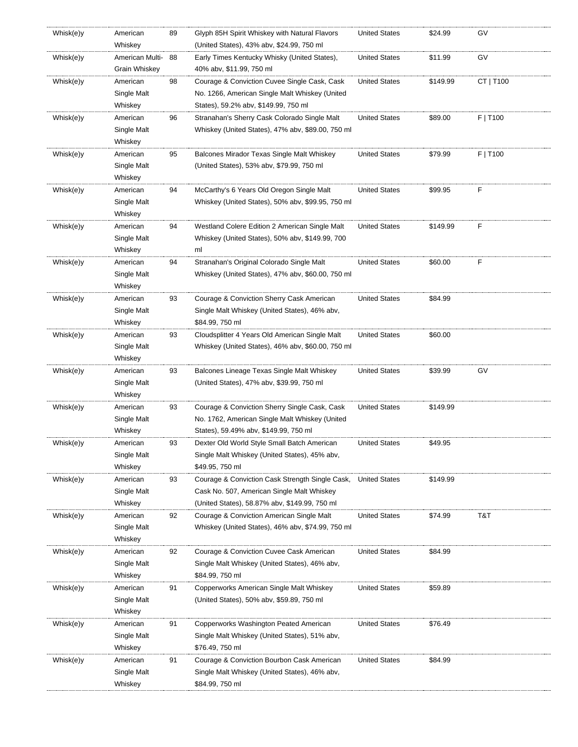| Whisk(e)y | American            | 89 | Glyph 85H Spirit Whiskey with Natural Flavors     | <b>United States</b> | \$24.99  | GV        |
|-----------|---------------------|----|---------------------------------------------------|----------------------|----------|-----------|
|           | Whiskey             |    | (United States), 43% abv, \$24.99, 750 ml         |                      |          |           |
| Whisk(e)y | American Multi-     | 88 | Early Times Kentucky Whisky (United States),      | United States        | \$11.99  | GV        |
|           | Grain Whiskey       |    | 40% abv, \$11.99, 750 ml                          |                      |          |           |
| Whisk(e)y | American            | 98 | Courage & Conviction Cuvee Single Cask, Cask      | <b>United States</b> | \$149.99 | CT   T100 |
|           | Single Malt         |    | No. 1266, American Single Malt Whiskey (United    |                      |          |           |
|           | Whiskey             |    | States), 59.2% abv, \$149.99, 750 ml              |                      |          |           |
| Whisk(e)y | American            | 96 | Stranahan's Sherry Cask Colorado Single Malt      | <b>United States</b> | \$89.00  | F   T100  |
|           | Single Malt         |    | Whiskey (United States), 47% abv, \$89.00, 750 ml |                      |          |           |
|           | Whiskey             |    |                                                   |                      |          |           |
| Whisk(e)y | American            | 95 | Balcones Mirador Texas Single Malt Whiskey        | <b>United States</b> | \$79.99  | F   T100  |
|           | Single Malt         |    | (United States), 53% abv, \$79.99, 750 ml         |                      |          |           |
|           | Whiskey             |    |                                                   |                      |          |           |
| Whisk(e)y | American            | 94 | McCarthy's 6 Years Old Oregon Single Malt         | <b>United States</b> | \$99.95  | F         |
|           | Single Malt         |    | Whiskey (United States), 50% abv, \$99.95, 750 ml |                      |          |           |
|           | Whiskey             |    |                                                   |                      |          |           |
| Whisk(e)y | American            | 94 | Westland Colere Edition 2 American Single Malt    | <b>United States</b> | \$149.99 | F         |
|           | Single Malt         |    | Whiskey (United States), 50% abv, \$149.99, 700   |                      |          |           |
|           | Whiskey             |    | ml                                                |                      |          |           |
| Whisk(e)y | American            | 94 | Stranahan's Original Colorado Single Malt         | <b>United States</b> | \$60.00  | F         |
|           | Single Malt         |    | Whiskey (United States), 47% abv, \$60.00, 750 ml |                      |          |           |
|           | Whiskey             |    |                                                   |                      |          |           |
| Whisk(e)y | American            | 93 | Courage & Conviction Sherry Cask American         | <b>United States</b> | \$84.99  |           |
|           | Single Malt         |    | Single Malt Whiskey (United States), 46% abv,     |                      |          |           |
|           | Whiskey             |    | \$84.99, 750 ml                                   |                      |          |           |
| Whisk(e)y | American            | 93 | Cloudsplitter 4 Years Old American Single Malt    | <b>United States</b> | \$60.00  |           |
|           | Single Malt         |    | Whiskey (United States), 46% abv, \$60.00, 750 ml |                      |          |           |
|           | Whiskey             |    |                                                   |                      |          |           |
| Whisk(e)y | American            | 93 | Balcones Lineage Texas Single Malt Whiskey        | <b>United States</b> | \$39.99  | GV        |
|           | Single Malt         |    | (United States), 47% abv, \$39.99, 750 ml         |                      |          |           |
|           |                     |    |                                                   |                      |          |           |
|           | Whiskey<br>American |    |                                                   |                      | \$149.99 |           |
| Whisk(e)y | Single Malt         | 93 | Courage & Conviction Sherry Single Cask, Cask     | United States        |          |           |
|           |                     |    | No. 1762, American Single Malt Whiskey (United    |                      |          |           |
|           | Whiskey             |    | States), 59.49% abv, \$149.99, 750 ml             |                      |          |           |
| Whisk(e)y | American            | 93 | Dexter Old World Style Small Batch American       | <b>United States</b> | \$49.95  |           |
|           | Single Malt         |    | Single Malt Whiskey (United States), 45% abv,     |                      |          |           |
|           | Whiskey             |    | \$49.95, 750 ml                                   |                      |          |           |
| Whisk(e)y | American            | 93 | Courage & Conviction Cask Strength Single Cask,   | <b>United States</b> | \$149.99 |           |
|           | Single Malt         |    | Cask No. 507, American Single Malt Whiskey        |                      |          |           |
|           | Whiskey             |    | (United States), 58.87% abv, \$149.99, 750 ml     |                      |          |           |
| Whisk(e)y | American            | 92 | Courage & Conviction American Single Malt         | <b>United States</b> | \$74.99  | T&T       |
|           | Single Malt         |    | Whiskey (United States), 46% abv, \$74.99, 750 ml |                      |          |           |
|           | Whiskey             |    |                                                   |                      |          |           |
| Whisk(e)y | American            | 92 | Courage & Conviction Cuvee Cask American          | <b>United States</b> | \$84.99  |           |
|           | Single Malt         |    | Single Malt Whiskey (United States), 46% abv,     |                      |          |           |
|           | Whiskey             |    | \$84.99, 750 ml                                   |                      |          |           |
| Whisk(e)y | American            | 91 | Copperworks American Single Malt Whiskey          | <b>United States</b> | \$59.89  |           |
|           | Single Malt         |    | (United States), 50% abv, \$59.89, 750 ml         |                      |          |           |
|           | Whiskey             |    |                                                   |                      |          |           |
| Whisk(e)y | American            | 91 | Copperworks Washington Peated American            | <b>United States</b> | \$76.49  |           |
|           | Single Malt         |    | Single Malt Whiskey (United States), 51% abv,     |                      |          |           |
|           | Whiskey             |    | \$76.49, 750 ml                                   |                      |          |           |
| Whisk(e)y | American            | 91 | Courage & Conviction Bourbon Cask American        | <b>United States</b> | \$84.99  |           |
|           | Single Malt         |    | Single Malt Whiskey (United States), 46% abv,     |                      |          |           |
|           | Whiskey             |    | \$84.99, 750 ml                                   |                      |          |           |
|           |                     |    |                                                   |                      |          |           |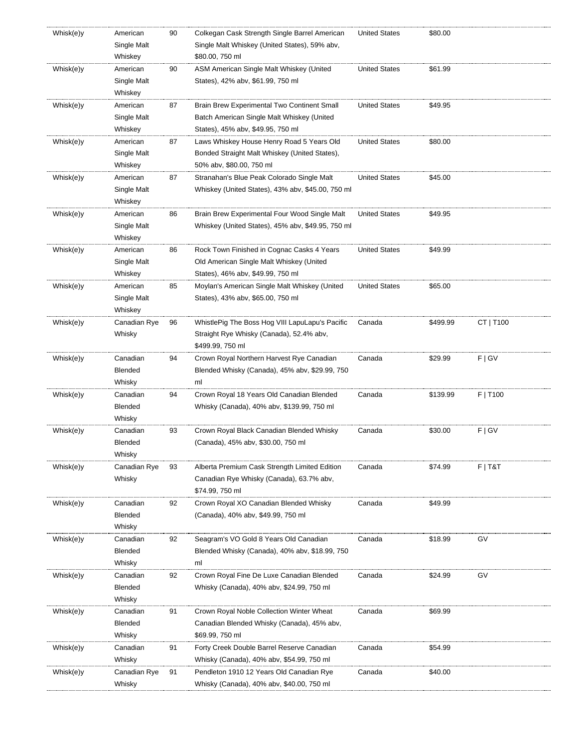| Whisk(e)y | American     | 90 | Colkegan Cask Strength Single Barrel American                             | <b>United States</b> | \$80.00  |           |
|-----------|--------------|----|---------------------------------------------------------------------------|----------------------|----------|-----------|
|           | Single Malt  |    | Single Malt Whiskey (United States), 59% abv,                             |                      |          |           |
|           | Whiskey      |    | \$80.00, 750 ml                                                           |                      |          |           |
| Whisk(e)y | American     | 90 | ASM American Single Malt Whiskey (United                                  | <b>United States</b> | \$61.99  |           |
|           | Single Malt  |    | States), 42% abv, \$61.99, 750 ml                                         |                      |          |           |
|           | Whiskey      |    |                                                                           |                      |          |           |
| Whisk(e)y | American     | 87 | Brain Brew Experimental Two Continent Small                               | <b>United States</b> | \$49.95  |           |
|           | Single Malt  |    | Batch American Single Malt Whiskey (United                                |                      |          |           |
|           | Whiskey      |    | States), 45% abv, \$49.95, 750 ml                                         |                      |          |           |
| Whisk(e)y | American     | 87 | Laws Whiskey House Henry Road 5 Years Old                                 | <b>United States</b> | \$80.00  |           |
|           |              |    |                                                                           |                      |          |           |
|           | Single Malt  |    | Bonded Straight Malt Whiskey (United States),<br>50% abv, \$80.00, 750 ml |                      |          |           |
|           | Whiskey      |    |                                                                           |                      |          |           |
| Whisk(e)y | American     | 87 | Stranahan's Blue Peak Colorado Single Malt                                | <b>United States</b> | \$45.00  |           |
|           | Single Malt  |    | Whiskey (United States), 43% abv, \$45.00, 750 ml                         |                      |          |           |
|           | Whiskey      |    |                                                                           |                      |          |           |
| Whisk(e)y | American     | 86 | Brain Brew Experimental Four Wood Single Malt                             | <b>United States</b> | \$49.95  |           |
|           | Single Malt  |    | Whiskey (United States), 45% abv, \$49.95, 750 ml                         |                      |          |           |
|           | Whiskey      |    |                                                                           |                      |          |           |
| Whisk(e)y | American     | 86 | Rock Town Finished in Cognac Casks 4 Years                                | <b>United States</b> | \$49.99  |           |
|           | Single Malt  |    | Old American Single Malt Whiskey (United                                  |                      |          |           |
|           | Whiskey      |    | States), 46% abv, \$49.99, 750 ml                                         |                      |          |           |
| Whisk(e)y | American     | 85 | Moylan's American Single Malt Whiskey (United                             | <b>United States</b> | \$65.00  |           |
|           | Single Malt  |    | States), 43% abv, \$65.00, 750 ml                                         |                      |          |           |
|           | Whiskey      |    |                                                                           |                      |          |           |
| Whisk(e)y | Canadian Rye | 96 | WhistlePig The Boss Hog VIII LapuLapu's Pacific                           | Canada               | \$499.99 | CT   T100 |
|           | Whisky       |    | Straight Rye Whisky (Canada), 52.4% abv,                                  |                      |          |           |
|           |              |    | \$499.99, 750 ml                                                          |                      |          |           |
| Whisk(e)y | Canadian     | 94 | Crown Royal Northern Harvest Rye Canadian                                 | Canada               | \$29.99  | F   G V   |
|           | Blended      |    | Blended Whisky (Canada), 45% abv, \$29.99, 750                            |                      |          |           |
|           | Whisky       |    | ml                                                                        |                      |          |           |
| Whisk(e)y | Canadian     | 94 | Crown Royal 18 Years Old Canadian Blended                                 | Canada               | \$139.99 | F   T100  |
|           | Blended      |    | Whisky (Canada), 40% abv, \$139.99, 750 ml                                |                      |          |           |
|           | Whisky       |    |                                                                           |                      |          |           |
| Whisk(e)y | Canadian     | 93 | Crown Royal Black Canadian Blended Whisky                                 | Canada               | \$30.00  | F   G V   |
|           | Blended      |    | (Canada), 45% abv, \$30.00, 750 ml                                        |                      |          |           |
|           | Whisky       |    |                                                                           |                      |          |           |
| Whisk(e)y | Canadian Rye | 93 | Alberta Premium Cask Strength Limited Edition                             | Canada               | \$74.99  | $F$   T&T |
|           | Whisky       |    | Canadian Rye Whisky (Canada), 63.7% abv,                                  |                      |          |           |
|           |              |    | \$74.99, 750 ml                                                           |                      |          |           |
| Whisk(e)y | Canadian     | 92 | Crown Royal XO Canadian Blended Whisky                                    | Canada               | \$49.99  |           |
|           | Blended      |    | (Canada), 40% abv, \$49.99, 750 ml                                        |                      |          |           |
|           |              |    |                                                                           |                      |          |           |
|           | Whisky       |    |                                                                           |                      |          |           |
| Whisk(e)y | Canadian     | 92 | Seagram's VO Gold 8 Years Old Canadian                                    | Canada               | \$18.99  | GV        |
|           | Blended      |    | Blended Whisky (Canada), 40% aby, \$18.99, 750                            |                      |          |           |
|           | Whisky       |    | ml                                                                        |                      |          |           |
| Whisk(e)y | Canadian     | 92 | Crown Royal Fine De Luxe Canadian Blended                                 | Canada               | \$24.99  | GV        |
|           | Blended      |    | Whisky (Canada), 40% abv, \$24.99, 750 ml                                 |                      |          |           |
|           | Whisky       |    |                                                                           |                      |          |           |
| Whisk(e)y | Canadian     | 91 | Crown Royal Noble Collection Winter Wheat                                 | Canada               | \$69.99  |           |
|           | Blended      |    | Canadian Blended Whisky (Canada), 45% abv,                                |                      |          |           |
|           | Whisky       |    | \$69.99, 750 ml                                                           |                      |          |           |
| Whisk(e)y | Canadian     | 91 | Forty Creek Double Barrel Reserve Canadian                                | Canada               | \$54.99  |           |
|           | Whisky       |    | Whisky (Canada), 40% abv, \$54.99, 750 ml                                 |                      |          |           |
| Whisk(e)y | Canadian Rye | 91 | Pendleton 1910 12 Years Old Canadian Rye                                  | Canada               | \$40.00  |           |
|           | Whisky       |    | Whisky (Canada), 40% abv, \$40.00, 750 ml                                 |                      |          |           |
|           |              |    |                                                                           |                      |          |           |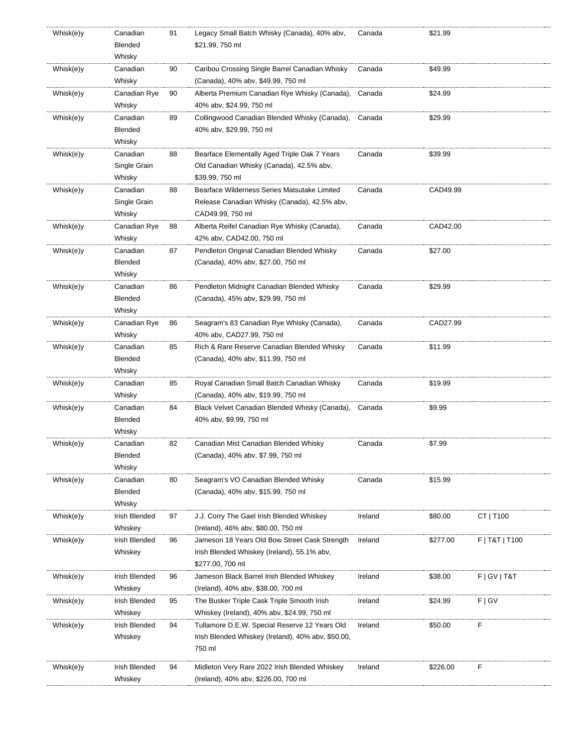| Whisk(e)y | Canadian      | 91 | Legacy Small Batch Whisky (Canada), 40% abv,       | Canada  | \$21.99  |                 |
|-----------|---------------|----|----------------------------------------------------|---------|----------|-----------------|
|           | Blended       |    | \$21.99, 750 ml                                    |         |          |                 |
|           | Whisky        |    |                                                    |         |          |                 |
| Whisk(e)y | Canadian      | 90 | Caribou Crossing Single Barrel Canadian Whisky     | Canada  | \$49.99  |                 |
|           | Whisky        |    | (Canada), 40% abv, \$49.99, 750 ml                 |         |          |                 |
| Whisk(e)y | Canadian Rye  | 90 | Alberta Premium Canadian Rye Whisky (Canada),      | Canada  | \$24.99  |                 |
|           | Whisky        |    | 40% abv, \$24.99, 750 ml                           |         |          |                 |
| Whisk(e)y | Canadian      | 89 | Collingwood Canadian Blended Whisky (Canada),      | Canada  | \$29.99  |                 |
|           | Blended       |    | 40% abv, \$29.99, 750 ml                           |         |          |                 |
|           | Whisky        |    |                                                    |         |          |                 |
| Whisk(e)y | Canadian      | 88 | Bearface Elementally Aged Triple Oak 7 Years       | Canada  | \$39.99  |                 |
|           |               |    |                                                    |         |          |                 |
|           | Single Grain  |    | Old Canadian Whisky (Canada), 42.5% abv,           |         |          |                 |
|           | Whisky        |    | \$39.99, 750 ml                                    |         |          |                 |
| Whisk(e)y | Canadian      | 88 | Bearface Wilderness Series Matsutake Limited       | Canada  | CAD49.99 |                 |
|           | Single Grain  |    | Release Canadian Whisky (Canada), 42.5% abv,       |         |          |                 |
|           | Whisky        |    | CAD49.99, 750 ml                                   |         |          |                 |
| Whisk(e)y | Canadian Rye  | 88 | Alberta Reifel Canadian Rye Whisky (Canada),       | Canada  | CAD42.00 |                 |
|           | Whisky        |    | 42% abv, CAD42.00, 750 ml                          |         |          |                 |
| Whisk(e)y | Canadian      | 87 | Pendleton Original Canadian Blended Whisky         | Canada  | \$27.00  |                 |
|           | Blended       |    | (Canada), 40% abv, \$27.00, 750 ml                 |         |          |                 |
|           | Whisky        |    |                                                    |         |          |                 |
| Whisk(e)y | Canadian      | 86 | Pendleton Midnight Canadian Blended Whisky         | Canada  | \$29.99  |                 |
|           | Blended       |    | (Canada), 45% abv, \$29.99, 750 ml                 |         |          |                 |
|           | Whisky        |    |                                                    |         |          |                 |
| Whisk(e)y | Canadian Rye  | 86 | Seagram's 83 Canadian Rye Whisky (Canada),         | Canada  | CAD27.99 |                 |
|           | Whisky        |    | 40% abv, CAD27.99, 750 ml                          |         |          |                 |
| Whisk(e)y | Canadian      | 85 | Rich & Rare Reserve Canadian Blended Whisky        | Canada  | \$11.99  |                 |
|           | Blended       |    | (Canada), 40% abv, \$11.99, 750 ml                 |         |          |                 |
|           | Whisky        |    |                                                    |         |          |                 |
| Whisk(e)y | Canadian      | 85 | Royal Canadian Small Batch Canadian Whisky         | Canada  | \$19.99  |                 |
|           |               |    |                                                    |         |          |                 |
|           | Whisky        |    | (Canada), 40% abv, \$19.99, 750 ml                 |         |          |                 |
| Whisk(e)y | Canadian      | 84 | Black Velvet Canadian Blended Whisky (Canada),     | Canada  | \$9.99   |                 |
|           | Blended       |    | 40% abv, \$9.99, 750 ml                            |         |          |                 |
|           | Whisky        |    |                                                    |         |          |                 |
| Whisk(e)y | Canadian      | 82 | Canadian Mist Canadian Blended Whisky              | Canada  | \$7.99   |                 |
|           | Blended       |    | (Canada), 40% abv, \$7.99, 750 ml                  |         |          |                 |
|           | Whisky        |    |                                                    |         |          |                 |
| Whisk(e)y | Canadian      | 80 | Seagram's VO Canadian Blended Whisky               | Canada  | \$15.99  |                 |
|           | Blended       |    | (Canada), 40% abv, \$15.99, 750 ml                 |         |          |                 |
|           | Whisky        |    |                                                    |         |          |                 |
| Whisk(e)y | Irish Blended | 97 | J.J. Corry The Gael Irish Blended Whiskey          | Ireland | \$80.00  | CT   T100       |
|           | Whiskey       |    | (Ireland), 46% abv, \$80.00, 750 ml                |         |          |                 |
| Whisk(e)y | Irish Blended | 96 | Jameson 18 Years Old Bow Street Cask Strength      | Ireland | \$277.00 | F   T&T   T100  |
|           | Whiskey       |    | Irish Blended Whiskey (Ireland), 55.1% abv,        |         |          |                 |
|           |               |    | \$277.00, 700 ml                                   |         |          |                 |
| Whisk(e)y | Irish Blended | 96 | Jameson Black Barrel Irish Blended Whiskey         | Ireland | \$38.00  | F   G V   T & T |
|           | Whiskey       |    | (Ireland), 40% abv, \$38.00, 700 ml                |         |          |                 |
| Whisk(e)y | Irish Blended | 95 | The Busker Triple Cask Triple Smooth Irish         | Ireland | \$24.99  | F   G V         |
|           | Whiskey       |    | Whiskey (Ireland), 40% aby, \$24.99, 750 ml        |         |          |                 |
| Whisk(e)y | Irish Blended | 94 | Tullamore D.E.W. Special Reserve 12 Years Old      | Ireland | \$50.00  | F               |
|           | Whiskey       |    | Irish Blended Whiskey (Ireland), 40% aby, \$50.00, |         |          |                 |
|           |               |    | 750 ml                                             |         |          |                 |
|           |               |    |                                                    |         |          |                 |
| Whisk(e)y | Irish Blended | 94 | Midleton Very Rare 2022 Irish Blended Whiskey      | Ireland | \$226.00 | F               |
|           | Whiskey       |    | (Ireland), 40% abv, \$226.00, 700 ml               |         |          |                 |
|           |               |    |                                                    |         |          |                 |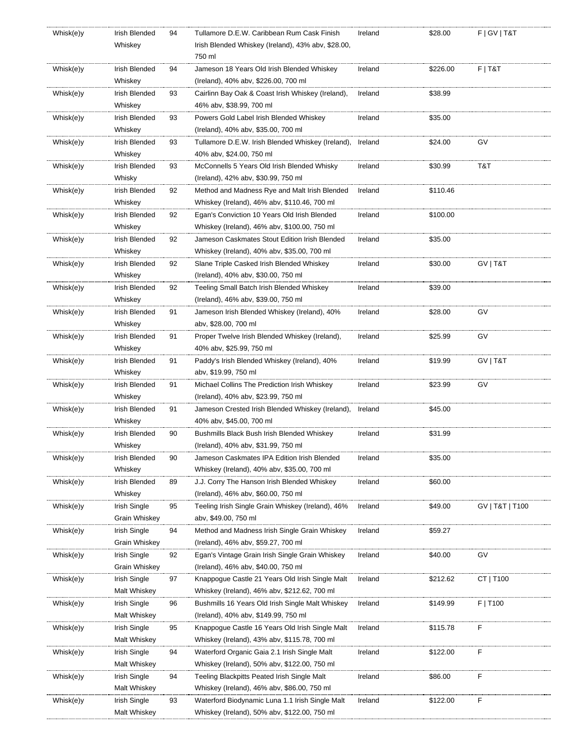| Whisk(e)y | Irish Blended | 94 | Tullamore D.E.W. Caribbean Rum Cask Finish                | Ireland | \$28.00  | F   G V   T & T |
|-----------|---------------|----|-----------------------------------------------------------|---------|----------|-----------------|
|           | Whiskey       |    | Irish Blended Whiskey (Ireland), 43% abv, \$28.00,        |         |          |                 |
|           |               |    | 750 ml                                                    |         |          |                 |
| Whisk(e)y | Irish Blended | 94 | Jameson 18 Years Old Irish Blended Whiskey                | Ireland | \$226.00 | $F$   T&T       |
|           | Whiskey       |    | (Ireland), 40% abv, \$226.00, 700 ml                      |         |          |                 |
|           | Irish Blended |    |                                                           | Ireland | \$38.99  |                 |
| Whisk(e)y |               | 93 | Cairlinn Bay Oak & Coast Irish Whiskey (Ireland),         |         |          |                 |
|           | Whiskey       |    | 46% abv, \$38.99, 700 ml                                  |         |          |                 |
| Whisk(e)y | Irish Blended | 93 | Powers Gold Label Irish Blended Whiskey                   | Ireland | \$35.00  |                 |
|           | Whiskey       |    | (Ireland), 40% abv, \$35.00, 700 ml                       |         |          |                 |
| Whisk(e)y | Irish Blended | 93 | Tullamore D.E.W. Irish Blended Whiskey (Ireland), Ireland |         | \$24.00  | GV              |
|           | Whiskey       |    | 40% abv, \$24.00, 750 ml                                  |         |          |                 |
| Whisk(e)y | Irish Blended | 93 | McConnells 5 Years Old Irish Blended Whisky               | Ireland | \$30.99  | T&T             |
|           | Whisky        |    | (Ireland), 42% abv, \$30.99, 750 ml                       |         |          |                 |
| Whisk(e)y | Irish Blended | 92 | Method and Madness Rye and Malt Irish Blended             | Ireland | \$110.46 |                 |
|           | Whiskey       |    | Whiskey (Ireland), 46% abv, \$110.46, 700 ml              |         |          |                 |
| Whisk(e)y | Irish Blended | 92 | Egan's Conviction 10 Years Old Irish Blended              | Ireland | \$100.00 |                 |
|           | Whiskey       |    | Whiskey (Ireland), 46% abv, \$100.00, 750 ml              |         |          |                 |
| Whisk(e)y | Irish Blended | 92 | Jameson Caskmates Stout Edition Irish Blended             | Ireland | \$35.00  |                 |
|           | Whiskey       |    | Whiskey (Ireland), 40% abv, \$35.00, 700 ml               |         |          |                 |
| Whisk(e)y | Irish Blended | 92 | Slane Triple Casked Irish Blended Whiskey                 | Ireland | \$30.00  | GV   T&T        |
|           |               |    |                                                           |         |          |                 |
|           | Whiskey       |    | (Ireland), 40% abv, \$30.00, 750 ml                       |         |          |                 |
| Whisk(e)y | Irish Blended | 92 | Teeling Small Batch Irish Blended Whiskey                 | Ireland | \$39.00  |                 |
|           | Whiskey       |    | (Ireland), 46% abv, \$39.00, 750 ml                       |         |          |                 |
| Whisk(e)y | Irish Blended | 91 | Jameson Irish Blended Whiskey (Ireland), 40%              | Ireland | \$28.00  | GV              |
|           | Whiskey       |    | aby, \$28.00, 700 ml                                      |         |          |                 |
| Whisk(e)y | Irish Blended | 91 | Proper Twelve Irish Blended Whiskey (Ireland),            | Ireland | \$25.99  | GV              |
|           | Whiskey       |    | 40% abv, \$25.99, 750 ml                                  |         |          |                 |
| Whisk(e)y | Irish Blended | 91 | Paddy's Irish Blended Whiskey (Ireland), 40%              | Ireland | \$19.99  | GV   T&T        |
|           | Whiskey       |    | abv, \$19.99, 750 ml                                      |         |          |                 |
| Whisk(e)y | Irish Blended | 91 | Michael Collins The Prediction Irish Whiskey              | Ireland | \$23.99  | GV              |
|           | Whiskey       |    | (Ireland), 40% abv, \$23.99, 750 ml                       |         |          |                 |
| Whisk(e)y | Irish Blended | 91 | Jameson Crested Irish Blended Whiskey (Ireland),          | Ireland | \$45.00  |                 |
|           | Whiskey       |    | 40% abv, \$45.00, 700 ml                                  |         |          |                 |
| Whisk(e)y | Irish Blended | 90 | Bushmills Black Bush Irish Blended Whiskey                | Ireland | \$31.99  |                 |
|           | Whiskey       |    | (Ireland), 40% abv, \$31.99, 750 ml                       |         |          |                 |
|           | Irish Blended | 90 | Jameson Caskmates IPA Edition Irish Blended               | Ireland | \$35.00  |                 |
| Whisk(e)y |               |    |                                                           |         |          |                 |
|           | Whiskey       |    | Whiskey (Ireland), 40% abv, \$35.00, 700 ml               |         |          |                 |
| Whisk(e)y | Irish Blended | 89 | J.J. Corry The Hanson Irish Blended Whiskey               | Ireland | \$60.00  |                 |
|           | Whiskey       |    | (Ireland), 46% abv, \$60.00, 750 ml                       |         |          |                 |
| Whisk(e)y | Irish Single  | 95 | Teeling Irish Single Grain Whiskey (Ireland), 46%         | Ireland | \$49.00  | GV   T&T   T100 |
|           | Grain Whiskey |    | aby, \$49.00, 750 ml                                      |         |          |                 |
| Whisk(e)y | Irish Single  | 94 | Method and Madness Irish Single Grain Whiskey             | Ireland | \$59.27  |                 |
|           | Grain Whiskey |    | (Ireland), 46% abv, \$59.27, 700 ml                       |         |          |                 |
| Whisk(e)y | Irish Single  | 92 | Egan's Vintage Grain Irish Single Grain Whiskey           | Ireland | \$40.00  | GV              |
|           | Grain Whiskey |    | (Ireland), 46% abv, \$40.00, 750 ml                       |         |          |                 |
| Whisk(e)y | Irish Single  | 97 | Knappogue Castle 21 Years Old Irish Single Malt           | Ireland | \$212.62 | CT   T100       |
|           | Malt Whiskey  |    | Whiskey (Ireland), 46% abv, \$212.62, 700 ml              |         |          |                 |
| Whisk(e)y | Irish Single  | 96 | Bushmills 16 Years Old Irish Single Malt Whiskey          | Ireland | \$149.99 | $F$   T100      |
|           | Malt Whiskey  |    | (Ireland), 40% abv, \$149.99, 750 ml                      |         |          |                 |
| Whisk(e)y | Irish Single  | 95 | Knappogue Castle 16 Years Old Irish Single Malt           | Ireland | \$115.78 | F               |
|           | Malt Whiskey  |    | Whiskey (Ireland), 43% abv, \$115.78, 700 ml              |         |          |                 |
|           |               |    |                                                           |         |          |                 |
| Whisk(e)y | Irish Single  | 94 | Waterford Organic Gaia 2.1 Irish Single Malt              | Ireland | \$122.00 | F               |
|           | Malt Whiskey  |    | Whiskey (Ireland), 50% abv, \$122.00, 750 ml              |         |          |                 |
| Whisk(e)y | Irish Single  | 94 | Teeling Blackpitts Peated Irish Single Malt               | Ireland | \$86.00  | F               |
|           | Malt Whiskey  |    | Whiskey (Ireland), 46% aby, \$86.00, 750 ml               |         |          |                 |
| Whisk(e)y | Irish Single  | 93 | Waterford Biodynamic Luna 1.1 Irish Single Malt           | Ireland | \$122.00 | F               |
|           | Malt Whiskey  |    | Whiskey (Ireland), 50% abv, \$122.00, 750 ml              |         |          |                 |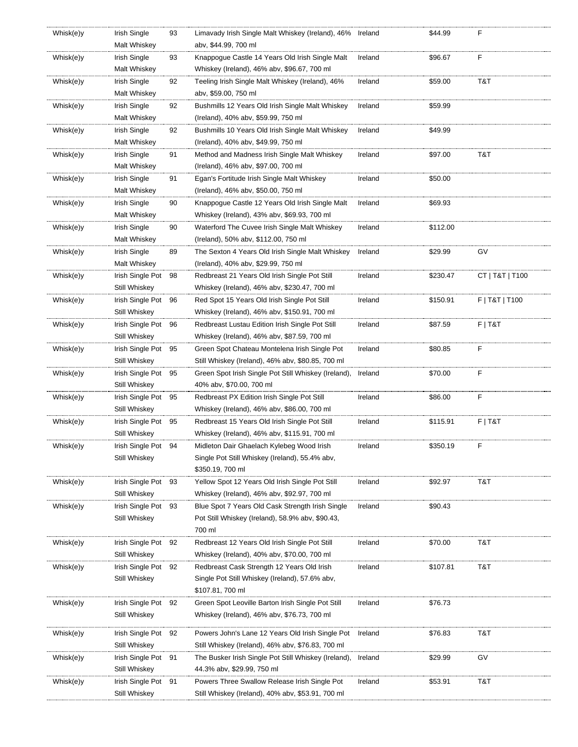| Whisk(e)y | Irish Single        | 93 | Limavady Irish Single Malt Whiskey (Ireland), 46% Ireland |         | \$44.99  | F               |
|-----------|---------------------|----|-----------------------------------------------------------|---------|----------|-----------------|
|           | Malt Whiskey        |    | abv, \$44.99, 700 ml                                      |         |          |                 |
| Whisk(e)y | Irish Single        | 93 | Knappogue Castle 14 Years Old Irish Single Malt           | Ireland | \$96.67  | F               |
|           | Malt Whiskey        |    | Whiskey (Ireland), 46% aby, \$96.67, 700 ml               |         |          |                 |
| Whisk(e)y | Irish Single        | 92 | Teeling Irish Single Malt Whiskey (Ireland), 46%          | Ireland | \$59.00  | T&T             |
|           | Malt Whiskey        |    | aby, \$59.00, 750 ml                                      |         |          |                 |
| Whisk(e)y | Irish Single        | 92 | Bushmills 12 Years Old Irish Single Malt Whiskey          | Ireland | \$59.99  |                 |
|           | Malt Whiskey        |    | (Ireland), 40% abv, \$59.99, 750 ml                       |         |          |                 |
| Whisk(e)y | Irish Single        | 92 | Bushmills 10 Years Old Irish Single Malt Whiskey          | Ireland | \$49.99  |                 |
|           | Malt Whiskey        |    | (Ireland), 40% abv, \$49.99, 750 ml                       |         |          |                 |
| Whisk(e)y | Irish Single        | 91 | Method and Madness Irish Single Malt Whiskey              | Ireland | \$97.00  | T&T             |
|           | Malt Whiskey        |    | (Ireland), 46% abv, \$97.00, 700 ml                       |         |          |                 |
| Whisk(e)y | Irish Single        | 91 | Egan's Fortitude Irish Single Malt Whiskey                | Ireland | \$50.00  |                 |
|           | Malt Whiskey        |    | (Ireland), 46% abv, \$50.00, 750 ml                       |         |          |                 |
| Whisk(e)y | Irish Single        | 90 | Knappogue Castle 12 Years Old Irish Single Malt           | Ireland | \$69.93  |                 |
|           | Malt Whiskey        |    | Whiskey (Ireland), 43% abv, \$69.93, 700 ml               |         |          |                 |
| Whisk(e)y | Irish Single        | 90 | Waterford The Cuvee Irish Single Malt Whiskey             | Ireland | \$112.00 |                 |
|           | Malt Whiskey        |    | (Ireland), 50% abv, \$112.00, 750 ml                      |         |          |                 |
| Whisk(e)y | Irish Single        | 89 | The Sexton 4 Years Old Irish Single Malt Whiskey          | Ireland | \$29.99  | GV              |
|           | Malt Whiskey        |    | (Ireland), 40% abv, \$29.99, 750 ml                       |         |          |                 |
|           | Irish Single Pot 98 |    | Redbreast 21 Years Old Irish Single Pot Still             | Ireland | \$230.47 | CT   T&T   T100 |
| Whisk(e)y |                     |    |                                                           |         |          |                 |
|           | Still Whiskey       |    | Whiskey (Ireland), 46% abv, \$230.47, 700 ml              |         |          |                 |
| Whisk(e)y | Irish Single Pot 96 |    | Red Spot 15 Years Old Irish Single Pot Still              | Ireland | \$150.91 | F   T&T   T100  |
|           | Still Whiskey       |    | Whiskey (Ireland), 46% abv, \$150.91, 700 ml              |         |          |                 |
| Whisk(e)y | Irish Single Pot 96 |    | Redbreast Lustau Edition Irish Single Pot Still           | Ireland | \$87.59  | F T&T           |
|           | Still Whiskey       |    | Whiskey (Ireland), 46% abv, \$87.59, 700 ml               |         |          |                 |
| Whisk(e)y | Irish Single Pot 95 |    | Green Spot Chateau Montelena Irish Single Pot             | Ireland | \$80.85  | F               |
|           | Still Whiskey       |    | Still Whiskey (Ireland), 46% abv, \$80.85, 700 ml         |         |          |                 |
| Whisk(e)y | Irish Single Pot 95 |    | Green Spot Irish Single Pot Still Whiskey (Ireland),      | Ireland | \$70.00  | F               |
|           | Still Whiskey       |    | 40% abv, \$70.00, 700 ml                                  |         |          |                 |
| Whisk(e)y | Irish Single Pot 95 |    | Redbreast PX Edition Irish Single Pot Still               | Ireland | \$86.00  | F               |
|           | Still Whiskey       |    | Whiskey (Ireland), 46% abv, \$86.00, 700 ml               |         |          |                 |
| Whisk(e)y | Irish Single Pot 95 |    | Redbreast 15 Years Old Irish Single Pot Still             | Ireland | \$115.91 | $F$   T&T       |
|           | Still Whiskey       |    | Whiskey (Ireland), 46% aby, \$115.91, 700 ml              |         |          |                 |
| Whisk(e)y | Irish Single Pot 94 |    | Midleton Dair Ghaelach Kylebeg Wood Irish                 | Ireland | \$350.19 | F.              |
|           | Still Whiskey       |    | Single Pot Still Whiskey (Ireland), 55.4% abv,            |         |          |                 |
|           |                     |    | \$350.19, 700 ml                                          |         |          |                 |
| Whisk(e)y | Irish Single Pot 93 |    | Yellow Spot 12 Years Old Irish Single Pot Still           | Ireland | \$92.97  | T&T             |
|           | Still Whiskey       |    | Whiskey (Ireland), 46% aby, \$92.97, 700 ml               |         |          |                 |
| Whisk(e)y | Irish Single Pot 93 |    | Blue Spot 7 Years Old Cask Strength Irish Single          | Ireland | \$90.43  |                 |
|           | Still Whiskey       |    | Pot Still Whiskey (Ireland), 58.9% abv, \$90.43,          |         |          |                 |
|           |                     |    | 700 ml                                                    |         |          |                 |
| Whisk(e)y | Irish Single Pot 92 |    | Redbreast 12 Years Old Irish Single Pot Still             | Ireland | \$70.00  | T&T             |
|           | Still Whiskey       |    | Whiskey (Ireland), 40% abv, \$70.00, 700 ml               |         |          |                 |
| Whisk(e)y | Irish Single Pot 92 |    | Redbreast Cask Strength 12 Years Old Irish                | Ireland | \$107.81 | T&T             |
|           | Still Whiskey       |    | Single Pot Still Whiskey (Ireland), 57.6% abv,            |         |          |                 |
|           |                     |    | \$107.81, 700 ml                                          |         |          |                 |
| Whisk(e)y | Irish Single Pot 92 |    | Green Spot Leoville Barton Irish Single Pot Still         | Ireland | \$76.73  |                 |
|           | Still Whiskey       |    | Whiskey (Ireland), 46% abv, \$76.73, 700 ml               |         |          |                 |
| Whisk(e)y |                     |    |                                                           |         |          |                 |
|           | Irish Single Pot 92 |    | Powers John's Lane 12 Years Old Irish Single Pot          | Ireland | \$76.83  | T&T             |
|           | Still Whiskey       |    | Still Whiskey (Ireland), 46% abv, \$76.83, 700 ml         |         |          |                 |
| Whisk(e)y | Irish Single Pot 91 |    | The Busker Irish Single Pot Still Whiskey (Ireland),      | Ireland | \$29.99  | GV              |
|           | Still Whiskey       |    | 44.3% abv, \$29.99, 750 ml                                |         |          |                 |
| Whisk(e)y | Irish Single Pot 91 |    | Powers Three Swallow Release Irish Single Pot             | Ireland | \$53.91  | T&T             |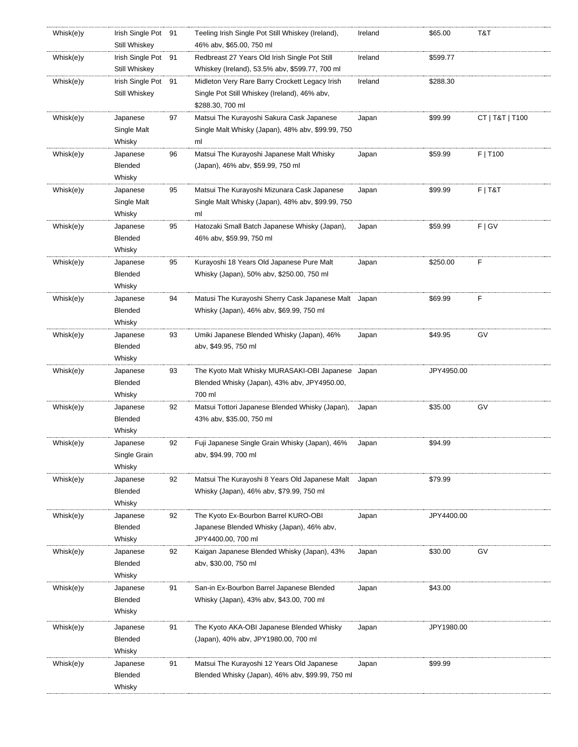| Whisk(e)y | Irish Single Pot 91 |    | Teeling Irish Single Pot Still Whiskey (Ireland),    | Ireland | \$65.00    | T&T             |
|-----------|---------------------|----|------------------------------------------------------|---------|------------|-----------------|
|           | Still Whiskey       |    | 46% abv, \$65.00, 750 ml                             |         |            |                 |
| Whisk(e)y | Irish Single Pot 91 |    | Redbreast 27 Years Old Irish Single Pot Still        | Ireland | \$599.77   |                 |
|           | Still Whiskey       |    | Whiskey (Ireland), 53.5% abv, \$599.77, 700 ml       |         |            |                 |
| Whisk(e)y | Irish Single Pot 91 |    | Midleton Very Rare Barry Crockett Legacy Irish       | Ireland | \$288.30   |                 |
|           | Still Whiskey       |    | Single Pot Still Whiskey (Ireland), 46% abv,         |         |            |                 |
|           |                     |    | \$288.30, 700 ml                                     |         |            |                 |
| Whisk(e)y | Japanese            | 97 | Matsui The Kurayoshi Sakura Cask Japanese            | Japan   | \$99.99    | CT   T&T   T100 |
|           | Single Malt         |    | Single Malt Whisky (Japan), 48% abv, \$99.99, 750    |         |            |                 |
|           | Whisky              |    | ml                                                   |         |            |                 |
| Whisk(e)y | Japanese            | 96 | Matsui The Kurayoshi Japanese Malt Whisky            | Japan   | \$59.99    | F   T100        |
|           | Blended             |    | (Japan), 46% abv, \$59.99, 750 ml                    |         |            |                 |
|           | Whisky              |    |                                                      |         |            |                 |
| Whisk(e)y | Japanese            | 95 | Matsui The Kurayoshi Mizunara Cask Japanese          | Japan   | \$99.99    | $F$   T&T       |
|           | Single Malt         |    | Single Malt Whisky (Japan), 48% abv, \$99.99, 750    |         |            |                 |
|           | Whisky              |    | ml                                                   |         |            |                 |
|           |                     |    | Hatozaki Small Batch Japanese Whisky (Japan),        |         | \$59.99    | F   G V         |
| Whisk(e)y | Japanese            | 95 |                                                      | Japan   |            |                 |
|           | Blended             |    | 46% abv, \$59.99, 750 ml                             |         |            |                 |
|           | Whisky              |    |                                                      |         |            |                 |
| Whisk(e)y | Japanese            | 95 | Kurayoshi 18 Years Old Japanese Pure Malt            | Japan   | \$250.00   | F               |
|           | Blended             |    | Whisky (Japan), 50% abv, \$250.00, 750 ml            |         |            |                 |
|           | Whisky              |    |                                                      |         |            |                 |
| Whisk(e)y | Japanese            | 94 | Matusi The Kurayoshi Sherry Cask Japanese Malt Japan |         | \$69.99    | F               |
|           | Blended             |    | Whisky (Japan), 46% abv, \$69.99, 750 ml             |         |            |                 |
|           | Whisky              |    |                                                      |         |            |                 |
| Whisk(e)y | Japanese            | 93 | Umiki Japanese Blended Whisky (Japan), 46%           | Japan   | \$49.95    | GV              |
|           | Blended             |    | aby, \$49.95, 750 ml                                 |         |            |                 |
|           | Whisky              |    |                                                      |         |            |                 |
| Whisk(e)y | Japanese            | 93 | The Kyoto Malt Whisky MURASAKI-OBI Japanese Japan    |         | JPY4950.00 |                 |
|           | Blended             |    | Blended Whisky (Japan), 43% abv, JPY4950.00,         |         |            |                 |
|           | Whisky              |    | 700 ml                                               |         |            |                 |
| Whisk(e)y | Japanese            | 92 | Matsui Tottori Japanese Blended Whisky (Japan),      | Japan   | \$35.00    | GV              |
|           | Blended             |    | 43% abv, \$35.00, 750 ml                             |         |            |                 |
|           | Whisky              |    |                                                      |         |            |                 |
|           |                     | 92 |                                                      |         | \$94.99    |                 |
| Whisk(e)y | Japanese            |    | Fuji Japanese Single Grain Whisky (Japan), 46%       | Japan   |            |                 |
|           | Single Grain        |    | abv, \$94.99, 700 ml                                 |         |            |                 |
|           | Whisky              |    |                                                      |         |            |                 |
| Whisk(e)y | Japanese            | 92 | Matsui The Kurayoshi 8 Years Old Japanese Malt       | Japan   | \$79.99    |                 |
|           | Blended             |    | Whisky (Japan), 46% abv, \$79.99, 750 ml             |         |            |                 |
|           | Whisky              |    |                                                      |         |            |                 |
| Whisk(e)y | Japanese            | 92 | The Kyoto Ex-Bourbon Barrel KURO-OBI                 | Japan   | JPY4400.00 |                 |
|           | Blended             |    | Japanese Blended Whisky (Japan), 46% abv,            |         |            |                 |
|           | Whisky              |    | JPY4400.00, 700 ml                                   |         |            |                 |
| Whisk(e)y | Japanese            | 92 | Kaigan Japanese Blended Whisky (Japan), 43%          | Japan   | \$30.00    | GV              |
|           | Blended             |    | aby, \$30.00, 750 ml                                 |         |            |                 |
|           | Whisky              |    |                                                      |         |            |                 |
| Whisk(e)y | Japanese            | 91 | San-in Ex-Bourbon Barrel Japanese Blended            | Japan   | \$43.00    |                 |
|           | Blended             |    | Whisky (Japan), 43% abv, \$43.00, 700 ml             |         |            |                 |
|           | Whisky              |    |                                                      |         |            |                 |
|           |                     |    |                                                      |         |            |                 |
| Whisk(e)y | Japanese            | 91 | The Kyoto AKA-OBI Japanese Blended Whisky            | Japan   | JPY1980.00 |                 |
|           | Blended             |    | (Japan), 40% abv, JPY1980.00, 700 ml                 |         |            |                 |
|           | Whisky              |    |                                                      |         |            |                 |
| Whisk(e)y |                     |    |                                                      |         |            |                 |
|           | Japanese            | 91 | Matsui The Kurayoshi 12 Years Old Japanese           | Japan   | \$99.99    |                 |
|           | Blended<br>Whisky   |    | Blended Whisky (Japan), 46% abv, \$99.99, 750 ml     |         |            |                 |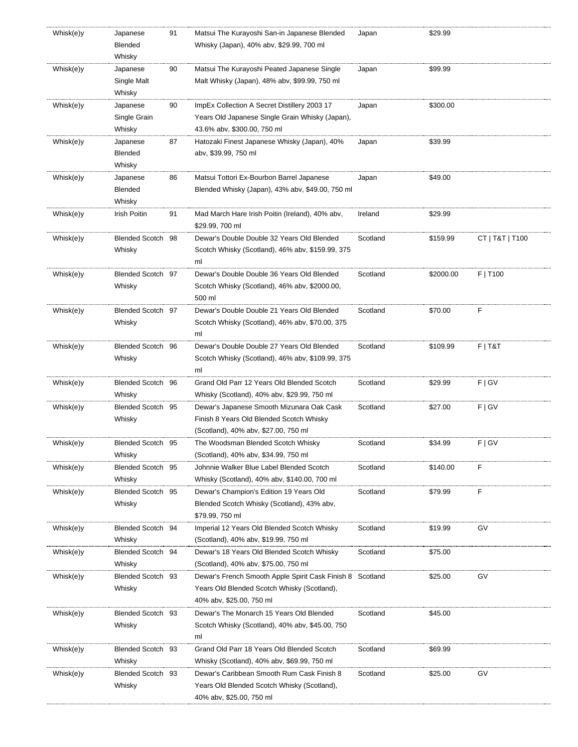| Whisk(e)y | Japanese<br>Blended<br>Whisky      | 91 | Matsui The Kurayoshi San-in Japanese Blended<br>Whisky (Japan), 40% abv, \$29.99, 700 ml                                             | Japan    | \$29.99   |                 |
|-----------|------------------------------------|----|--------------------------------------------------------------------------------------------------------------------------------------|----------|-----------|-----------------|
| Whisk(e)y | Japanese<br>Single Malt<br>Whisky  | 90 | Matsui The Kurayoshi Peated Japanese Single<br>Malt Whisky (Japan), 48% abv, \$99.99, 750 ml                                         | Japan    | \$99.99   |                 |
| Whisk(e)y | Japanese<br>Single Grain<br>Whisky | 90 | ImpEx Collection A Secret Distillery 2003 17<br>Years Old Japanese Single Grain Whisky (Japan),<br>43.6% abv, \$300.00, 750 ml       | Japan    | \$300.00  |                 |
| Whisk(e)y | Japanese<br>Blended<br>Whisky      | 87 | Hatozaki Finest Japanese Whisky (Japan), 40%<br>abv, \$39.99, 750 ml                                                                 | Japan    | \$39.99   |                 |
| Whisk(e)y | Japanese<br>Blended<br>Whisky      | 86 | Matsui Tottori Ex-Bourbon Barrel Japanese<br>Blended Whisky (Japan), 43% abv, \$49.00, 750 ml                                        | Japan    | \$49.00   |                 |
| Whisk(e)y | Irish Poitin                       | 91 | Mad March Hare Irish Poitin (Ireland), 40% abv,<br>\$29.99, 700 ml                                                                   | Ireland  | \$29.99   |                 |
| Whisk(e)y | Blended Scotch 98<br>Whisky        |    | Dewar's Double Double 32 Years Old Blended<br>Scotch Whisky (Scotland), 46% abv, \$159.99, 375<br>ml                                 | Scotland | \$159.99  | CT   T&T   T100 |
| Whisk(e)y | Blended Scotch 97<br>Whisky        |    | Dewar's Double Double 36 Years Old Blended<br>Scotch Whisky (Scotland), 46% abv, \$2000.00,<br>500 ml                                | Scotland | \$2000.00 | F   T100        |
| Whisk(e)y | Blended Scotch 97<br>Whisky        |    | Dewar's Double Double 21 Years Old Blended<br>Scotch Whisky (Scotland), 46% abv, \$70.00, 375<br>ml                                  | Scotland | \$70.00   | F               |
| Whisk(e)y | Blended Scotch 96<br>Whisky        |    | Dewar's Double Double 27 Years Old Blended<br>Scotch Whisky (Scotland), 46% abv, \$109.99, 375<br>ml                                 | Scotland | \$109.99  | $F$   T&T       |
| Whisk(e)y | Blended Scotch 96<br>Whisky        |    | Grand Old Parr 12 Years Old Blended Scotch<br>Whisky (Scotland), 40% abv, \$29.99, 750 ml                                            | Scotland | \$29.99   | F   G V         |
| Whisk(e)y | Blended Scotch 95<br>Whisky        |    | Dewar's Japanese Smooth Mizunara Oak Cask<br>Finish 8 Years Old Blended Scotch Whisky<br>(Scotland), 40% abv, \$27.00, 750 ml        | Scotland | \$27.00   | F   G V         |
| Whisk(e)y | Blended Scotch 95<br>Whisky        |    | The Woodsman Blended Scotch Whisky<br>(Scotland), 40% abv, \$34.99, 750 ml                                                           | Scotland | \$34.99   | F   G V         |
| Whisk(e)y | Blended Scotch 95<br>Whisky        |    | Johnnie Walker Blue Label Blended Scotch<br>Whisky (Scotland), 40% abv, \$140.00, 700 ml                                             | Scotland | \$140.00  | F               |
| Whisk(e)y | Blended Scotch 95<br>Whisky        |    | Dewar's Champion's Edition 19 Years Old<br>Blended Scotch Whisky (Scotland), 43% abv,<br>\$79.99, 750 ml                             | Scotland | \$79.99   | F               |
| Whisk(e)y | Blended Scotch 94<br>Whisky        |    | Imperial 12 Years Old Blended Scotch Whisky<br>(Scotland), 40% abv, \$19.99, 750 ml                                                  | Scotland | \$19.99   | GV              |
| Whisk(e)y | Blended Scotch 94<br>Whisky        |    | Dewar's 18 Years Old Blended Scotch Whisky<br>(Scotland), 40% abv, \$75.00, 750 ml                                                   | Scotland | \$75.00   |                 |
| Whisk(e)y | Blended Scotch 93<br>Whisky        |    | Dewar's French Smooth Apple Spirit Cask Finish 8 Scotland<br>Years Old Blended Scotch Whisky (Scotland),<br>40% abv, \$25.00, 750 ml |          | \$25.00   | GV              |
| Whisk(e)y | Blended Scotch 93<br>Whisky        |    | Dewar's The Monarch 15 Years Old Blended<br>Scotch Whisky (Scotland), 40% aby, \$45.00, 750<br>ml                                    | Scotland | \$45.00   |                 |
| Whisk(e)y | Blended Scotch 93<br>Whisky        |    | Grand Old Parr 18 Years Old Blended Scotch<br>Whisky (Scotland), 40% abv, \$69.99, 750 ml                                            | Scotland | \$69.99   |                 |
| Whisk(e)y | Blended Scotch 93<br>Whisky        |    | Dewar's Caribbean Smooth Rum Cask Finish 8<br>Years Old Blended Scotch Whisky (Scotland),<br>40% abv, \$25.00, 750 ml                | Scotland | \$25.00   | GV              |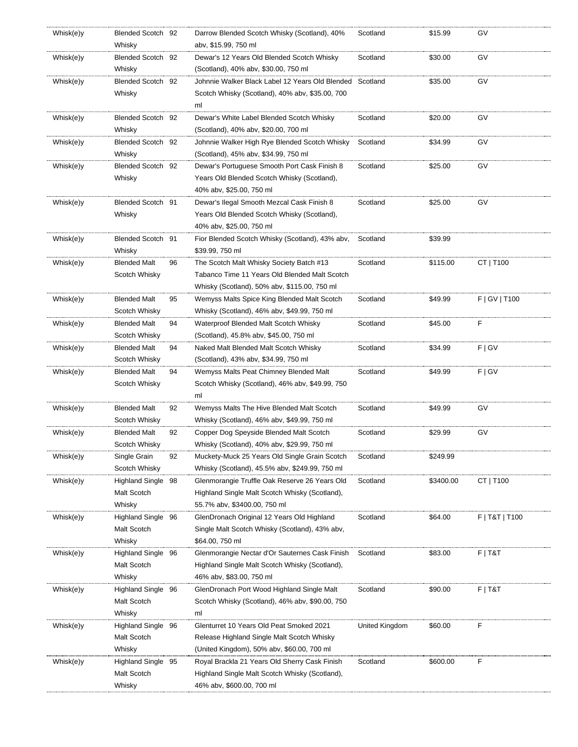| Whisk(e)y | Blended Scotch 92   |    | Darrow Blended Scotch Whisky (Scotland), 40%    | Scotland       | \$15.99   | G٧             |
|-----------|---------------------|----|-------------------------------------------------|----------------|-----------|----------------|
|           | Whisky              |    | abv, \$15.99, 750 ml                            |                |           |                |
| Whisk(e)y | Blended Scotch 92   |    | Dewar's 12 Years Old Blended Scotch Whisky      | Scotland       | \$30.00   | GV             |
|           | Whisky              |    | (Scotland), 40% abv, \$30.00, 750 ml            |                |           |                |
| Whisk(e)y | Blended Scotch 92   |    | Johnnie Walker Black Label 12 Years Old Blended | Scotland       | \$35.00   | G٧             |
|           | Whisky              |    | Scotch Whisky (Scotland), 40% abv, \$35.00, 700 |                |           |                |
|           |                     |    | ml                                              |                |           |                |
| Whisk(e)y | Blended Scotch 92   |    | Dewar's White Label Blended Scotch Whisky       | Scotland       | \$20.00   | GV             |
|           | Whisky              |    | (Scotland), 40% abv, \$20.00, 700 ml            |                |           |                |
| Whisk(e)y | Blended Scotch 92   |    | Johnnie Walker High Rye Blended Scotch Whisky   | Scotland       | \$34.99   | G٧             |
|           | Whisky              |    | (Scotland), 45% abv, \$34.99, 750 ml            |                |           |                |
| Whisk(e)y | Blended Scotch 92   |    | Dewar's Portuguese Smooth Port Cask Finish 8    | Scotland       | \$25.00   | GV             |
|           | Whisky              |    | Years Old Blended Scotch Whisky (Scotland),     |                |           |                |
|           |                     |    | 40% abv, \$25.00, 750 ml                        |                |           |                |
| Whisk(e)y | Blended Scotch 91   |    | Dewar's Ilegal Smooth Mezcal Cask Finish 8      | Scotland       | \$25.00   | GV             |
|           | Whisky              |    | Years Old Blended Scotch Whisky (Scotland),     |                |           |                |
|           |                     |    | 40% abv, \$25.00, 750 ml                        |                |           |                |
| Whisk(e)y | Blended Scotch 91   |    | Fior Blended Scotch Whisky (Scotland), 43% abv, | Scotland       | \$39.99   |                |
|           | Whisky              |    | \$39.99, 750 ml                                 |                |           |                |
| Whisk(e)y | <b>Blended Malt</b> | 96 | The Scotch Malt Whisky Society Batch #13        | Scotland       | \$115.00  | CT   T100      |
|           | Scotch Whisky       |    | Tabanco Time 11 Years Old Blended Malt Scotch   |                |           |                |
|           |                     |    | Whisky (Scotland), 50% abv, \$115.00, 750 ml    |                |           |                |
| Whisk(e)y | Blended Malt        | 95 | Wemyss Malts Spice King Blended Malt Scotch     | Scotland       | \$49.99   | F   G V   T100 |
|           | Scotch Whisky       |    | Whisky (Scotland), 46% abv, \$49.99, 750 ml     |                |           |                |
| Whisk(e)y | <b>Blended Malt</b> | 94 | Waterproof Blended Malt Scotch Whisky           | Scotland       | \$45.00   | F              |
|           | Scotch Whisky       |    | (Scotland), 45.8% abv, \$45.00, 750 ml          |                |           |                |
| Whisk(e)y | <b>Blended Malt</b> | 94 | Naked Malt Blended Malt Scotch Whisky           | Scotland       | \$34.99   | F   G V        |
|           | Scotch Whisky       |    | (Scotland), 43% abv, \$34.99, 750 ml            |                |           |                |
|           | <b>Blended Malt</b> | 94 | Wemyss Malts Peat Chimney Blended Malt          | Scotland       | \$49.99   | F   G V        |
| Whisk(e)y | Scotch Whisky       |    | Scotch Whisky (Scotland), 46% abv, \$49.99, 750 |                |           |                |
|           |                     |    | ml                                              |                |           |                |
| Whisk(e)y | <b>Blended Malt</b> | 92 | Wemyss Malts The Hive Blended Malt Scotch       | Scotland       | \$49.99   | G٧             |
|           | Scotch Whisky       |    | Whisky (Scotland), 46% abv, \$49.99, 750 ml     |                |           |                |
| Whisk(e)y | <b>Blended Malt</b> | 92 | Copper Dog Speyside Blended Malt Scotch         | Scotland       | \$29.99   | GV             |
|           | Scotch Whisky       |    | Whisky (Scotland), 40% abv, \$29.99, 750 ml     |                |           |                |
| Whisk(e)y | Single Grain        | 92 | Muckety-Muck 25 Years Old Single Grain Scotch   | Scotland       | \$249.99  |                |
|           | Scotch Whisky       |    | Whisky (Scotland), 45.5% abv, \$249.99, 750 ml  |                |           |                |
|           | Highland Single 98  |    | Glenmorangie Truffle Oak Reserve 26 Years Old   | Scotland       | \$3400.00 | CT   T100      |
| Whisk(e)y | Malt Scotch         |    | Highland Single Malt Scotch Whisky (Scotland),  |                |           |                |
|           |                     |    |                                                 |                |           |                |
|           | Whisky              |    | 55.7% abv, \$3400.00, 750 ml                    |                |           |                |
| Whisk(e)y | Highland Single 96  |    | GlenDronach Original 12 Years Old Highland      | Scotland       | \$64.00   | F   T&T   T100 |
|           | Malt Scotch         |    | Single Malt Scotch Whisky (Scotland), 43% abv,  |                |           |                |
|           | Whisky              |    | \$64.00, 750 ml                                 |                |           |                |
| Whisk(e)y | Highland Single 96  |    | Glenmorangie Nectar d'Or Sauternes Cask Finish  | Scotland       | \$83.00   | $F$   T&T      |
|           | Malt Scotch         |    | Highland Single Malt Scotch Whisky (Scotland),  |                |           |                |
|           | Whisky              |    | 46% abv, \$83.00, 750 ml                        |                |           |                |
| Whisk(e)y | Highland Single 96  |    | GlenDronach Port Wood Highland Single Malt      | Scotland       | \$90.00   | $F$   T&T      |
|           | Malt Scotch         |    | Scotch Whisky (Scotland), 46% abv, \$90.00, 750 |                |           |                |
|           | Whisky              |    | ml                                              |                |           |                |
| Whisk(e)y | Highland Single 96  |    | Glenturret 10 Years Old Peat Smoked 2021        | United Kingdom | \$60.00   | F              |
|           | Malt Scotch         |    | Release Highland Single Malt Scotch Whisky      |                |           |                |
|           | Whisky              |    | (United Kingdom), 50% abv, \$60.00, 700 ml      |                |           |                |
| Whisk(e)y | Highland Single 95  |    | Royal Brackla 21 Years Old Sherry Cask Finish   | Scotland       | \$600.00  | F              |
|           | Malt Scotch         |    | Highland Single Malt Scotch Whisky (Scotland),  |                |           |                |
|           | Whisky              |    | 46% abv, \$600.00, 700 ml                       |                |           |                |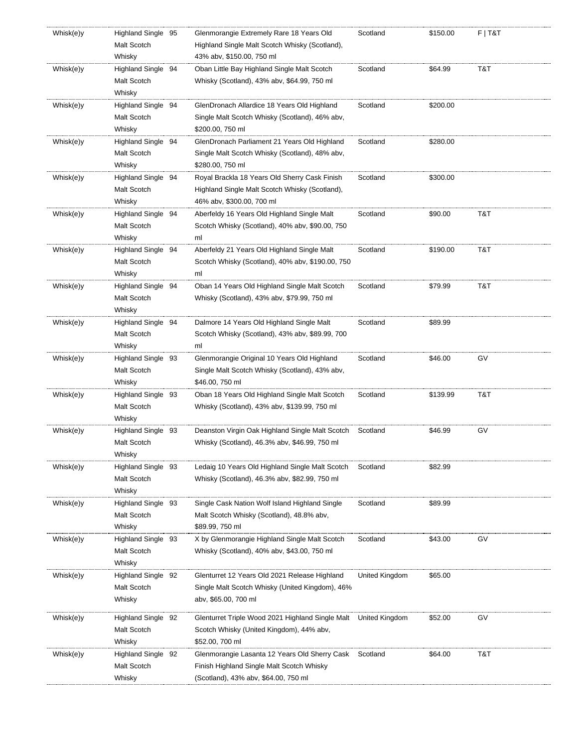| Whisk(e)y | Highland Single 95 | Glenmorangie Extremely Rare 18 Years Old         | Scotland       | \$150.00 | $F$   T&T |
|-----------|--------------------|--------------------------------------------------|----------------|----------|-----------|
|           | Malt Scotch        | Highland Single Malt Scotch Whisky (Scotland),   |                |          |           |
|           | Whisky             | 43% abv, \$150.00, 750 ml                        |                |          |           |
| Whisk(e)y | Highland Single 94 | Oban Little Bay Highland Single Malt Scotch      | Scotland       | \$64.99  | T&T       |
|           | Malt Scotch        | Whisky (Scotland), 43% abv, \$64.99, 750 ml      |                |          |           |
|           | Whisky             |                                                  |                |          |           |
| Whisk(e)y | Highland Single 94 | GlenDronach Allardice 18 Years Old Highland      | Scotland       | \$200.00 |           |
|           | Malt Scotch        | Single Malt Scotch Whisky (Scotland), 46% abv,   |                |          |           |
|           | Whisky             | \$200.00, 750 ml                                 |                |          |           |
| Whisk(e)y | Highland Single 94 | GlenDronach Parliament 21 Years Old Highland     | Scotland       | \$280.00 |           |
|           | Malt Scotch        | Single Malt Scotch Whisky (Scotland), 48% abv,   |                |          |           |
|           | Whisky             | \$280.00, 750 ml                                 |                |          |           |
| Whisk(e)y | Highland Single 94 | Royal Brackla 18 Years Old Sherry Cask Finish    | Scotland       | \$300.00 |           |
|           | Malt Scotch        | Highland Single Malt Scotch Whisky (Scotland),   |                |          |           |
|           | Whisky             | 46% abv, \$300.00, 700 ml                        |                |          |           |
| Whisk(e)y | Highland Single 94 | Aberfeldy 16 Years Old Highland Single Malt      | Scotland       | \$90.00  | T&T       |
|           | Malt Scotch        | Scotch Whisky (Scotland), 40% abv, \$90.00, 750  |                |          |           |
|           | Whisky             | ml                                               |                |          |           |
| Whisk(e)y | Highland Single 94 | Aberfeldy 21 Years Old Highland Single Malt      | Scotland       | \$190.00 | T&T       |
|           | Malt Scotch        | Scotch Whisky (Scotland), 40% abv, \$190.00, 750 |                |          |           |
|           | Whisky             | ml                                               |                |          |           |
|           |                    |                                                  | Scotland       | \$79.99  |           |
| Whisk(e)y | Highland Single 94 | Oban 14 Years Old Highland Single Malt Scotch    |                |          | T&T       |
|           | Malt Scotch        | Whisky (Scotland), 43% abv, \$79.99, 750 ml      |                |          |           |
|           | Whisky             |                                                  |                |          |           |
| Whisk(e)y | Highland Single 94 | Dalmore 14 Years Old Highland Single Malt        | Scotland       | \$89.99  |           |
|           | Malt Scotch        | Scotch Whisky (Scotland), 43% aby, \$89.99, 700  |                |          |           |
|           | Whisky             | ml                                               |                |          |           |
| Whisk(e)y | Highland Single 93 | Glenmorangie Original 10 Years Old Highland      | Scotland       | \$46.00  | GV        |
|           | Malt Scotch        | Single Malt Scotch Whisky (Scotland), 43% abv,   |                |          |           |
|           | Whisky             | \$46.00, 750 ml                                  |                |          |           |
| Whisk(e)y | Highland Single 93 | Oban 18 Years Old Highland Single Malt Scotch    | Scotland       | \$139.99 | T&T       |
|           | Malt Scotch        | Whisky (Scotland), 43% abv, \$139.99, 750 ml     |                |          |           |
|           | Whisky             |                                                  |                |          |           |
| Whisk(e)y | Highland Single 93 | Deanston Virgin Oak Highland Single Malt Scotch  | Scotland       | \$46.99  | GV        |
|           | Malt Scotch        | Whisky (Scotland), 46.3% abv, \$46.99, 750 ml    |                |          |           |
|           | Whisky             |                                                  |                |          |           |
| Whisk(e)y | Highland Single 93 | Ledaig 10 Years Old Highland Single Malt Scotch  | Scotland       | \$82.99  |           |
|           | Malt Scotch        | Whisky (Scotland), 46.3% abv, \$82.99, 750 ml    |                |          |           |
|           | Whisky             |                                                  |                |          |           |
| Whisk(e)y | Highland Single 93 | Single Cask Nation Wolf Island Highland Single   | Scotland       | \$89.99  |           |
|           | Malt Scotch        | Malt Scotch Whisky (Scotland), 48.8% abv,        |                |          |           |
|           | Whisky             | \$89.99, 750 ml                                  |                |          |           |
| Whisk(e)y | Highland Single 93 | X by Glenmorangie Highland Single Malt Scotch    | Scotland       | \$43.00  | GV        |
|           | Malt Scotch        | Whisky (Scotland), 40% abv, \$43.00, 750 ml      |                |          |           |
|           | Whisky             |                                                  |                |          |           |
| Whisk(e)y | Highland Single 92 | Glenturret 12 Years Old 2021 Release Highland    | United Kingdom | \$65.00  |           |
|           | Malt Scotch        | Single Malt Scotch Whisky (United Kingdom), 46%  |                |          |           |
|           | Whisky             | abv, \$65.00, 700 ml                             |                |          |           |
| Whisk(e)y | Highland Single 92 | Glenturret Triple Wood 2021 Highland Single Malt | United Kingdom | \$52.00  | G٧        |
|           | Malt Scotch        | Scotch Whisky (United Kingdom), 44% abv,         |                |          |           |
|           | Whisky             | \$52.00, 700 ml                                  |                |          |           |
| Whisk(e)y | Highland Single 92 | Glenmorangie Lasanta 12 Years Old Sherry Cask    | Scotland       | \$64.00  | T&T       |
|           | Malt Scotch        | Finish Highland Single Malt Scotch Whisky        |                |          |           |
|           | Whisky             | (Scotland), 43% abv, \$64.00, 750 ml             |                |          |           |
|           |                    |                                                  |                |          |           |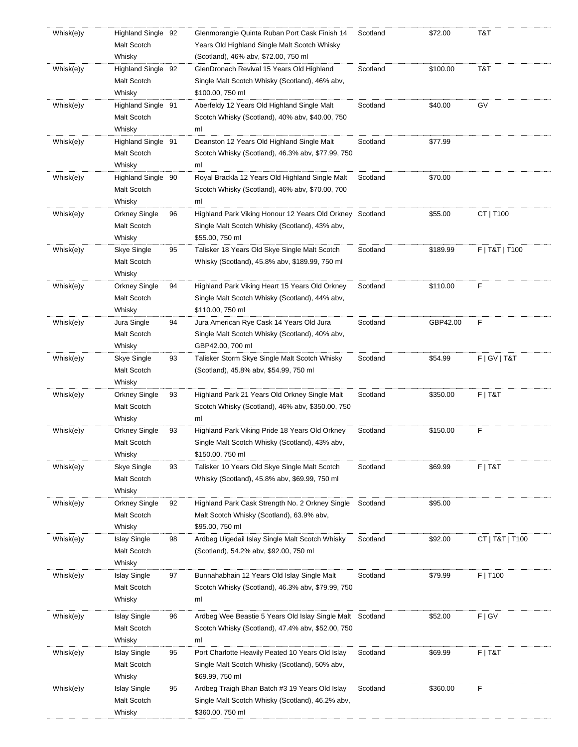| Whisk(e)y | Highland Single 92                 |    | Glenmorangie Quinta Ruban Port Cask Finish 14                                                                  | Scotland | \$72.00  | T&T             |
|-----------|------------------------------------|----|----------------------------------------------------------------------------------------------------------------|----------|----------|-----------------|
|           | Malt Scotch                        |    | Years Old Highland Single Malt Scotch Whisky                                                                   |          |          |                 |
|           | Whisky                             |    | (Scotland), 46% abv, \$72.00, 750 ml                                                                           |          |          |                 |
| Whisk(e)y | Highland Single 92                 |    | GlenDronach Revival 15 Years Old Highland                                                                      | Scotland | \$100.00 | T&T             |
|           | Malt Scotch                        |    | Single Malt Scotch Whisky (Scotland), 46% abv,                                                                 |          |          |                 |
|           | Whisky                             |    | \$100.00, 750 ml                                                                                               |          |          |                 |
| Whisk(e)y | Highland Single 91                 |    | Aberfeldy 12 Years Old Highland Single Malt                                                                    | Scotland | \$40.00  | GV              |
|           | Malt Scotch                        |    | Scotch Whisky (Scotland), 40% abv, \$40.00, 750                                                                |          |          |                 |
|           | Whisky                             |    | ml                                                                                                             |          |          |                 |
| Whisk(e)y | Highland Single 91                 |    | Deanston 12 Years Old Highland Single Malt                                                                     | Scotland | \$77.99  |                 |
|           | Malt Scotch                        |    | Scotch Whisky (Scotland), 46.3% abv, \$77.99, 750                                                              |          |          |                 |
|           | Whisky                             |    | ml                                                                                                             |          |          |                 |
| Whisk(e)y | Highland Single 90                 |    | Royal Brackla 12 Years Old Highland Single Malt                                                                | Scotland | \$70.00  |                 |
|           | Malt Scotch                        |    | Scotch Whisky (Scotland), 46% abv, \$70.00, 700                                                                |          |          |                 |
|           | Whisky                             |    | ml                                                                                                             |          |          |                 |
| Whisk(e)y | Orkney Single                      | 96 | Highland Park Viking Honour 12 Years Old Orkney Scotland                                                       |          | \$55.00  | CT   T100       |
|           | Malt Scotch                        |    | Single Malt Scotch Whisky (Scotland), 43% abv,                                                                 |          |          |                 |
|           | Whisky                             |    | \$55.00, 750 ml                                                                                                |          |          |                 |
| Whisk(e)y | Skye Single                        | 95 | Talisker 18 Years Old Skye Single Malt Scotch                                                                  | Scotland | \$189.99 | F   T&T   T100  |
|           | Malt Scotch                        |    | Whisky (Scotland), 45.8% aby, \$189.99, 750 ml                                                                 |          |          |                 |
|           | Whisky                             |    |                                                                                                                |          |          |                 |
| Whisk(e)y | Orkney Single                      | 94 | Highland Park Viking Heart 15 Years Old Orkney                                                                 | Scotland | \$110.00 | F               |
|           | Malt Scotch                        |    | Single Malt Scotch Whisky (Scotland), 44% abv,                                                                 |          |          |                 |
|           | Whisky                             |    | \$110.00, 750 ml                                                                                               |          |          |                 |
| Whisk(e)y | Jura Single                        | 94 | Jura American Rye Cask 14 Years Old Jura                                                                       | Scotland | GBP42.00 | F               |
|           | Malt Scotch                        |    | Single Malt Scotch Whisky (Scotland), 40% abv,                                                                 |          |          |                 |
|           | Whisky                             |    | GBP42.00, 700 ml                                                                                               |          |          |                 |
| Whisk(e)y | Skye Single                        | 93 | Talisker Storm Skye Single Malt Scotch Whisky                                                                  | Scotland | \$54.99  | F   G V   T & T |
|           | Malt Scotch                        |    | (Scotland), 45.8% abv, \$54.99, 750 ml                                                                         |          |          |                 |
|           | Whisky                             |    |                                                                                                                |          |          |                 |
| Whisk(e)y | Orkney Single                      | 93 | Highland Park 21 Years Old Orkney Single Malt                                                                  | Scotland | \$350.00 | $F$   T&T       |
|           | Malt Scotch                        |    | Scotch Whisky (Scotland), 46% abv, \$350.00, 750                                                               |          |          |                 |
|           | Whisky                             |    | ml                                                                                                             |          |          |                 |
| Whisk(e)y | Orkney Single                      | 93 | Highland Park Viking Pride 18 Years Old Orkney                                                                 | Scotland | \$150.00 | F               |
|           | Malt Scotch                        |    | Single Malt Scotch Whisky (Scotland), 43% abv,                                                                 |          |          |                 |
|           | Whisky                             |    | \$150.00, 750 ml                                                                                               |          |          |                 |
| Whisk(e)y | Skye Single                        | 93 | Talisker 10 Years Old Skye Single Malt Scotch                                                                  | Scotland | \$69.99  | $F$   T&T       |
|           | Malt Scotch                        |    | Whisky (Scotland), 45.8% abv, \$69.99, 750 ml                                                                  |          |          |                 |
|           | Whisky                             |    |                                                                                                                |          |          |                 |
| Whisk(e)y | Orkney Single                      | 92 | Highland Park Cask Strength No. 2 Orkney Single                                                                | Scotland | \$95.00  |                 |
|           | Malt Scotch                        |    | Malt Scotch Whisky (Scotland), 63.9% abv,                                                                      |          |          |                 |
|           | Whisky                             |    | \$95.00, 750 ml                                                                                                |          |          |                 |
| Whisk(e)y | <b>Islay Single</b>                | 98 | Ardbeg Uigedail Islay Single Malt Scotch Whisky                                                                | Scotland | \$92.00  | CT   T&T   T100 |
|           | Malt Scotch                        |    | (Scotland), 54.2% abv, \$92.00, 750 ml                                                                         |          |          |                 |
|           | Whisky                             |    |                                                                                                                |          |          |                 |
| Whisk(e)y | <b>Islay Single</b>                | 97 | Bunnahabhain 12 Years Old Islay Single Malt                                                                    | Scotland | \$79.99  | F   T100        |
|           | Malt Scotch                        |    | Scotch Whisky (Scotland), 46.3% abv, \$79.99, 750                                                              |          |          |                 |
|           | Whisky                             |    | ml                                                                                                             |          |          |                 |
|           |                                    |    |                                                                                                                |          |          |                 |
| Whisk(e)y | <b>Islay Single</b><br>Malt Scotch | 96 | Ardbeg Wee Beastie 5 Years Old Islay Single Malt Scotland<br>Scotch Whisky (Scotland), 47.4% abv, \$52.00, 750 |          | \$52.00  | F   G V         |
|           | Whisky                             |    | ml                                                                                                             |          |          |                 |
|           |                                    |    |                                                                                                                |          |          |                 |
| Whisk(e)y | <b>Islay Single</b>                | 95 | Port Charlotte Heavily Peated 10 Years Old Islay                                                               | Scotland | \$69.99  | $F$   T&T       |
|           | Malt Scotch<br>Whisky              |    | Single Malt Scotch Whisky (Scotland), 50% abv,<br>\$69.99, 750 ml                                              |          |          |                 |
|           |                                    |    |                                                                                                                |          |          | F               |
| Whisk(e)y | <b>Islay Single</b><br>Malt Scotch | 95 | Ardbeg Traigh Bhan Batch #3 19 Years Old Islay                                                                 | Scotland | \$360.00 |                 |
|           |                                    |    | Single Malt Scotch Whisky (Scotland), 46.2% abv,                                                               |          |          |                 |
|           | Whisky                             |    | \$360.00, 750 ml                                                                                               |          |          |                 |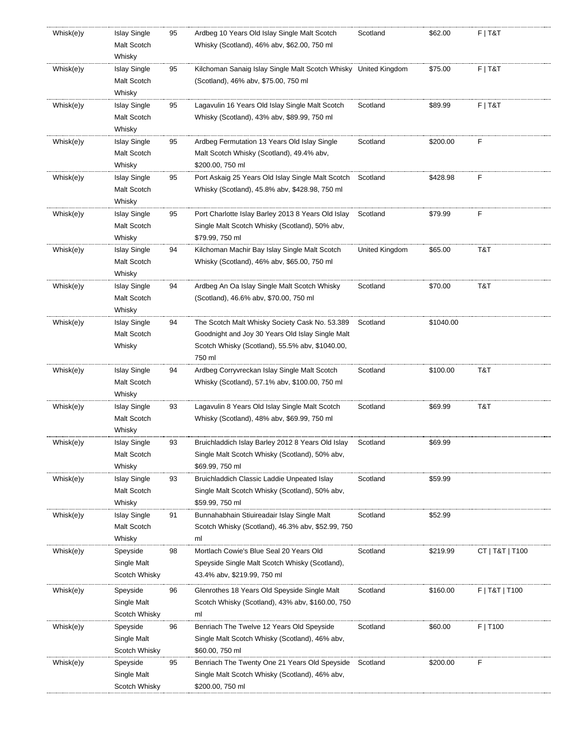| Whisk(e)y | <b>Islay Single</b><br>Malt Scotch<br>Whisky | 95 | Ardbeg 10 Years Old Islay Single Malt Scotch<br>Whisky (Scotland), 46% abv, \$62.00, 750 ml                                                                     | Scotland       | \$62.00   | $F$   T&T       |
|-----------|----------------------------------------------|----|-----------------------------------------------------------------------------------------------------------------------------------------------------------------|----------------|-----------|-----------------|
| Whisk(e)y | <b>Islay Single</b><br>Malt Scotch<br>Whisky | 95 | Kilchoman Sanaig Islay Single Malt Scotch Whisky United Kingdom<br>(Scotland), 46% abv, \$75.00, 750 ml                                                         |                | \$75.00   | $F$   T&T       |
| Whisk(e)y | <b>Islay Single</b><br>Malt Scotch<br>Whisky | 95 | Lagavulin 16 Years Old Islay Single Malt Scotch<br>Whisky (Scotland), 43% abv, \$89.99, 750 ml                                                                  | Scotland       | \$89.99   | $F$   T&T       |
| Whisk(e)y | <b>Islay Single</b><br>Malt Scotch<br>Whisky | 95 | Ardbeg Fermutation 13 Years Old Islay Single<br>Malt Scotch Whisky (Scotland), 49.4% abv,<br>\$200.00, 750 ml                                                   | Scotland       | \$200.00  | F               |
| Whisk(e)y | <b>Islay Single</b><br>Malt Scotch<br>Whisky | 95 | Port Askaig 25 Years Old Islay Single Malt Scotch<br>Whisky (Scotland), 45.8% abv, \$428.98, 750 ml                                                             | Scotland       | \$428.98  | F               |
| Whisk(e)y | <b>Islay Single</b><br>Malt Scotch<br>Whisky | 95 | Port Charlotte Islay Barley 2013 8 Years Old Islay<br>Single Malt Scotch Whisky (Scotland), 50% abv,<br>\$79.99, 750 ml                                         | Scotland       | \$79.99   | F               |
| Whisk(e)y | <b>Islay Single</b><br>Malt Scotch<br>Whisky | 94 | Kilchoman Machir Bay Islay Single Malt Scotch<br>Whisky (Scotland), 46% abv, \$65.00, 750 ml                                                                    | United Kingdom | \$65.00   | T&T             |
| Whisk(e)y | <b>Islay Single</b><br>Malt Scotch<br>Whisky | 94 | Ardbeg An Oa Islay Single Malt Scotch Whisky<br>(Scotland), 46.6% abv, \$70.00, 750 ml                                                                          | Scotland       | \$70.00   | T&T             |
| Whisk(e)y | <b>Islay Single</b><br>Malt Scotch<br>Whisky | 94 | The Scotch Malt Whisky Society Cask No. 53.389<br>Goodnight and Joy 30 Years Old Islay Single Malt<br>Scotch Whisky (Scotland), 55.5% abv, \$1040.00,<br>750 ml | Scotland       | \$1040.00 |                 |
| Whisk(e)y | <b>Islay Single</b><br>Malt Scotch<br>Whisky | 94 | Ardbeg Corryvreckan Islay Single Malt Scotch<br>Whisky (Scotland), 57.1% abv, \$100.00, 750 ml                                                                  | Scotland       | \$100.00  | T&T             |
| Whisk(e)y | <b>Islay Single</b><br>Malt Scotch<br>Whisky | 93 | Lagavulin 8 Years Old Islay Single Malt Scotch<br>Whisky (Scotland), 48% abv, \$69.99, 750 ml                                                                   | Scotland       | \$69.99   | T&T             |
| Whisk(e)y | <b>Islay Single</b><br>Malt Scotch<br>Whisky | 93 | Bruichladdich Islay Barley 2012 8 Years Old Islay<br>Single Malt Scotch Whisky (Scotland), 50% abv,<br>\$69.99, 750 ml                                          | Scotland       | \$69.99   |                 |
| Whisk(e)y | <b>Islay Single</b><br>Malt Scotch<br>Whisky | 93 | Bruichladdich Classic Laddie Unpeated Islay<br>Single Malt Scotch Whisky (Scotland), 50% abv,<br>\$59.99, 750 ml                                                | Scotland       | \$59.99   |                 |
| Whisk(e)y | <b>Islay Single</b><br>Malt Scotch<br>Whisky | 91 | Bunnahabhain Stiuireadair Islay Single Malt<br>Scotch Whisky (Scotland), 46.3% abv, \$52.99, 750<br>ml                                                          | Scotland       | \$52.99   |                 |
| Whisk(e)y | Speyside<br>Single Malt<br>Scotch Whisky     | 98 | Mortlach Cowie's Blue Seal 20 Years Old<br>Speyside Single Malt Scotch Whisky (Scotland),<br>43.4% abv, \$219.99, 750 ml                                        | Scotland       | \$219.99  | CT   T&T   T100 |
| Whisk(e)y | Speyside<br>Single Malt<br>Scotch Whisky     | 96 | Glenrothes 18 Years Old Speyside Single Malt<br>Scotch Whisky (Scotland), 43% aby, \$160.00, 750<br>ml                                                          | Scotland       | \$160.00  | F   T&T   T100  |
| Whisk(e)y | Speyside<br>Single Malt<br>Scotch Whisky     | 96 | Benriach The Twelve 12 Years Old Speyside<br>Single Malt Scotch Whisky (Scotland), 46% abv,<br>\$60.00, 750 ml                                                  | Scotland       | \$60.00   | F   T100        |
| Whisk(e)y | Speyside<br>Single Malt<br>Scotch Whisky     | 95 | Benriach The Twenty One 21 Years Old Speyside<br>Single Malt Scotch Whisky (Scotland), 46% abv,<br>\$200.00, 750 ml                                             | Scotland       | \$200.00  | F               |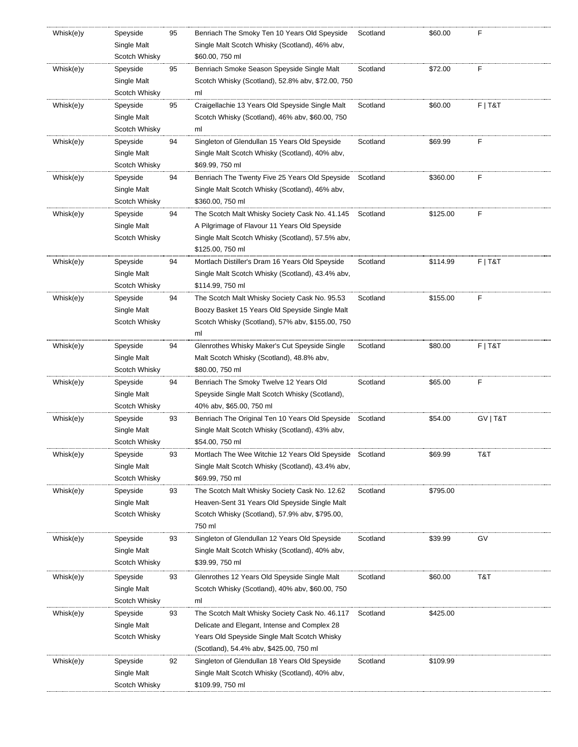| Whisk(e)y | Speyside      | 95 | Benriach The Smoky Ten 10 Years Old Speyside            | Scotland | \$60.00  | F         |
|-----------|---------------|----|---------------------------------------------------------|----------|----------|-----------|
|           | Single Malt   |    | Single Malt Scotch Whisky (Scotland), 46% abv,          |          |          |           |
|           | Scotch Whisky |    | \$60.00, 750 ml                                         |          |          |           |
| Whisk(e)y | Speyside      | 95 | Benriach Smoke Season Speyside Single Malt              | Scotland | \$72.00  | F         |
|           | Single Malt   |    | Scotch Whisky (Scotland), 52.8% abv, \$72.00, 750       |          |          |           |
|           | Scotch Whisky |    | ml                                                      |          |          |           |
| Whisk(e)y | Speyside      | 95 | Craigellachie 13 Years Old Speyside Single Malt         | Scotland | \$60.00  | $F$   T&T |
|           | Single Malt   |    | Scotch Whisky (Scotland), 46% abv, \$60.00, 750         |          |          |           |
|           | Scotch Whisky |    |                                                         |          |          |           |
|           |               |    | ml                                                      |          |          |           |
| Whisk(e)y | Speyside      | 94 | Singleton of Glendullan 15 Years Old Speyside           | Scotland | \$69.99  | F         |
|           | Single Malt   |    | Single Malt Scotch Whisky (Scotland), 40% abv,          |          |          |           |
|           | Scotch Whisky |    | \$69.99, 750 ml                                         |          |          |           |
| Whisk(e)y | Speyside      | 94 | Benriach The Twenty Five 25 Years Old Speyside          | Scotland | \$360.00 | F         |
|           | Single Malt   |    | Single Malt Scotch Whisky (Scotland), 46% abv,          |          |          |           |
|           | Scotch Whisky |    | \$360.00, 750 ml                                        |          |          |           |
| Whisk(e)y | Speyside      | 94 | The Scotch Malt Whisky Society Cask No. 41.145          | Scotland | \$125.00 | F         |
|           | Single Malt   |    | A Pilgrimage of Flavour 11 Years Old Speyside           |          |          |           |
|           | Scotch Whisky |    | Single Malt Scotch Whisky (Scotland), 57.5% abv,        |          |          |           |
|           |               |    | \$125.00, 750 ml                                        |          |          |           |
| Whisk(e)y | Speyside      | 94 | Mortlach Distiller's Dram 16 Years Old Speyside         | Scotland | \$114.99 | $F$   T&T |
|           | Single Malt   |    | Single Malt Scotch Whisky (Scotland), 43.4% abv,        |          |          |           |
|           | Scotch Whisky |    | \$114.99, 750 ml                                        |          |          |           |
| Whisk(e)y | Speyside      | 94 | The Scotch Malt Whisky Society Cask No. 95.53           | Scotland | \$155.00 | F         |
|           | Single Malt   |    | Boozy Basket 15 Years Old Speyside Single Malt          |          |          |           |
|           | Scotch Whisky |    | Scotch Whisky (Scotland), 57% abv, \$155.00, 750        |          |          |           |
|           |               |    | ml                                                      |          |          |           |
| Whisk(e)y | Speyside      | 94 | Glenrothes Whisky Maker's Cut Speyside Single           | Scotland | \$80.00  | $F$   T&T |
|           | Single Malt   |    | Malt Scotch Whisky (Scotland), 48.8% abv,               |          |          |           |
|           | Scotch Whisky |    | \$80.00, 750 ml                                         |          |          |           |
|           |               |    |                                                         |          |          |           |
| Whisk(e)y | Speyside      | 94 | Benriach The Smoky Twelve 12 Years Old                  | Scotland | \$65.00  | F         |
|           | Single Malt   |    | Speyside Single Malt Scotch Whisky (Scotland),          |          |          |           |
|           | Scotch Whisky |    | 40% abv, \$65.00, 750 ml                                |          |          |           |
| Whisk(e)y | Speyside      | 93 | Benriach The Original Ten 10 Years Old Speyside         | Scotland | \$54.00  | GV   T&T  |
|           | Single Malt   |    | Single Malt Scotch Whisky (Scotland), 43% abv,          |          |          |           |
|           | Scotch Whisky |    | \$54.00, 750 ml                                         |          |          |           |
| Whisk(e)y | Speyside      | 93 | Mortlach The Wee Witchie 12 Years Old Speyside Scotland |          | \$69.99  | T&T       |
|           | Single Malt   |    | Single Malt Scotch Whisky (Scotland), 43.4% abv,        |          |          |           |
|           | Scotch Whisky |    | \$69.99, 750 ml                                         |          |          |           |
| Whisk(e)y | Speyside      | 93 | The Scotch Malt Whisky Society Cask No. 12.62           | Scotland | \$795.00 |           |
|           | Single Malt   |    | Heaven-Sent 31 Years Old Speyside Single Malt           |          |          |           |
|           | Scotch Whisky |    | Scotch Whisky (Scotland), 57.9% abv, \$795.00,          |          |          |           |
|           |               |    | 750 ml                                                  |          |          |           |
| Whisk(e)y | Speyside      | 93 | Singleton of Glendullan 12 Years Old Speyside           | Scotland | \$39.99  | GV        |
|           | Single Malt   |    | Single Malt Scotch Whisky (Scotland), 40% abv,          |          |          |           |
|           | Scotch Whisky |    | \$39.99, 750 ml                                         |          |          |           |
| Whisk(e)y | Speyside      | 93 | Glenrothes 12 Years Old Speyside Single Malt            | Scotland | \$60.00  | T&T       |
|           | Single Malt   |    | Scotch Whisky (Scotland), 40% abv, \$60.00, 750         |          |          |           |
|           |               |    | ml                                                      |          |          |           |
|           | Scotch Whisky |    |                                                         |          |          |           |
| Whisk(e)y | Speyside      | 93 | The Scotch Malt Whisky Society Cask No. 46.117          | Scotland | \$425.00 |           |
|           | Single Malt   |    | Delicate and Elegant, Intense and Complex 28            |          |          |           |
|           | Scotch Whisky |    | Years Old Speyside Single Malt Scotch Whisky            |          |          |           |
|           |               |    | (Scotland), 54.4% abv, \$425.00, 750 ml                 |          |          |           |
| Whisk(e)y | Speyside      | 92 | Singleton of Glendullan 18 Years Old Speyside           | Scotland | \$109.99 |           |
|           | Single Malt   |    | Single Malt Scotch Whisky (Scotland), 40% abv,          |          |          |           |
|           |               |    |                                                         |          |          |           |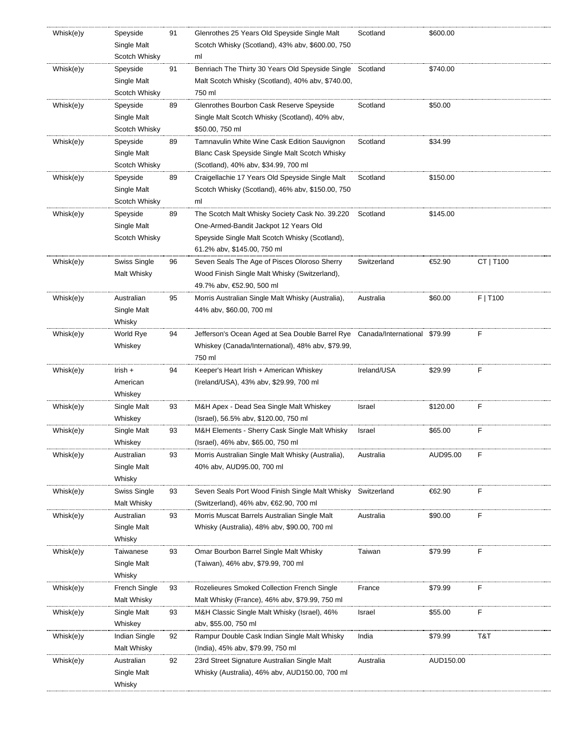| Whisk(e)y | Speyside              | 91 | Glenrothes 25 Years Old Speyside Single Malt                                 | Scotland    | \$600.00  |           |
|-----------|-----------------------|----|------------------------------------------------------------------------------|-------------|-----------|-----------|
|           | Single Malt           |    | Scotch Whisky (Scotland), 43% abv, \$600.00, 750                             |             |           |           |
|           | Scotch Whisky         |    | ml                                                                           |             |           |           |
| Whisk(e)y | Speyside              | 91 | Benriach The Thirty 30 Years Old Speyside Single Scotland                    |             | \$740.00  |           |
|           | Single Malt           |    | Malt Scotch Whisky (Scotland), 40% abv, \$740.00,                            |             |           |           |
|           | Scotch Whisky         |    | 750 ml                                                                       |             |           |           |
| Whisk(e)y | Speyside              | 89 | Glenrothes Bourbon Cask Reserve Speyside                                     | Scotland    | \$50.00   |           |
|           | Single Malt           |    | Single Malt Scotch Whisky (Scotland), 40% abv,                               |             |           |           |
|           | Scotch Whisky         |    | \$50.00, 750 ml                                                              |             |           |           |
| Whisk(e)y | Speyside              | 89 | Tamnavulin White Wine Cask Edition Sauvignon                                 | Scotland    | \$34.99   |           |
|           | Single Malt           |    | Blanc Cask Speyside Single Malt Scotch Whisky                                |             |           |           |
|           | Scotch Whisky         |    | (Scotland), 40% abv, \$34.99, 700 ml                                         |             |           |           |
| Whisk(e)y | Speyside              | 89 | Craigellachie 17 Years Old Speyside Single Malt                              | Scotland    | \$150.00  |           |
|           | Single Malt           |    | Scotch Whisky (Scotland), 46% aby, \$150.00, 750                             |             |           |           |
|           | Scotch Whisky         |    | ml                                                                           |             |           |           |
|           |                       |    |                                                                              |             |           |           |
| Whisk(e)y | Speyside              | 89 | The Scotch Malt Whisky Society Cask No. 39.220                               | Scotland    | \$145.00  |           |
|           | Single Malt           |    | One-Armed-Bandit Jackpot 12 Years Old                                        |             |           |           |
|           | Scotch Whisky         |    | Speyside Single Malt Scotch Whisky (Scotland),                               |             |           |           |
|           |                       |    | 61.2% abv, \$145.00, 750 ml                                                  |             |           |           |
| Whisk(e)y | Swiss Single          | 96 | Seven Seals The Age of Pisces Oloroso Sherry                                 | Switzerland | €52.90    | CT   T100 |
|           | Malt Whisky           |    | Wood Finish Single Malt Whisky (Switzerland),                                |             |           |           |
|           |                       |    | 49.7% abv, €52.90, 500 ml                                                    |             |           |           |
| Whisk(e)y | Australian            | 95 | Morris Australian Single Malt Whisky (Australia),                            | Australia   | \$60.00   | F   T100  |
|           | Single Malt           |    | 44% abv, \$60.00, 700 ml                                                     |             |           |           |
|           | Whisky                |    |                                                                              |             |           |           |
| Whisk(e)y | World Rye             | 94 | Jefferson's Ocean Aged at Sea Double Barrel Rye Canada/International \$79.99 |             |           | F         |
|           | Whiskey               |    | Whiskey (Canada/International), 48% abv, \$79.99,                            |             |           |           |
|           |                       |    | 750 ml                                                                       |             |           |           |
| Whisk(e)y | Irish $+$             | 94 | Keeper's Heart Irish + American Whiskey                                      | Ireland/USA | \$29.99   | F         |
|           | American              |    | (Ireland/USA), 43% abv, \$29.99, 700 ml                                      |             |           |           |
|           | Whiskey               |    |                                                                              |             |           |           |
| Whisk(e)y | Single Malt           | 93 | M&H Apex - Dead Sea Single Malt Whiskey                                      | Israel      | \$120.00  | F         |
|           | Whiskey               |    | (Israel), 56.5% abv, \$120.00, 750 ml                                        |             |           |           |
| Whisk(e)y | Single Malt           | 93 | M&H Elements - Sherry Cask Single Malt Whisky                                | Israel      | \$65.00   | F         |
|           | Whiskey               |    | (Israel), 46% abv, \$65.00, 750 ml                                           |             |           |           |
| Whisk(e)y | Australian            | 93 | Morris Australian Single Malt Whisky (Australia),                            | Australia   | AUD95.00  | F         |
|           | Single Malt           |    | 40% abv, AUD95.00, 700 ml                                                    |             |           |           |
|           | Whisky                |    |                                                                              |             |           |           |
| Whisk(e)y | Swiss Single          | 93 | Seven Seals Port Wood Finish Single Malt Whisky                              | Switzerland | €62.90    | F         |
|           | Malt Whisky           |    | (Switzerland), 46% abv, €62.90, 700 ml                                       |             |           |           |
| Whisk(e)y | Australian            | 93 | Morris Muscat Barrels Australian Single Malt                                 | Australia   | \$90.00   | F         |
|           | Single Malt           |    | Whisky (Australia), 48% abv, \$90.00, 700 ml                                 |             |           |           |
|           | Whisky                |    |                                                                              |             |           |           |
| Whisk(e)y | Taiwanese             | 93 | Omar Bourbon Barrel Single Malt Whisky                                       | Taiwan      | \$79.99   | F         |
|           | Single Malt           |    | (Taiwan), 46% abv, \$79.99, 700 ml                                           |             |           |           |
|           | Whisky                |    |                                                                              |             |           |           |
| Whisk(e)y | French Single         | 93 | Rozelieures Smoked Collection French Single                                  | France      | \$79.99   | F         |
|           | Malt Whisky           |    | Malt Whisky (France), 46% abv, \$79.99, 750 ml                               |             |           |           |
|           |                       |    |                                                                              |             |           |           |
| Whisk(e)y | Single Malt           | 93 | M&H Classic Single Malt Whisky (Israel), 46%                                 | Israel      | \$55.00   | F         |
|           | Whiskey               |    | aby, \$55.00, 750 ml                                                         |             |           |           |
| Whisk(e)y | Indian Single         | 92 | Rampur Double Cask Indian Single Malt Whisky                                 | India       | \$79.99   | T&T       |
|           | Malt Whisky           |    | (India), 45% abv, \$79.99, 750 ml                                            |             |           |           |
| Whisk(e)y | Australian            | 92 | 23rd Street Signature Australian Single Malt                                 | Australia   | AUD150.00 |           |
|           |                       |    |                                                                              |             |           |           |
|           | Single Malt<br>Whisky |    | Whisky (Australia), 46% abv, AUD150.00, 700 ml                               |             |           |           |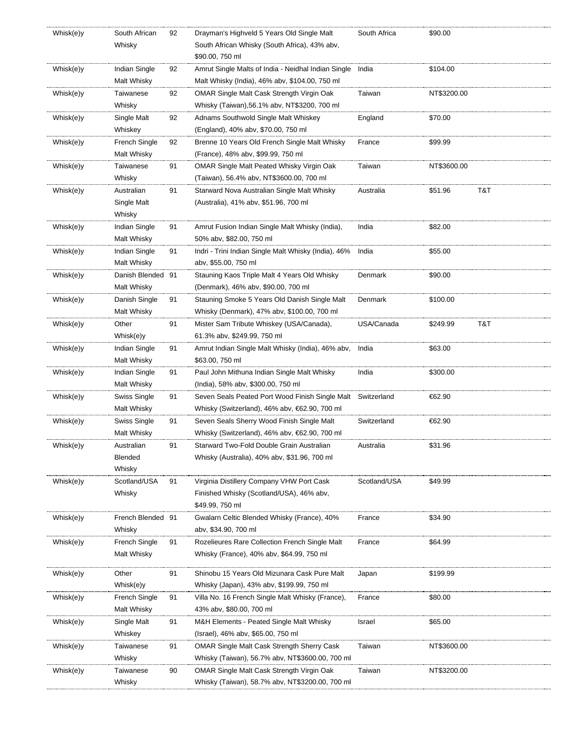| Whisk(e)y | South African        | 92 | Drayman's Highveld 5 Years Old Single Malt                                          | South Africa | \$90.00         |
|-----------|----------------------|----|-------------------------------------------------------------------------------------|--------------|-----------------|
|           | Whisky               |    | South African Whisky (South Africa), 43% abv,                                       |              |                 |
|           |                      |    | \$90.00, 750 ml                                                                     |              |                 |
| Whisk(e)y | Indian Single        | 92 | Amrut Single Malts of India - Neidhal Indian Single India                           |              | \$104.00        |
|           | Malt Whisky          |    | Malt Whisky (India), 46% abv, \$104.00, 750 ml                                      |              |                 |
| Whisk(e)y | Taiwanese            | 92 | OMAR Single Malt Cask Strength Virgin Oak                                           | Taiwan       | NT\$3200.00     |
|           | Whisky               |    | Whisky (Taiwan), 56.1% abv, NT\$3200, 700 ml                                        |              |                 |
| Whisk(e)y | Single Malt          | 92 | Adnams Southwold Single Malt Whiskey                                                | England      | \$70.00         |
|           | Whiskey              |    | (England), 40% abv, \$70.00, 750 ml                                                 |              |                 |
| Whisk(e)y | French Single        | 92 |                                                                                     |              | \$99.99         |
|           | Malt Whisky          |    | Brenne 10 Years Old French Single Malt Whisky<br>(France), 48% abv, \$99.99, 750 ml | France       |                 |
|           | Taiwanese            | 91 |                                                                                     |              | NT\$3600.00     |
| Whisk(e)y |                      |    | OMAR Single Malt Peated Whisky Virgin Oak                                           | Taiwan       |                 |
|           | Whisky               |    | (Taiwan), 56.4% abv, NT\$3600.00, 700 ml                                            |              |                 |
| Whisk(e)y | Australian           | 91 | Starward Nova Australian Single Malt Whisky                                         | Australia    | T&T<br>\$51.96  |
|           | Single Malt          |    | (Australia), 41% abv, \$51.96, 700 ml                                               |              |                 |
|           | Whisky               |    |                                                                                     |              |                 |
| Whisk(e)y | Indian Single        | 91 | Amrut Fusion Indian Single Malt Whisky (India),                                     | India        | \$82.00         |
|           | Malt Whisky          |    | 50% abv, \$82.00, 750 ml                                                            |              |                 |
| Whisk(e)y | Indian Single        | 91 | Indri - Trini Indian Single Malt Whisky (India), 46%                                | India        | \$55.00         |
|           | Malt Whisky          |    | abv, \$55.00, 750 ml                                                                |              |                 |
| Whisk(e)y | Danish Blended 91    |    | Stauning Kaos Triple Malt 4 Years Old Whisky                                        | Denmark      | \$90.00         |
|           | Malt Whisky          |    | (Denmark), 46% abv, \$90.00, 700 ml                                                 |              |                 |
| Whisk(e)y | Danish Single        | 91 | Stauning Smoke 5 Years Old Danish Single Malt                                       | Denmark      | \$100.00        |
|           | Malt Whisky          |    | Whisky (Denmark), 47% abv, \$100.00, 700 ml                                         |              |                 |
| Whisk(e)y | Other                | 91 | Mister Sam Tribute Whiskey (USA/Canada),                                            | USA/Canada   | T&T<br>\$249.99 |
|           | Whisk(e)y            |    | 61.3% abv, \$249.99, 750 ml                                                         |              |                 |
| Whisk(e)y | Indian Single        | 91 | Amrut Indian Single Malt Whisky (India), 46% abv,                                   | India        | \$63.00         |
|           | Malt Whisky          |    | \$63.00, 750 ml                                                                     |              |                 |
| Whisk(e)y | Indian Single        | 91 | Paul John Mithuna Indian Single Malt Whisky                                         | India        | \$300.00        |
|           | Malt Whisky          |    | (India), 58% abv, \$300.00, 750 ml                                                  |              |                 |
| Whisk(e)y | Swiss Single         | 91 | Seven Seals Peated Port Wood Finish Single Malt Switzerland                         |              | €62.90          |
|           | Malt Whisky          |    | Whisky (Switzerland), 46% abv, €62.90, 700 ml                                       |              |                 |
| Whisk(e)y | Swiss Single         | 91 | Seven Seals Sherry Wood Finish Single Malt                                          | Switzerland  | €62.90          |
|           | Malt Whisky          |    | Whisky (Switzerland), 46% abv, €62.90, 700 ml                                       |              |                 |
| Whisk(e)y | Australian           | 91 | Starward Two-Fold Double Grain Australian                                           | Australia    | \$31.96         |
|           | Blended              |    | Whisky (Australia), 40% abv, \$31.96, 700 ml                                        |              |                 |
|           | Whisky               |    |                                                                                     |              |                 |
| Whisk(e)y | Scotland/USA         | 91 | Virginia Distillery Company VHW Port Cask                                           | Scotland/USA | \$49.99         |
|           | Whisky               |    | Finished Whisky (Scotland/USA), 46% abv,                                            |              |                 |
|           |                      |    | \$49.99, 750 ml                                                                     |              |                 |
| Whisk(e)y | French Blended 91    |    | Gwalarn Celtic Blended Whisky (France), 40%                                         | France       | \$34.90         |
|           | Whisky               |    | abv, \$34.90, 700 ml                                                                |              |                 |
| Whisk(e)y | French Single        | 91 | Rozelieures Rare Collection French Single Malt                                      | France       | \$64.99         |
|           | Malt Whisky          |    | Whisky (France), 40% abv, \$64.99, 750 ml                                           |              |                 |
|           |                      |    |                                                                                     |              |                 |
| Whisk(e)y | Other                | 91 | Shinobu 15 Years Old Mizunara Cask Pure Malt                                        | Japan        | \$199.99        |
|           | Whisk(e)y            |    | Whisky (Japan), 43% abv, \$199.99, 750 ml                                           |              |                 |
| Whisk(e)y | <b>French Single</b> | 91 | Villa No. 16 French Single Malt Whisky (France),                                    | France       | \$80.00         |
|           | Malt Whisky          |    | 43% abv, \$80.00, 700 ml                                                            |              |                 |
| Whisk(e)y | Single Malt          | 91 | M&H Elements - Peated Single Malt Whisky                                            | Israel       | \$65.00         |
|           | Whiskey              |    | (Israel), 46% abv, \$65.00, 750 ml                                                  |              |                 |
| Whisk(e)y | Taiwanese            | 91 | <b>OMAR Single Malt Cask Strength Sherry Cask</b>                                   | Taiwan       | NT\$3600.00     |
|           | Whisky               |    | Whisky (Taiwan), 56.7% abv, NT\$3600.00, 700 ml                                     |              |                 |
| Whisk(e)y | Taiwanese            | 90 | OMAR Single Malt Cask Strength Virgin Oak                                           | Taiwan       | NT\$3200.00     |
|           | Whisky               |    | Whisky (Taiwan), 58.7% abv, NT\$3200.00, 700 ml                                     |              |                 |
|           |                      |    |                                                                                     |              |                 |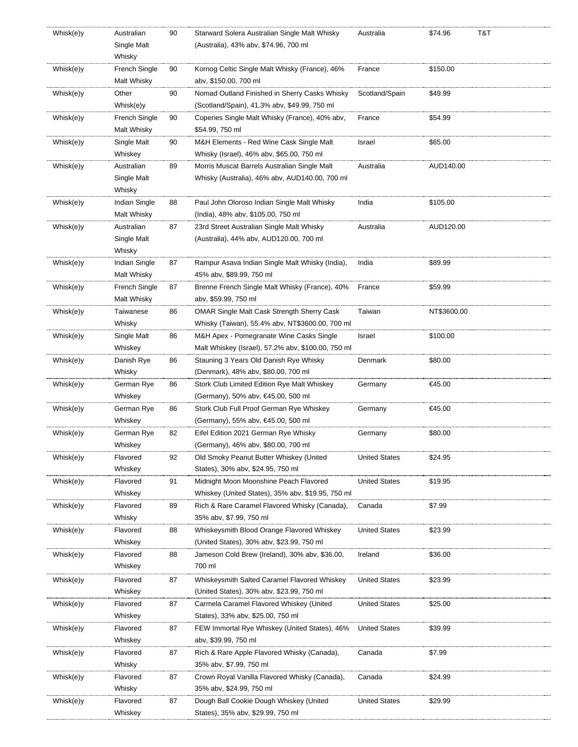| Whisk(e)y | Australian    | 90 | Starward Solera Australian Single Malt Whisky      | Australia            | \$74.96     | T&T |
|-----------|---------------|----|----------------------------------------------------|----------------------|-------------|-----|
|           | Single Malt   |    | (Australia), 43% abv, \$74.96, 700 ml              |                      |             |     |
|           | Whisky        |    |                                                    |                      |             |     |
| Whisk(e)y | French Single | 90 | Kornog Celtic Single Malt Whisky (France), 46%     | France               | \$150.00    |     |
|           | Malt Whisky   |    | abv, \$150.00, 700 ml                              |                      |             |     |
| Whisk(e)y | Other         | 90 | Nomad Outland Finished in Sherry Casks Whisky      | Scotland/Spain       | \$49.99     |     |
|           | Whisk(e)y     |    | (Scotland/Spain), 41.3% abv, \$49.99, 750 ml       |                      |             |     |
| Whisk(e)y | French Single | 90 | Coperies Single Malt Whisky (France), 40% abv,     | France               | \$54.99     |     |
|           | Malt Whisky   |    | \$54.99, 750 ml                                    |                      |             |     |
| Whisk(e)y | Single Malt   | 90 | M&H Elements - Red Wine Cask Single Malt           | Israel               | \$65.00     |     |
|           | Whiskey       |    | Whisky (Israel), 46% abv, \$65.00, 750 ml          |                      |             |     |
| Whisk(e)y | Australian    | 89 | Morris Muscat Barrels Australian Single Malt       | Australia            | AUD140.00   |     |
|           | Single Malt   |    | Whisky (Australia), 46% abv, AUD140.00, 700 ml     |                      |             |     |
|           | Whisky        |    |                                                    |                      |             |     |
| Whisk(e)y | Indian Single | 88 | Paul John Oloroso Indian Single Malt Whisky        | India                | \$105.00    |     |
|           | Malt Whisky   |    | (India), 48% abv, \$105.00, 750 ml                 |                      |             |     |
| Whisk(e)y | Australian    | 87 | 23rd Street Australian Single Malt Whisky          | Australia            | AUD120.00   |     |
|           | Single Malt   |    | (Australia), 44% abv, AUD120.00, 700 ml            |                      |             |     |
|           | Whisky        |    |                                                    |                      |             |     |
| Whisk(e)y | Indian Single | 87 | Rampur Asava Indian Single Malt Whisky (India),    | India                | \$89.99     |     |
|           | Malt Whisky   |    | 45% abv, \$89.99, 750 ml                           |                      |             |     |
| Whisk(e)y | French Single | 87 | Brenne French Single Malt Whisky (France), 40%     | France               | \$59.99     |     |
|           | Malt Whisky   |    | abv, \$59.99, 750 ml                               |                      |             |     |
| Whisk(e)y | Taiwanese     | 86 | <b>OMAR Single Malt Cask Strength Sherry Cask</b>  | Taiwan               | NT\$3600.00 |     |
|           | Whisky        |    | Whisky (Taiwan), 55.4% abv, NT\$3600.00, 700 ml    |                      |             |     |
| Whisk(e)y | Single Malt   | 86 | M&H Apex - Pomegranate Wine Casks Single           | Israel               | \$100.00    |     |
|           | Whiskey       |    | Malt Whiskey (Israel), 57.2% abv, \$100.00, 750 ml |                      |             |     |
| Whisk(e)y | Danish Rye    | 86 | Stauning 3 Years Old Danish Rye Whisky             | Denmark              | \$80.00     |     |
|           | Whisky        |    | (Denmark), 48% abv, \$80.00, 700 ml                |                      |             |     |
| Whisk(e)y | German Rye    | 86 | Stork Club Limited Edition Rye Malt Whiskey        | Germany              | €45.00      |     |
|           | Whiskey       |    | (Germany), 50% abv, €45.00, 500 ml                 |                      |             |     |
| Whisk(e)y | German Rye    | 86 | Stork Club Full Proof German Rye Whiskey           | Germany              | €45.00      |     |
|           | Whiskey       |    | (Germany), 55% abv, €45.00, 500 ml                 |                      |             |     |
| Whisk(e)y | German Rye    | 82 | Eifel Edition 2021 German Rye Whisky               | Germany              | \$80.00     |     |
|           | Whiskey       |    | (Germany), 46% abv, \$80.00, 700 ml                |                      |             |     |
| Whisk(e)y | Flavored      | 92 | Old Smoky Peanut Butter Whiskey (United            | <b>United States</b> | \$24.95     |     |
|           | Whiskey       |    | States), 30% abv, \$24.95, 750 ml                  |                      |             |     |
| Whisk(e)y | Flavored      | 91 | Midnight Moon Moonshine Peach Flavored             | <b>United States</b> | \$19.95     |     |
|           | Whiskey       |    | Whiskey (United States), 35% abv, \$19.95, 750 ml  |                      |             |     |
| Whisk(e)y | Flavored      | 89 | Rich & Rare Caramel Flavored Whisky (Canada),      | Canada               | \$7.99      |     |
|           | Whisky        |    | 35% abv, \$7.99, 750 ml                            |                      |             |     |
| Whisk(e)y | Flavored      | 88 | Whiskeysmith Blood Orange Flavored Whiskey         | <b>United States</b> | \$23.99     |     |
|           | Whiskey       |    | (United States), 30% abv, \$23.99, 750 ml          |                      |             |     |
| Whisk(e)y | Flavored      | 88 | Jameson Cold Brew (Ireland), 30% abv, \$36.00,     | Ireland              | \$36.00     |     |
|           | Whiskey       |    | 700 ml                                             |                      |             |     |
|           | Flavored      | 87 | Whiskeysmith Salted Caramel Flavored Whiskey       |                      |             |     |
| Whisk(e)y |               |    |                                                    | <b>United States</b> | \$23.99     |     |
|           | Whiskey       |    | (United States), 30% abv, \$23.99, 750 ml          |                      |             |     |
| Whisk(e)y | Flavored      | 87 | Carmela Caramel Flavored Whiskey (United           | <b>United States</b> | \$25.00     |     |
|           | Whiskey       |    | States), 33% abv, \$25.00, 750 ml                  |                      |             |     |
| Whisk(e)y | Flavored      | 87 | FEW Immortal Rye Whiskey (United States), 46%      | <b>United States</b> | \$39.99     |     |
|           | Whiskey       |    | abv, \$39.99, 750 ml                               |                      |             |     |
| Whisk(e)y | Flavored      | 87 | Rich & Rare Apple Flavored Whisky (Canada),        | Canada               | \$7.99      |     |
|           | Whisky        |    | 35% abv, \$7.99, 750 ml                            |                      |             |     |
| Whisk(e)y | Flavored      | 87 | Crown Royal Vanilla Flavored Whisky (Canada),      | Canada               | \$24.99     |     |
|           | Whisky        |    | 35% abv, \$24.99, 750 ml                           |                      |             |     |
| Whisk(e)y | Flavored      | 87 | Dough Ball Cookie Dough Whiskey (United            | <b>United States</b> | \$29.99     |     |
|           | Whiskey       |    | States), 35% abv, \$29.99, 750 ml                  |                      |             |     |